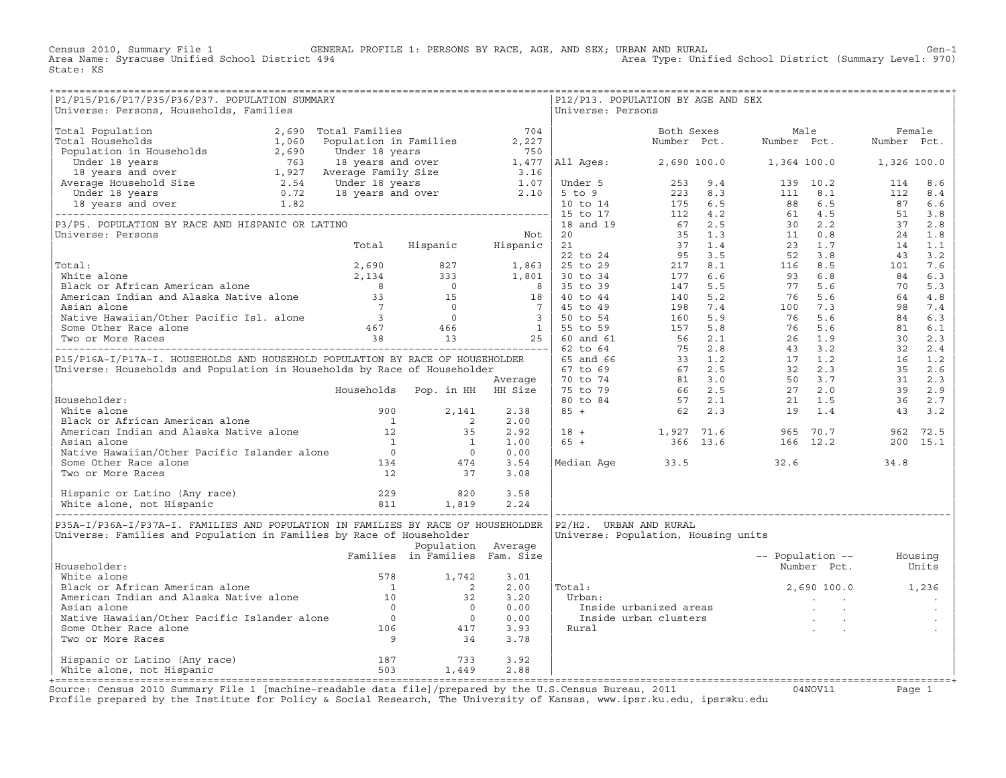Census 2010, Summary File 1 GENERAL PROFILE 1: PERSONS BY RACE, AGE, AND SEX; URBAN AND RURAL Gen−1<br>Area Name: Syracuse Unified School District 494 Area Type: Unified School District (Summary Level: 970) Area Type: Unified School District (Summary Level: 970) State: KS

| P1/P15/P16/P17/P35/P36/P37. POPULATION SUMMARY                                                                                                                                                                                                       |                                |                    |      |                   | P12/P13. POPULATION BY AGE AND SEX                                                                                                                         |      |                          |      |  |
|------------------------------------------------------------------------------------------------------------------------------------------------------------------------------------------------------------------------------------------------------|--------------------------------|--------------------|------|-------------------|------------------------------------------------------------------------------------------------------------------------------------------------------------|------|--------------------------|------|--|
| Universe: Persons, Households, Families                                                                                                                                                                                                              |                                |                    |      | Universe: Persons |                                                                                                                                                            |      |                          |      |  |
|                                                                                                                                                                                                                                                      |                                |                    |      |                   |                                                                                                                                                            |      |                          |      |  |
|                                                                                                                                                                                                                                                      |                                |                    |      |                   |                                                                                                                                                            |      |                          |      |  |
|                                                                                                                                                                                                                                                      |                                |                    |      |                   |                                                                                                                                                            |      |                          |      |  |
|                                                                                                                                                                                                                                                      |                                |                    |      |                   |                                                                                                                                                            |      |                          |      |  |
|                                                                                                                                                                                                                                                      |                                |                    |      |                   |                                                                                                                                                            |      |                          |      |  |
|                                                                                                                                                                                                                                                      |                                |                    |      |                   |                                                                                                                                                            |      |                          |      |  |
|                                                                                                                                                                                                                                                      |                                |                    |      |                   |                                                                                                                                                            |      |                          |      |  |
|                                                                                                                                                                                                                                                      |                                |                    |      |                   |                                                                                                                                                            |      |                          |      |  |
|                                                                                                                                                                                                                                                      |                                |                    |      |                   |                                                                                                                                                            |      |                          |      |  |
|                                                                                                                                                                                                                                                      |                                |                    |      |                   |                                                                                                                                                            |      |                          |      |  |
|                                                                                                                                                                                                                                                      |                                |                    |      |                   |                                                                                                                                                            |      |                          |      |  |
|                                                                                                                                                                                                                                                      |                                |                    |      |                   |                                                                                                                                                            |      |                          |      |  |
|                                                                                                                                                                                                                                                      |                                |                    |      |                   |                                                                                                                                                            |      |                          |      |  |
|                                                                                                                                                                                                                                                      |                                |                    |      |                   |                                                                                                                                                            |      |                          |      |  |
|                                                                                                                                                                                                                                                      |                                |                    |      |                   |                                                                                                                                                            |      |                          |      |  |
|                                                                                                                                                                                                                                                      |                                |                    |      |                   |                                                                                                                                                            |      |                          |      |  |
|                                                                                                                                                                                                                                                      |                                |                    |      |                   |                                                                                                                                                            |      |                          |      |  |
|                                                                                                                                                                                                                                                      |                                |                    |      |                   |                                                                                                                                                            |      |                          |      |  |
|                                                                                                                                                                                                                                                      |                                |                    |      |                   |                                                                                                                                                            |      |                          |      |  |
|                                                                                                                                                                                                                                                      |                                |                    |      |                   |                                                                                                                                                            |      |                          |      |  |
|                                                                                                                                                                                                                                                      |                                |                    |      |                   |                                                                                                                                                            |      |                          |      |  |
|                                                                                                                                                                                                                                                      |                                |                    |      |                   |                                                                                                                                                            |      |                          |      |  |
|                                                                                                                                                                                                                                                      |                                |                    |      |                   |                                                                                                                                                            |      |                          |      |  |
|                                                                                                                                                                                                                                                      |                                |                    |      |                   |                                                                                                                                                            |      |                          |      |  |
|                                                                                                                                                                                                                                                      |                                |                    |      |                   |                                                                                                                                                            |      |                          |      |  |
|                                                                                                                                                                                                                                                      |                                |                    |      |                   |                                                                                                                                                            |      |                          |      |  |
|                                                                                                                                                                                                                                                      |                                |                    |      |                   |                                                                                                                                                            |      |                          |      |  |
|                                                                                                                                                                                                                                                      |                                |                    |      |                   |                                                                                                                                                            |      |                          |      |  |
|                                                                                                                                                                                                                                                      |                                |                    |      |                   |                                                                                                                                                            |      |                          |      |  |
|                                                                                                                                                                                                                                                      |                                |                    |      |                   |                                                                                                                                                            |      |                          |      |  |
|                                                                                                                                                                                                                                                      |                                |                    |      |                   |                                                                                                                                                            |      |                          |      |  |
|                                                                                                                                                                                                                                                      |                                |                    |      |                   |                                                                                                                                                            |      |                          |      |  |
|                                                                                                                                                                                                                                                      |                                |                    |      |                   |                                                                                                                                                            |      |                          |      |  |
|                                                                                                                                                                                                                                                      |                                |                    |      |                   |                                                                                                                                                            |      |                          |      |  |
|                                                                                                                                                                                                                                                      |                                |                    |      |                   |                                                                                                                                                            |      |                          |      |  |
|                                                                                                                                                                                                                                                      |                                |                    |      |                   | $\begin{array}{ l l l l l } \hline 18 & + & 1,927 & 71.6 & 965 & 70.7 & 962 & 72.5 \\ 65 & + & 366 & 13.6 & 166 & 12.2 & 200 & 15.1 \\ \hline \end{array}$ |      |                          |      |  |
|                                                                                                                                                                                                                                                      |                                |                    |      |                   |                                                                                                                                                            |      |                          |      |  |
|                                                                                                                                                                                                                                                      |                                |                    |      |                   |                                                                                                                                                            |      |                          |      |  |
| Householder:<br>White alone<br>Black or African American alone<br>American Indian and Alaska Native alone<br>Asian alone<br>Native Hawaiian/Other Pacific Islander alone<br>Some Other Race alone<br>Two or More Races<br>12<br>2 35<br>2.92<br>2.92 |                                |                    |      |                   |                                                                                                                                                            |      |                          |      |  |
|                                                                                                                                                                                                                                                      |                                |                    |      |                   | Median Age 33.5                                                                                                                                            | 32.6 |                          | 34.8 |  |
|                                                                                                                                                                                                                                                      |                                |                    |      |                   |                                                                                                                                                            |      |                          |      |  |
|                                                                                                                                                                                                                                                      |                                |                    |      |                   |                                                                                                                                                            |      |                          |      |  |
|                                                                                                                                                                                                                                                      |                                |                    | 3.58 |                   |                                                                                                                                                            |      |                          |      |  |
|                                                                                                                                                                                                                                                      |                                |                    | 2.24 |                   |                                                                                                                                                            |      |                          |      |  |
|                                                                                                                                                                                                                                                      |                                |                    |      |                   |                                                                                                                                                            |      |                          |      |  |
|                                                                                                                                                                                                                                                      |                                |                    |      |                   |                                                                                                                                                            |      |                          |      |  |
| P35A-I/P36A-I/P37A-I. FAMILIES AND POPULATION IN FAMILIES BY RACE OF HOUSEHOLDER  P2/H2.  URBAN AND RURAL                                                                                                                                            |                                |                    |      |                   |                                                                                                                                                            |      |                          |      |  |
| Universe: Families and Population in Families by Race of Householder                                                                                                                                                                                 |                                |                    |      |                   | Universe: Population, Housing units                                                                                                                        |      |                          |      |  |
|                                                                                                                                                                                                                                                      |                                | Population Average |      |                   |                                                                                                                                                            |      |                          |      |  |
|                                                                                                                                                                                                                                                      | Families in Families Fam. Size |                    |      |                   |                                                                                                                                                            |      | -- Population -- Housing |      |  |
| Householder:                                                                                                                                                                                                                                         |                                |                    |      |                   |                                                                                                                                                            |      | Number Pct. Units        |      |  |
|                                                                                                                                                                                                                                                      |                                |                    | 3.01 |                   |                                                                                                                                                            |      |                          |      |  |
|                                                                                                                                                                                                                                                      |                                |                    |      |                   | $2,690100.0$ 1,236                                                                                                                                         |      |                          |      |  |
|                                                                                                                                                                                                                                                      |                                |                    | 2.00 | Total:            |                                                                                                                                                            |      |                          |      |  |
|                                                                                                                                                                                                                                                      |                                |                    | 3.20 | Urban:            | rban:<br>Inside urbanized areas<br>Inside urban clusters<br>ural<br>.                                                                                      |      |                          |      |  |
|                                                                                                                                                                                                                                                      |                                |                    | 0.00 |                   |                                                                                                                                                            |      |                          |      |  |
|                                                                                                                                                                                                                                                      |                                |                    | 0.00 |                   |                                                                                                                                                            |      |                          |      |  |
|                                                                                                                                                                                                                                                      |                                |                    | 3.93 | Rural             |                                                                                                                                                            |      |                          |      |  |
|                                                                                                                                                                                                                                                      |                                |                    | 3.78 |                   |                                                                                                                                                            |      |                          |      |  |
| Notationally<br>Mitte alone<br>Black or African American alone<br>American Indian and Alaska Native alone<br>Asian alone<br>Native Hawaiian/Other Pacific Islander alone<br>Some Other Race alone<br>Two or More Races<br>9<br>34                    |                                |                    |      |                   |                                                                                                                                                            |      |                          |      |  |
|                                                                                                                                                                                                                                                      |                                |                    |      |                   |                                                                                                                                                            |      |                          |      |  |
| Hispanic or Latino (Any race) 187 187 733<br>White alone, not Hispanic 187 503 1,449                                                                                                                                                                 |                                |                    | 3.92 |                   |                                                                                                                                                            |      |                          |      |  |
|                                                                                                                                                                                                                                                      |                                |                    | 2.88 |                   |                                                                                                                                                            |      |                          |      |  |
|                                                                                                                                                                                                                                                      |                                |                    |      |                   |                                                                                                                                                            |      |                          |      |  |

+===================================================================================================================================================+Source: Census 2010 Summary File 1 [machine−readable data file]/prepared by the U.S.Census Bureau, 2011 04NOV11 Page 1 Profile prepared by the Institute for Policy & Social Research, The University of Kansas, www.ipsr.ku.edu, ipsr@ku.edu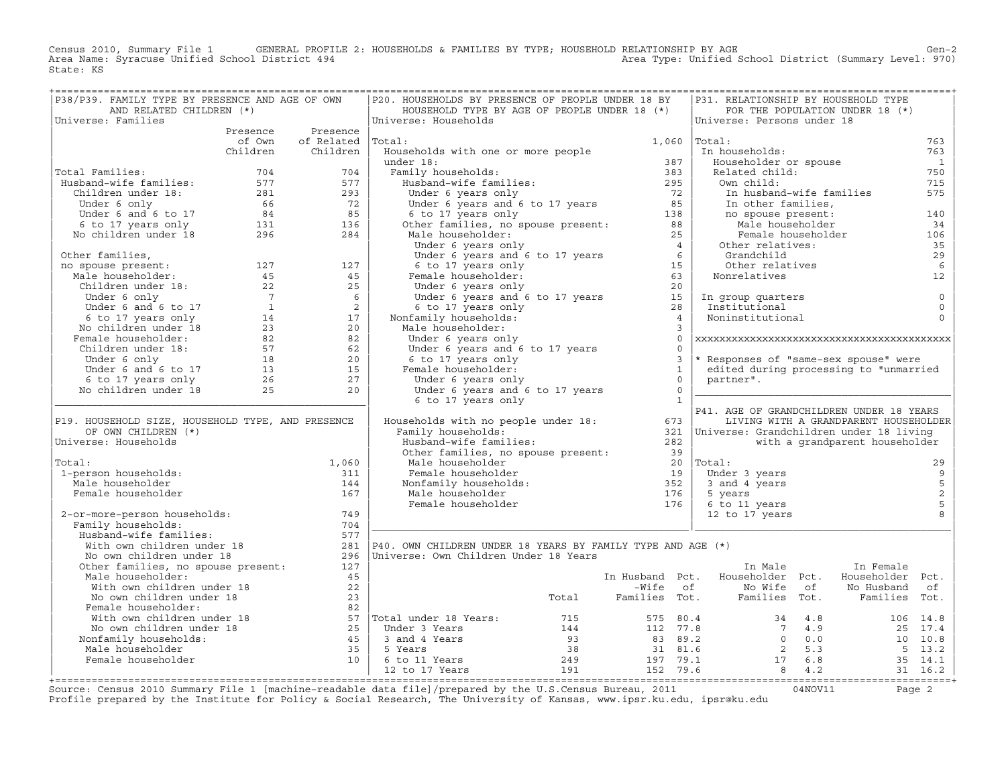Census 2010, Summary File 1 GENERAL PROFILE 2: HOUSEHOLDS & FAMILIES BY TYPE; HOUSEHOLD RELATIONSHIP BY AGE GEN<br>Area Name: Syracuse Unified School District 494 area Type: Unified School District (Summary Level: 970) Area Type: Unified School District (Summary Level: 970) State: KS

| P38/P39. FAMILY TYPE BY PRESENCE AND AGE OF OWN                                                                                                                                                                                                                                 |                          | P20. HOUSEHOLDS BY PRESENCE OF PEOPLE UNDER 18 BY                                                                                                                                                                                                  |                   |          | P31. RELATIONSHIP BY HOUSEHOLD TYPE                                                   |                                       |                                            |
|---------------------------------------------------------------------------------------------------------------------------------------------------------------------------------------------------------------------------------------------------------------------------------|--------------------------|----------------------------------------------------------------------------------------------------------------------------------------------------------------------------------------------------------------------------------------------------|-------------------|----------|---------------------------------------------------------------------------------------|---------------------------------------|--------------------------------------------|
| AND RELATED CHILDREN (*)                                                                                                                                                                                                                                                        |                          | HOUSEHOLD TYPE BY AGE OF PEOPLE UNDER 18 (*)                                                                                                                                                                                                       |                   |          |                                                                                       | FOR THE POPULATION UNDER 18 (*)       |                                            |
| Universe: Families                                                                                                                                                                                                                                                              |                          | Universe: Households                                                                                                                                                                                                                               |                   |          | Universe: Persons under 18                                                            |                                       |                                            |
|                                                                                                                                                                                                                                                                                 | Presence Presence        |                                                                                                                                                                                                                                                    |                   |          |                                                                                       |                                       |                                            |
|                                                                                                                                                                                                                                                                                 | of Own of Related Total: |                                                                                                                                                                                                                                                    | $1,060$ $ Total:$ |          |                                                                                       |                                       | 763                                        |
|                                                                                                                                                                                                                                                                                 | Children Children        |                                                                                                                                                                                                                                                    |                   |          |                                                                                       |                                       | 763                                        |
|                                                                                                                                                                                                                                                                                 |                          |                                                                                                                                                                                                                                                    |                   |          |                                                                                       |                                       | $\overline{\mathbf{1}}$<br>750             |
| Total Families:                                                                                                                                                                                                                                                                 |                          |                                                                                                                                                                                                                                                    |                   |          |                                                                                       |                                       | 715                                        |
|                                                                                                                                                                                                                                                                                 |                          |                                                                                                                                                                                                                                                    |                   |          |                                                                                       |                                       | 575                                        |
|                                                                                                                                                                                                                                                                                 |                          |                                                                                                                                                                                                                                                    |                   |          |                                                                                       |                                       |                                            |
|                                                                                                                                                                                                                                                                                 |                          |                                                                                                                                                                                                                                                    |                   |          |                                                                                       |                                       | 140                                        |
|                                                                                                                                                                                                                                                                                 |                          |                                                                                                                                                                                                                                                    |                   |          |                                                                                       |                                       | 34                                         |
| Total Families: 704<br>Husband-wife families: 577<br>Children under 18: 281<br>Under 6 only 66<br>72<br>Under 6 and 6 to 17<br>6 72<br>6 72<br>6 72<br>6 72<br>6 72<br>6 72<br>6 72<br>6 72<br>6 72<br>6 72<br>6 72<br>6 72<br>6 72<br>6 72<br>6 72<br>6 72<br>6 85<br>6 85<br> |                          |                                                                                                                                                                                                                                                    |                   |          |                                                                                       |                                       | 106                                        |
|                                                                                                                                                                                                                                                                                 |                          |                                                                                                                                                                                                                                                    |                   |          |                                                                                       |                                       | 35                                         |
|                                                                                                                                                                                                                                                                                 |                          |                                                                                                                                                                                                                                                    |                   |          |                                                                                       |                                       | 29                                         |
|                                                                                                                                                                                                                                                                                 |                          |                                                                                                                                                                                                                                                    |                   |          |                                                                                       |                                       | 6                                          |
|                                                                                                                                                                                                                                                                                 |                          |                                                                                                                                                                                                                                                    |                   |          |                                                                                       |                                       | 12                                         |
|                                                                                                                                                                                                                                                                                 |                          |                                                                                                                                                                                                                                                    |                   |          |                                                                                       |                                       |                                            |
|                                                                                                                                                                                                                                                                                 |                          |                                                                                                                                                                                                                                                    |                   |          |                                                                                       |                                       | $\circ$                                    |
|                                                                                                                                                                                                                                                                                 |                          |                                                                                                                                                                                                                                                    |                   |          |                                                                                       |                                       | $\mathbf 0$                                |
|                                                                                                                                                                                                                                                                                 |                          |                                                                                                                                                                                                                                                    |                   |          |                                                                                       |                                       | $\Omega$                                   |
|                                                                                                                                                                                                                                                                                 |                          |                                                                                                                                                                                                                                                    |                   |          |                                                                                       |                                       |                                            |
|                                                                                                                                                                                                                                                                                 |                          |                                                                                                                                                                                                                                                    |                   | $\Omega$ |                                                                                       |                                       |                                            |
|                                                                                                                                                                                                                                                                                 |                          |                                                                                                                                                                                                                                                    | $\bigcap$         |          |                                                                                       |                                       |                                            |
|                                                                                                                                                                                                                                                                                 |                          |                                                                                                                                                                                                                                                    |                   |          | 3  * Responses of "same-sex spouse" were<br>1   edited during processing to "warened" |                                       |                                            |
|                                                                                                                                                                                                                                                                                 |                          |                                                                                                                                                                                                                                                    |                   |          | edited during processing to "unmarried                                                |                                       |                                            |
|                                                                                                                                                                                                                                                                                 |                          |                                                                                                                                                                                                                                                    | $\overline{0}$    |          | partner".                                                                             |                                       |                                            |
|                                                                                                                                                                                                                                                                                 |                          | male householder:<br>Under 6 years only<br>Under 6 years and 6 to 17 years<br>6 to 17 years only<br>Female householder:<br>Under 6 years only<br>Under 6 years and 6 to 17<br>6 to 17                                                              | $\overline{0}$    |          |                                                                                       |                                       |                                            |
|                                                                                                                                                                                                                                                                                 |                          | 6 to 17 years only                                                                                                                                                                                                                                 | $\overline{1}$    |          | P41. AGE OF GRANDCHILDREN UNDER 18 YEARS                                              |                                       |                                            |
| P19. HOUSEHOLD SIZE, HOUSEHOLD TYPE, AND PRESENCE                                                                                                                                                                                                                               |                          | P41. AGE OF GRANDCHILDREN UNDER 18 YEARS<br>Households with no people under 18: [673 ] [673 ] [10] Households: [673 ] Family households: [71] Family households:                                                                                   |                   |          |                                                                                       | LIVING WITH A GRANDPARENT HOUSEHOLDER |                                            |
| OF OWN CHILDREN (*)                                                                                                                                                                                                                                                             |                          |                                                                                                                                                                                                                                                    |                   |          |                                                                                       |                                       |                                            |
| Universe: Households                                                                                                                                                                                                                                                            |                          |                                                                                                                                                                                                                                                    |                   |          |                                                                                       | with a grandparent householder        |                                            |
|                                                                                                                                                                                                                                                                                 |                          | useholds with no people<br>Family households:<br>Husband-wife families:<br>Other families, no spouse present:<br>Male householder<br>Female households:<br>Male householder<br>Male householder<br>Female householder<br>Female householder<br>Fem |                   |          |                                                                                       |                                       |                                            |
| Total:                                                                                                                                                                                                                                                                          | 1,060                    |                                                                                                                                                                                                                                                    |                   |          |                                                                                       |                                       | 29                                         |
| 1-person households:                                                                                                                                                                                                                                                            | 311                      |                                                                                                                                                                                                                                                    |                   |          |                                                                                       |                                       | $\overline{9}$                             |
| Male householder                                                                                                                                                                                                                                                                | 144                      |                                                                                                                                                                                                                                                    |                   |          |                                                                                       |                                       |                                            |
| Female householder                                                                                                                                                                                                                                                              | 167                      |                                                                                                                                                                                                                                                    |                   |          |                                                                                       |                                       | $\begin{array}{c} 5 \\ 2 \\ 5 \end{array}$ |
|                                                                                                                                                                                                                                                                                 |                          |                                                                                                                                                                                                                                                    |                   |          |                                                                                       |                                       |                                            |
| 2-or-more-person households:                                                                                                                                                                                                                                                    | 749                      |                                                                                                                                                                                                                                                    |                   |          |                                                                                       |                                       | 8                                          |
| Family households:<br>:<br>Husband-wife families:<br>With own children under 18<br>No own children under 18<br>Other families, no spouse present:<br>No other families, no spouse present:                                                                                      | 704                      |                                                                                                                                                                                                                                                    |                   |          |                                                                                       |                                       |                                            |
|                                                                                                                                                                                                                                                                                 | 577                      |                                                                                                                                                                                                                                                    |                   |          |                                                                                       |                                       |                                            |
|                                                                                                                                                                                                                                                                                 |                          | 281   P40. OWN CHILDREN UNDER 18 YEARS BY FAMILY TYPE AND AGE $(*)$                                                                                                                                                                                |                   |          |                                                                                       |                                       |                                            |
|                                                                                                                                                                                                                                                                                 |                          | 296   Universe: Own Children Under 18 Years                                                                                                                                                                                                        |                   |          |                                                                                       |                                       |                                            |
|                                                                                                                                                                                                                                                                                 | 127                      |                                                                                                                                                                                                                                                    |                   |          | In Male                                                                               | In Female                             |                                            |
| Male householder:                                                                                                                                                                                                                                                               | 45                       |                                                                                                                                                                                                                                                    |                   |          | In Husband Pct. Householder Pct.                                                      | Householder Pct.                      |                                            |
|                                                                                                                                                                                                                                                                                 |                          |                                                                                                                                                                                                                                                    |                   |          | -Wife of Monte of No Husband of Total Families Tot. Families Tot. Families Tot.       |                                       |                                            |
| Male Housenburg<br>With own children under 18<br>No own children under 18<br>Female householder: 82                                                                                                                                                                             |                          |                                                                                                                                                                                                                                                    |                   |          |                                                                                       |                                       |                                            |
| Female householder:                                                                                                                                                                                                                                                             |                          |                                                                                                                                                                                                                                                    |                   |          |                                                                                       |                                       |                                            |
|                                                                                                                                                                                                                                                                                 |                          |                                                                                                                                                                                                                                                    |                   |          |                                                                                       |                                       |                                            |
|                                                                                                                                                                                                                                                                                 |                          |                                                                                                                                                                                                                                                    |                   |          |                                                                                       |                                       |                                            |
|                                                                                                                                                                                                                                                                                 |                          |                                                                                                                                                                                                                                                    |                   |          |                                                                                       |                                       |                                            |
|                                                                                                                                                                                                                                                                                 |                          |                                                                                                                                                                                                                                                    |                   |          |                                                                                       |                                       |                                            |
| Female householder:<br>With own children under 18<br>No own children under 18<br>No own children under 18<br>No own children under 18<br>25<br>Nonfamily households:<br>Male households:<br>Male householder<br>25<br>Male householder<br>249<br>29<br>                         |                          |                                                                                                                                                                                                                                                    |                   |          |                                                                                       |                                       |                                            |
|                                                                                                                                                                                                                                                                                 |                          |                                                                                                                                                                                                                                                    |                   |          |                                                                                       |                                       |                                            |

+===================================================================================================================================================+Source: Census 2010 Summary File 1 [machine−readable data file]/prepared by the U.S.Census Bureau, 2011 04NOV11 Page 2 Profile prepared by the Institute for Policy & Social Research, The University of Kansas, www.ipsr.ku.edu, ipsr@ku.edu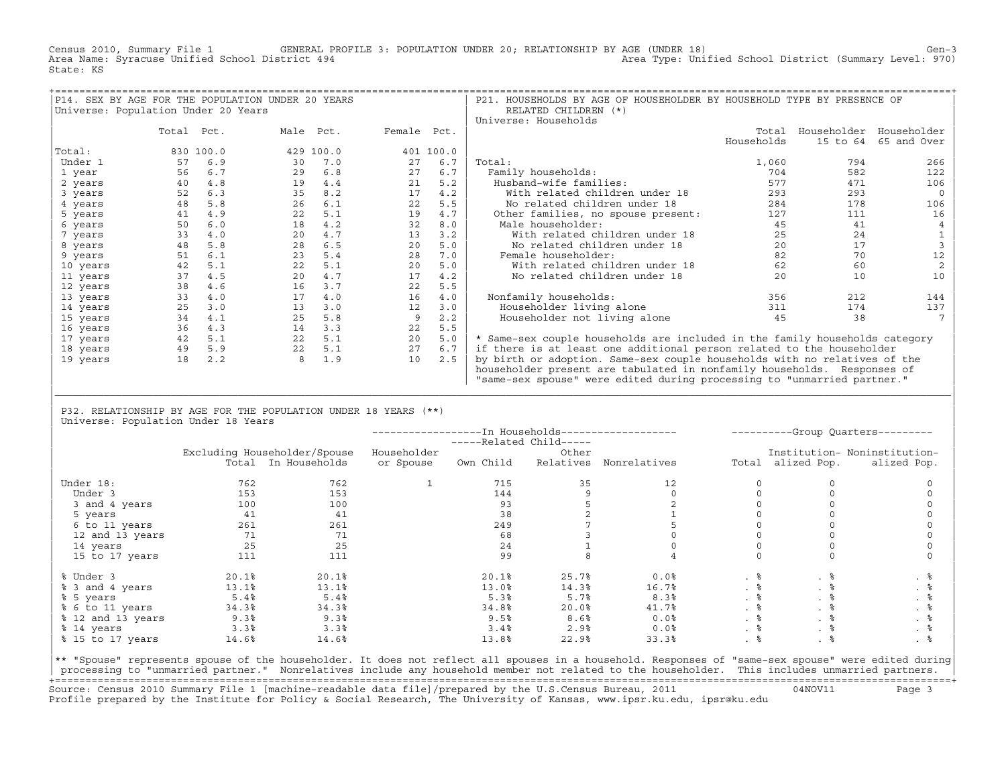Census 2010, Summary File 1 GENERAL PROFILE 3: POPULATION UNDER 20; RELATIONSHIP BY AGE (UNDER 18) Gen−3<br>Area Name: Syracuse Unified School District 494 Area Type: Unified School District (Summary Level: 970) State: KS

|                                     |            |           | P14. SEX BY AGE FOR THE POPULATION UNDER 20 YEARS |             |           | P21. HOUSEHOLDS BY AGE OF HOUSEHOLDER BY HOUSEHOLD TYPE BY PRESENCE OF      |                     |          |                         |
|-------------------------------------|------------|-----------|---------------------------------------------------|-------------|-----------|-----------------------------------------------------------------------------|---------------------|----------|-------------------------|
| Universe: Population Under 20 Years |            |           |                                                   |             |           | RELATED CHILDREN (*)                                                        |                     |          |                         |
|                                     |            |           |                                                   |             |           | Universe: Households                                                        |                     |          |                         |
|                                     | Total Pct. |           | Male Pct.                                         | Female Pct. |           |                                                                             | Total<br>Households |          | Householder Householder |
| Total:                              |            | 830 100.0 | 429 100.0                                         |             | 401 100.0 |                                                                             |                     | 15 to 64 | 65 and Over             |
|                                     |            |           |                                                   |             |           |                                                                             |                     |          |                         |
| Under 1                             | 57         | 6.9       | 30                                                | 27<br>7.0   | 6.7       | Total:                                                                      | 1,060               | 794      | 266                     |
| 1 year                              | 56         | 6.7       | 29                                                | 6.8<br>27   | 6.7       | Family households:                                                          | 704                 | 582      | 122                     |
| 2 years                             | 40         | 4.8       | 19                                                | 21<br>4.4   | 5.2       | Husband-wife families:                                                      | 577                 | 471      | 106                     |
| 3 years                             | 52         | 6.3       | 35                                                | 17<br>8.2   | 4.2       | With related children under 18                                              | 293                 | 293      |                         |
| 4 years                             | 48         | 5.8       | 26                                                | 22<br>6.1   | 5.5       | No related children under 18                                                | 284                 | 178      | 106                     |
| 5 years                             | 41         | 4.9       | 22                                                | 19<br>5.1   | 4.7       | Other families, no spouse present:                                          | 127                 | 111      | 16                      |
| 6 years                             | 50         | 6.0       | 18                                                | 32<br>4.2   | 8.0       | Male householder:                                                           | 45                  | 41       |                         |
| 7 years                             | 33         | 4.0       | 20                                                | 13<br>4.7   | 3.2       | With related children under 18                                              | 25                  | 24       |                         |
| 8 years                             | 48         | 5.8       | 28                                                | 20<br>6.5   | 5.0       | No related children under 18                                                | 20                  | 17       |                         |
| 9 years                             | 51         | 6.1       | 23                                                | 28<br>5.4   | 7.0       | Female householder:                                                         | 82                  | 70       | 12                      |
| 10 years                            | 42         | 5.1       | 22                                                | 20<br>5.1   | 5.0       | With related children under 18                                              | 62                  | 60       |                         |
| 11 years                            | 37         | 4.5       | 20                                                | 17<br>4.7   | 4.2       | No related children under 18                                                | 20                  | 10       | 10                      |
| 12 years                            | 38         | 4.6       | 16                                                | 22<br>3.7   | 5.5       |                                                                             |                     |          |                         |
| 13 years                            | 33         | 4.0       | 17                                                | 16<br>4.0   | 4.0       | Nonfamily households:                                                       | 356                 | 212      | 144                     |
| 14 years                            | 25         | 3.0       | 13                                                | 12<br>3.0   | 3.0       | Householder living alone                                                    | 311                 | 174      | 137                     |
| 15 years                            | 34         | 4.1       | 25                                                | 9<br>5.8    | 2.2       | Householder not living alone                                                | 45                  | 38       |                         |
| 16 years                            | 36         | 4.3       | 14                                                | 3.3<br>22   | 5.5       |                                                                             |                     |          |                         |
| 17 years                            | 42         | 5.1       | 22                                                | 20<br>5.1   | 5.0       | * Same-sex couple households are included in the family households category |                     |          |                         |
| 18 years                            | 49         | 5.9       | 22                                                | 27<br>5.1   | 6.7       | if there is at least one additional person related to the householder       |                     |          |                         |
| 19 years                            | 18         | 2.2       | 8                                                 | 10<br>1.9   | 2.5       | by birth or adoption. Same-sex couple households with no relatives of the   |                     |          |                         |
|                                     |            |           |                                                   |             |           | householder present are tabulated in nonfamily households. Responses of     |                     |          |                         |
|                                     |            |           |                                                   |             |           | "same-sex spouse" were edited during processing to "unmarried partner."     |                     |          |                         |

| P32. RELATIONSHIP BY AGE FOR THE POPULATION UNDER 18 YEARS (\*\*) | Universe: Population Under 18 Years

|                   |       |                              |             | -----Related Child----- |       |                        |           |                   | ----------Group Quarters--------- |
|-------------------|-------|------------------------------|-------------|-------------------------|-------|------------------------|-----------|-------------------|-----------------------------------|
|                   |       | Excluding Householder/Spouse | Householder |                         | Other |                        |           |                   | Institution- Noninstitution-      |
|                   |       | Total In Households          | or Spouse   | Own Child               |       | Relatives Nonrelatives |           | Total alized Pop. | alized Pop.                       |
| Under 18:         | 762   | 762                          |             | 715                     | 35    | 12                     |           |                   |                                   |
| Under 3           | 153   | 153                          |             | 144                     |       |                        |           |                   |                                   |
| 3 and 4 years     | 100   | 100                          |             | 93                      |       |                        |           |                   |                                   |
| 5 years           | 41    | 41                           |             | 38                      |       |                        |           |                   |                                   |
| 6 to 11 years     | 261   | 261                          |             | 249                     |       |                        |           |                   |                                   |
| 12 and 13 years   | 71    | 71                           |             | 68                      |       |                        |           |                   |                                   |
| 14 years          | 25    | 25                           |             | 24                      |       |                        |           |                   |                                   |
| 15 to 17 years    | 111   | 111                          |             | 99                      |       |                        |           |                   |                                   |
| % Under 3         | 20.1% | 20.1%                        |             | 20.1%                   | 25.7% | 0.0%                   | . 응       | . 응               | . 응                               |
| % 3 and 4 years   | 13.1% | 13.1%                        |             | 13.0%                   | 14.3% | 16.7%                  | $. \circ$ | . ៖               | . 응                               |
| % 5 years         | 5.4%  | 5.4%                         |             | 5.3%                    | 5.7%  | 8.3%                   | . 응       | . 응               | . 응                               |
| % 6 to 11 years   | 34.3% | 34.3%                        |             | 34.8%                   | 20.0% | 41.7%                  | . 응       | . 응               | . 응                               |
| % 12 and 13 years | 9.3%  | 9.3%                         |             | 9.5%                    | 8.6%  | 0.0%                   | . 응       | . ៖               | . 응                               |
| % 14 years        | 3.3%  | 3.3%                         |             | 3.4%                    | 2.9%  | 0.0%                   | . 응       | . 응               | . 응                               |
| % 15 to 17 years  | 14.6% | 14.6%                        |             | 13.8%                   | 22.9% | 33.3%                  |           |                   |                                   |

|\_\_\_\_\_\_\_\_\_\_\_\_\_\_\_\_\_\_\_\_\_\_\_\_\_\_\_\_\_\_\_\_\_\_\_\_\_\_\_\_\_\_\_\_\_\_\_\_\_\_\_\_\_\_\_\_\_\_\_\_\_\_\_\_\_\_\_\_\_\_\_\_\_\_\_\_\_\_\_\_\_\_\_\_\_\_\_\_\_\_\_\_\_\_\_\_\_\_\_\_\_\_\_\_\_\_\_\_\_\_\_\_\_\_\_\_\_\_\_\_\_\_\_\_\_\_\_\_\_\_\_\_\_\_\_\_\_\_\_\_\_\_\_\_\_\_\_| | |

|\*\* "Spouse" represents spouse of the householder. It does not reflect all spouses in a household. Responses of "same−sex spouse" were edited during| processing to "unmarried partner." Nonrelatives include any household member not related to the householder. This includes unmarried partners. +===================================================================================================================================================+ Source: Census 2010 Summary File 1 [machine−readable data file]/prepared by the U.S.Census Bureau, 2011 04NOV11 Page 3 Profile prepared by the Institute for Policy & Social Research, The University of Kansas, www.ipsr.ku.edu, ipsr@ku.edu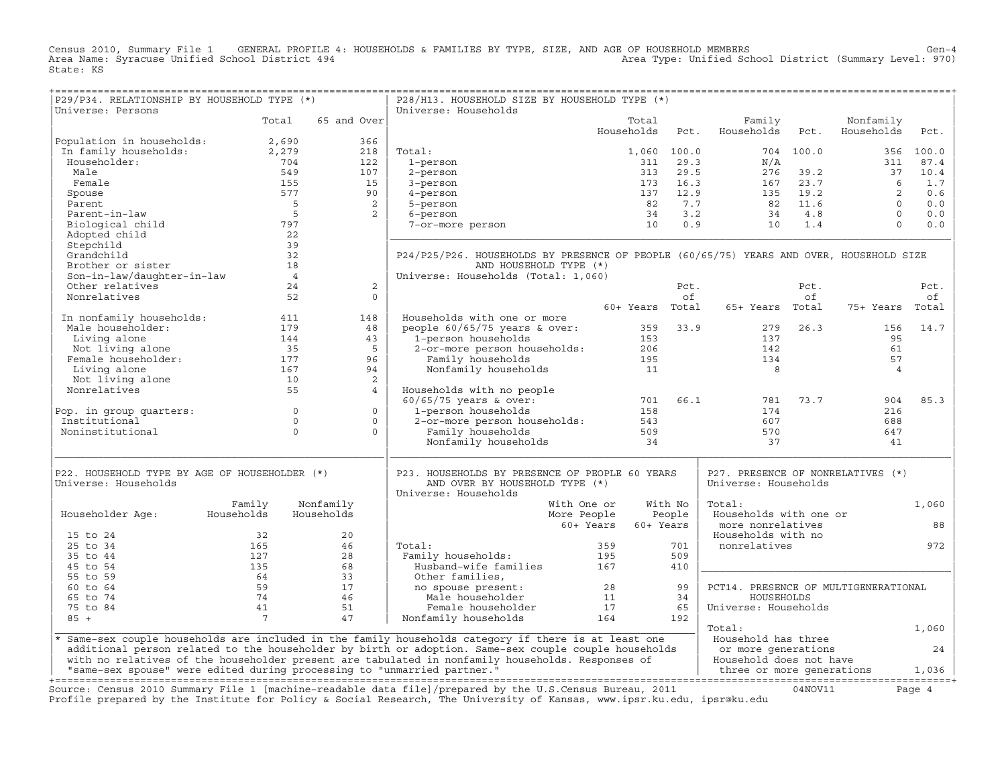Census 2010, Summary File 1 GENERAL PROFILE 4: HOUSEHOLDS & FAMILIES BY TYPE, SIZE, AND AGE OF HOUSEHOLD MEMBERS Gen−4 Area Name: Syracuse Unified School District 494 Area Type: Unified School District (Summary Level: 970) State: KS

+===================================================================================================================================================+

| P29/P34. RELATIONSHIP BY HOUSEHOLD TYPE (*)                             |                 |                      | P28/H13. HOUSEHOLD SIZE BY HOUSEHOLD TYPE (*)                                                                          |                 |             |                                      |           |                |        |
|-------------------------------------------------------------------------|-----------------|----------------------|------------------------------------------------------------------------------------------------------------------------|-----------------|-------------|--------------------------------------|-----------|----------------|--------|
| Universe: Persons                                                       |                 |                      | Universe: Households                                                                                                   |                 |             |                                      |           |                |        |
|                                                                         | Total           | 65 and Over          |                                                                                                                        | Total           |             | Family                               |           | Nonfamily      |        |
|                                                                         |                 | 366                  |                                                                                                                        | Households      | Pct.        | Households                           | Pct.      | Households     | Pct.   |
| Population in households:<br>In family households:                      | 2,690<br>2,279  | 218                  | Total:                                                                                                                 |                 | 1,060 100.0 |                                      | 704 100.0 |                | 100.0  |
| Householder:                                                            | 704             | 122                  | 1-person                                                                                                               | 311             | 29.3        | N/A                                  |           | 356<br>311     | 87.4   |
| Male                                                                    | 549             | 107                  |                                                                                                                        | 313             | 29.5        | 276                                  | 39.2      | 37             | 10.4   |
| Female                                                                  | 155             | 15                   | 2-person<br>3-person                                                                                                   | 173             | 16.3        | 167                                  | 23.7      | 6              | 1.7    |
|                                                                         | 577             | 90                   |                                                                                                                        | 137             | 12.9        | 135                                  | 19.2      | 2              | 0.6    |
| Spouse<br>Parent                                                        | $5^{\circ}$     | 2                    | 4-person                                                                                                               | 82              | 7.7         | 82                                   | 11.6      | $\Omega$       | 0.0    |
|                                                                         |                 | 5                    | 5-person                                                                                                               |                 |             |                                      |           | $\Omega$       |        |
| Parent-in-law                                                           | 797             | 2                    | 6-person                                                                                                               | 34<br>10        | 3.2<br>0.9  | 34<br>10                             | 4.8       | $\Omega$       | 0.0    |
| Biological child                                                        |                 |                      | 7-or-more person                                                                                                       |                 |             |                                      | 1.4       |                | 0.0    |
| Adopted child                                                           | 22              |                      |                                                                                                                        |                 |             |                                      |           |                |        |
| Stepchild                                                               | 39              |                      |                                                                                                                        |                 |             |                                      |           |                |        |
| Grandchild                                                              | 32              |                      | P24/P25/P26. HOUSEHOLDS BY PRESENCE OF PEOPLE (60/65/75) YEARS AND OVER, HOUSEHOLD SIZE                                |                 |             |                                      |           |                |        |
| Brother or sister                                                       | 18              |                      | AND HOUSEHOLD TYPE (*)                                                                                                 |                 |             |                                      |           |                |        |
| Son-in-law/daughter-in-law                                              | $\overline{4}$  |                      | Universe: Households (Total: 1,060)                                                                                    |                 |             |                                      |           |                |        |
| Other relatives                                                         | 24              | 2                    |                                                                                                                        |                 | Pct.        |                                      | Pct.      |                | Pct.   |
| Nonrelatives                                                            | 52              | $\Omega$             |                                                                                                                        |                 | of          |                                      | of        |                | оf     |
|                                                                         |                 |                      |                                                                                                                        | 60+ Years Total |             | 65+ Years Total                      |           | 75+ Years      | Total  |
| In nonfamily households:                                                | 411             | 148                  | Households with one or more                                                                                            |                 |             |                                      |           |                |        |
| Male householder:                                                       | 179             | 48                   | people $60/65/75$ years & over:                                                                                        | 359             | 33.9        | 279                                  | 26.3      | 156            | 14.7   |
| Living alone                                                            | 144             | 43                   | 1-person households                                                                                                    | 153             |             | 137                                  |           | 95             |        |
| Not living alone                                                        | 35              | 5                    | 2-or-more person households:                                                                                           | 206             |             | 142                                  |           | 61             |        |
| Female householder:                                                     | 177             | 96                   | Family households                                                                                                      | 195             |             | 134                                  |           | 57             |        |
| Living alone                                                            | 167             | 94                   | Nonfamily households                                                                                                   | 11              |             | 8                                    |           | $\overline{4}$ |        |
| Not living alone                                                        | 10              | $\overline{c}$       |                                                                                                                        |                 |             |                                      |           |                |        |
| Nonrelatives                                                            | 55              | $\overline{4}$       | Households with no people                                                                                              |                 |             |                                      |           |                |        |
|                                                                         |                 |                      | $60/65/75$ years & over:                                                                                               | 701             | 66.1        | 781                                  | 73.7      | 904            | 85.3   |
| Pop. in group quarters:                                                 |                 | $\Omega$<br>$\circ$  | 1-person households                                                                                                    | 158             |             | 174                                  |           | 216            |        |
| Institutional                                                           |                 | $\Omega$<br>$\circ$  | 2-or-more person households:                                                                                           | 543             |             | 607                                  |           | 688            |        |
| Noninstitutional                                                        |                 | $\Omega$<br>$\Omega$ | Family households                                                                                                      | 509             |             | 570                                  |           | 647            |        |
|                                                                         |                 |                      | Nonfamily households                                                                                                   | 34              |             | 37                                   |           | 41             |        |
|                                                                         |                 |                      |                                                                                                                        |                 |             |                                      |           |                |        |
| P22. HOUSEHOLD TYPE BY AGE OF HOUSEHOLDER (*)                           |                 |                      | P23. HOUSEHOLDS BY PRESENCE OF PEOPLE 60 YEARS                                                                         |                 |             | P27. PRESENCE OF NONRELATIVES (*)    |           |                |        |
| Universe: Households                                                    |                 |                      | AND OVER BY HOUSEHOLD TYPE (*)                                                                                         |                 |             | Universe: Households                 |           |                |        |
|                                                                         |                 |                      | Universe: Households                                                                                                   |                 |             |                                      |           |                |        |
|                                                                         | Family          | Nonfamily            | With One or                                                                                                            |                 | With No     | Total:                               |           |                | 1,060  |
| Householder Age:                                                        | Households      | Households           | More People                                                                                                            |                 | People      | Households with one or               |           |                |        |
|                                                                         |                 |                      | 60+ Years                                                                                                              | 60+ Years       |             | more nonrelatives                    |           |                | 88     |
| 15 to 24                                                                | 32              | 20                   |                                                                                                                        |                 |             | Households with no                   |           |                |        |
| 25 to 34                                                                | 165             | 46                   | Total:                                                                                                                 | 359             | 701         | nonrelatives                         |           |                | 972    |
| 35 to 44                                                                | 127             | 28                   | Family households:                                                                                                     | 195             | 509         |                                      |           |                |        |
| 45 to 54                                                                | 135             | 68                   | Husband-wife families                                                                                                  | 167             | 410         |                                      |           |                |        |
| 55 to 59                                                                | 64              | 33                   | Other families,                                                                                                        |                 |             |                                      |           |                |        |
| 60 to 64                                                                | 59              | 17                   | no spouse present:                                                                                                     | 28              | 99          | PCT14. PRESENCE OF MULTIGENERATIONAL |           |                |        |
| 65 to 74                                                                | 74              | 46                   | Male householder                                                                                                       | 11              | 34          | HOUSEHOLDS                           |           |                |        |
| 75 to 84                                                                | 41              | 51                   | Female householder                                                                                                     | 17              | 65          | Universe: Households                 |           |                |        |
| $85 +$                                                                  | $7\phantom{.0}$ | 47                   | Nonfamily households                                                                                                   | 164             | 192         |                                      |           |                |        |
|                                                                         |                 |                      |                                                                                                                        |                 |             | Total:                               |           |                | 1,060  |
|                                                                         |                 |                      | * Same-sex couple households are included in the family households category if there is at least one                   |                 |             | Household has three                  |           |                |        |
|                                                                         |                 |                      | additional person related to the householder by birth or adoption. Same-sex couple couple households                   |                 |             | or more generations                  |           |                | 24     |
|                                                                         |                 |                      | with no relatives of the householder present are tabulated in nonfamily households. Responses of                       |                 |             | Household does not have              |           |                |        |
| "same-sex spouse" were edited during processing to "unmarried partner." |                 |                      |                                                                                                                        |                 |             | three or more generations            |           |                | 1,036  |
|                                                                         |                 |                      |                                                                                                                        |                 |             |                                      |           |                |        |
|                                                                         |                 |                      | Source: Census 2010 Summary File 1 [machine-readable data file]/prepared by the U.S.Census Bureau, 2011                |                 |             |                                      | 04NOV11   |                | Page 4 |
|                                                                         |                 |                      | Profile prepared by the Institute for Policy & Social Research, The University of Kansas, www.ipsr.ku.edu, ipsr@ku.edu |                 |             |                                      |           |                |        |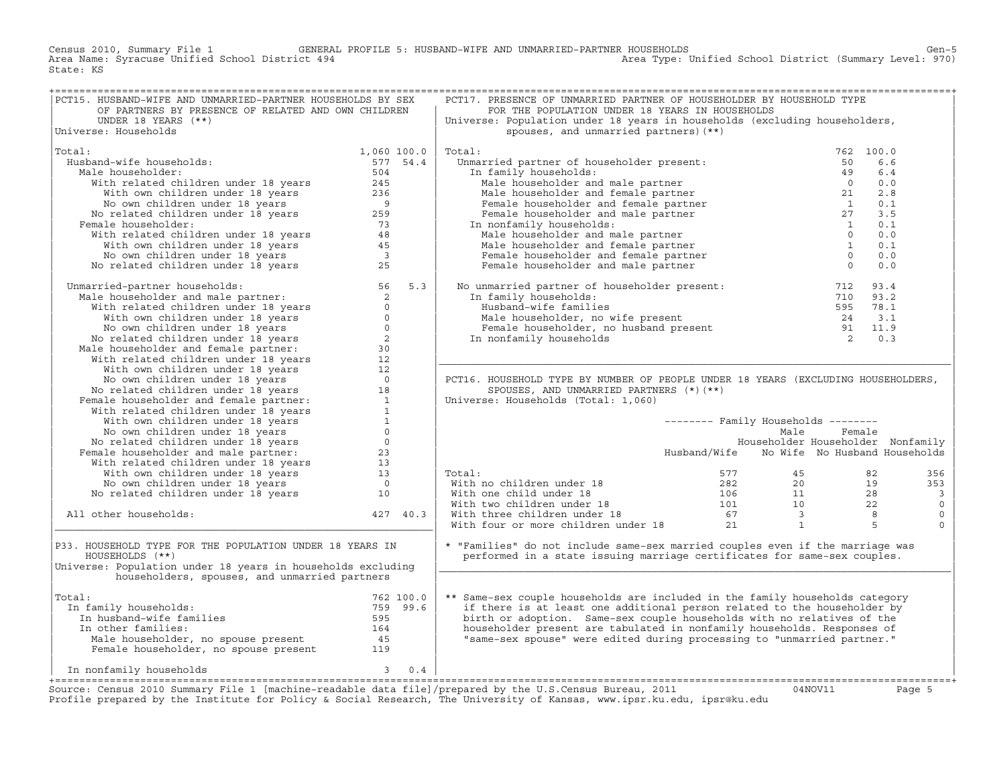Census 2010, Summary File 1 GENERAL PROFILE 5: HUSBAND−WIFE AND UNMARRIED−PARTNER HOUSEHOLDS Gen−5 Area Name: Syracuse Unified School District 494 Area Type: Unified School District (Summary Level: 970) State: KS

| PCT15. HUSBAND-WIFE AND UNMARRIED-PARTNER HOUSEHOLDS BY SEX                                                                                                                                                                                |             | PCT17. PRESENCE OF UNMARRIED PARTNER OF HOUSEHOLDER BY HOUSEHOLD TYPE                                                                                                                                                                     |                                            |           |                          |
|--------------------------------------------------------------------------------------------------------------------------------------------------------------------------------------------------------------------------------------------|-------------|-------------------------------------------------------------------------------------------------------------------------------------------------------------------------------------------------------------------------------------------|--------------------------------------------|-----------|--------------------------|
| OF PARTNERS BY PRESENCE OF RELATED AND OWN CHILDREN                                                                                                                                                                                        |             | FOR THE POPULATION UNDER 18 YEARS IN HOUSEHOLDS                                                                                                                                                                                           |                                            |           |                          |
| UNDER 18 YEARS (**)                                                                                                                                                                                                                        |             | Universe: Population under 18 years in households (excluding householders,                                                                                                                                                                |                                            |           |                          |
| Universe: Households                                                                                                                                                                                                                       |             | spouses, and unmarried partners) (**)                                                                                                                                                                                                     |                                            |           |                          |
| Total:                                                                                                                                                                                                                                     | 1,060 100.0 | Total:                                                                                                                                                                                                                                    |                                            | 762 100.0 |                          |
| Husband-wife households:                                                                                                                                                                                                                   | 577 54.4    | Unmarried partner of householder present:                                                                                                                                                                                                 | 50                                         |           | 6.6                      |
| Male householder:                                                                                                                                                                                                                          | 504         | In family households:                                                                                                                                                                                                                     |                                            |           | 6.4                      |
|                                                                                                                                                                                                                                            |             |                                                                                                                                                                                                                                           |                                            |           | 0.0                      |
|                                                                                                                                                                                                                                            |             |                                                                                                                                                                                                                                           |                                            |           | 2.8                      |
|                                                                                                                                                                                                                                            |             |                                                                                                                                                                                                                                           |                                            |           | 0.1                      |
|                                                                                                                                                                                                                                            |             |                                                                                                                                                                                                                                           |                                            |           | 3.5                      |
| Female householder:                                                                                                                                                                                                                        |             | In nonfamily households:                                                                                                                                                                                                                  |                                            |           | 0.1                      |
|                                                                                                                                                                                                                                            |             |                                                                                                                                                                                                                                           |                                            |           | 0.0                      |
|                                                                                                                                                                                                                                            |             |                                                                                                                                                                                                                                           |                                            |           | 0.1                      |
|                                                                                                                                                                                                                                            |             |                                                                                                                                                                                                                                           |                                            |           | 0.0                      |
| ale householder: 504<br>With related children under 18 years 245<br>With own children under 18 years 236<br>No own children under 18 years 259<br>No related children under 18 years 259<br>emale householder: 73<br>With related children |             | arried partner of households:<br>n family households:<br>Male householder and male partner<br>Male householder and female partner<br>Female householder and female partner<br>Female householder and male partner<br>Male householder and |                                            |           | 0.0                      |
| No related Children under 18 years<br>Unmarried-partner households:<br>Male householder and male partner:<br>With related children under 18 years<br>With velated children under 18 years<br>No own children under 18 years<br>No own chil |             | No unmarried partner of householder present: 712 93.4<br>In family households: 710 93.2<br>Husband-wife families 595 78.1<br>Male householder, no wife present 24 3.1<br>Female householder, no husband present 91 11.9<br>In nonfamily   |                                            |           |                          |
|                                                                                                                                                                                                                                            |             |                                                                                                                                                                                                                                           |                                            |           |                          |
|                                                                                                                                                                                                                                            |             |                                                                                                                                                                                                                                           |                                            |           |                          |
|                                                                                                                                                                                                                                            |             |                                                                                                                                                                                                                                           |                                            |           |                          |
|                                                                                                                                                                                                                                            |             |                                                                                                                                                                                                                                           |                                            |           |                          |
|                                                                                                                                                                                                                                            |             |                                                                                                                                                                                                                                           |                                            |           |                          |
|                                                                                                                                                                                                                                            |             |                                                                                                                                                                                                                                           |                                            |           |                          |
|                                                                                                                                                                                                                                            |             |                                                                                                                                                                                                                                           |                                            |           |                          |
|                                                                                                                                                                                                                                            |             |                                                                                                                                                                                                                                           |                                            |           |                          |
|                                                                                                                                                                                                                                            |             | PCT16. HOUSEHOLD TYPE BY NUMBER OF PEOPLE UNDER 18 YEARS (EXCLUDING HOUSEHOLDERS,                                                                                                                                                         |                                            |           |                          |
|                                                                                                                                                                                                                                            |             | SPOUSES, AND UNMARRIED PARTNERS (*) (**)                                                                                                                                                                                                  |                                            |           |                          |
|                                                                                                                                                                                                                                            |             | Universe: Households (Total: 1,060)                                                                                                                                                                                                       |                                            |           |                          |
|                                                                                                                                                                                                                                            |             |                                                                                                                                                                                                                                           |                                            |           |                          |
|                                                                                                                                                                                                                                            |             |                                                                                                                                                                                                                                           | $------$ Family Households $------$        |           |                          |
|                                                                                                                                                                                                                                            |             |                                                                                                                                                                                                                                           | Male                                       | Female    |                          |
|                                                                                                                                                                                                                                            |             |                                                                                                                                                                                                                                           | Householder Householder Nonfamily          |           |                          |
|                                                                                                                                                                                                                                            |             |                                                                                                                                                                                                                                           | Husband/Wife No Wife No Husband Households |           |                          |
|                                                                                                                                                                                                                                            |             |                                                                                                                                                                                                                                           |                                            |           |                          |
|                                                                                                                                                                                                                                            |             | Total:                                                                                                                                                                                                                                    |                                            |           | 356                      |
|                                                                                                                                                                                                                                            |             |                                                                                                                                                                                                                                           |                                            |           | 353                      |
|                                                                                                                                                                                                                                            |             |                                                                                                                                                                                                                                           |                                            |           | $\overline{\phantom{a}}$ |
|                                                                                                                                                                                                                                            |             |                                                                                                                                                                                                                                           |                                            |           | $\circ$                  |
| All other households:                                                                                                                                                                                                                      | 427 40.3    |                                                                                                                                                                                                                                           |                                            |           | $\mathbb O$              |
|                                                                                                                                                                                                                                            |             | Total: 577 45 82<br>With no children under 18 282 20 19<br>With one child under 18 106 11 28<br>With two children under 18 101 10 22<br>With three children under 18 67 3 8<br>With four or more children under 18 21 1 5                 |                                            |           | $\mathbf 0$              |
| P33. HOUSEHOLD TYPE FOR THE POPULATION UNDER 18 YEARS IN<br>HOUSEHOLDS (**)<br>Universe: Population under 18 years in households excluding<br>householders, spouses, and unmarried partners                                                |             | * "Families" do not include same-sex married couples even if the marriage was<br>performed in a state issuing marriage certificates for same-sex couples.                                                                                 |                                            |           |                          |
|                                                                                                                                                                                                                                            |             |                                                                                                                                                                                                                                           |                                            |           |                          |
| Total:                                                                                                                                                                                                                                     |             | ** Same-sex couple households are included in the family households category                                                                                                                                                              |                                            |           |                          |
| In family households:                                                                                                                                                                                                                      |             | if there is at least one additional person related to the householder by                                                                                                                                                                  |                                            |           |                          |
|                                                                                                                                                                                                                                            |             | birth or adoption. Same-sex couple households with no relatives of the                                                                                                                                                                    |                                            |           |                          |
|                                                                                                                                                                                                                                            |             | householder present are tabulated in nonfamily households. Responses of                                                                                                                                                                   |                                            |           |                          |
|                                                                                                                                                                                                                                            |             | "same-sex spouse" were edited during processing to "unmarried partner."                                                                                                                                                                   |                                            |           |                          |
| al:<br>n family households:<br>The milies of the milies of the set of the set of the set of the set of the set of the set of the set of the set of the set of the set of the set of the set of the set of the set of the set of th         |             |                                                                                                                                                                                                                                           |                                            |           |                          |
| $3 \t 0.4$<br>In nonfamily households                                                                                                                                                                                                      |             |                                                                                                                                                                                                                                           |                                            |           |                          |

Source: Census 2010 Summary File 1 [machine-readable data file]/prepared by the U.S.Census Bureau, 2011 Page 5<br>Profile prepared by the Institute for Policy & Social Research, The University of Kansas, www.ip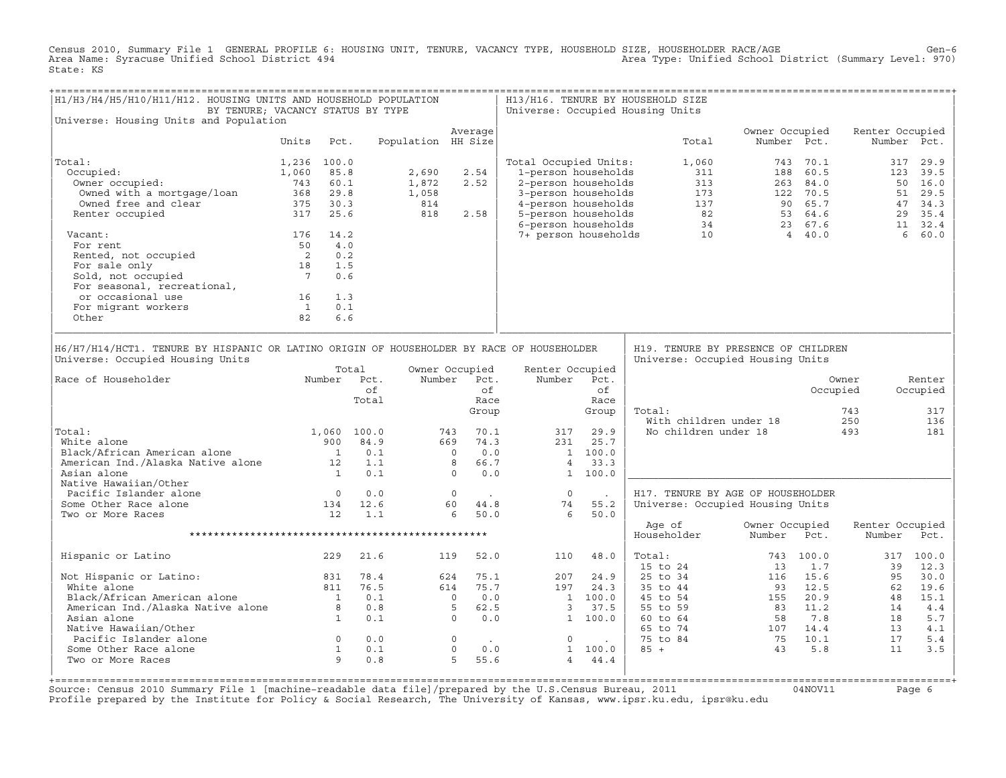Census 2010, Summary File 1 GENERAL PROFILE 6: HOUSING UNIT, TENURE, VACANCY TYPE, HOUSEHOLD SIZE, HOUSEHOLDER RACE/AGE<br>Area Name: Syracuse Unified School District 494 State: KS

| H1/H3/H4/H5/H10/H11/H12. HOUSING UNITS AND HOUSEHOLD POPULATION<br>BY TENURE; VACANCY STATUS BY TYPE                                                                                                                          |                                                              |      |                                                                      |                                                                                                             |                                                                      |    |                                                                                                                                        |            | H13/H16. TENURE BY HOUSEHOLD SIZE<br>Universe: Occupied Housing Units                                                                                                                                                                                                                                         |                               |           |                           |             |
|-------------------------------------------------------------------------------------------------------------------------------------------------------------------------------------------------------------------------------|--------------------------------------------------------------|------|----------------------------------------------------------------------|-------------------------------------------------------------------------------------------------------------|----------------------------------------------------------------------|----|----------------------------------------------------------------------------------------------------------------------------------------|------------|---------------------------------------------------------------------------------------------------------------------------------------------------------------------------------------------------------------------------------------------------------------------------------------------------------------|-------------------------------|-----------|---------------------------|-------------|
| Universe: Housing Units and Population                                                                                                                                                                                        |                                                              |      |                                                                      |                                                                                                             | Average                                                              |    |                                                                                                                                        |            |                                                                                                                                                                                                                                                                                                               | Owner Occupied                |           | Renter Occupied           |             |
|                                                                                                                                                                                                                               | Units Pct.                                                   |      |                                                                      | Population HH Size                                                                                          |                                                                      |    |                                                                                                                                        |            | Total                                                                                                                                                                                                                                                                                                         | Number Pct.                   |           |                           | Number Pct. |
| Total:                                                                                                                                                                                                                        | 1,236 100.0                                                  |      |                                                                      |                                                                                                             |                                                                      |    | Total Occupied Units:                                                                                                                  |            | 1,060                                                                                                                                                                                                                                                                                                         |                               | 743 70.1  |                           | 317 29.9    |
| Occupied:                                                                                                                                                                                                                     | 1,060                                                        | 85.8 |                                                                      | 2,690                                                                                                       | 2.54                                                                 |    | 1-person households                                                                                                                    |            | 311                                                                                                                                                                                                                                                                                                           |                               | 188 60.5  |                           | 123 39.5    |
| )ccupied:<br>Owner occupied:                                                                                                                                                                                                  |                                                              |      |                                                                      | 1,872                                                                                                       | 2.52                                                                 |    |                                                                                                                                        |            |                                                                                                                                                                                                                                                                                                               |                               |           |                           |             |
|                                                                                                                                                                                                                               |                                                              |      |                                                                      |                                                                                                             |                                                                      |    |                                                                                                                                        |            |                                                                                                                                                                                                                                                                                                               |                               |           |                           |             |
|                                                                                                                                                                                                                               |                                                              |      |                                                                      |                                                                                                             |                                                                      |    |                                                                                                                                        |            |                                                                                                                                                                                                                                                                                                               |                               |           |                           |             |
| Renter occupied                                                                                                                                                                                                               |                                                              |      |                                                                      |                                                                                                             | 2.58                                                                 |    |                                                                                                                                        |            |                                                                                                                                                                                                                                                                                                               |                               |           |                           |             |
|                                                                                                                                                                                                                               |                                                              |      |                                                                      | $\begin{array}{c} 1,058 \\ 814 \\ 818 \end{array}$                                                          |                                                                      |    |                                                                                                                                        |            |                                                                                                                                                                                                                                                                                                               |                               |           |                           |             |
| Vacant:                                                                                                                                                                                                                       | 176 14.2                                                     |      |                                                                      |                                                                                                             |                                                                      |    |                                                                                                                                        |            |                                                                                                                                                                                                                                                                                                               |                               |           |                           |             |
| For rent                                                                                                                                                                                                                      | 50 4.0                                                       |      |                                                                      |                                                                                                             |                                                                      |    |                                                                                                                                        |            |                                                                                                                                                                                                                                                                                                               |                               |           |                           |             |
|                                                                                                                                                                                                                               |                                                              |      |                                                                      |                                                                                                             |                                                                      |    |                                                                                                                                        |            |                                                                                                                                                                                                                                                                                                               |                               |           |                           |             |
|                                                                                                                                                                                                                               |                                                              |      |                                                                      |                                                                                                             |                                                                      |    |                                                                                                                                        |            |                                                                                                                                                                                                                                                                                                               |                               |           |                           |             |
| For rent and the set of the set of the set of the set of the set of the set of the set of the set of the set of the set of the set of the set of the set of the set of the set of the set of the set of the set of the set of |                                                              |      |                                                                      |                                                                                                             |                                                                      |    |                                                                                                                                        |            |                                                                                                                                                                                                                                                                                                               |                               |           |                           |             |
| For seasonal, recreational,                                                                                                                                                                                                   |                                                              |      |                                                                      |                                                                                                             |                                                                      |    |                                                                                                                                        |            |                                                                                                                                                                                                                                                                                                               |                               |           |                           |             |
| or occasional use                                                                                                                                                                                                             | 16                                                           | 1.3  |                                                                      |                                                                                                             |                                                                      |    |                                                                                                                                        |            |                                                                                                                                                                                                                                                                                                               |                               |           |                           |             |
|                                                                                                                                                                                                                               |                                                              | 0.1  |                                                                      |                                                                                                             |                                                                      |    |                                                                                                                                        |            |                                                                                                                                                                                                                                                                                                               |                               |           |                           |             |
| Of Occupators<br>For migrant workers<br>Other                                                                                                                                                                                 | $\frac{1}{82}$                                               | 6.6  |                                                                      |                                                                                                             |                                                                      |    |                                                                                                                                        |            |                                                                                                                                                                                                                                                                                                               |                               |           |                           |             |
| H6/H7/H14/HCT1. TENURE BY HISPANIC OR LATINO ORIGIN OF HOUSEHOLDER BY RACE OF HOUSEHOLDER<br>Universe: Occupied Housing Units                                                                                                 |                                                              |      |                                                                      |                                                                                                             |                                                                      |    |                                                                                                                                        |            | H19. TENURE BY PRESENCE OF CHILDREN<br>Universe: Occupied Housing Units                                                                                                                                                                                                                                       |                               |           |                           |             |
|                                                                                                                                                                                                                               |                                                              |      | Total                                                                |                                                                                                             | Owner Occupied                                                       |    | Renter Occupied                                                                                                                        |            |                                                                                                                                                                                                                                                                                                               |                               |           |                           |             |
| Number Pct.<br>Race of Householder                                                                                                                                                                                            |                                                              |      |                                                                      |                                                                                                             | Number Pct.                                                          |    | Number Pct.                                                                                                                            |            |                                                                                                                                                                                                                                                                                                               |                               |           | Owner                     | Renter      |
|                                                                                                                                                                                                                               |                                                              |      | of                                                                   |                                                                                                             |                                                                      | of |                                                                                                                                        | of         |                                                                                                                                                                                                                                                                                                               |                               |           | Occupied                  | Occupied    |
|                                                                                                                                                                                                                               |                                                              |      | Total                                                                |                                                                                                             | Race                                                                 |    |                                                                                                                                        | Race       |                                                                                                                                                                                                                                                                                                               |                               |           |                           |             |
|                                                                                                                                                                                                                               |                                                              |      |                                                                      |                                                                                                             | Group                                                                |    |                                                                                                                                        | Group      | Total:                                                                                                                                                                                                                                                                                                        |                               |           | 743                       | 317         |
|                                                                                                                                                                                                                               |                                                              |      |                                                                      |                                                                                                             |                                                                      |    |                                                                                                                                        |            | with children under 18<br>No children under 18                                                                                                                                                                                                                                                                |                               |           | 250                       | 136         |
| Total:                                                                                                                                                                                                                        |                                                              |      |                                                                      |                                                                                                             | 743 70.1                                                             |    | 317                                                                                                                                    | 29.9       |                                                                                                                                                                                                                                                                                                               |                               |           | 493                       | 181         |
|                                                                                                                                                                                                                               |                                                              |      |                                                                      |                                                                                                             |                                                                      |    |                                                                                                                                        |            |                                                                                                                                                                                                                                                                                                               |                               |           |                           |             |
|                                                                                                                                                                                                                               |                                                              |      |                                                                      |                                                                                                             |                                                                      |    |                                                                                                                                        |            |                                                                                                                                                                                                                                                                                                               |                               |           |                           |             |
|                                                                                                                                                                                                                               |                                                              |      |                                                                      |                                                                                                             |                                                                      |    |                                                                                                                                        |            |                                                                                                                                                                                                                                                                                                               |                               |           |                           |             |
|                                                                                                                                                                                                                               |                                                              |      |                                                                      |                                                                                                             |                                                                      |    | $669 \t 74.3 \t 231 \t 25.7 \t 0 \t 0.0 \t 1 \t 100.0 \t 8 \t 66.7 \t 4 \t 33.3 \t 0 \t 0.0 \t 1 \t 100.0$                             |            |                                                                                                                                                                                                                                                                                                               |                               |           |                           |             |
| Native Hawaiian/Other                                                                                                                                                                                                         |                                                              |      |                                                                      |                                                                                                             |                                                                      |    |                                                                                                                                        |            |                                                                                                                                                                                                                                                                                                               |                               |           |                           |             |
| Pacific Islander alone                                                                                                                                                                                                        |                                                              |      |                                                                      |                                                                                                             | $\begin{matrix}0&&.\\60&&44.8\end{matrix}$                           |    | $\overline{0}$                                                                                                                         | $\sim 100$ | H17. TENURE BY AGE OF HOUSEHOLDER                                                                                                                                                                                                                                                                             |                               |           |                           |             |
| Some Other Race alone                                                                                                                                                                                                         |                                                              |      | $\begin{array}{ccc} & 0 & 0.0 \\ 134 & 12.6 \\ 12 & 1.1 \end{array}$ |                                                                                                             |                                                                      |    | 74                                                                                                                                     | 55.2       | Universe: Occupied Housing Units                                                                                                                                                                                                                                                                              |                               |           |                           |             |
| Two or More Races                                                                                                                                                                                                             |                                                              |      |                                                                      |                                                                                                             | 650.0                                                                |    | 6                                                                                                                                      | 50.0       |                                                                                                                                                                                                                                                                                                               |                               |           |                           |             |
|                                                                                                                                                                                                                               |                                                              |      |                                                                      |                                                                                                             |                                                                      |    |                                                                                                                                        |            | Age of<br>Householder                                                                                                                                                                                                                                                                                         | Owner Occupied<br>Number Pct. |           | Renter Occupied<br>Number | Pct.        |
| Hispanic or Latino                                                                                                                                                                                                            |                                                              | 229  | 21.6                                                                 |                                                                                                             | 52.0<br>119                                                          |    |                                                                                                                                        | 110 48.0   | Total:                                                                                                                                                                                                                                                                                                        |                               | 743 100.0 |                           | 317 100.0   |
|                                                                                                                                                                                                                               |                                                              |      |                                                                      |                                                                                                             |                                                                      |    |                                                                                                                                        |            | 15 to 24                                                                                                                                                                                                                                                                                                      | 13                            | 1.7       | 39                        | 12.3        |
| Not Hispanic or Latino: 831 78.4<br>White alone 811 76.5                                                                                                                                                                      |                                                              |      |                                                                      |                                                                                                             | 624 75.1                                                             |    |                                                                                                                                        | 207 24.9   |                                                                                                                                                                                                                                                                                                               |                               |           |                           | 30.0        |
|                                                                                                                                                                                                                               |                                                              |      |                                                                      |                                                                                                             |                                                                      |    |                                                                                                                                        |            |                                                                                                                                                                                                                                                                                                               |                               |           |                           | 19.6        |
|                                                                                                                                                                                                                               |                                                              |      | 0.1                                                                  |                                                                                                             |                                                                      |    |                                                                                                                                        |            |                                                                                                                                                                                                                                                                                                               |                               |           |                           | 15.1        |
|                                                                                                                                                                                                                               |                                                              |      | 0.8                                                                  |                                                                                                             |                                                                      |    | $\begin{array}{cccc}\n207 & 2 & - & - \\ 197 & 24.3 & & \\  & 1 & 100.0 & & \\  & & 37.5 & & \n\end{array}$<br>$\overline{\mathbf{3}}$ | 37.5       |                                                                                                                                                                                                                                                                                                               |                               |           |                           | 4.4         |
| Working alone<br>Black/African American alone black/African American alone black<br>American Ind./Alaska Native alone b<br>1                                                                                                  |                                                              |      | 0.1                                                                  | $\begin{array}{cccc} 614 & & 75\,.7 \\ & 0 & & 0\,.0 \\ & & 5 & & 62\,.5 \\ & & 0 & & 0\,.0 \\ \end{array}$ |                                                                      |    | $\frac{3}{1}$ 100.0                                                                                                                    |            |                                                                                                                                                                                                                                                                                                               |                               |           |                           | 5.7         |
| Native Hawaiian/Other                                                                                                                                                                                                         |                                                              |      |                                                                      |                                                                                                             |                                                                      |    |                                                                                                                                        |            |                                                                                                                                                                                                                                                                                                               |                               |           |                           | 4.1         |
| Pacific Islander alone                                                                                                                                                                                                        |                                                              |      |                                                                      |                                                                                                             |                                                                      |    | $\circ$                                                                                                                                |            |                                                                                                                                                                                                                                                                                                               |                               |           |                           | 5.4         |
| Some Other Race alone                                                                                                                                                                                                         |                                                              |      |                                                                      |                                                                                                             | $\begin{matrix}0&\quad\cdot\\0&\quad\cdot\\0&\quad\cdot\end{matrix}$ |    |                                                                                                                                        | 1 100.0    |                                                                                                                                                                                                                                                                                                               |                               |           |                           | 3.5         |
| Two or More Races                                                                                                                                                                                                             | $\begin{array}{ccc} 0 & 0.0 \ 1 & 0.1 \ 9 & 0.8 \end{array}$ |      |                                                                      |                                                                                                             | $5 -$<br>55.6                                                        |    |                                                                                                                                        | 4 44.4     | 15 to 24<br>25 to 34<br>35 to 44<br>45 to 54<br>45 to 54<br>55 20.9<br>83<br>55 20.9<br>84<br>55 20.9<br>84<br>75 84<br>56 7.8<br>85 50<br>84<br>75 10.1<br>85<br>84<br>75 10.1<br>85<br>84<br>85<br>84<br>85<br>87.8<br>84<br>85<br>84<br>85<br>84<br>85<br>84<br>85<br>84<br>85<br>84<br>85<br>84<br>85<br> |                               |           |                           |             |
|                                                                                                                                                                                                                               |                                                              |      |                                                                      |                                                                                                             |                                                                      |    |                                                                                                                                        |            |                                                                                                                                                                                                                                                                                                               |                               |           |                           |             |

+===================================================================================================================================================+Source: Census 2010 Summary File 1 [machine-readable data file]/prepared by the U.S.Census Bureau, 2011 Page 6<br>Profile prepared by the Institute for Policy & Social Research, The University of Kansas, www.ip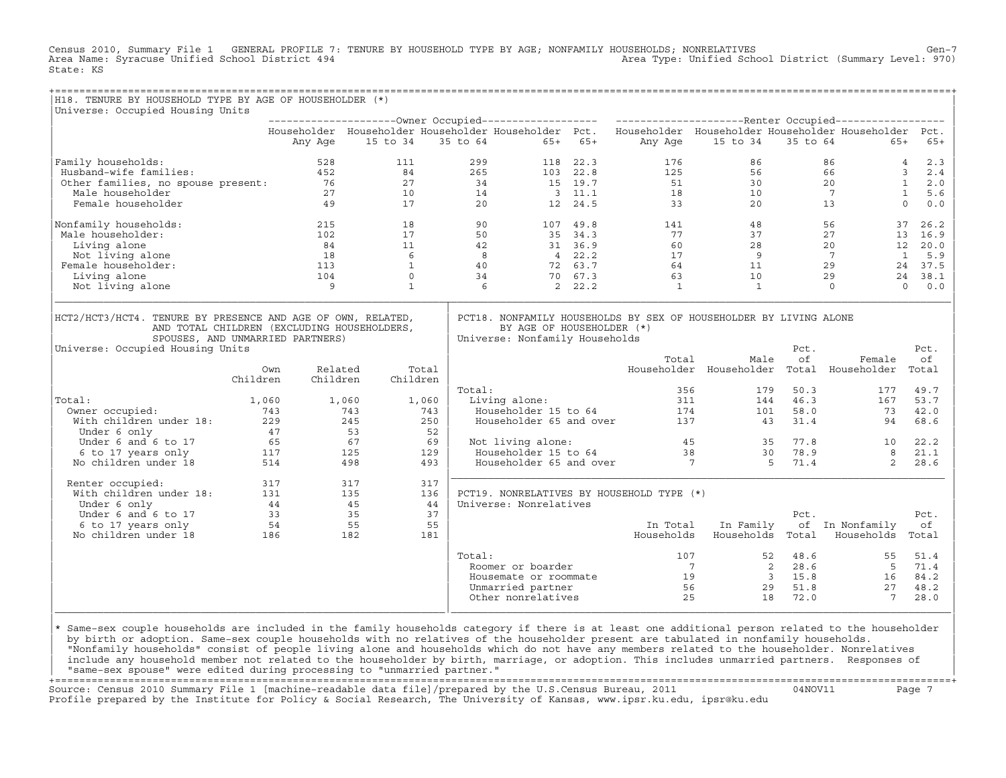Census 2010, Summary File 1 GENERAL PROFILE 7: TENURE BY HOUSEHOLD TYPE BY AGE; NONFAMILY HOUSEHOLDS; NONRELATIVES Gen−7<br>Area Name: Syracuse Unified School District 494 Area Type: Unified School District (Summary Level: 970) State: KS

| H18. TENURE BY HOUSEHOLD TYPE BY AGE OF HOUSEHOLDER (*)                                                                       |                          |                                           |                   |                |            |                                                                              |                |                                                                                                           |                       |                                   |                                                                   |                                     |
|-------------------------------------------------------------------------------------------------------------------------------|--------------------------|-------------------------------------------|-------------------|----------------|------------|------------------------------------------------------------------------------|----------------|-----------------------------------------------------------------------------------------------------------|-----------------------|-----------------------------------|-------------------------------------------------------------------|-------------------------------------|
| Universe: Occupied Housing Units                                                                                              |                          |                                           |                   |                |            |                                                                              |                |                                                                                                           |                       |                                   |                                                                   |                                     |
|                                                                                                                               |                          |                                           |                   |                |            |                                                                              |                | Householder Householder Householder Householder Pct. Householder Householder Householder Householder Pct. |                       |                                   |                                                                   |                                     |
|                                                                                                                               |                          | Any Age                                   | 15 to 34          |                | 35 to 64   |                                                                              | $65+ 65+$      | Any Age                                                                                                   | 15 to 34              | 35 to 64                          | $65+$                                                             | $65+$                               |
| Family households:                                                                                                            |                          | 528                                       | 111               |                | 299        |                                                                              | 118 22.3       | 176                                                                                                       | 86                    |                                   | 86                                                                | 2.3<br>$\overline{4}$               |
| Husband-wife families:                                                                                                        |                          | 452                                       | 84                |                | 265        |                                                                              | 103 22.8       | 125                                                                                                       | 56                    |                                   | 66                                                                | $\overline{3}$<br>2.4               |
| Other families, no spouse present: 76                                                                                         |                          |                                           | 27                |                | 34         |                                                                              | 15 19.7        | 51                                                                                                        | 30                    |                                   | 20                                                                | 1<br>2.0                            |
| Male householder                                                                                                              |                          | 27                                        | 10                |                | 14         |                                                                              | $3 \quad 11.1$ | 18                                                                                                        | 10                    |                                   | $7\overline{ }$                                                   | $\mathbf{1}$<br>5.6                 |
| Female householder                                                                                                            |                          | 49                                        | 17                |                | 20         |                                                                              | 12 24.5        | 33                                                                                                        | 20                    |                                   | 13                                                                | $\Omega$<br>$0.0$                   |
| Nonfamily households:                                                                                                         |                          | 215                                       | 18                |                | 90         |                                                                              | 107 49.8       | 141                                                                                                       | 48                    |                                   | 56                                                                | 26.2<br>37                          |
| Male householder:                                                                                                             |                          | 102                                       | 17                |                | 50         |                                                                              | 35 34.3        | 77                                                                                                        | 37                    |                                   | 27                                                                | 13 16.9                             |
| Living alone                                                                                                                  |                          | 84                                        | 11                |                | 42         |                                                                              | 31 36.9        | 60                                                                                                        | 28                    |                                   | 20                                                                | 12 20.0                             |
| Not living alone                                                                                                              |                          | 18                                        | 6                 |                | $_{\rm 8}$ |                                                                              | $4\quad 22.2$  | 17                                                                                                        | 9                     |                                   | $\overline{7}$                                                    | $\mathbf{1}$<br>5.9                 |
| Female householder:                                                                                                           |                          | 113                                       | $\mathbf{1}$      |                | 40         |                                                                              | 72 63.7        | 64                                                                                                        | 11                    |                                   | 29                                                                | 24 37.5                             |
| Living alone                                                                                                                  |                          | 104                                       | $\circ$           |                | 34         |                                                                              | 70 67.3        | 63                                                                                                        | 10                    |                                   | 29                                                                | 24 38.1                             |
| Not living alone                                                                                                              |                          | 9                                         | $\mathbf{1}$      |                | 6          |                                                                              | 2, 22.2        | $\mathbf{1}$                                                                                              | $\mathbf{1}$          |                                   | $\Omega$                                                          | $\Omega$<br>0.0                     |
| AND TOTAL CHILDREN (EXCLUDING HOUSEHOLDERS,<br>SPOUSES, AND UNMARRIED PARTNERS)<br>Universe: Occupied Housing Units<br>Total: | Own<br>Children<br>1,060 | Related<br>Children                       | Children<br>1,060 | Total<br>1,060 | Total:     | BY AGE OF HOUSEHOLDER (*)<br>Universe: Nonfamily Households<br>Living alone: |                | Total<br>356<br>311                                                                                       | Male<br>179           | Pct.<br>of<br>50.3<br>46.3<br>144 | Female<br>Householder Householder Total Householder<br>177<br>167 | Pct.<br>of<br>Total<br>49.7<br>53.7 |
| Owner occupied:                                                                                                               | 743                      |                                           | 743               | 743            |            | Householder 15 to 64                                                         |                |                                                                                                           | 174<br>101            | 58.0                              | 73                                                                | 42.0                                |
| With children under 18:<br>Under 6 only                                                                                       | 229                      |                                           | 245<br>53         | 250<br>52      |            | Householder 65 and over                                                      |                | 137                                                                                                       |                       | 31.4<br>43                        | 94                                                                | 68.6                                |
| Under 6 and 6 to 17                                                                                                           | 65                       | $\frac{47}{65}$                           | 67                | 69             |            | Not living alone:                                                            |                |                                                                                                           | 45 and $\overline{a}$ | 35 77.8                           | 10                                                                | 22.2                                |
| 6 to 17 years only                                                                                                            |                          |                                           | 125               | 129            |            | Householder 15 to 64                                                         |                | 38                                                                                                        |                       | 78.9<br>30                        | 8                                                                 | 21.1                                |
| No children under 18                                                                                                          |                          | $\begin{array}{c} 117 \\ 514 \end{array}$ | 498               | 493            |            | Householder 65 and over                                                      |                | $\overline{7}$                                                                                            |                       | $5^{\circ}$<br>71.4               | 2                                                                 | 28.6                                |
| Renter occupied:                                                                                                              | 317                      |                                           | 317               | 317            |            |                                                                              |                |                                                                                                           |                       |                                   |                                                                   |                                     |
| With children under 18:                                                                                                       | 131                      |                                           | 135               | 136            |            |                                                                              |                | PCT19. NONRELATIVES BY HOUSEHOLD TYPE (*)                                                                 |                       |                                   |                                                                   |                                     |
| Under 6 only                                                                                                                  |                          | 44                                        | 45                | 44             |            | Universe: Nonrelatives                                                       |                |                                                                                                           |                       |                                   |                                                                   |                                     |
| Under 6 and 6 to 17                                                                                                           |                          | $\overline{33}$                           | 35                | 37             |            |                                                                              |                |                                                                                                           |                       | Pct.                              |                                                                   | Pct.                                |
| 6 to 17 years only                                                                                                            | 54                       |                                           | 55                | 55             |            |                                                                              |                |                                                                                                           | In Total In Family    |                                   | of In Nonfamily                                                   | оf                                  |
| No children under 18                                                                                                          | $\frac{186}{186}$        |                                           | 182               | 181            |            |                                                                              |                | Households                                                                                                | Households Total      |                                   | Households                                                        | Total                               |
|                                                                                                                               |                          |                                           |                   |                | Total:     |                                                                              |                | 107                                                                                                       |                       | 52 48.6                           | 55                                                                | 51.4                                |
|                                                                                                                               |                          |                                           |                   |                |            | Roomer or boarder                                                            |                | $7\overline{ }$                                                                                           |                       | 28.6<br>$\overline{2}$            | 5                                                                 | 71.4                                |
|                                                                                                                               |                          |                                           |                   |                |            | Housemate or roommate                                                        |                | 19                                                                                                        |                       | $3^{\circ}$<br>15.8               | 16                                                                | 84.2                                |
|                                                                                                                               |                          |                                           |                   |                |            | Unmarried partner                                                            |                | 56                                                                                                        |                       | 51.8<br>29                        | 27                                                                | 48.2                                |

design to the control of the control of the control of the control of the control of the control of the control of the control of the control of the control of the control of the control of the control of the control of th |\* Same−sex couple households are included in the family households category if there is at least one additional person related to the householder | | by birth or adoption. Same−sex couple households with no relatives of the householder present are tabulated in nonfamily households. | | "Nonfamily households" consist of people living alone and households which do not have any members related to the householder. Nonrelatives | include any household member not related to the householder by birth, marriage, or adoption. This includes unmarried partners. Responses of | "same−sex spouse" were edited during processing to "unmarried partner." |

 $\vert$  Other nonrelatives  $\vert$  25  $\vert$  18  $\vert$  72.0  $\vert$  7  $\vert$  28.0  $\vert$ |\_\_\_\_\_\_\_\_\_\_\_\_\_\_\_\_\_\_\_\_\_\_\_\_\_\_\_\_\_\_\_\_\_\_\_\_\_\_\_\_\_\_\_\_\_\_\_\_\_\_\_\_\_\_\_\_\_\_\_\_\_\_\_\_|\_\_\_\_\_\_\_\_\_\_\_\_\_\_\_\_\_\_\_\_\_\_\_\_\_\_\_\_\_\_\_\_\_\_\_\_\_\_\_\_\_\_\_\_\_\_\_\_\_\_\_\_\_\_\_\_\_\_\_\_\_\_\_\_\_\_\_\_\_\_\_\_\_\_\_\_\_\_\_\_\_\_|

+===================================================================================================================================================+ Source: Census 2010 Summary File 1 [machine−readable data file]/prepared by the U.S.Census Bureau, 2011 04NOV11 Page 7 Profile prepared by the Institute for Policy & Social Research, The University of Kansas, www.ipsr.ku.edu, ipsr@ku.edu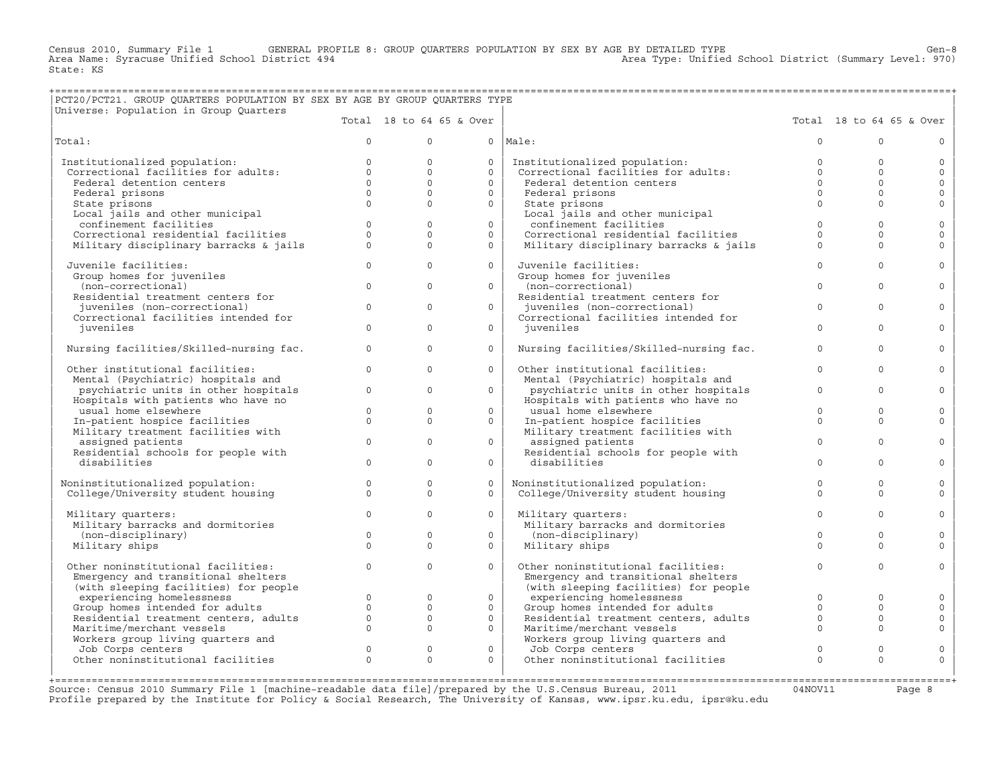Census 2010, Summary File 1 GENERAL PROFILE 8: GROUP QUARTERS POPULATION BY SEX BY AGE BY DETAILED TYPE Gen−8 Area Name: Syracuse Unified School District 494 Area Type: Unified School District (Summary Level: 970) State: KS

## +===================================================================================================================================================+ |PCT20/PCT21. GROUP QUARTERS POPULATION BY SEX BY AGE BY GROUP QUARTERS TYPE |

| Universe: Population in Group Quarters                               |              |              |                          |                                                                      |              |                          |              |
|----------------------------------------------------------------------|--------------|--------------|--------------------------|----------------------------------------------------------------------|--------------|--------------------------|--------------|
|                                                                      |              |              | Total 18 to 64 65 & Over |                                                                      |              | Total 18 to 64 65 & Over |              |
| Total:                                                               | $\circ$      | $\Omega$     |                          | $0$  Male:                                                           | $\mathbf 0$  | $\cap$                   | $\circ$      |
| Institutionalized population:                                        | $\circ$      | $\circ$      | $\circ$                  |                                                                      | $\mathbf{0}$ | $\Omega$                 | $\circ$      |
| Correctional facilities for adults:                                  | $\Omega$     | $\Omega$     | $\Omega$                 | Institutionalized population:<br>Correctional facilities for adults: | $\Omega$     | $\Omega$                 | $\circ$      |
| Federal detention centers                                            | $\Omega$     | $\Omega$     | $\Omega$                 | Federal detention centers                                            | $\Omega$     | $\Omega$                 | $\circ$      |
| Federal prisons                                                      | $\Omega$     | $\circ$      | $\circ$                  | Federal prisons                                                      | $\Omega$     | $\Omega$                 | $\circ$      |
| State prisons                                                        | $\Omega$     | $\Omega$     | $\Omega$                 | State prisons                                                        | $\Omega$     | $\Omega$                 | $\mathbf{0}$ |
| Local jails and other municipal                                      |              |              |                          | Local jails and other municipal                                      |              |                          |              |
| confinement facilities                                               | $\mathbf{0}$ | $\mathbf{0}$ | $\circ$                  | confinement facilities                                               | $\circ$      | $\Omega$                 | $\mathbf 0$  |
| Correctional residential facilities                                  | $\Omega$     | $\Omega$     | $\Omega$                 | Correctional residential facilities                                  | $\Omega$     | $\Omega$                 | $\mathbf{0}$ |
| Military disciplinary barracks & jails                               | $\Omega$     | $\Omega$     | $\Omega$                 | Military disciplinary barracks & jails                               | $\Omega$     | $\Omega$                 | $\Omega$     |
| Juvenile facilities:                                                 | $\circ$      | $\Omega$     | $\circ$                  | Juvenile facilities:                                                 | $\Omega$     | $\Omega$                 | $\mathbf 0$  |
| Group homes for juveniles                                            |              |              |                          | Group homes for juveniles                                            |              |                          |              |
| (non-correctional)                                                   | $\Omega$     | $\Omega$     | $\Omega$                 | (non-correctional)                                                   | $\Omega$     | $\Omega$                 | $\circ$      |
| Residential treatment centers for                                    |              |              |                          | Residential treatment centers for                                    |              |                          |              |
| juveniles (non-correctional)<br>Correctional facilities intended for | $\Omega$     | $\mathbf{0}$ | $\Omega$                 | juveniles (non-correctional)<br>Correctional facilities intended for | $\mathbf{0}$ | $\Omega$                 | $\circ$      |
| juveniles                                                            | $\Omega$     | $\Omega$     | $\Omega$                 | juveniles                                                            | $\Omega$     | $\Omega$                 | $\Omega$     |
| Nursing facilities/Skilled-nursing fac.                              | $\Omega$     | $\Omega$     | $\Omega$                 | Nursing facilities/Skilled-nursing fac.                              | $\Omega$     | $\Omega$                 | $\circ$      |
| Other institutional facilities:                                      | $\Omega$     | $\Omega$     | $\Omega$                 | Other institutional facilities:                                      | $\Omega$     | $\Omega$                 | $\Omega$     |
| Mental (Psychiatric) hospitals and                                   |              |              |                          | Mental (Psychiatric) hospitals and                                   |              |                          |              |
| psychiatric units in other hospitals                                 | $\Omega$     | $\Omega$     | $\Omega$                 | psychiatric units in other hospitals                                 | $\Omega$     | $\Omega$                 | $\circ$      |
| Hospitals with patients who have no                                  |              |              |                          | Hospitals with patients who have no                                  |              |                          |              |
| usual home elsewhere                                                 | $\circ$      | $\circ$      | $\circ$                  | usual home elsewhere                                                 | $\Omega$     | $\Omega$                 | $\mathbb O$  |
| In-patient hospice facilities                                        | $\Omega$     | $\Omega$     | $\Omega$                 | In-patient hospice facilities                                        | $\Omega$     | $\Omega$                 | $\mathbf{0}$ |
| Military treatment facilities with                                   |              |              |                          | Military treatment facilities with                                   |              |                          |              |
| assigned patients                                                    | $\Omega$     | $\Omega$     | $\Omega$                 | assigned patients                                                    | $\Omega$     | $\Omega$                 | $\mathbf{0}$ |
| Residential schools for people with                                  |              |              |                          | Residential schools for people with                                  |              |                          |              |
| disabilities                                                         | $\Omega$     | $\Omega$     | $\circ$                  | disabilities                                                         | $\Omega$     | $\Omega$                 | $\mathbf{0}$ |
| Noninstitutionalized population:                                     | $\Omega$     | $\Omega$     | $\Omega$                 | Noninstitutionalized population:                                     | $\Omega$     | $\Omega$                 | $\circ$      |
| College/University student housing                                   | $\circ$      | $\circ$      | $\circ$                  | College/University student housing                                   | $\Omega$     | $\Omega$                 | $\mathbf{0}$ |
|                                                                      |              |              |                          |                                                                      |              |                          |              |
| Military quarters:                                                   | $\Omega$     | $\Omega$     | $\Omega$                 | Military quarters:                                                   | $\Omega$     | $\Omega$                 | $\Omega$     |
| Military barracks and dormitories                                    |              |              |                          | Military barracks and dormitories                                    |              |                          |              |
| (non-disciplinary)                                                   | $\circ$      | $\circ$      | $\circ$                  | (non-disciplinary)                                                   | $\Omega$     | $\Omega$                 | $\circ$      |
| Military ships                                                       | $\Omega$     | $\Omega$     | $\Omega$                 | Military ships                                                       | $\Omega$     | $\Omega$                 | $\Omega$     |
| Other noninstitutional facilities:                                   | $\circ$      | $\mathbf{0}$ | $\circ$                  | Other noninstitutional facilities:                                   | $\mathbf{0}$ | $\Omega$                 | $\circ$      |
| Emergency and transitional shelters                                  |              |              |                          | Emergency and transitional shelters                                  |              |                          |              |
| (with sleeping facilities) for people                                |              |              |                          | (with sleeping facilities) for people                                |              |                          |              |
| experiencing homelessness                                            | $\Omega$     | $\Omega$     | $\circ$                  | experiencing homelessness                                            | $\Omega$     | $\Omega$                 | $\circ$      |
| Group homes intended for adults                                      | $\circ$      | $\circ$      | $\circ$                  | Group homes intended for adults                                      | $\circ$      | $\Omega$                 | $\mathbb O$  |
| Residential treatment centers, adults                                | $\circ$      | $\mathbf{0}$ | $\circ$                  | Residential treatment centers, adults                                | $\circ$      | $\Omega$                 | $\circ$      |
| Maritime/merchant vessels                                            | $\Omega$     | $\Omega$     | $\Omega$                 | Maritime/merchant vessels                                            | $\Omega$     | $\Omega$                 | $\mathbf 0$  |
| Workers group living quarters and                                    |              |              |                          | Workers group living quarters and                                    |              |                          |              |
| Job Corps centers                                                    | $\mathbf{0}$ | $\circ$      | $\circ$                  | Job Corps centers                                                    | $\circ$      | $\Omega$                 | $\circ$      |
| Other noninstitutional facilities                                    | $\Omega$     | $\Omega$     | $\Omega$                 | Other noninstitutional facilities                                    | $\Omega$     | $\Omega$                 | $\Omega$     |
|                                                                      |              |              |                          |                                                                      |              |                          |              |

Source: Census 2010 Summary File 1 [machine-readable data file]/prepared by the U.S.Census Bureau, 2011 Page 8<br>Profile prepared by the Institute for Policy & Social Research, The University of Kansas, www.ip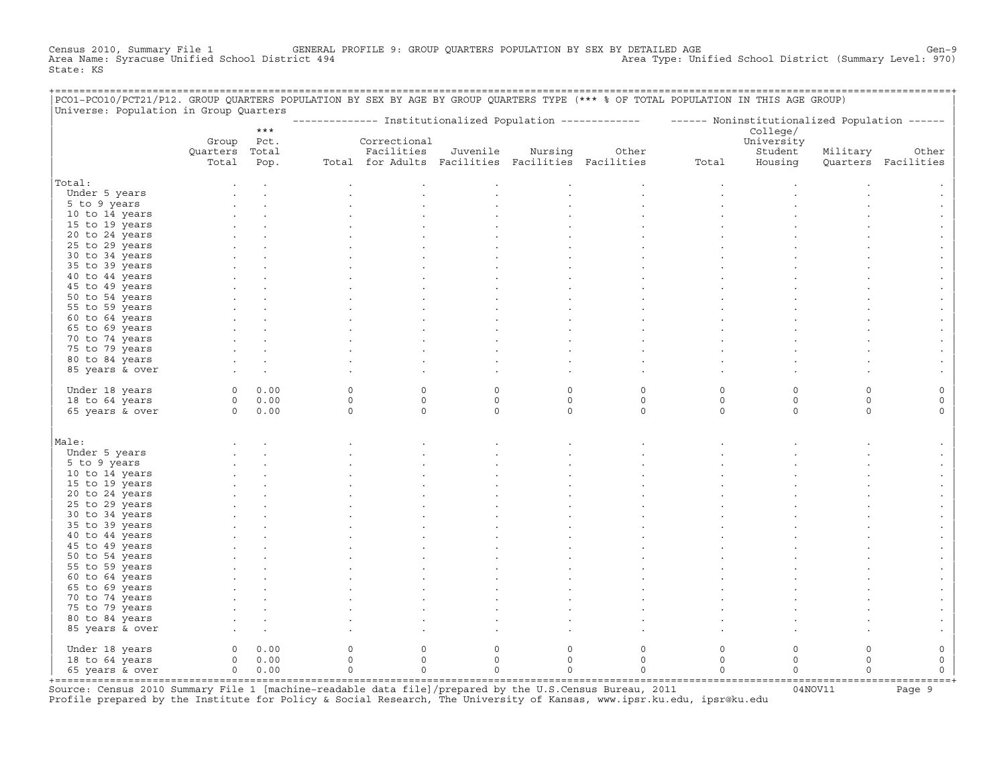Census 2010, Summary File 1 GENERAL PROFILE 9: GROUP QUARTERS POPULATION BY SEX BY DETAILED AGE Gen−9 Area Name: Syracuse Unified School District 494 Area Type: Unified School District (Summary Level: 970) State: KS

+===================================================================================================================================================+

| PCO1-PCO10/PCT21/P12. GROUP QUARTERS POPULATION BY SEX BY AGE BY GROUP QUARTERS TYPE (*** % OF TOTAL POPULATION IN THIS AGE GROUP) |                         |       |                                    |                                                   |          |                     |                                                          |                     |                                               |             |                              |
|------------------------------------------------------------------------------------------------------------------------------------|-------------------------|-------|------------------------------------|---------------------------------------------------|----------|---------------------|----------------------------------------------------------|---------------------|-----------------------------------------------|-------------|------------------------------|
| Universe: Population in Group Quarters                                                                                             |                         |       |                                    |                                                   |          |                     | ------------- Institutionalized Population ------------- |                     | ------ Noninstitutionalized Population ------ |             |                              |
|                                                                                                                                    |                         | $***$ |                                    |                                                   |          |                     |                                                          |                     | College/                                      |             |                              |
|                                                                                                                                    | Group<br>Quarters Total | Pct.  |                                    | Correctional<br>Facilities                        | Juvenile | Nursing             | Other                                                    |                     | University<br>Student                         | Military    |                              |
|                                                                                                                                    | Total                   | Pop.  |                                    | Total for Adults Facilities Facilities Facilities |          |                     |                                                          | Total               | Housing                                       |             | Other<br>Quarters Facilities |
| Total:                                                                                                                             |                         |       |                                    |                                                   |          |                     |                                                          |                     |                                               |             |                              |
| Under 5 years                                                                                                                      |                         |       |                                    |                                                   |          |                     |                                                          |                     |                                               |             |                              |
| 5 to 9 years                                                                                                                       |                         |       |                                    |                                                   |          |                     |                                                          |                     |                                               |             |                              |
| 10 to 14 years                                                                                                                     |                         |       |                                    |                                                   |          |                     |                                                          |                     |                                               |             |                              |
| 15 to 19 years                                                                                                                     |                         |       |                                    |                                                   |          |                     |                                                          |                     |                                               |             |                              |
| 20 to 24 years                                                                                                                     |                         |       |                                    |                                                   |          |                     |                                                          |                     |                                               |             |                              |
| 25 to 29 years                                                                                                                     |                         |       |                                    |                                                   |          |                     |                                                          |                     |                                               |             |                              |
| 30 to 34 years                                                                                                                     |                         |       |                                    |                                                   |          |                     |                                                          |                     |                                               |             |                              |
| 35 to 39 years                                                                                                                     |                         |       |                                    |                                                   |          |                     |                                                          |                     |                                               |             |                              |
| 40 to 44 years                                                                                                                     |                         |       |                                    |                                                   |          |                     |                                                          |                     |                                               |             |                              |
| 45 to 49 years                                                                                                                     |                         |       |                                    |                                                   |          |                     |                                                          |                     |                                               |             |                              |
| 50 to 54 years<br>55 to 59 years                                                                                                   |                         |       |                                    |                                                   |          |                     |                                                          |                     |                                               |             |                              |
| 60 to 64 years                                                                                                                     |                         |       |                                    |                                                   |          |                     |                                                          |                     |                                               |             |                              |
| 65 to 69 years                                                                                                                     |                         |       |                                    |                                                   |          |                     |                                                          |                     |                                               |             |                              |
| 70 to 74 years                                                                                                                     |                         |       |                                    |                                                   |          |                     |                                                          |                     |                                               |             |                              |
| 75 to 79 years                                                                                                                     |                         |       |                                    |                                                   |          |                     |                                                          |                     |                                               |             |                              |
| 80 to 84 years                                                                                                                     |                         |       |                                    |                                                   |          |                     |                                                          |                     |                                               |             |                              |
| 85 years & over                                                                                                                    |                         |       |                                    |                                                   |          |                     |                                                          |                     |                                               |             |                              |
|                                                                                                                                    |                         |       |                                    |                                                   |          |                     |                                                          |                     |                                               |             |                              |
| Under 18 years                                                                                                                     | $\circ$                 | 0.00  | $\circ$                            | $\mathbf 0$                                       | $\circ$  | $\mathbf 0$         | $\mathsf O$                                              | $\circ$             | $\circ$                                       | $\circ$     | $\mathsf O$                  |
| 18 to 64 years                                                                                                                     | $\overline{0}$          | 0.00  | $\mathsf O$                        | $\mathsf O$                                       | $\circ$  | $\mathsf O$         | $\mathsf O$                                              | $\circ$             | $\mathsf{O}\xspace$                           | $\mathsf O$ | $\circ$                      |
| 65 years & over                                                                                                                    | $\circ$                 | 0.00  | $\mathsf O$                        | $\mathbf 0$                                       | $\circ$  | $\mathsf{O}\xspace$ | $\mathsf{O}$                                             | $\mathbb O$         | $\circ$                                       | $\circ$     | $\mathsf{O}$                 |
|                                                                                                                                    |                         |       |                                    |                                                   |          |                     |                                                          |                     |                                               |             |                              |
| Male:                                                                                                                              |                         |       |                                    |                                                   |          |                     |                                                          |                     |                                               |             |                              |
| Under 5 years                                                                                                                      |                         |       |                                    |                                                   |          |                     |                                                          |                     |                                               |             |                              |
| 5 to 9 years                                                                                                                       |                         |       |                                    |                                                   |          |                     |                                                          |                     |                                               |             |                              |
| 10 to 14 years                                                                                                                     |                         |       |                                    |                                                   |          |                     |                                                          |                     |                                               |             |                              |
| 15 to 19 years                                                                                                                     |                         |       |                                    |                                                   |          |                     |                                                          |                     |                                               |             |                              |
| 20 to 24 years                                                                                                                     |                         |       |                                    |                                                   |          |                     |                                                          |                     |                                               |             |                              |
| 25 to 29 years                                                                                                                     |                         |       |                                    |                                                   |          |                     |                                                          |                     |                                               |             |                              |
| 30 to 34 years                                                                                                                     |                         |       |                                    |                                                   |          |                     |                                                          |                     |                                               |             |                              |
| 35 to 39 years                                                                                                                     |                         |       |                                    |                                                   |          |                     |                                                          |                     |                                               |             |                              |
| 40 to 44 years                                                                                                                     |                         |       |                                    |                                                   |          |                     |                                                          |                     |                                               |             |                              |
| 45 to 49 years                                                                                                                     |                         |       |                                    |                                                   |          |                     |                                                          |                     |                                               |             |                              |
| 50 to 54 years                                                                                                                     |                         |       |                                    |                                                   |          |                     |                                                          |                     |                                               |             |                              |
| 55 to 59 years                                                                                                                     |                         |       |                                    |                                                   |          |                     |                                                          |                     |                                               |             |                              |
| 60 to 64 years                                                                                                                     |                         |       |                                    |                                                   |          |                     |                                                          |                     |                                               |             |                              |
| 65 to 69 years                                                                                                                     |                         |       |                                    |                                                   |          |                     |                                                          |                     |                                               |             |                              |
| 70 to 74 years<br>75 to 79 years                                                                                                   |                         |       |                                    |                                                   |          |                     |                                                          |                     |                                               |             |                              |
| 80 to 84 years                                                                                                                     |                         |       |                                    |                                                   |          |                     |                                                          |                     |                                               |             |                              |
| 85 years & over                                                                                                                    |                         |       |                                    |                                                   |          |                     |                                                          |                     |                                               |             |                              |
|                                                                                                                                    |                         |       |                                    |                                                   |          |                     |                                                          |                     |                                               |             |                              |
| Under 18 years                                                                                                                     | $\circ$                 | 0.00  | 0                                  | $\mathsf{O}\xspace$                               | $\circ$  | $\mathsf O$         | $\mathsf O$                                              | $\mathsf{O}\xspace$ | $\mathsf O$                                   | $\mathsf O$ | $\mathbb O$                  |
| 18 to 64 years                                                                                                                     | $\Omega$                | 0.00  | $\Omega$                           | $\Omega$                                          | $\Omega$ | $\Omega$            | $\Omega$                                                 | $\Omega$            | $\Omega$                                      | $\Omega$    | $\circ$                      |
| 65 years & over                                                                                                                    | $\overline{0}$          | 0.00  | $\circ$                            | $\Omega$                                          | $\Omega$ | $\Omega$            | $\Omega$                                                 | $\Omega$            | $\Omega$                                      | $\Omega$    | $\Omega$                     |
| +=================                                                                                                                 |                         |       | ---------------------------------- |                                                   |          |                     |                                                          |                     |                                               |             |                              |

+===================================================================================================================================================+Source: Census 2010 Summary File 1 [machine−readable data file]/prepared by the U.S.Census Bureau, 2011 04NOV11 Page 9 Profile prepared by the Institute for Policy & Social Research, The University of Kansas, www.ipsr.ku.edu, ipsr@ku.edu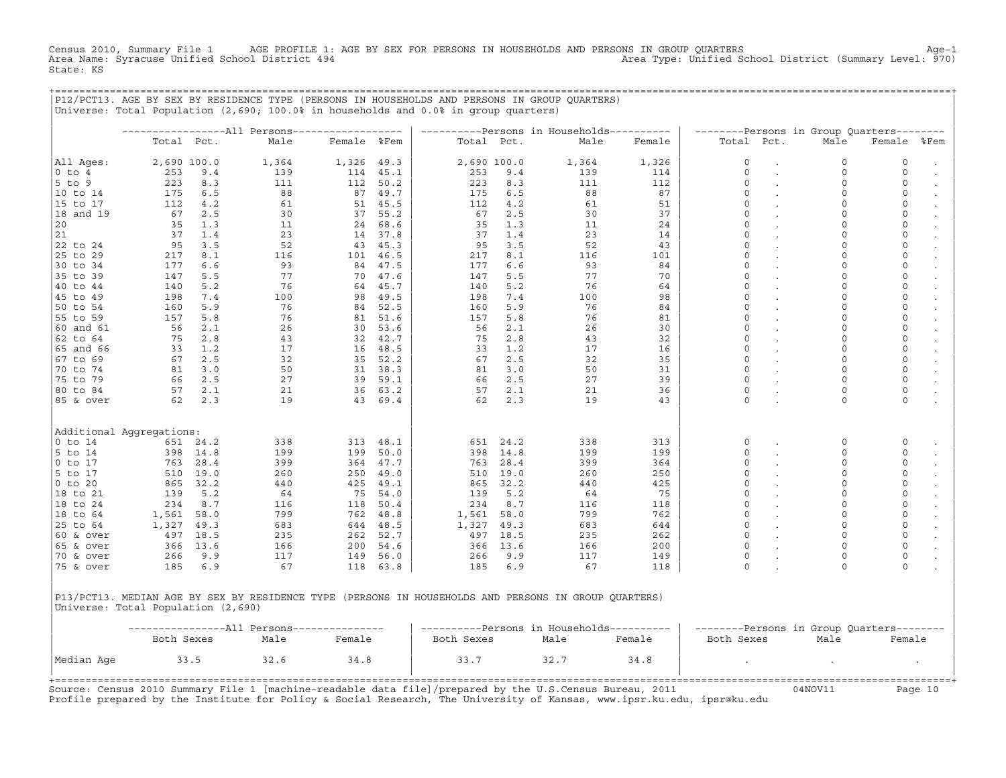Census 2010, Summary File 1 AGE PROFILE 1: AGE BY SEX FOR PERSONS IN HOUSEHOLDS AND PERSONS IN GROUP QUARTERS<br>Area Name: Syracuse Unified School District 494 Area November 2010, Area Type: Unified School District (Summary State: KS

+===================================================================================================================================================+

|               |                          |          |          |             |          |             |      | ----------Persons in Households----------                                                            |          |             | --------Persons in Group Quarters-------- |                        |  |
|---------------|--------------------------|----------|----------|-------------|----------|-------------|------|------------------------------------------------------------------------------------------------------|----------|-------------|-------------------------------------------|------------------------|--|
|               | Total Pct.               |          | Male     | Female %Fem |          | Total Pct.  |      | Male                                                                                                 | Female   | Total Pct.  | Male                                      | Female %Fem            |  |
| All Ages:     | 2,690 100.0              |          | 1,364    | 1,326 49.3  |          | 2,690 100.0 |      | 1,364                                                                                                | 1,326    | 0           | $\circ$                                   | $\circ$                |  |
| $0$ to $4$    | 253                      | 9.4      | 139      |             | 114 45.1 | 253         | 9.4  | 139                                                                                                  | 114      | 0           | 0                                         | 0                      |  |
| $5$ to $9$    | 223                      | 8.3      | 111      |             | 112 50.2 | 223         | 8.3  | 111                                                                                                  | 112      | 0           | 0                                         | 0                      |  |
| 10 to 14      | 175                      | 6.5      | 88       |             | 87 49.7  | 175         | 6.5  | 88                                                                                                   | 87       | $\circ$     | 0                                         | $\mathbf 0$            |  |
| 15 to 17      | 112                      | 4.2      | 61       |             | 51 45.5  | 112         | 4.2  | 61                                                                                                   | 51       | 0           | $\circ$                                   | $\circ$                |  |
| 18 and 19     | 67                       | 2.5      | 30       | 37          | 55.2     | 67          | 2.5  | 30                                                                                                   | 37       | $\circ$     | $\Omega$                                  | $\circ$                |  |
| 20            | 35                       | 1.3      | 11       |             | 24 68.6  | 35          | 1.3  | 11                                                                                                   | 24       | 0           | $\circ$                                   | 0                      |  |
|               | 37                       | 1.4      | 23       |             | 14 37.8  | 37          | 1.4  | 23                                                                                                   | 14       | $\circ$     | $\Omega$                                  | 0                      |  |
| 22 to 24      | 95                       | 3.5      | 52       | 43          | 45.3     | 95          | 3.5  | 52                                                                                                   | 43       | 0           | 0                                         | 0                      |  |
| 25 to 29      | 217                      | $8.1\,$  | 116      |             | 101 46.5 | 217         | 8.1  | 116                                                                                                  | 101      |             | $\Omega$                                  | 0                      |  |
| 30 to 34      | 177                      | 6.6      | 93       |             | 84 47.5  | 177         | 6.6  | 93                                                                                                   | 84       | $\Omega$    | 0                                         | 0                      |  |
| 35 to 39      | 147                      | 5.5      | 77       |             | 70 47.6  | 147         | 5.5  | 77                                                                                                   | 70       | $\circ$     | $\Omega$                                  | $\circ$                |  |
| 40 to 44      | 140                      | 5.2      | 76       | 64          | 45.7     | 140         | 5.2  | 76                                                                                                   | 64       | $\circ$     | 0                                         | $\mathsf{O}$           |  |
| 45 to 49      | 198                      | 7.4      | 100      |             | 98 49.5  | 198         | 7.4  | 100                                                                                                  | 98       | $\circ$     | $\Omega$                                  | 0                      |  |
| 50 to 54      | 160                      | 5.9      | 76       | 84          | 52.5     | 160         | 5.9  | 76                                                                                                   | 84       | $\circ$     | $\circ$                                   | 0                      |  |
| 55 to 59      | 157                      | 5.8      | 76       | 81          | 51.6     | 157         | 5.8  | 76                                                                                                   | 81       | $\circ$     | $\circ$                                   | 0                      |  |
| 60 and 61     | 56                       | 2.1      | 26       | 30          | 53.6     | 56          | 2.1  | 26                                                                                                   | 30       | $\circ$     | $\circ$                                   | 0                      |  |
| 62 to 64      | 75                       | 2.8      | 43       |             | 32 42.7  | 75          | 2.8  | 43                                                                                                   | 32       | 0           | $\circ$                                   | 0                      |  |
| 65 and 66     | 33                       | 1.2      | 17       |             | 16 48.5  | 33          | 1.2  | 17                                                                                                   | 16       | $\circ$     | $\mathbf 0$                               | $\mathbf 0$            |  |
| 67 to 69      | 67                       | 2.5      | 32       |             | 35 52.2  | 67          | 2.5  | 32                                                                                                   | 35       | 0           | $\circ$                                   | $\circ$                |  |
| 70 to 74      | 81                       | 3.0      | 50       |             | 31 38.3  | 81          | 3.0  | 50                                                                                                   | 31       | $\Omega$    | $\Omega$                                  | $\circ$                |  |
| 75 to 79      | 66                       | 2.5      | 27       |             | 39 59.1  | 66          | 2.5  | 27                                                                                                   | 39       | $\circ$     | $\circ$                                   | $\circ$                |  |
|               | 57                       | 2.1      |          |             |          | 57          | 2.1  |                                                                                                      |          | $\circ$     | $\Omega$                                  |                        |  |
| 80 to 84      | 62                       | 2.3      | 21<br>19 |             | 36 63.2  | 62          | 2.3  | 21<br>19                                                                                             | 36<br>43 | $\Omega$    | $\Omega$                                  | $\mathbf 0$<br>$\circ$ |  |
| 85 & over     |                          |          |          |             | 43 69.4  |             |      |                                                                                                      |          |             |                                           |                        |  |
|               | Additional Aggregations: |          |          |             |          |             |      |                                                                                                      |          |             |                                           |                        |  |
| $0$ to $14$   |                          | 651 24.2 | 338      | 313         | 48.1     | 651         | 24.2 | 338                                                                                                  | 313      | 0           | 0                                         | 0                      |  |
| 5 to 14       |                          | 398 14.8 | 199      | 199         | 50.0     | 398         | 14.8 | 199                                                                                                  | 199      | $\mathbf 0$ | 0                                         | 0                      |  |
| $0$ to 17     | 763                      | 28.4     | 399      |             | 364 47.7 | 763         | 28.4 | 399                                                                                                  | 364      | 0           | 0                                         | 0                      |  |
| 5 to 17       | 510                      | 19.0     | 260      | 250         | 49.0     | 510         | 19.0 | 260                                                                                                  | 250      | 0           | 0                                         | 0                      |  |
| $0$ to $20$   | 865                      | 32.2     | 440      |             | 425 49.1 | 865         | 32.2 | 440                                                                                                  | 425      | $\circ$     | $\mathbf 0$                               | 0                      |  |
| 18 to 21      | 139                      | 5.2      | 64       | 75          | 54.0     | 139         | 5.2  | 64                                                                                                   | 75       | $\circ$     | $\mathbf 0$                               | $\mathsf{O}$           |  |
| 18 to 24      | 234                      | 8.7      | 116      | 118         | 50.4     | 234         | 8.7  | 116                                                                                                  | 118      | $\circ$     | $\mathbf 0$                               | $\mathbf 0$            |  |
| 18 to 64      | 1,561                    | 58.0     | 799      |             | 762 48.8 | 1,561       | 58.0 | 799                                                                                                  | 762      | $\circ$     | $\mathbf 0$                               | $\circ$                |  |
| 25 to 64      | 1,327                    | 49.3     | 683      |             | 644 48.5 | 1,327       | 49.3 | 683                                                                                                  | 644      | $\circ$     | $\circ$                                   | 0                      |  |
| $60$ & $over$ | 497                      | 18.5     | 235      | 262         | 52.7     | 497         | 18.5 | 235                                                                                                  | 262      | $\circ$     | $\mathbf 0$                               | $\circ$                |  |
| 65 & over     | 366                      | 13.6     | 166      |             | 200 54.6 | 366         | 13.6 | 166                                                                                                  | 200      | $\circ$     | $\mathbf 0$                               | 0                      |  |
| 70 & over     | 266                      | 9.9      | 117      |             | 149 56.0 | 266         | 9.9  | 117                                                                                                  | 149      | $\circ$     | $\mathbf 0$                               | $\mathsf{O}$           |  |
| 75 & over     | 185                      | 6.9      | 67       |             | 118 63.8 | 185         | 6.9  | 67                                                                                                   | 118      | $\Omega$    | $\Omega$                                  | $\circ$                |  |
|               |                          |          |          |             |          |             |      | P13/PCT13. MEDIAN AGE BY SEX BY RESIDENCE TYPE (PERSONS IN HOUSEHOLDS AND PERSONS IN GROUP QUARTERS) |          |             |                                           |                        |  |

|            |            |      |        | ----------Persons in Households---------- |      |        | --------Persons in Group Quarters-------- |      |        |  |  |
|------------|------------|------|--------|-------------------------------------------|------|--------|-------------------------------------------|------|--------|--|--|
|            | Both Sexes | Male | Female | Both Sexes                                | Male | Female | Both Sexes                                | Male | Female |  |  |
| Median Age | 33.5       | 32.6 | 34.8   | 33.                                       | 32.7 | 34.8   |                                           |      |        |  |  |
|            |            |      |        |                                           |      |        |                                           |      |        |  |  |

Source: Census 2010 Summary File 1 [machine-readable data file]/prepared by the U.S.Census Bureau, 2011 Page 10<br>Profile prepared by the Institute for Policy & Social Research, The University of Kansas, www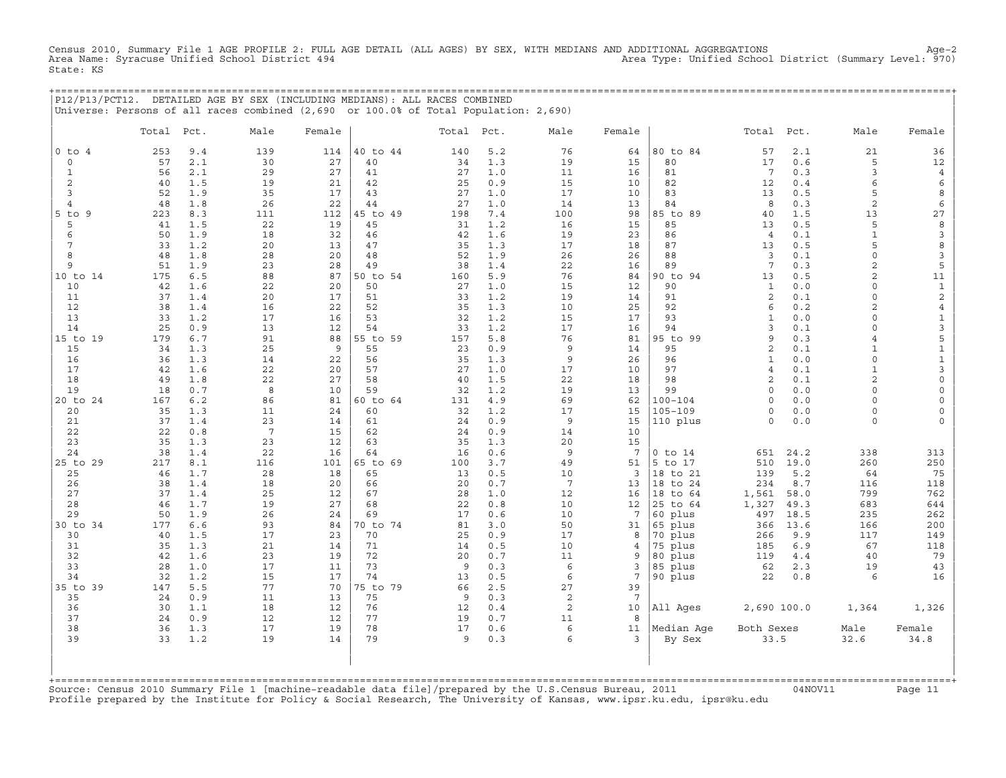Census 2010, Summary File 1 AGE PROFILE 2: FULL AGE DETAIL (ALL AGES) BY SEX, WITH MEDIANS AND ADDITIONAL AGGREGATIONS<br>Area Name: Syracuse Unified School District 494 Area Type: Unified Scho State: KS

| P12/P13/PCT12. DETAILED AGE BY SEX (INCLUDING MEDIANS): ALL RACES COMBINED |                                                                                      |  |
|----------------------------------------------------------------------------|--------------------------------------------------------------------------------------|--|
|                                                                            | Universe: Persons of all races combined (2,690 or 100.0% of Total Population: 2,690) |  |

|                                     | Total     | Pct.         | Male            | Female   |          | Total     | Pct.       | Male            | Female          |             | Total               | Pct.       | Male           | Female                              |
|-------------------------------------|-----------|--------------|-----------------|----------|----------|-----------|------------|-----------------|-----------------|-------------|---------------------|------------|----------------|-------------------------------------|
| $0$ to $4$                          | 253       | 9.4          | 139             | 114      | 40 to 44 | 140       | 5.2        | 76              | 64              | 80 to 84    | 57                  | 2.1        | 21             | 36                                  |
| $\mathsf{O}$                        | 57        | 2.1          | 30              | 27       | 40       | 34        | 1.3        | 19              | 15              | 80          | 17                  | 0.6        | 5              | 12                                  |
| $\mathbf{1}$                        | 56        | 2.1          | 29              | 27       | 41       | 27        | 1.0        | 11              | 16              | 81          | $7\phantom{.0}$     | 0.3        | 3              | $\overline{4}$                      |
| 2                                   | 40        | 1.5          | 19              | 21       | 42       | 25        | 0.9        | 15              | 10              | 82          | 12                  | 0.4        | 6              | 6                                   |
| $\overline{3}$                      | 52        | 1.9          | 35              | 17       | 43       | 27        | $1.0$      | 17              | 10              | 83          | 13                  | 0.5        | 5              | 8                                   |
| $\overline{4}$                      | 48        | 1.8          | 26              | 22       | 44       | 27        | 1.0        | 14              | 13              | 84          | 8                   | 0.3        | $\overline{c}$ | $\epsilon$                          |
| $5$ to $9$                          | 223       | 8.3          | 111             | 112      | 45 to 49 | 198       | 7.4        | 100             | 98              | 85 to 89    | 40                  | 1.5        | 13             | 27                                  |
| 5                                   | 41        | 1.5          | 22              | 19       | 45       | 31        | 1.2        | 16              | 15              | 85          | 13                  | 0.5        | 5              | $\boldsymbol{8}$                    |
| 6                                   | 50        | 1.9          | 18              | 32       | 46       | 42        | 1.6        | 19              | 23              | 86          | $\overline{4}$      | 0.1        | $\mathbf{1}$   | $\mathbf{3}$                        |
| 7                                   | 33        | 1.2          | 20              | 13       | 47       | 35        | 1.3        | 17              | 18              | 87          | 13                  | 0.5        | 5              | 8                                   |
| 8                                   | 48        | 1.8          | 28              | 20       | 48       | 52        | 1.9        | 26              | 26              | 88          | $\overline{3}$      | 0.1        | $\circ$        | $\mathbf{3}$                        |
| 9                                   | 51        | 1.9          | 23              | 28       | 49       | 38        | 1.4        | 22              | 16              | 89          | $7\phantom{.0}$     | 0.3        | $\mathbf{2}$   | 5                                   |
| 10 to 14                            | 175       | 6.5          | 88              | 87       | 50 to 54 | 160       | 5.9        | 76              | 84              | 90 to 94    | 13                  | 0.5        | 2              | 11                                  |
| 10                                  | 42        | 1.6          | 22              | 20       | 50       | 27        | 1.0        | 15              | 12              | 90          | $\mathbf{1}$        | 0.0        | $\Omega$       | $\mathbf{1}$                        |
| 11                                  | 37        | 1.4          | 20              | 17       | 51       | 33        | 1.2        | 19              | 14              | 91          | 2                   | 0.1        | $\circ$        | $\overline{c}$                      |
| 12                                  | 38        | 1.4          | 16              | 22       | 52       | 35        | 1.3        | 10              | 25              | 92          | 6                   | 0.2        | 2              | $\overline{4}$                      |
| 13                                  | 33        | 1.2          | 17              | 16       | 53       | 32        | 1.2        | 15              | 17              | 93          | $\mathbf{1}$        | 0.0        | $\circ$        | $\mathbf{1}$                        |
| 14                                  | 25        | 0.9          | 13              | 12       | 54       | 33        | 1.2        | 17              | 16              | 94          | 3                   | 0.1        | $\circ$        | $\mathsf 3$                         |
| 15 to 19                            | 179       | 6.7          | 91              | 88       | 55 to 59 | 157       | 5.8        | 76              | 81              | 95 to 99    | 9                   | 0.3        | $\overline{4}$ | 5                                   |
| 15                                  | 34        | 1.3          | 25              | 9        | 55       | 23        | 0.9        | $\overline{9}$  | 14              | 95          | $\overline{2}$      | 0.1        | $\mathbf{1}$   | $\mathbf 1$                         |
| 16                                  | 36        | 1.3          | 14              | 22       | 56       | 35        | 1.3        | 9               | 26              | 96<br>97    | $\mathbf{1}$        | 0.0        | $\circ$        | $\mathbf 1$                         |
| 17                                  | 42        | 1.6          | 22              | 20       | 57       | 27        | 1.0        | 17              | 10              |             | $\overline{4}$<br>2 | $0.1$      | $\mathbf{1}$   | $\mathsf 3$<br>$\mathsf{O}\xspace$  |
| 18<br>19                            | 49        | 1.8          | 22              | 27       | 58<br>59 | 40        | 1.5        | 22<br>19        | 18              | 98<br>99    | $\mathbf 0$         | 0.1<br>0.0 | 2<br>$\circ$   |                                     |
| 20 to 24                            | 18<br>167 | 0.7<br>$6.2$ | 8<br>86         | 10<br>81 | 60 to 64 | 32<br>131 | 1.2<br>4.9 | 69              | 13<br>62        | $100 - 104$ | $\Omega$            | 0.0        | $\Omega$       | $\mathsf{O}\xspace$<br>$\mathsf{O}$ |
| 20                                  | 35        | 1.3          | 11              | 24       | 60       | 32        | 1.2        | 17              | 15              | $105 - 109$ | $\Omega$            | 0.0        | $\circ$        | $\mathsf{O}\xspace$                 |
| 21                                  | 37        | 1.4          | 23              | 14       | 61       | 24        | 0.9        | 9               | 15              | 110 plus    | $\Omega$            | 0.0        | $\circ$        | $\mathbf 0$                         |
| 22                                  | 22        | 0.8          | $7\phantom{.0}$ | 15       | 62       | 24        | 0.9        | 14              | 10              |             |                     |            |                |                                     |
| 23                                  | 35        | 1.3          | 23              | 12       | 63       | 35        | 1.3        | 20              | 15              |             |                     |            |                |                                     |
| 24                                  | 38        | 1.4          | 22              | 16       | 64       | 16        | 0.6        | 9               | $7\phantom{.0}$ | $0$ to $14$ | 651                 | 24.2       | 338            | 313                                 |
| 25 to 29                            | 217       | 8.1          | 116             | 101      | 65 to 69 | 100       | 3.7        | 49              | 51              | 5 to 17     | 510                 | 19.0       | 260            | 250                                 |
| 25                                  | 46        | 1.7          | 28              | 18       | 65       | 13        | 0.5        | 10              | $\overline{3}$  | 18 to 21    | 139                 | 5.2        | 64             | 75                                  |
| 26                                  | 38        | 1.4          | 18              | 20       | 66       | 20        | 0.7        | $7\phantom{.0}$ | 13              | 18 to 24    | 234                 | 8.7        | 116            | 118                                 |
| 27                                  | 37        | 1.4          | 25              | 12       | 67       | 28        | 1.0        | 12              | 16              | 18<br>to 64 | 1,561               | 58.0       | 799            | 762                                 |
| 28                                  | 46        | 1.7          | 19              | 27       | 68       | 22        | 0.8        | 10              | 12              | 25 to 64    | 1,327               | 49.3       | 683            | 644                                 |
| 29                                  | 50        | 1.9          | 26              | 24       | 69       | 17        | 0.6        | 10              | 7               | 60 plus     | 497                 | 18.5       | 235            | 262                                 |
| 30 to 34                            | 177       | 6.6          | 93              | 84       | 70 to 74 | 81        | 3.0        | 50              | 31              | 65 plus     | 366                 | 13.6       | 166            | 200                                 |
| 30                                  | 40        | 1.5          | 17              | 23       | 70       | 25        | 0.9        | 17              | 8               | 70 plus     | 266                 | 9.9        | 117            | 149                                 |
| 31                                  | 35        | 1.3          | 21              | 14       | 71       | 14        | 0.5        | 10              | 4               | 75 plus     | 185                 | 6.9        | 67             | 118                                 |
| 32                                  | 42        | 1.6          | 23              | 19       | 72       | 20        | 0.7        | 11              | 9               | 80 plus     | 119                 | 4.4        | 40             | 79                                  |
| 33                                  | 28        | 1.0          | 17              | 11       | 73       | 9         | 0.3        | 6               | 3               | 85 plus     | 62                  | 2.3        | 19             | 43                                  |
| 34                                  | 32        | 1.2          | 15              | 17       | 74       | 13        | 0.5        | 6               | $7\overline{ }$ | 90 plus     | 22                  | 0.8        | 6              | 16                                  |
| 35 to 39                            | 147       | 5.5          | 77              | 70       | 75 to 79 | 66        | 2.5        | 27              | 39              |             |                     |            |                |                                     |
| 35                                  | 24        | 0.9          | 11              | 13       | 75       | 9         | 0.3        | 2               | $7\phantom{.0}$ |             |                     |            |                |                                     |
| 36                                  | 30        | 1.1          | 18              | 12       | 76       | 12        | 0.4        | 2               | 10              | All Ages    | 2,690 100.0         |            | 1,364          | 1,326                               |
| 37                                  | 24        | 0.9          | 12              | 12       | 77       | 19        | 0.7        | 11              | 8               |             |                     |            |                |                                     |
| 38                                  | 36        | 1.3          | 17              | 19       | 78       | 17        | 0.6        | 6               | 11              | Median Age  | Both Sexes          |            | Male           | Female                              |
| 39                                  | 33        | 1.2          | 19              | 14       | 79       | 9         | 0.3        | 6               | 3               | By Sex      | 33.5                |            | 32.6           | 34.8                                |
| $+$ = = = = = = = = = = = = = = = = |           |              |                 |          |          |           |            |                 |                 |             |                     |            |                |                                     |

+===================================================================================================================================================+Source: Census 2010 Summary File 1 [machine−readable data file]/prepared by the U.S.Census Bureau, 2011 04NOV11 Page 11 Profile prepared by the Institute for Policy & Social Research, The University of Kansas, www.ipsr.ku.edu, ipsr@ku.edu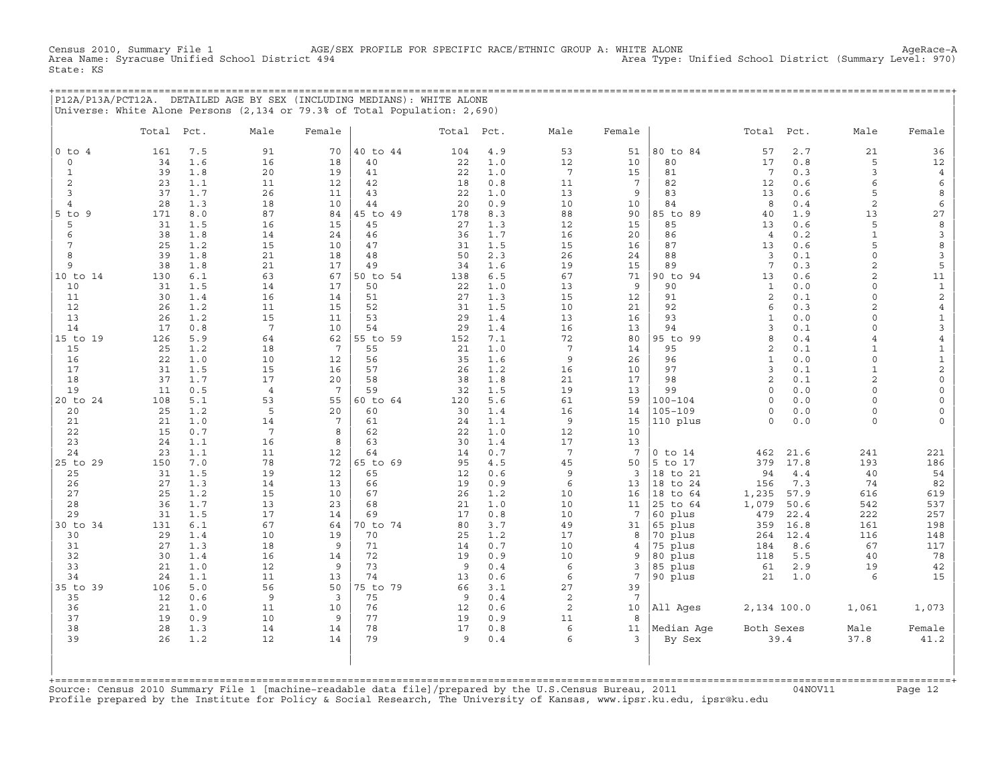Census 2010, Summary File 1 AGE/SEX PROFILE FOR SPECIFIC RACE/ETHNIC GROUP A: WHITE ALONE AgeRace−A Area Type: Unified School District (Summary Level: 970) State: KS

+===================================================================================================================================================+ |P12A/P13A/PCT12A. DETAILED AGE BY SEX (INCLUDING MEDIANS): WHITE ALONE | |Universe: White Alone Persons (2,134 or 79.3% of Total Population: 2,690) |

|                      | Total    | Pct.       | Male            | Female          |          | Total Pct. |            | Male            | Female               |                         | Total                | Pct.       | Male           | Female                  |
|----------------------|----------|------------|-----------------|-----------------|----------|------------|------------|-----------------|----------------------|-------------------------|----------------------|------------|----------------|-------------------------|
| $0$ to $4$           | 161      | 7.5        | 91              | 70              | 40 to 44 | 104        | 4.9        | 53              | 51                   | 80 to 84                | 57                   | 2.7        | 21             | 36                      |
| $\circ$              | 34       | 1.6        | 16              | 18              | 40       | 22         | 1.0        | 12              | 10                   | 80                      | 17                   | $0.8$      | 5              | 12                      |
| $\mathbf{1}$         | 39       | 1.8        | 20              | 19              | 41       | 22         | 1.0        | 7               | 15                   | 81                      | $7\phantom{.0}$      | 0.3        | 3              | $\,4\,$                 |
| 2                    | 23       | 1.1        | 11              | 12              | 42       | 18         | 0.8        | 11              | $7\phantom{.0}$      | 82                      | 12                   | 0.6        | 6              | 6                       |
| 3                    | 37       | 1.7        | 26              | 11              | 43       | 22         | 1.0        | 13              | 9                    | 83                      | 13                   | 0.6        | 5              | 8                       |
| $\overline{4}$       | 28       | 1.3        | 18              | 10              | 44       | 20         | 0.9        | 10              | 10                   | 84                      | 8                    | 0.4        | $\overline{c}$ | 6                       |
| $5$ to $9$           | 171      | 8.0        | 87              | 84              | 45 to 49 | 178        | 8.3        | 88              | 90                   | 85 to 89                | 40                   | 1.9        | 13             | $2\,7$                  |
| 5                    | 31       | 1.5        | 16              | 15              | 45       | 27         | 1.3        | 12              | 15                   | 85                      | 13                   | 0.6        | 5              | $\,$ 8                  |
| 6                    | 38       | 1.8        | 14              | 24              | 46       | 36         | 1.7        | 16              | 20                   | 86                      | $\overline{4}$       | 0.2        | $\mathbf{1}$   | $\mathbf{3}$            |
| $7\phantom{.0}$<br>8 | 25<br>39 | 1.2<br>1.8 | 15<br>21        | 10<br>18        | 47<br>48 | 31<br>50   | 1.5<br>2.3 | 15<br>26        | 16<br>24             | 87<br>88                | 13<br>$\overline{3}$ | 0.6<br>0.1 | 5<br>$\circ$   | 8<br>$\mathbf{3}$       |
| 9                    | 38       | 1.8        | 21              | 17              | 49       | 34         | 1.6        | 19              | 15                   | 89                      | $7\phantom{.0}$      | 0.3        | 2              | $\mathsf S$             |
| 10 to 14             | 130      | 6.1        | 63              | 67              | 50 to 54 | 138        | 6.5        | 67              | 71                   | 90 to 94                | 13                   | 0.6        | $\overline{2}$ | 11                      |
| 10                   | 31       | 1.5        | 14              | 17              | 50       | 22         | 1.0        | 13              | 9                    | 90                      | $\mathbf{1}$         | 0.0        | $\Omega$       | $\mathbf 1$             |
| 11                   | 30       | 1.4        | 16              | 14              | 51       | 27         | 1.3        | 15              | 12                   | 91                      | 2                    | 0.1        | $\circ$        | $\sqrt{2}$              |
| 12                   | 26       | 1.2        | 11              | 15              | 52       | 31         | 1.5        | 10              | 21                   | 92                      | 6                    | 0.3        | $\overline{a}$ | $\overline{4}$          |
| 13                   | 26       | 1.2        | 15              | 11              | 53       | 29         | 1.4        | 13              | 16                   | 93                      | $\mathbf{1}$         | 0.0        | $\circ$        | $\mathbf{1}$            |
| 14                   | 17       | 0.8        | $7\phantom{.0}$ | 10              | 54       | 29         | 1.4        | 16              | 13                   | 94                      | $\overline{3}$       | 0.1        | $\circ$        | $\mathbf{3}$            |
| 15 to 19             | 126      | 5.9        | 64              | 62              | 55 to 59 | 152        | 7.1        | 72              | 80                   | 95 to 99                | 8                    | 0.4        | $\overline{4}$ | $\overline{4}$          |
| 15                   | 25       | 1.2        | 18              | $7\phantom{.0}$ | 55       | 21         | 1.0        | $7\phantom{.0}$ | 14                   | 95                      | $\overline{2}$       | 0.1        | $\mathbf{1}$   | $\mathbf 1$             |
| 16                   | 22       | 1.0        | 10              | 12              | 56       | 35         | 1.6        | 9               | 26                   | 96                      | $\mathbf{1}$         | 0.0        | 0              | $\mathbf 1$             |
| 17                   | 31       | 1.5        | 15              | 16              | 57       | 26         | 1.2        | 16              | 10                   | 97                      | 3                    | 0.1        | $\mathbf{1}$   | $\overline{c}$          |
| 18                   | 37       | 1.7        | 17              | 20              | 58       | 38         | 1.8        | 21              | 17                   | 98                      | 2                    | 0.1        | $\overline{a}$ | $\mathsf{O}$            |
| 19                   | 11       | 0.5        | $\overline{4}$  | $7\phantom{.0}$ | 59       | 32         | 1.5        | 19              | 13                   | 99                      | $\mathbf 0$          | 0.0        | $\circ$        | $\mathsf{O}$            |
| 20 to 24             | 108      | 5.1        | 53              | 55<br>20        | 60 to 64 | 120        | 5.6        | 61              | 59                   | $100 - 104$             | $\Omega$             | 0.0        | $\Omega$       | $\circ$                 |
| 20<br>21             | 25<br>21 | 1.2<br>1.0 | 5<br>14         | 7               | 60<br>61 | 30<br>24   | 1.4<br>1.1 | 16<br>9         | 14<br>15             | $105 - 109$<br>110 plus | $\circ$<br>$\circ$   | 0.0<br>0.0 | 0<br>0         | $\circ$<br>$\mathsf{O}$ |
| 22                   | 15       | 0.7        | $7\phantom{.0}$ | 8               | 62       | 22         | 1.0        | 12              | 10                   |                         |                      |            |                |                         |
| 23                   | 24       | 1.1        | 16              | 8               | 63       | 30         | 1.4        | 17              | 13                   |                         |                      |            |                |                         |
| 24                   | 23       | 1.1        | 11              | 12              | 64       | 14         | 0.7        | $7\phantom{.0}$ | $7\phantom{.0}$      | $0$ to $14$             | 462                  | 21.6       | 241            | 221                     |
| 25 to 29             | 150      | 7.0        | 78              | 72              | 65 to 69 | 95         | 4.5        | 45              | 50                   | 5 to 17                 | 379                  | 17.8       | 193            | 186                     |
| 25                   | 31       | 1.5        | 19              | 12              | 65       | 12         | 0.6        | 9               | $\overline{3}$       | 18 to 21                | 94                   | 4.4        | 40             | 54                      |
| 26                   | 27       | 1.3        | 14              | 13              | 66       | 19         | 0.9        | 6               | 13                   | 18 to 24                | 156                  | 7.3        | 74             | 82                      |
| 27                   | 25       | 1.2        | 15              | 10              | 67       | 26         | 1.2        | 10              | 16                   | 18 to 64                | 1,235                | 57.9       | 616            | 619                     |
| 28                   | 36       | 1.7        | 13              | 23              | 68       | 21         | 1.0        | 10              | 11                   | 25 to 64                | 1,079                | 50.6       | 542            | 537                     |
| 29                   | 31       | 1.5        | 17              | 14              | 69       | 17         | 0.8        | 10              | 7                    | 60<br>plus              | 479                  | 22.4       | 222            | 257                     |
| 30 to 34             | 131      | 6.1        | 67              | 64              | 70 to 74 | 80         | 3.7        | 49              | 31                   | 65 plus                 | 359                  | 16.8       | 161            | 198                     |
| 30                   | 29       | 1.4        | 10              | 19              | 70       | 25         | 1.2        | 17              | 8                    | 70 plus                 | 264                  | 12.4       | 116            | 148                     |
| 31                   | 27       | 1.3        | 18              | 9               | 71       | 14         | 0.7        | 10              | 4                    | 75 plus                 | 184                  | 8.6        | 67             | 117                     |
| 32                   | 30       | 1.4        | 16              | 14              | 72       | 19         | 0.9        | 10              | 9                    | 80 plus                 | 118                  | 5.5        | 40             | 78                      |
| 33<br>34             | 21<br>24 | 1.0<br>1.1 | 12<br>11        | 9<br>13         | 73<br>74 | 9<br>13    | 0.4<br>0.6 | 6<br>6          | 3<br>$7\phantom{.0}$ | 85 plus<br>90 plus      | 61<br>21             | 2.9<br>1.0 | 19<br>6        | $4\,2$<br>15            |
| 35 to 39             | 106      | 5.0        | 56              | 50              | 75 to 79 | 66         | 3.1        | 27              | 39                   |                         |                      |            |                |                         |
| 35                   | 12       | 0.6        | $\overline{9}$  | $\overline{3}$  | 75       | 9          | 0.4        | 2               | $7\phantom{.0}$      |                         |                      |            |                |                         |
| 36                   | 21       | 1.0        | 11              | 10              | 76       | 12         | 0.6        | 2               | 10                   | All Ages                | 2,134 100.0          |            | 1,061          | 1,073                   |
| 37                   | 19       | 0.9        | 10              | 9               | 77       | 19         | 0.9        | 11              | 8                    |                         |                      |            |                |                         |
| 38                   | 28       | 1.3        | 14              | 14              | 78       | 17         | 0.8        | 6               | 11                   | Median Age              | Both Sexes           |            | Male           | Female                  |
| 39                   | 26       | 1.2        | 12              | 14              | 79       | 9          | 0.4        | 6               | 3                    | By Sex                  |                      | 39.4       | 37.8           | 41.2                    |
| +=======             |          |            |                 |                 |          |            |            |                 |                      |                         |                      |            |                |                         |

+===================================================================================================================================================+Source: Census 2010 Summary File 1 [machine−readable data file]/prepared by the U.S.Census Bureau, 2011 04NOV11 Page 12 Profile prepared by the Institute for Policy & Social Research, The University of Kansas, www.ipsr.ku.edu, ipsr@ku.edu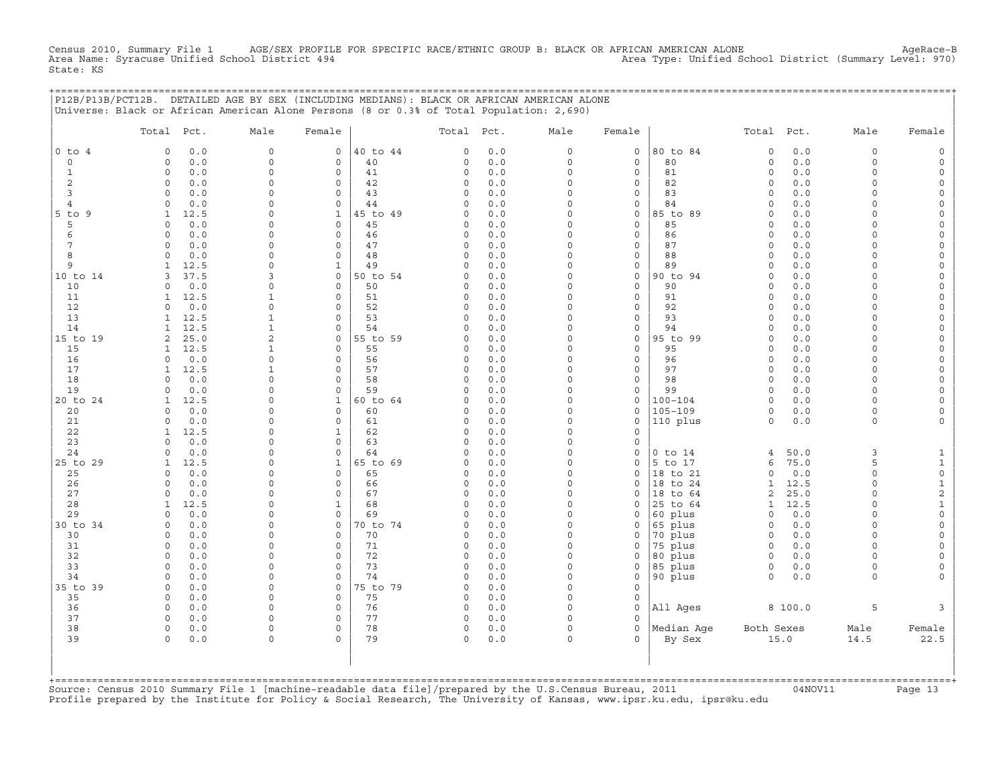Census 2010, Summary File 1 AGE/SEX PROFILE FOR SPECIFIC RACE/ETHNIC GROUP B: BLACK OR AFRICAN AMERICAN ALONE<br>Area Name: Syracuse Unified School District 494 Area Type: Unified School District (Summary Level: 970) State: KS

+===================================================================================================================================================+

|                 | P12B/P13B/PCT12B. DETAILED AGE BY SEX (INCLUDING MEDIANS): BLACK OR AFRICAN AMERICAN ALONE<br>Universe: Black or African American Alone Persons (8 or 0.3% of Total Population: 2,690) |                                |                          |                |          |            |                         |                             |                    |                      |            |                      |                     |
|-----------------|----------------------------------------------------------------------------------------------------------------------------------------------------------------------------------------|--------------------------------|--------------------------|----------------|----------|------------|-------------------------|-----------------------------|--------------------|----------------------|------------|----------------------|---------------------|
|                 | Total Pct.                                                                                                                                                                             | Male                           | Female                   |                | Total    | Pct.       | Male                    | Female                      |                    | Total                | Pct.       | Male                 | Female              |
| $0$ to $4$      | 0.0<br>$\Omega$                                                                                                                                                                        | $\mathsf{O}\xspace$            | $\mathsf{O}\xspace$      | 40 to 44       | 0        | 0.0        | $\mathbf 0$             | $\mathsf O$                 | 80 to 84           | $\mathbf 0$          | 0.0        | 0                    | $\mathsf O$         |
| $\circ$         | 0.0<br>$\Omega$                                                                                                                                                                        | $\circ$                        | $\mathbf 0$              | 40             | 0        | 0.0        | $\circ$                 | $\mathsf O$                 | 80                 | $\circ$              | 0.0        | $\circ$              | $\mathsf O$         |
| $\mathbf{1}$    | $\Omega$<br>0.0                                                                                                                                                                        | $\Omega$                       | $\Omega$                 | 41             | 0        | 0.0        | $\Omega$                | $\Omega$                    | 81                 | $\circ$              | 0.0        | $\Omega$             | $\mathbf 0$         |
| 2               | 0.0<br>0                                                                                                                                                                               | $\Omega$                       | $\Omega$                 | 42             | 0        | 0.0        | $\Omega$                | $\mathbf 0$                 | 82                 | $\Omega$             | 0.0        | $\Omega$             | 0                   |
| 3               | 0.0<br>$\circ$                                                                                                                                                                         | $\Omega$                       | $\mathbf 0$              | 43             | 0        | 0.0        | $\Omega$                | $\mathbf 0$                 | 83                 | $\circ$              | 0.0        | $\Omega$             | $\mathsf{O}\xspace$ |
| 4               | $\mathbf 0$<br>0.0                                                                                                                                                                     | $\Omega$                       | $\mathbf 0$              | 44             | 0        | 0.0        | $\mathbf 0$             | $\mathsf{O}\xspace$         | 84                 | $\circ$              | 0.0        | $\Omega$             | $\mathsf{O}\xspace$ |
| $5$ to $9$<br>5 | 12.5<br>$\mathbf{1}$<br>0.0<br>$\Omega$                                                                                                                                                | $\Omega$<br>$\Omega$           | $\mathbf{1}$<br>$\Omega$ | 45 to 49<br>45 | 0<br>0   | 0.0<br>0.0 | $\Omega$<br>$\Omega$    | $\mathbf 0$<br>$\Omega$     | 85 to 89<br>85     | $\Omega$<br>$\Omega$ | 0.0<br>0.0 | $\Omega$<br>$\Omega$ | $\mathbf 0$<br>0    |
| 6               | $\circ$<br>0.0                                                                                                                                                                         | $\Omega$                       | $\mathsf{O}\xspace$      | 46             | 0        | 0.0        | $\mathbf 0$             | $\mathsf{O}\xspace$         | 86                 | $\circ$              | 0.0        | $\circ$              | $\mathsf{O}\xspace$ |
| 7               | 0.0<br>$\Omega$                                                                                                                                                                        | $\Omega$                       | 0                        | 47             | 0        | 0.0        | $\Omega$                | $\mathsf{O}\xspace$         | 87                 | $\Omega$             | 0.0        | $\Omega$             | 0                   |
| 8               | 0.0<br>$\Omega$                                                                                                                                                                        | $\Omega$                       | $\Omega$                 | 48             | $\Omega$ | 0.0        | $\Omega$                | $\mathbf 0$                 | 88                 | $\Omega$             | 0.0        | $\Omega$             | $\mathbf 0$         |
| 9               | 1<br>12.5                                                                                                                                                                              | $\Omega$                       | $\mathbf{1}$             | 49             | 0        | 0.0        | $\Omega$                | $\mathsf{O}\xspace$         | 89                 | $\Omega$             | 0.0        | 0                    | $\mathsf{O}\xspace$ |
| 10 to 14        | 37.5<br>3                                                                                                                                                                              | 3                              | 0                        | 50 to 54       | 0        | 0.0        | $\mathbf 0$             | $\mathsf O$                 | 90 to 94           | $\mathbf 0$          | 0.0        | $\circ$              | 0                   |
| 10              | 0.0<br>$\Omega$                                                                                                                                                                        | $\Omega$                       | $\Omega$                 | 50             | O        | 0.0        | $\Omega$                | $\Omega$                    | 90                 | $\Omega$             | 0.0        | $\Omega$             | $\mathbf 0$         |
| 11              | 12.5<br>1                                                                                                                                                                              | 1                              | $\mathbf 0$              | 51             | 0        | 0.0        | $\Omega$                | $\mathbf 0$                 | 91                 | $\Omega$             | 0.0        | $\Omega$             | $\mathbf 0$         |
| 12              | 0.0<br>$\Omega$                                                                                                                                                                        | $\Omega$                       | $\mathbf 0$              | 52             | $\circ$  | 0.0        | $\Omega$                | $\mathbf 0$                 | 92                 | $\Omega$             | 0.0        | $\Omega$             | $\mathsf{O}\xspace$ |
| 13              | 12.5<br>$\mathbf{1}$                                                                                                                                                                   | $\mathbf{1}$                   | 0                        | 53             | 0        | 0.0        | $\Omega$                | $\mathsf{O}\xspace$         | 93                 | $\circ$              | 0.0        | $\circ$              | $\mathsf{O}\xspace$ |
| 14<br>15 to 19  | 12.5<br>1<br>2<br>25.0                                                                                                                                                                 | $\mathbf{1}$<br>$\overline{c}$ | $\Omega$<br>$\mathbf 0$  | 54<br>55 to 59 | C)<br>0  | 0.0<br>0.0 | $\Omega$<br>$\Omega$    | $\mathbf 0$<br>$\mathbf 0$  | 94<br>95 to 99     | $\Omega$<br>$\Omega$ | 0.0<br>0.0 | $\Omega$<br>$\Omega$ | $\mathbf 0$<br>0    |
| 15              | 12.5<br>$\mathbf{1}$                                                                                                                                                                   | $\mathbf{1}$                   | $\mathbf 0$              | 55             | 0        | 0.0        | $\Omega$                | $\mathbf 0$                 | 95                 | $\circ$              | 0.0        | $\circ$              | $\mathsf{O}\xspace$ |
| 16              | $\Omega$<br>0.0                                                                                                                                                                        | $\Omega$                       | $\mathbf 0$              | 56             | 0        | 0.0        | $\Omega$                | $\mathsf{O}\xspace$         | 96                 | $\circ$              | 0.0        | $\circ$              | 0                   |
| 17              | 12.5<br>$\mathbf{1}$                                                                                                                                                                   | $\mathbf{1}$                   | $\Omega$                 | 57             | 0        | 0.0        | $\Omega$                | $\mathbf 0$                 | 97                 | $\circ$              | 0.0        | $\Omega$             | 0                   |
| 18              | 0.0<br>$\Omega$                                                                                                                                                                        | $\Omega$                       | $\Omega$                 | 58             | 0        | 0.0        | $\Omega$                | $\mathbf 0$                 | 98                 | $\circ$              | 0.0        | $\Omega$             | $\mathbf 0$         |
| 19              | 0.0<br>$\Omega$                                                                                                                                                                        | $\Omega$                       | $\mathbf 0$              | 59             | 0        | 0.0        | $\Omega$                | $\mathsf{O}\xspace$         | 99                 | $\circ$              | 0.0        | $\Omega$             | $\mathsf{O}\xspace$ |
| 20 to 24        | 12.5<br>1                                                                                                                                                                              | $\Omega$                       | $\mathbf{1}$             | 60 to 64       | 0        | 0.0        | $\mathbf 0$             | $\mathsf{O}\xspace$         | $100 - 104$        | $\mathsf{O}$         | 0.0        | $\circ$              | 0                   |
| 20              | 0.0<br>$\Omega$                                                                                                                                                                        | $\Omega$                       | $\mathbf 0$              | 60             | 0        | 0.0        | $\Omega$                | $\mathbf 0$                 | $105 - 109$        | $\circ$              | 0.0        | $\Omega$             | 0                   |
| 21              | 0.0<br>$\Omega$                                                                                                                                                                        | $\Omega$                       | $\Omega$                 | 61             | 0        | 0.0        | $\Omega$                | $\mathbf 0$                 | 110 plus           | $\circ$              | 0.0        | $\circ$              | $\mathbf{0}$        |
| 22<br>23        | $\mathbf{1}$<br>12.5<br>$\Omega$                                                                                                                                                       | $\Omega$<br>$\Omega$           | $\mathbf{1}$             | 62             | 0        | 0.0        | $\mathbf 0$<br>$\Omega$ | $\mathsf{O}\xspace$         |                    |                      |            |                      |                     |
| 24              | 0.0<br>0.0<br>$\Omega$                                                                                                                                                                 | $\Omega$                       | $\mathbf 0$<br>$\Omega$  | 63<br>64       | 0<br>O   | 0.0<br>0.0 | $\Omega$                | $\mathbf 0$<br>$\mathbf 0$  | $0$ to $14$        | $\overline{4}$       | 50.0       | 3                    | $\mathbf{1}$        |
| 25 to 29        | 12.5<br>1                                                                                                                                                                              | $\Omega$                       | $\mathbf{1}$             | 65 to 69       | 0        | 0.0        | $\Omega$                | $\mathbf 0$                 | 5 to 17            | 6                    | 75.0       | 5                    | $\mathbf{1}$        |
| 25              | 0.0<br>$\circ$                                                                                                                                                                         | 0                              | $\mathsf{O}\xspace$      | 65             | 0        | 0.0        | $\Omega$                | $\mathbf 0$                 | 18 to 21           | $\mathbf 0$          | 0.0        | $\circ$              | $\mathsf{O}\xspace$ |
| 26              | 0.0<br>$\Omega$                                                                                                                                                                        | $\Omega$                       | $\mathbf 0$              | 66             | 0        | 0.0        | $\Omega$                | $\Omega$                    | 18 to 24           | $\mathbf{1}$         | 12.5       | $\Omega$             | $\mathbf{1}$        |
| 27              | 0.0<br>$\Omega$                                                                                                                                                                        | $\Omega$                       | $\Omega$                 | 67             | 0        | 0.0        | $\Omega$                | $\Omega$                    | 18 to 64           | 2                    | 25.0       | $\Omega$             | $\overline{c}$      |
| 28              | 12.5<br>$\mathbf{1}$                                                                                                                                                                   | $\Omega$                       | $\mathbf{1}$             | 68             | $\circ$  | 0.0        | $\Omega$                | $\Omega$                    | 25 to 64           | $\mathbf{1}$         | 12.5       | $\Omega$             | $\mathbf{1}$        |
| 29              | 0.0<br>$\circ$                                                                                                                                                                         | $\Omega$                       | 0                        | 69             | 0        | 0.0        | $\Omega$                | $\mathbf 0$                 | 60 plus            | $\circ$              | 0.0        | $\circ$              | $\mathsf{O}\xspace$ |
| 30 to 34        | 0.0<br>$\Omega$                                                                                                                                                                        | $\Omega$                       | $\mathbf 0$              | 70 to 74       | $\Omega$ | 0.0        | $\Omega$                | $\mathbf 0$                 | 65 plus            | $\circ$              | 0.0        | $\Omega$             | $\mathbf 0$         |
| 30              | 0.0<br>$\mathbf 0$                                                                                                                                                                     | $\Omega$                       | $\mathbf 0$              | 70             | 0        | 0.0        | $\Omega$                | $\mathbf 0$                 | 70 plus            | $\circ$              | 0.0        | $\Omega$             | 0                   |
| 31<br>32        | 0.0<br>$\circ$<br>0.0<br>$\Omega$                                                                                                                                                      | $\Omega$<br>$\Omega$           | $\Omega$<br>$\mathbf 0$  | 71<br>72       | 0<br>0   | 0.0<br>0.0 | $\Omega$<br>$\Omega$    | $\Omega$                    | 75 plus            | $\circ$              | 0.0<br>0.0 | $\circ$<br>$\circ$   | $\circ$             |
| 33              | $\Omega$<br>0.0                                                                                                                                                                        | $\Omega$                       | $\Omega$                 | 73             | $\Omega$ | 0.0        | $\Omega$                | $\mathsf{O}$<br>$\mathbf 0$ | 80 plus<br>85 plus | $\circ$<br>$\circ$   | 0.0        | $\Omega$             | 0<br>$\mathbf 0$    |
| 34              | 0.0<br>$\Omega$                                                                                                                                                                        | $\Omega$                       | $\mathbf 0$              | 74             | 0        | 0.0        | $\Omega$                | 0                           | 90 plus            | $\circ$              | 0.0        | $\Omega$             | $\Omega$            |
| 35 to 39        | 0.0<br>$\circ$                                                                                                                                                                         | $\Omega$                       | $\mathbf 0$              | 75 to 79       | 0        | 0.0        | $\Omega$                | $\mathbf 0$                 |                    |                      |            |                      |                     |
| 35              | 0<br>0.0                                                                                                                                                                               | $\Omega$                       | $\mathsf{O}\xspace$      | 75             | 0        | 0.0        | $\mathbf 0$             | $\mathsf{O}\xspace$         |                    |                      |            |                      |                     |
| 36              | 0.0<br>$\Omega$                                                                                                                                                                        | $\Omega$                       | $\mathsf{O}$             | 76             | 0        | 0.0        | $\Omega$                | $\Omega$                    | All Ages           |                      | 8 100.0    | 5                    | 3                   |
| 37              | $\Omega$<br>0.0                                                                                                                                                                        | $\Omega$                       | $\mathbf 0$              | 77             | 0        | 0.0        | $\Omega$                | $\Omega$                    |                    |                      |            |                      |                     |
| 38              | 0<br>0.0                                                                                                                                                                               | $\Omega$                       | $\mathsf{O}\xspace$      | 78             | 0        | 0.0        | $\mathbf 0$             | $\mathbf 0$                 | Median Age         | Both Sexes           |            | Male                 | Female              |
| 39              | $\Omega$<br>0.0                                                                                                                                                                        | $\Omega$                       | $\Omega$                 | 79             | $\Omega$ | 0.0        | $\Omega$                | $\Omega$                    | By Sex             |                      | 15.0       | 14.5                 | 22.5                |
|                 |                                                                                                                                                                                        |                                |                          |                |          |            |                         |                             |                    |                      |            |                      |                     |
|                 |                                                                                                                                                                                        |                                |                          |                |          |            |                         |                             |                    |                      |            |                      |                     |

+===================================================================================================================================================+Source: Census 2010 Summary File 1 [machine−readable data file]/prepared by the U.S.Census Bureau, 2011 04NOV11 Page 13 Profile prepared by the Institute for Policy & Social Research, The University of Kansas, www.ipsr.ku.edu, ipsr@ku.edu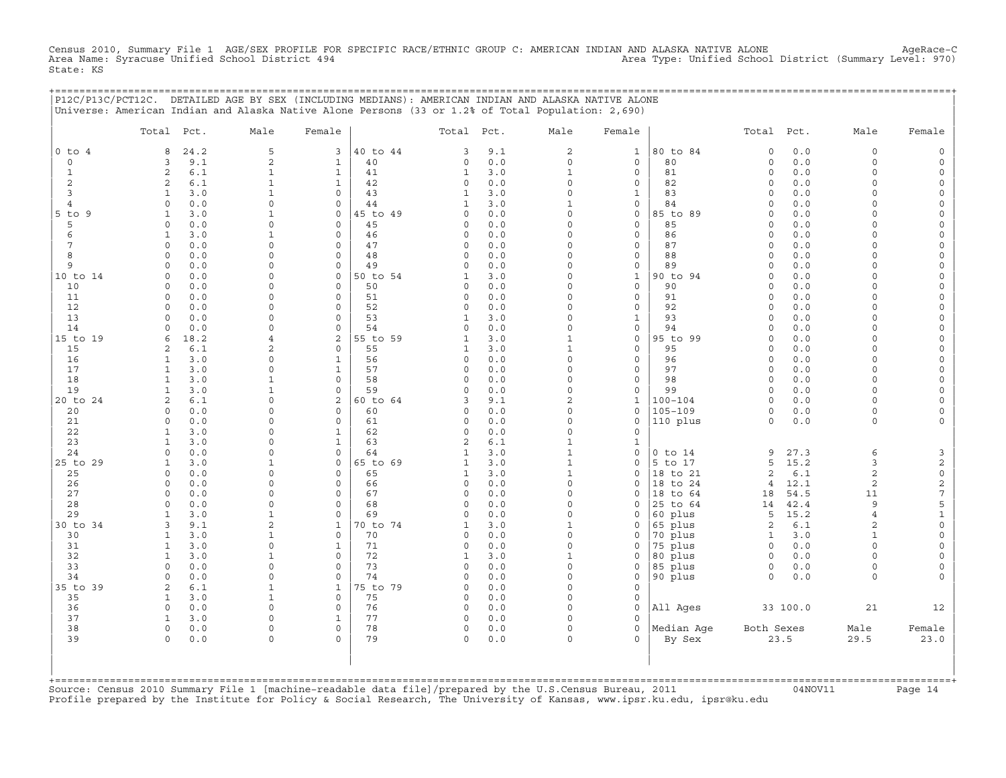Census 2010, Summary File 1 AGE/SEX PROFILE FOR SPECIFIC RACE/ETHNIC GROUP C: AMERICAN INDIAN AND ALASKA NATIVE ALONE AgeRace−C Area Name: Syracuse Unified School District 494 Area Type: Unified School District (Summary Level: 970) State: KS

+===================================================================================================================================================+

|                   | P12C/P13C/PCT12C. DETAILED AGE BY SEX (INCLUDING MEDIANS): AMERICAN INDIAN AND ALASKA NATIVE ALONE<br>Universe: American Indian and Alaska Native Alone Persons (33 or 1.2% of Total Population: 2,690) |                              |                             |                |                      |            |                              |                            |                     |                      |             |                      |                                     |
|-------------------|---------------------------------------------------------------------------------------------------------------------------------------------------------------------------------------------------------|------------------------------|-----------------------------|----------------|----------------------|------------|------------------------------|----------------------------|---------------------|----------------------|-------------|----------------------|-------------------------------------|
|                   | Pct.<br>Total                                                                                                                                                                                           | Male                         | Female                      |                | Total                | Pct.       | Male                         | Female                     |                     | Total                | Pct.        | Male                 | Female                              |
| $0$ to $4$        | 24.2<br>8                                                                                                                                                                                               | 5                            | 3                           | 40 to 44       | 3                    | 9.1        | $\sqrt{2}$                   | $1\,$                      | 80 to 84            | $\circ$              | 0.0         | 0                    | $\mathsf{O}$                        |
| 0                 | 9.1<br>3                                                                                                                                                                                                | $\overline{c}$               | $\mathbf{1}$                | 40             | 0                    | 0.0        | $\circ$                      | $\mathbf 0$                | 80                  | $\circ$              | 0.0         | $\Omega$             | $\mathsf O$                         |
| 1                 | $6.1$<br>2                                                                                                                                                                                              | $\mathbf{1}$                 | $\mathbf{1}$                | 41             | $\mathbf{1}$         | 3.0        | $\mathbf{1}$                 | $\mathbf 0$                | 81                  | $\circ$              | 0.0         | $\Omega$             | 0                                   |
| 2                 | 2<br>6.1                                                                                                                                                                                                | $\mathbf{1}$                 | $\mathbf{1}$                | 42             | 0                    | 0.0        | $\Omega$                     | 0                          | 82                  | $\mathbf 0$          | 0.0         | $\Omega$             | 0                                   |
| 3                 | 3.0<br>$\mathbf{1}$                                                                                                                                                                                     | $\mathbf{1}$                 | $\mathbf 0$                 | 43             | $\mathbf{1}$         | 3.0        | $\Omega$                     | $\mathbf{1}$               | 83                  | $\Omega$             | 0.0         | $\Omega$             | 0                                   |
| 4                 | $\circ$<br>0.0                                                                                                                                                                                          | $\Omega$                     | $\mathbf 0$                 | 44             | 1                    | 3.0        | $\mathbf{1}$                 | $\mathsf{O}$               | 84                  | $\Omega$             | 0.0         | $\Omega$             | 0                                   |
| $5$ to<br>9       | 3.0<br>$\mathbf{1}$<br>$\Omega$                                                                                                                                                                         | $\mathbf{1}$<br>$\Omega$     | $\mathsf{O}$<br>$\mathbf 0$ | 45 to 49<br>45 | $\Omega$<br>$\Omega$ | 0.0        | $\Omega$<br>$\Omega$         | $\mathsf O$<br>$\mathbf 0$ | 85 to 89            | $\Omega$<br>$\Omega$ | 0.0         | $\Omega$<br>$\Omega$ | $\mathsf{O}\xspace$<br>$\mathbf 0$  |
| 5<br>6            | 0.0<br>$\mathbf{1}$<br>3.0                                                                                                                                                                              | $\mathbf{1}$                 | $\mathbf 0$                 | 46             | $\Omega$             | 0.0<br>0.0 | $\Omega$                     | $\mathbf 0$                | 85<br>86            | $\circ$              | 0.0<br>0.0  | $\Omega$             | 0                                   |
| 7                 | $\circ$<br>0.0                                                                                                                                                                                          | $\Omega$                     | $\mathbf 0$                 | 47             | 0                    | 0.0        | $\Omega$                     | $\mathsf{O}\xspace$        | 87                  | $\Omega$             | $0.0$       | $\Omega$             | $\mathsf{O}\xspace$                 |
| 8                 | 0.0<br>$\Omega$                                                                                                                                                                                         | $\Omega$                     | $\mathbf 0$                 | 48             | $\Omega$             | 0.0        | $\Omega$                     | $\mathbf 0$                | 88                  | $\Omega$             | 0.0         | $\Omega$             | 0                                   |
| 9                 | 0.0<br>$\mathbf 0$                                                                                                                                                                                      | $\mathbf 0$                  | $\mathsf{O}$                | 49             | 0                    | 0.0        | $\Omega$                     | $\mathsf{O}$               | 89                  | $\mathbf 0$          | 0.0         | $\Omega$             | 0                                   |
| 10 to 14          | $0.0$<br>$\Omega$                                                                                                                                                                                       | $\Omega$                     | $\mathsf{O}$                | 50 to 54       | 1                    | 3.0        | $\Omega$                     | $\mathbf 1$                | 90 to 94            | $\Omega$             | 0.0         | $\Omega$             | $\mathsf{O}\xspace$                 |
| 10                | $\Omega$<br>0.0                                                                                                                                                                                         | $\Omega$                     | $\Omega$                    | 50             | $\Omega$             | 0.0        | $\cap$                       | $\mathsf O$                | 90                  | $\Omega$             | 0.0         | $\Omega$             | $\mathsf{O}\xspace$                 |
| 11                | $\circ$<br>0.0                                                                                                                                                                                          | $\mathbf 0$                  | $\mathbf 0$                 | 51             | 0                    | 0.0        | $\Omega$                     | $\mathsf O$                | 91                  | $\circ$              | 0.0         | $\Omega$             | 0                                   |
| 12                | 0.0<br>$\circ$                                                                                                                                                                                          | $\Omega$                     | $\mathbf 0$                 | 52             | $\Omega$             | 0.0        | $\Omega$                     | $\mathsf{O}\xspace$        | 92                  | $\Omega$             | 0.0         | $\Omega$             | $\mathsf{O}\xspace$                 |
| 13                | 0.0<br>$\circ$                                                                                                                                                                                          | $\Omega$                     | $\mathbf 0$                 | 53             | 1                    | 3.0        | $\Omega$                     | $\mathbf 1$                | 93                  | $\Omega$             | 0.0         | $\Omega$             | $\mathsf{O}\xspace$                 |
| 14                | 0.0<br>$\Omega$                                                                                                                                                                                         | $\Omega$                     | $\mathbf 0$                 | 54             | $\Omega$             | 0.0        | $\Omega$                     | $\mathsf O$                | 94                  | $\Omega$             | 0.0         | $\Omega$             | 0                                   |
| 15 to 19          | 18.2<br>6                                                                                                                                                                                               | 4<br>$\overline{2}$          | $\mathbf{2}$<br>$\mathbf 0$ | 55 to 59<br>55 | $\mathbf{1}$         | 3.0<br>3.0 | $\mathbf{1}$<br>$\mathbf{1}$ | $\mathsf O$<br>$\mathbf 0$ | 95 to 99<br>95      | $\Omega$<br>$\Omega$ | 0.0<br>0.0  | $\Omega$<br>$\Omega$ | $\mathsf{O}\xspace$                 |
| 15<br>16          | $6.1$<br>2<br>$\mathbf{1}$<br>3.0                                                                                                                                                                       | $\mathbf 0$                  | $\mathbf{1}$                | 56             | 1<br>0               | 0.0        | $\Omega$                     | 0                          | 96                  | $\Omega$             | 0.0         | $\Omega$             | $\mathsf{O}\xspace$<br>0            |
| 17                | $\mathbf{1}$<br>3.0                                                                                                                                                                                     | $\Omega$                     | $\mathbf{1}$                | 57             | $\Omega$             | 0.0        | $\Omega$                     | $\mathsf{O}$               | 97                  | $\mathbf 0$          | 0.0         | $\Omega$             | 0                                   |
| 18                | $\mathbf{1}$<br>3.0                                                                                                                                                                                     | $\mathbf{1}$                 | $\mathsf O$                 | 58             | $\Omega$             | 0.0        | $\Omega$                     | $\mathsf O$                | 98                  | $\circ$              | 0.0         | $\circ$              | $\mathsf{O}\xspace$                 |
| 19                | 3.0<br>$\mathbf{1}$                                                                                                                                                                                     | $\mathbf{1}$                 | $\Omega$                    | 59             | $\Omega$             | 0.0        | $\Omega$                     | 0                          | 99                  | $\Omega$             | 0.0         | $\Omega$             | 0                                   |
| 20 to 24          | 2<br>6.1                                                                                                                                                                                                | $\Omega$                     | 2                           | 60 to 64       | 3                    | 9.1        | $\overline{2}$               | $\mathbf{1}$               | $100 - 104$         | $\mathbf 0$          | 0.0         | $\Omega$             | 0                                   |
| 20                | $0.0$<br>$\circ$                                                                                                                                                                                        | $\Omega$                     | $\mathsf{O}$                | 60             | 0                    | 0.0        | $\Omega$                     | $\mathsf{O}$               | $105 - 109$         | $\mathbf 0$          | 0.0         | 0                    | 0                                   |
| 21                | 0.0<br>$\circ$                                                                                                                                                                                          | $\Omega$                     | $\circ$                     | 61             | $\Omega$             | 0.0        | $\Omega$                     | $\mathbf 0$                | 110 plus            | $\circ$              | 0.0         | $\circ$              | $\mathsf{O}\xspace$                 |
| 22                | $\mathbf{1}$<br>3.0                                                                                                                                                                                     | $\Omega$                     | $\mathbf{1}$                | 62             | $\Omega$             | 0.0        | $\Omega$                     | $\mathbf 0$                |                     |                      |             |                      |                                     |
| 23                | $\mathbf{1}$<br>3.0                                                                                                                                                                                     | $\Omega$                     | $\mathbf{1}$                | 63             | 2                    | 6.1        | $\mathbf{1}$                 | $\mathbf{1}$               |                     |                      |             |                      |                                     |
| 24                | 0.0<br>$\Omega$                                                                                                                                                                                         | $\Omega$                     | $\mathbf 0$                 | 64             | 1                    | 3.0        | $\mathbf{1}$                 | $\mathbf 0$                | $0$ to $14$         | 9                    | 27.3        | 6                    | $\mathbf{3}$                        |
| 25 to 29          | $\mathbf{1}$<br>3.0<br>$0.0$<br>$\circ$                                                                                                                                                                 | $\mathbf{1}$<br>$\Omega$     | $\mathbf 0$<br>0            | 65 to 69<br>65 | 1<br>$\mathbf{1}$    | 3.0<br>3.0 | $\mathbf{1}$<br>$\mathbf{1}$ | $\mathbf 0$<br>0           | 5 to 17<br>18 to 21 | 5<br>$\overline{c}$  | 15.2<br>6.1 | 3<br>$\overline{a}$  | $\mathbf{2}$<br>$\mathsf{O}\xspace$ |
| 25<br>26          | $\Omega$<br>0.0                                                                                                                                                                                         | $\Omega$                     | $\Omega$                    | 66             | $\Omega$             | 0.0        | $\cap$                       | $\Omega$                   | 18 to 24            | $\overline{4}$       | 12.1        | 2                    | $\mathbf{2}$                        |
| 27                | $\circ$<br>0.0                                                                                                                                                                                          | $\mathbf 0$                  | $\circ$                     | 67             | $\Omega$             | 0.0        | $\Omega$                     | $\mathbf 0$                | 18<br>to 64         | 18                   | 54.5        | 11                   | $\overline{7}$                      |
| 28                | 0.0<br>$\circ$                                                                                                                                                                                          | $\mathbf 0$                  | $\mathsf O$                 | 68             | $\Omega$             | 0.0        | $\Omega$                     | $\Omega$                   | 25 to 64            | 14                   | 42.4        | 9                    | 5                                   |
| 29                | 3.0<br>$\mathbf{1}$                                                                                                                                                                                     | $\mathbf{1}$                 | $\mathbf 0$                 | 69             | $\cap$               | 0.0        | $\cap$                       | $\Omega$                   | 60 plus             | 5                    | 15.2        | $\overline{4}$       | $\mathbf 1$                         |
| 30 to 34          | 9.1<br>3                                                                                                                                                                                                | 2                            | 1                           | 70 to 74       | 1                    | 3.0        | $\mathbf{1}$                 | 0                          | 65 plus             | $\overline{2}$       | 6.1         | 2                    | $\mathsf{O}\xspace$                 |
| 30                | $\mathbf{1}$<br>3.0                                                                                                                                                                                     | $\mathbf{1}$                 | $\mathsf O$                 | 70             | 0                    | 0.0        | $\Omega$                     | 0                          | 70 plus             | $\mathbf{1}$         | 3.0         | $\mathbf{1}$         | $\mathsf{O}\xspace$                 |
| 31                | 3.0<br>$\mathbf{1}$                                                                                                                                                                                     | $\mathbf 0$                  | $\mathbf{1}$                | 71             | $\Omega$             | 0.0        | $\Omega$                     | $\Omega$                   | 75 plus             | $\Omega$             | 0.0         | $\Omega$             | $\mathsf{O}\xspace$                 |
| 32                | $\mathbf{1}$<br>3.0                                                                                                                                                                                     | $\mathbf{1}$                 | $\mathbf 0$                 | 72             | 1                    | 3.0        | $\mathbf{1}$                 | $\mathbf 0$                | 80 plus             | $\circ$              | 0.0         | $\Omega$             | $\mathbf 0$                         |
| 33                | $\Omega$<br>0.0                                                                                                                                                                                         | $\mathbf 0$                  | $\mathbf 0$                 | 73             | 0                    | 0.0        | $\Omega$                     | 0                          | 85 plus             | $\circ$              | 0.0         | 0                    | 0                                   |
| 34                | 0.0<br>$\circ$                                                                                                                                                                                          | $\mathbf 0$                  | $\mathsf{O}$                | 74             | $\Omega$             | 0.0        | $\Omega$<br>$\Omega$         | $\mathsf O$                | 90 plus             | $\circ$              | 0.0         | $\circ$              | $\mathbf 0$                         |
| 35 to<br>39<br>35 | 2<br>6.1<br>3.0<br>1                                                                                                                                                                                    | $\mathbf{1}$<br>$\mathbf{1}$ | 1<br>$\mathsf{O}$           | 75 to 79<br>75 | $\Omega$<br>$\Omega$ | 0.0<br>0.0 | $\Omega$                     | $\circ$<br>$\mathsf{O}$    |                     |                      |             |                      |                                     |
| 36                | $\circ$<br>0.0                                                                                                                                                                                          | $\mathbf 0$                  | $\mathsf{O}$                | 76             | 0                    | 0.0        | $\Omega$                     | $\mathsf{O}$               | All Ages            |                      | 33 100.0    | 21                   | 12                                  |
| 37                | 3.0<br>1                                                                                                                                                                                                | $\Omega$                     | $\mathbf{1}$                | 77             | 0                    | 0.0        | $\Omega$                     | $\Omega$                   |                     |                      |             |                      |                                     |
| 38                | $\circ$<br>0.0                                                                                                                                                                                          | $\mathbf 0$                  | $\mathbf 0$                 | 78             | 0                    | 0.0        | $\Omega$                     | $\circ$                    | Median Age          | Both Sexes           |             | Male                 | Female                              |
| 39                | $\Omega$<br>0.0                                                                                                                                                                                         | $\mathbf 0$                  | $\Omega$                    | 79             | 0                    | 0.0        | $\Omega$                     | $\Omega$                   | By Sex              |                      | 23.5        | 29.5                 | 23.0                                |
|                   |                                                                                                                                                                                                         |                              |                             |                |                      |            |                              |                            |                     |                      |             |                      |                                     |

+===================================================================================================================================================+Source: Census 2010 Summary File 1 [machine−readable data file]/prepared by the U.S.Census Bureau, 2011 04NOV11 Page 14 Profile prepared by the Institute for Policy & Social Research, The University of Kansas, www.ipsr.ku.edu, ipsr@ku.edu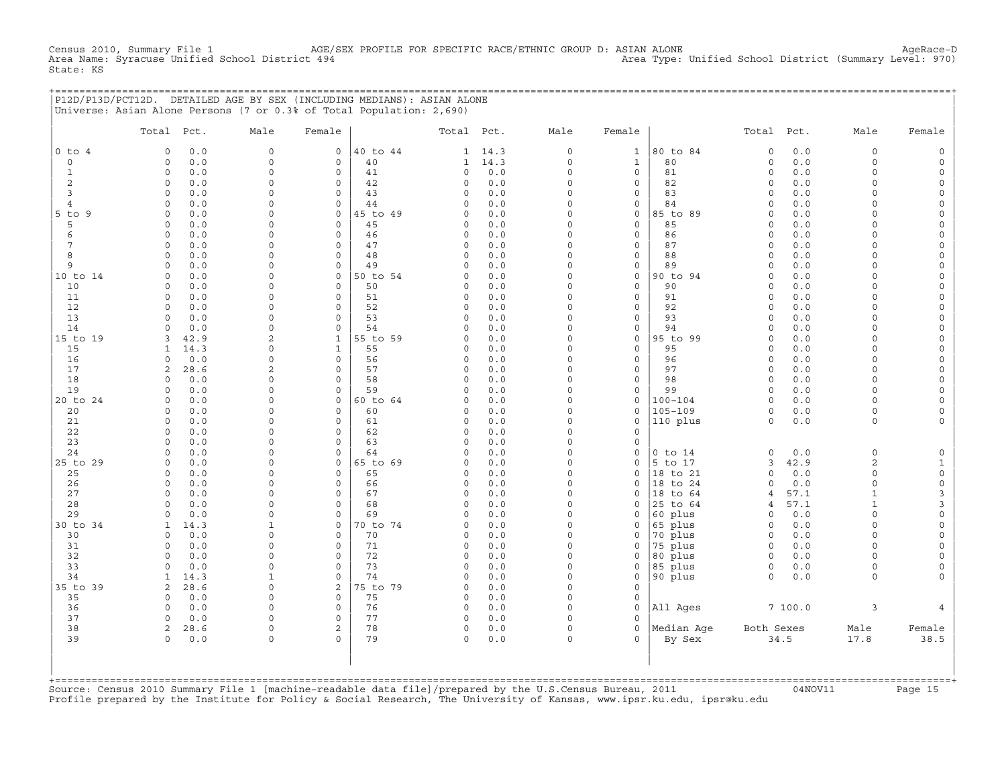Census 2010, AGE/SEX PROFILE FOR SPECIFIC RACE/ETHNIC GROUP D: ASIAN ALONE<br>C Area Type: Unified School District (Summary Level: 970) Area Type: Unified School District Census 2010, Summary File 1 AGE/<br>Area Name: Syracuse Unified School District 494 State: KS

+===================================================================================================================================================+ |P12D/P13D/PCT12D. DETAILED AGE BY SEX (INCLUDING MEDIANS): ASIAN ALONE | |Universe: Asian Alone Persons (7 or 0.3% of Total Population: 2,690) |

|                | Total               | Pct.        | Male                        | Female               |                | Total Pct.           |                | Male                 | Female                   |                            | Total Pct.             |            | Male                | Female                                     |
|----------------|---------------------|-------------|-----------------------------|----------------------|----------------|----------------------|----------------|----------------------|--------------------------|----------------------------|------------------------|------------|---------------------|--------------------------------------------|
| $0$ to $4$     | $\circ$             | 0.0         | $\mathbf{0}$                | $\mathbf{0}$         | 40 to 44       |                      | $1 \quad 14.3$ | $\circ$              | $\mathbf{1}$             | 80 to 84                   | $\circ$                | 0.0        | $\circ$             | $\mathbb O$                                |
| $\circ$        | $\circ$             | 0.0         | $\circ$                     | 0                    | 40             | $\mathbf{1}$         | 14.3           | $\mathsf{O}\xspace$  | $\mathbf{1}$             | 80                         | $\mathsf O$            | 0.0        | $\circ$             | $\mathsf{O}\xspace$                        |
| $\mathbf{1}$   | $\mathbf{0}$        | 0.0         | $\mathsf{O}\xspace$         | $\circ$              | 41             | $\circ$              | 0.0            | $\Omega$             | $\mathbf 0$              | 81                         | $\circ$                | 0.0        | $\circ$             | $\mathsf{O}\xspace$                        |
| 2              | 0                   | 0.0         | 0                           | 0                    | 42             | $\circ$              | 0.0            | $\mathbf 0$          | $\mathsf{O}\xspace$      | 82                         | $\circ$                | 0.0        | $\circ$             | $\mathsf{O}\xspace$                        |
| 3              | $\circ$             | 0.0         | 0                           | 0                    | 43             | $\circ$              | 0.0            | $\mathbf 0$          | 0                        | 83                         | $\circ$                | 0.0        | $\circ$             | $\mathsf{O}\xspace$                        |
| $\overline{4}$ | $\Omega$            | 0.0         | $\Omega$                    | $\Omega$             | 44             | $\Omega$             | 0.0            | $\Omega$             | $\mathbf 0$              | 84                         | $\Omega$               | 0.0        | $\Omega$            | $\mathsf{O}\xspace$                        |
| $5$ to $9$     | $\circ$             | 0.0         | $\Omega$                    | $\circ$              | 45 to 49       | $\Omega$             | 0.0            | $\Omega$             | $\mathbf 0$              | 85 to 89                   | $\circ$                | 0.0        | $\Omega$            | $\mathsf{O}$                               |
| 5              | $\Omega$            | 0.0         | 0                           | 0                    | 45             | $\circ$              | 0.0            | $\Omega$             | $\circ$                  | 85                         | $\circ$                | 0.0        | $\Omega$            | $\mathsf O$                                |
| 6              | $\Omega$            | 0.0         | $\Omega$                    | $\Omega$<br>$\Omega$ | 46             | $\Omega$             | 0.0            | $\Omega$<br>$\Omega$ | $\mathbf 0$              | 86                         | $\Omega$               | 0.0        | $\Omega$            | $\mathsf{O}\xspace$                        |
| 7              | $\circ$<br>$\circ$  | 0.0         | 0<br>$\mathbf 0$            | 0                    | 47<br>48       | $\circ$<br>$\circ$   | 0.0<br>0.0     | $\Omega$             | $\mathbf 0$              | 87<br>88                   | $\mathbf 0$<br>$\circ$ | 0.0<br>0.0 | $\Omega$<br>$\circ$ | $\mathsf O$                                |
| 8<br>9         | $\circ$             | 0.0<br>0.0  | 0                           | $\circ$              | 49             | $\circ$              | 0.0            | $\Omega$             | 0<br>$\mathsf{O}\xspace$ | 89                         | $\circ$                | 0.0        | $\circ$             | $\mathsf O$<br>$\mathsf{O}\xspace$         |
| 10 to 14       | $\Omega$            | 0.0         | $\Omega$                    | 0                    | 50 to 54       | $\Omega$             | 0.0            | $\Omega$             | $\mathbf 0$              | 90 to 94                   | $\Omega$               | 0.0        | $\Omega$            | 0                                          |
| 10             | $\Omega$            | 0.0         | $\mathbf 0$                 | $\Omega$             | 50             | $\Omega$             | 0.0            | $\Omega$             | $\Omega$                 | 90                         | $\Omega$               | 0.0        | $\Omega$            | $\mathsf{O}\xspace$                        |
| 11             | $\circ$             | 0.0         | $\Omega$                    | $\Omega$             | 51             | $\circ$              | 0.0            | $\Omega$             | $\mathbf 0$              | 91                         | $\circ$                | 0.0        | $\circ$             | $\mathsf O$                                |
| 12             | 0                   | 0.0         | 0                           | 0                    | 52             | $\circ$              | 0.0            | $\Omega$             | $\circ$                  | 92                         | $\circ$                | 0.0        | $\Omega$            | $\mathsf O$                                |
| 13             | $\Omega$            | 0.0         | $\Omega$                    | 0                    | 53             | $\Omega$             | 0.0            | $\Omega$             | $\mathbf 0$              | 93                         | $\Omega$               | 0.0        | $\Omega$            | $\mathsf{O}\xspace$                        |
| 14             | $\Omega$            | 0.0         | $\mathbf 0$                 | $\circ$              | 54             | $\circ$              | 0.0            | $\Omega$             | $\mathsf{O}\xspace$      | 94                         | $\circ$                | 0.0        | $\Omega$            | $\mathsf O$                                |
| 15 to 19       | 3                   | 42.9        | 2                           | $\mathbf{1}$         | 55 to 59       | $\circ$              | 0.0            | $\Omega$             | $\mathsf{O}\xspace$      | 95 to 99                   | $\Omega$               | 0.0        | $\Omega$            | $\mathsf O$                                |
| 15             | 1                   | 14.3        | $\Omega$                    | $\mathbf 1$          | 55             | $\circ$              | 0.0            | $\Omega$             | $\mathbf 0$              | 95                         | $\Omega$               | 0.0        | $\Omega$            | $\mathsf{O}\xspace$                        |
| 16             | $\Omega$            | 0.0         | $\Omega$                    | $\Omega$             | 56             | $\Omega$             | 0.0            | $\Omega$             | $\Omega$                 | 96                         | $\Omega$               | 0.0        | $\Omega$            | $\mathsf{O}\xspace$                        |
| 17             | $\overline{2}$      | 28.6        | $\overline{2}$              | $\Omega$             | 57             | $\Omega$             | 0.0            | $\Omega$             | $\mathbf 0$              | 97                         | $\circ$                | 0.0        | $\Omega$            | $\mathbb O$                                |
| 18             | $\Omega$            | 0.0         | $\Omega$                    | $\Omega$             | 58             | $\Omega$             | 0.0            | $\Omega$             | $\mathbf 0$              | 98                         | $\mathbf 0$            | 0.0        | $\Omega$            | $\mathsf{O}\xspace$                        |
| 19             | $\Omega$            | 0.0         | $\mathbf 0$<br>$\Omega$     | $\Omega$             | 59             | $\Omega$<br>$\Omega$ | 0.0            | $\Omega$<br>$\Omega$ | $\mathbf 0$              | 99                         | $\mathbf 0$            | 0.0        | $\Omega$            | $\mathsf{O}$                               |
| 20 to 24<br>20 | $\Omega$<br>$\circ$ | 0.0<br>0.0  | 0                           | $\circ$<br>$\circ$   | 60 to 64<br>60 | $\circ$              | 0.0<br>0.0     | $\Omega$             | $\circ$<br>$\circ$       | $100 - 104$<br>$105 - 109$ | $\Omega$<br>$\circ$    | 0.0<br>0.0 | $\Omega$<br>$\circ$ | $\mathsf{O}\xspace$<br>$\mathsf{O}\xspace$ |
| 21             | 0                   | 0.0         | 0                           | 0                    | 61             | $\circ$              | $0.0$          | $\mathbf 0$          | $\mathsf O$              | 110 plus                   | $\circ$                | $0.0$      | $\circ$             | 0                                          |
| 22             | $\circ$             | 0.0         | $\mathsf{O}\xspace$         | 0                    | 62             | $\circ$              | 0.0            | $\Omega$             | 0                        |                            |                        |            |                     |                                            |
| 23             | $\Omega$            | 0.0         | $\mathbf 0$                 | $\Omega$             | 63             | $\Omega$             | 0.0            | $\Omega$             | $\circ$                  |                            |                        |            |                     |                                            |
| 24             | $\Omega$            | 0.0         | $\mathbf 0$                 | $\circ$              | 64             | $\circ$              | 0.0            | $\Omega$             | $\circ$                  | $0$ to $14$                | $\Omega$               | 0.0        | $\circ$             | $\mathsf O$                                |
| 25 to 29       | $\circ$             | 0.0         | $\Omega$                    | $\circ$              | 65 to 69       | $\Omega$             | 0.0            | $\Omega$             | $\circ$                  | 5 to 17                    | 3                      | 42.9       | $\overline{c}$      | $\mathbf{1}$                               |
| 25             | $\Omega$            | 0.0         | $\Omega$                    | 0                    | 65             | $\circ$              | 0.0            | $\Omega$             | $\circ$                  | 18 to 21                   | $\circ$                | 0.0        | $\circ$             | $\mathsf{O}\xspace$                        |
| 26             | $\circ$             | 0.0         | $\mathbf 0$                 | $\circ$              | 66             | $\circ$              | 0.0            | $\Omega$             | $\circ$                  | 18 to 24                   | $\mathbf 0$            | 0.0        | $\circ$             | $\mathsf{O}\xspace$                        |
| 27             | $\circ$             | 0.0         | 0                           | 0                    | 67             | $\circ$              | 0.0            | $\Omega$             | $\circ$                  | 18 to 64                   | $\overline{4}$         | 57.1       | $\mathbf{1}$        | 3                                          |
| 28             | $\circ$             | 0.0         | 0                           | 0                    | 68             | $\circ$              | 0.0            | $\Omega$             | $\circ$                  | 25 to 64                   | 4                      | 57.1       | $\mathbf{1}$        | 3                                          |
| 29             | $\Omega$            | 0.0         | $\Omega$                    | 0                    | 69             | $\Omega$             | 0.0            | $\Omega$             | $\circ$                  | 60 plus                    | $\circ$                | 0.0        | $\Omega$            | $\mathsf{O}\xspace$                        |
| 30 to 34       | $\mathbf{1}$        | 14.3        | $\mathbf{1}$                | 0                    | 70 to 74       | $\circ$              | 0.0            | $\Omega$             | $\mathbf 0$              | 65 plus                    | $\circ$                | 0.0        | $\circ$             | $\mathsf{O}\xspace$                        |
| 30             | $\Omega$            | 0.0         | 0                           | 0                    | 70             | $\circ$              | 0.0            | $\Omega$             | $\circ$                  | 70 plus                    | $\circ$                | 0.0        | $\circ$             | $\mathsf{O}\xspace$                        |
| 31             | $\Omega$            | 0.0         | $\mathbf 0$                 | $\Omega$             | 71             | $\circ$              | 0.0            | $\Omega$<br>$\Omega$ | $\circ$                  | 75 plus                    | $\circ$                | 0.0        | $\Omega$            | $\mathsf{O}\xspace$                        |
| 32             | $\Omega$            | 0.0         | $\Omega$                    | $\Omega$             | 72             | $\circ$              | 0.0            | $\Omega$             | $\circ$                  | 80 plus                    | $\circ$                | 0.0        | $\Omega$            | $\mathsf{O}\xspace$                        |
| 33<br>34       | $\Omega$<br>1       | 0.0<br>14.3 | $\mathbf 0$<br>$\mathbf{1}$ | $\circ$<br>0         | 73<br>74       | $\circ$<br>$\circ$   | 0.0<br>0.0     | $\mathbf 0$          | $\circ$<br>$\mathsf O$   | 85 plus<br>90 plus         | $\circ$<br>$\circ$     | 0.0<br>0.0 | $\circ$<br>$\circ$  | $\mathsf{O}\xspace$<br>$\mathbf{0}$        |
| 35 to 39       | $\overline{2}$      | 28.6        | $\mathsf{O}\xspace$         | 2                    | 75 to 79       | $\circ$              | 0.0            | $\Omega$             | $\mathsf{O}\xspace$      |                            |                        |            |                     |                                            |
| 35             | $\Omega$            | 0.0         | $\mathsf{O}\xspace$         | 0                    | 75             | $\circ$              | $0.0$          | $\Omega$             | 0                        |                            |                        |            |                     |                                            |
| 36             | $\Omega$            | 0.0         | $\mathbf 0$                 | $\Omega$             | 76             | $\circ$              | 0.0            | $\Omega$             | $\mathbf 0$              | All Ages                   |                        | 7100.0     | 3                   | $\overline{4}$                             |
| 37             | $\Omega$            | 0.0         | $\Omega$                    | $\Omega$             | 77             | $\circ$              | 0.0            | $\Omega$             | $\Omega$                 |                            |                        |            |                     |                                            |
| 38             | $\overline{2}$      | 28.6        | $\mathbf 0$                 | $\overline{a}$       | 78             | $\circ$              | 0.0            | $\Omega$             | $\Omega$                 | Median Age                 | Both Sexes             |            | Male                | Female                                     |
| 39             | $\Omega$            | 0.0         | $\mathbf 0$                 | $\Omega$             | 79             | $\Omega$             | 0.0            | $\Omega$             | $\Omega$                 | By Sex                     |                        | 34.5       | 17.8                | 38.5                                       |
|                |                     |             |                             |                      |                |                      |                |                      |                          |                            |                        |            |                     |                                            |

+===================================================================================================================================================+Source: Census 2010 Summary File 1 [machine−readable data file]/prepared by the U.S.Census Bureau, 2011 04NOV11 Page 15 Profile prepared by the Institute for Policy & Social Research, The University of Kansas, www.ipsr.ku.edu, ipsr@ku.edu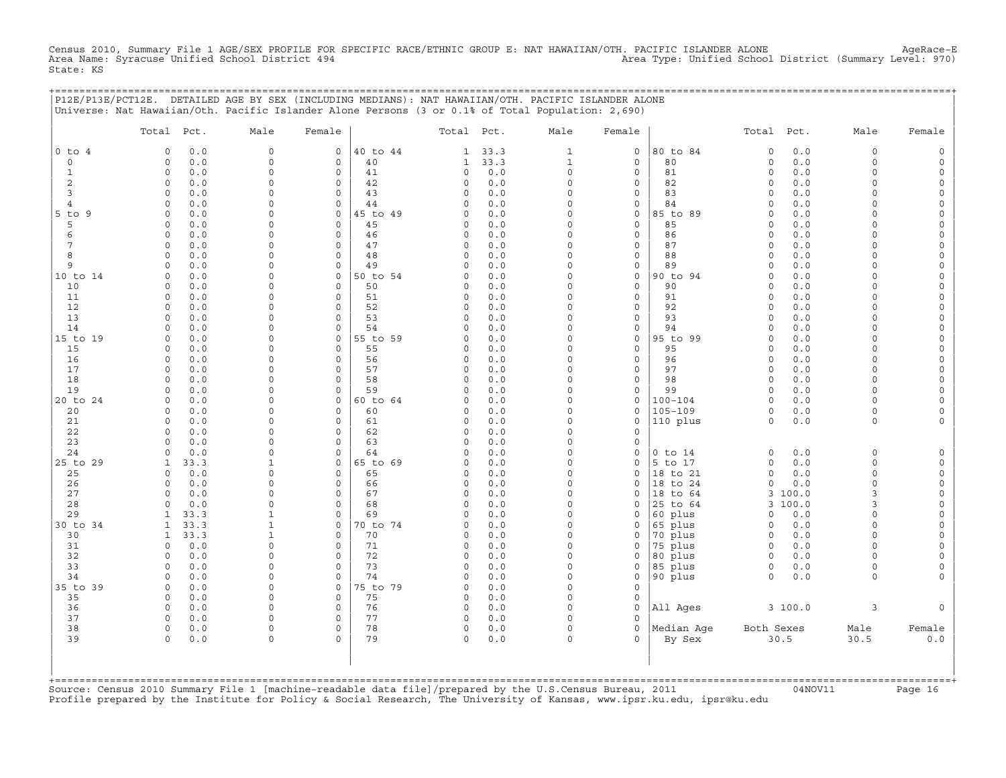Census 2010, Summary File 1 AGE/SEX PROFILE FOR SPECIFIC RACE/ETHNIC GROUP E: NAT HAWAIIAN/OTH. PACIFIC ISLANDER ALONE AgeRace-E<br>Area Name: Syracuse Unified School District 494 State: KS

+===================================================================================================================================================+

| $0$ to $4$<br>$\circ$<br>$\mathbf{1}$<br>$\overline{c}$ | 0.0<br>$\Omega$<br>$0.0$<br>$\circ$ |                      |                                |                |                      |            |                      |                          |                        |                         |            |                         |                            |
|---------------------------------------------------------|-------------------------------------|----------------------|--------------------------------|----------------|----------------------|------------|----------------------|--------------------------|------------------------|-------------------------|------------|-------------------------|----------------------------|
|                                                         |                                     | $\Omega$             | 0                              | 40 to 44       | 1                    | 33.3       | $\mathbf{1}$         | 0                        | 80 to 84               | $\circ$                 | 0.0        | $\circ$                 | $\mathsf O$                |
|                                                         |                                     | $\Omega$             | $\circ$                        | 40             | $\mathbf{1}$         | 33.3       | $\mathbf 1$          | $\mathbf 0$              | 80                     | $\circ$                 | 0.0        | $\Omega$                | $\mathsf O$                |
|                                                         | $\circ$<br>0.0                      | $\Omega$             | $\mathbf 0$                    | 41             | 0                    | 0.0        | $\circ$              | 0                        | 81                     | $\circ$                 | 0.0        | $\Omega$                | $\mathsf O$                |
|                                                         | 0.0<br>0                            | $\Omega$             | $\circ$                        | 42             | $\Omega$             | 0.0        | $\Omega$             | 0                        | 82                     | $\mathbf 0$             | 0.0        | $\Omega$                | 0                          |
| 3                                                       | 0.0<br>$\Omega$                     | $\Omega$             | $\circ$                        | 43             | $\Omega$             | 0.0        | $\Omega$             | $\mathsf{O}\xspace$      | 83                     | $\circ$                 | 0.0        | $\Omega$                | $\mathsf O$                |
| $\overline{4}$<br>9                                     | $\circ$<br>0.0<br>0.0<br>0          | $\Omega$<br>$\Omega$ | $\circ$<br>$\mathbf 0$         | 44<br>45 to 49 | $\Omega$<br>$\Omega$ | 0.0<br>0.0 | $\Omega$<br>$\Omega$ | 0<br>$\mathsf{O}\xspace$ | 84<br>85 to 89         | $\Omega$<br>$\mathbf 0$ | 0.0<br>0.0 | $\Omega$<br>$\Omega$    | 0<br>0                     |
| $5$ to<br>5                                             | 0.0<br>0                            | $\Omega$             | $\mathsf{O}\xspace$            | 45             | 0                    | 0.0        | $\Omega$             | $\mathsf{O}\xspace$      | 85                     | $\circ$                 | 0.0        | $\Omega$                | $\mathsf{O}\xspace$        |
| 6                                                       | 0.0<br>$\Omega$                     | $\Omega$             | $\circ$                        | 46             | 0                    | 0.0        | $\Omega$             | $\mathsf{O}\xspace$      | 86                     | $\circ$                 | 0.0        | $\Omega$                | 0                          |
| $\overline{7}$                                          | 0.0<br>$\circ$                      | $\Omega$             | $\circ$                        | 47             | 0                    | 0.0        | $\Omega$             | $\mathsf{O}\xspace$      | 87                     | $\circ$                 | 0.0        | $\Omega$                | $\mathsf{O}\xspace$        |
| 8                                                       | 0.0<br>$\Omega$                     | $\Omega$             | 0                              | 48             | $\Omega$             | 0.0        | $\Omega$             | $\mathsf{O}\xspace$      | 88                     | $\Omega$                | 0.0        | $\Omega$                | $\mathsf{O}\xspace$        |
| 9                                                       | 0.0<br>$\Omega$                     | $\Omega$             | $\circ$                        | 49             | $\Omega$             | 0.0        | $\Omega$             | 0                        | 89                     | $\circ$                 | 0.0        | $\Omega$                | 0                          |
| 10 to 14                                                | $\circ$<br>0.0                      | $\Omega$             | $\mathsf O$                    | 50 to 54       | 0                    | 0.0        | $\Omega$             | $\mathbb O$              | 90 to 94               | $\circ$                 | 0.0        | $\Omega$                | $\mathsf{O}\xspace$        |
| 10                                                      | 0.0<br>0                            | $\Omega$             | $\mathbf 0$                    | 50             | $\Omega$             | 0.0        | $\Omega$             | $\mathbf 0$              | 90                     | $\circ$                 | 0.0        | $\Omega$                | $\mathsf{O}\xspace$        |
| 11                                                      | 0.0<br>$\Omega$                     | $\Omega$             | $\circ$                        | 51             | 0                    | 0.0        | $\Omega$             | $\mathsf{O}\xspace$      | 91                     | $\circ$                 | 0.0        | $\Omega$                | 0                          |
| 12                                                      | $\circ$<br>0.0                      | $\Omega$             | $\circ$                        | 52             | 0                    | 0.0        | $\Omega$             | $\mathsf{O}\xspace$      | 92                     | $\circ$                 | 0.0        | $\Omega$                | $\mathsf{O}\xspace$        |
| 13                                                      | 0.0<br>0                            | $\Omega$<br>$\Omega$ | $\Omega$                       | 53             | $\circ$              | 0.0        | $\Omega$<br>$\Omega$ | 0                        | 93                     | $\Omega$                | 0.0        | $\Omega$                | 0                          |
| 14<br>15 to 19                                          | 0.0<br>0<br>0.0<br>$\mathbf 0$      | $\Omega$             | $\circ$<br>$\mathsf{O}\xspace$ | 54<br>55 to 59 | $\Omega$<br>0        | 0.0<br>0.0 | $\mathsf{O}\xspace$  | 0<br>$\mathsf{O}\xspace$ | 94<br>95 to 99         | $\circ$<br>$\circ$      | 0.0<br>0.0 | $\circ$<br>$\Omega$     | 0<br>$\mathsf{O}\xspace$   |
| 15                                                      | 0.0<br>0                            | $\Omega$             | $\mathbf 0$                    | 55             | $\Omega$             | 0.0        | $\Omega$             | 0                        | 95                     | $\mathbf 0$             | 0.0        | $\Omega$                | 0                          |
| 16                                                      | 0.0<br>$\circ$                      | $\Omega$             | $\circ$                        | 56             | $\Omega$             | 0.0        | $\Omega$             | $\mathsf{O}\xspace$      | 96                     | $\circ$                 | 0.0        | $\Omega$                | $\mathsf{O}\xspace$        |
| 17                                                      | $\circ$<br>0.0                      | $\Omega$             | $\mathbf 0$                    | 57             | $\circ$              | 0.0        | $\circ$              | $\mathbf 0$              | 97                     | $\circ$                 | 0.0        | $\Omega$                | $\mathsf{O}\xspace$        |
| 18                                                      | 0.0<br>$\Omega$                     | $\Omega$             | $\Omega$                       | 58             | $\Omega$             | 0.0        | $\Omega$             | 0                        | 98                     | $\mathbf 0$             | 0.0        | $\Omega$                | 0                          |
| 19                                                      | $0.0$<br>$\circ$                    | $\Omega$             | $\circ$                        | 59             | $\Omega$             | 0.0        | $\Omega$             | $\mathsf{O}\xspace$      | 99                     | $\circ$                 | 0.0        | $\Omega$                | $\mathsf{O}\xspace$        |
| 20 to 24                                                | 0.0<br>$\mathbf 0$                  | $\Omega$             | $\mathbf 0$                    | 60 to 64       | 0                    | 0.0        | $\circ$              | 0                        | $100 - 104$            | $\circ$                 | 0.0        | $\Omega$                | 0                          |
| 20                                                      | 0.0<br>$\Omega$                     | $\Omega$             | 0                              | 60             | $\Omega$             | 0.0        | $\Omega$             | 0                        | $105 - 109$            | $\circ$                 | 0.0        | $\Omega$                | 0                          |
| 21                                                      | $\circ$<br>0.0                      | $\Omega$             | $\circ$                        | 61             | 0                    | 0.0        | $\Omega$             | $\mathsf{O}\xspace$      | 110 plus               | $\circ$                 | 0.0        | $\circ$                 | $\mathsf{O}\xspace$        |
| 22                                                      | $\circ$<br>0.0                      | $\Omega$             | $\circ$                        | 62             | 0                    | 0.0        | $\Omega$             | $\mathsf{O}\xspace$      |                        |                         |            |                         |                            |
| 23                                                      | 0.0<br>0<br>$\Omega$                | $\Omega$<br>$\Omega$ | $\circ$<br>$\Omega$            | 63             | 0<br>$\Omega$        | 0.0        | $\Omega$<br>$\Omega$ | $\mathsf{O}\xspace$      |                        |                         |            |                         |                            |
| 24<br>25 to 29                                          | 0.0<br>33.3<br>1                    | $\mathbf{1}$         | $\mathbf 0$                    | 64<br>65 to 69 | 0                    | 0.0<br>0.0 | $\Omega$             | $\mathsf{O}\xspace$<br>0 | $0$ to $14$<br>5 to 17 | $\circ$<br>$\circ$      | 0.0<br>0.0 | $\mathbf 0$<br>$\Omega$ | $\mathsf O$<br>$\mathsf O$ |
| 25                                                      | 0.0<br>$\circ$                      | $\Omega$             | $\mathbf 0$                    | 65             | 0                    | 0.0        | $\Omega$             | $\mathsf{O}\xspace$      | 18 to 21               | $\circ$                 | 0.0        | $\circ$                 | $\mathsf O$                |
| 26                                                      | 0.0<br>0                            | $\Omega$             | $\mathbf 0$                    | 66             | $\Omega$             | 0.0        | $\Omega$             | $\mathbf 0$              | 18 to 24               | $\circ$                 | 0.0        | $\Omega$                | $\mathsf O$                |
| 27                                                      | 0.0<br>$\Omega$                     | $\Omega$             | $\Omega$                       | 67             | 0                    | 0.0        | $\Omega$             | 0                        | 18 to 64               | 3                       | 100.0      | 3                       | 0                          |
| 28                                                      | $0.0$<br>$\circ$                    | $\Omega$             | $\circ$                        | 68             | 0                    | 0.0        | $\Omega$             | 0                        | 25 to 64               | 3                       | 100.0      | 3                       | $\mathsf{O}\xspace$        |
| 29                                                      | 33.3<br>$\mathbf{1}$                | $\mathbf{1}$         | $\circ$                        | 69             | $\Omega$             | 0.0        | $\Omega$             | $\circ$                  | 60 plus                | $\Omega$                | 0.0        | $\Omega$                | $\mathsf{O}\xspace$        |
| 30 to 34                                                | 33.3<br>1                           | $\mathbf{1}$         | $\circ$                        | 70 to 74       | $\Omega$             | 0.0        | $\Omega$             | 0                        | 65 plus                | $\mathbf 0$             | 0.0        | $\Omega$                | 0                          |
| 30                                                      | 33.3<br>$\mathbf{1}$                | 1                    | $\circ$                        | 70             | 0                    | 0.0        | $\Omega$             | 0                        | 70 plus                | $\circ$                 | 0.0        | $\mathbf 0$             | $\mathsf{O}\xspace$        |
| 31                                                      | $\circ$<br>0.0                      | $\Omega$             | $\circ$                        | 71             | 0                    | 0.0        | $\Omega$             | $\circ$                  | 75 plus                | $\mathbf 0$             | 0.0        | $\Omega$                | 0                          |
| 32                                                      | $\circ$<br>0.0                      | $\Omega$             | $\circ$                        | 72             | $\circ$              | 0.0        | $\Omega$             | $\mathbf 0$              | 80 plus                | $\circ$                 | 0.0        | $\Omega$                | $\mathsf{O}\xspace$        |
| 33                                                      | $\circ$<br>0.0                      | $\mathbf 0$          | $\circ$                        | 73             | 0                    | 0.0        | 0<br>$\Omega$        | 0                        | 85 plus                | $\circ$                 | 0.0        | 0                       | 0                          |
| 34<br>35 to 39                                          | 0.0<br>0<br>0.0<br>$\circ$          | $\Omega$<br>$\Omega$ | $\circ$<br>$\mathbf 0$         | 74<br>75 to 79 | $\Omega$<br>$\Omega$ | 0.0<br>0.0 | $\Omega$             | 0<br>$\mathsf{O}\xspace$ | 90 plus                | $\circ$                 | 0.0        | $\circ$                 | $\mathbf 0$                |
| 35                                                      | 0.0<br>$\circ$                      | $\Omega$             | $\circ$                        | 75             | 0                    | 0.0        | $\circ$              | $\mathsf{O}\xspace$      |                        |                         |            |                         |                            |
| 36                                                      | 0.0<br>0                            | $\Omega$             | 0                              | 76             | 0                    | 0.0        | $\Omega$             | $\mathsf O$              | All Ages               |                         | 3 100.0    | 3                       | $\mathbf 0$                |
| 37                                                      | $\circ$<br>0.0                      | $\Omega$             | $\circ$                        | 77             | 0                    | 0.0        | $\circ$              | $\circ$                  |                        |                         |            |                         |                            |
| 38                                                      | $\circ$<br>0.0                      | $\Omega$             | $\mathbf 0$                    | 78             | $\circ$              | 0.0        | $\circ$              | $\mathbf 0$              | Median Age             | Both Sexes              |            | Male                    | Female                     |
| 39                                                      | $\Omega$<br>0.0                     | $\Omega$             | $\Omega$                       | 79             | $\Omega$             | 0.0        | $\Omega$             | $\Omega$                 | By Sex                 | 30.5                    |            | 30.5                    | $0.0$                      |

+===================================================================================================================================================+Source: Census 2010 Summary File 1 [machine−readable data file]/prepared by the U.S.Census Bureau, 2011 04NOV11 Page 16 Profile prepared by the Institute for Policy & Social Research, The University of Kansas, www.ipsr.ku.edu, ipsr@ku.edu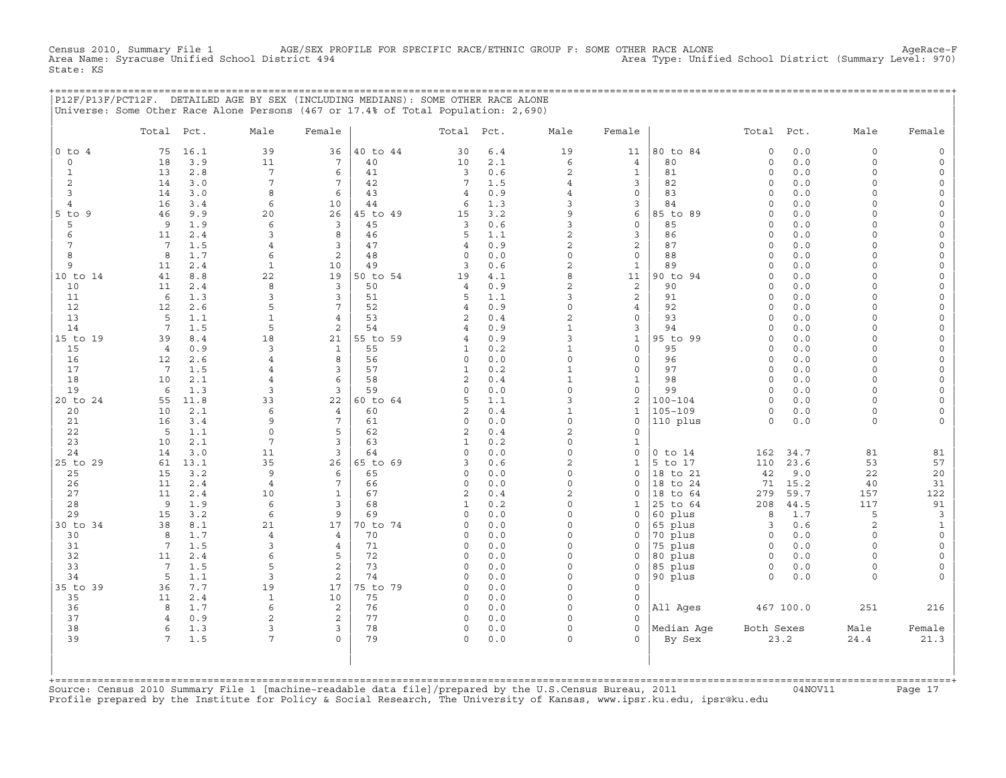CHE 2010, AGE/SEX PROFILE FOR SPECIFIC RACE/ETHNIC GROUP F: SOME OTHER RACE ALONE<br>(1910) Area Type: Unified School District (Summary Level: 970 Census 2010, Summary File 1 AGE/SEX Pl<br>Area Name: Syracuse Unified School District 494 State: KS

+===================================================================================================================================================+

|                |                 |            | P12F/P13F/PCT12F. DETAILED AGE BY SEX (INCLUDING MEDIANS): SOME OTHER RACE ALONE<br>Universe: Some Other Race Alone Persons (467 or 17.4% of Total Population: 2,690) |                                 |          |                     |            |                                   |                             |                            |                    |              |                      |                         |
|----------------|-----------------|------------|-----------------------------------------------------------------------------------------------------------------------------------------------------------------------|---------------------------------|----------|---------------------|------------|-----------------------------------|-----------------------------|----------------------------|--------------------|--------------|----------------------|-------------------------|
|                | Total           | Pct.       | Male                                                                                                                                                                  | Female                          |          | Total               | Pct.       | Male                              | Female                      |                            | Total              | Pct.         | Male                 | Female                  |
| $0$ to $4$     | 75              | 16.1       | 39                                                                                                                                                                    | 36                              | 40 to 44 | 30                  | $6.4$      | 19                                | 11                          | 80 to 84                   | $\circ$            | 0.0          | $\circ$              | $\mathsf O$             |
| $\circ$        | 18              | 3.9        | 11                                                                                                                                                                    | $7\phantom{.0}$                 | 40       | 10                  | 2.1        | 6                                 | $\overline{4}$              | 80                         | $\circ$            | 0.0          | $\Omega$             | $\mathsf O$             |
| $\mathbf{1}$   | 13              | 2.8        | $7\phantom{.0}$                                                                                                                                                       | $\epsilon$                      | 41       | 3                   | 0.6        | $\sqrt{2}$                        | $\mathbf{1}$                | 81                         | $\circ$            | 0.0          | $\Omega$             | $\mathsf{O}$            |
| $\overline{c}$ | 14              | 3.0        | 7                                                                                                                                                                     | 7                               | 42       | 7                   | 1.5        | 4                                 | 3                           | 82                         | $\circ$            | 0.0          | $\Omega$             | $\mathsf O$             |
| 3              | 14              | 3.0        | 8                                                                                                                                                                     | 6                               | 43       | $\overline{4}$      | 0.9        | $\overline{4}$                    | $\mathsf{O}\xspace$         | 83                         | $\circ$            | 0.0          | $\Omega$             | $\mathsf{O}\xspace$     |
| $\overline{4}$ | 16              | 3.4        | 6                                                                                                                                                                     | 10                              | 44       | 6                   | 1.3        | 3                                 | 3                           | 84                         | $\circ$            | 0.0          | $\Omega$             | $\mathsf{O}\xspace$     |
| $5$ to<br>9    | 46              | 9.9        | 20                                                                                                                                                                    | 26                              | 45 to 49 | 15                  | 3.2        | 9                                 | 6                           | 85 to 89                   | $\circ$            | 0.0          | $\Omega$             | 0                       |
| 5              | 9               | 1.9        | 6                                                                                                                                                                     | 3                               | 45       | 3                   | 0.6        | 3                                 | $\mathsf{O}\xspace$         | 85                         | $\circ$            | 0.0          | $\Omega$             | $\mathsf{O}\xspace$     |
| 6              | 11              | 2.4        | 3                                                                                                                                                                     | 8                               | 46       | 5                   | 1.1        | $\overline{c}$                    | 3                           | 86                         | $\circ$            | 0.0          | $\Omega$             | 0                       |
| 7              | $7\phantom{.0}$ | 1.5        | 4                                                                                                                                                                     | 3                               | 47       | 4                   | 0.9        | $\overline{c}$                    | $\overline{c}$              | 87                         | $\circ$            | 0.0          | $\Omega$             | $\mathsf{O}\xspace$     |
| 8<br>9         | 8<br>11         | 1.7<br>2.4 | 6<br>$\mathbf{1}$                                                                                                                                                     | 2<br>10                         | 48<br>49 | $\circ$<br>3        | 0.0<br>0.6 | $\mathsf{O}\xspace$<br>$\sqrt{2}$ | $\mathbf 0$<br>$\mathbf{1}$ | 88<br>89                   | $\circ$<br>$\circ$ | 0.0<br>0.0   | $\Omega$<br>$\Omega$ | 0<br>0                  |
| 10 to 14       | 41              | 8.8        | 22                                                                                                                                                                    | 19                              | 50 to 54 | 19                  | 4.1        | 8                                 | 11                          | 90 to 94                   | $\circ$            | 0.0          | $\Omega$             | 0                       |
| 10             | 11              | 2.4        | 8                                                                                                                                                                     | $\overline{3}$                  | 50       | $\overline{4}$      | 0.9        | $\mathbf{2}$                      | 2                           | 90                         | $\mathbf 0$        | 0.0          | $\Omega$             | 0                       |
| 11             | 6               | 1.3        | 3                                                                                                                                                                     | 3                               | 51       | 5                   | 1.1        | 3                                 | $\overline{c}$              | 91                         | $\Omega$           | 0.0          | $\Omega$             | $\mathsf{O}\xspace$     |
| 12             | 12              | 2.6        | 5                                                                                                                                                                     | 7                               | 52       | $\overline{4}$      | 0.9        | $\circ$                           | $\overline{4}$              | 92                         | $\circ$            | 0.0          | $\Omega$             | $\mathsf{O}\xspace$     |
| 13             | 5               | 1.1        | $\mathbf{1}$                                                                                                                                                          | $\overline{4}$                  | 53       | $\overline{2}$      | 0.4        | $\overline{c}$                    | $\mathbf 0$                 | 93                         | $\circ$            | 0.0          | $\Omega$             | $\mathsf{O}\xspace$     |
| 14             | $7\phantom{.0}$ | 1.5        | 5                                                                                                                                                                     | 2                               | 54       | 4                   | 0.9        | $\mathbf{1}$                      | 3                           | 94                         | $\Omega$           | 0.0          | $\Omega$             | $\mathsf{O}\xspace$     |
| 15 to 19       | 39              | 8.4        | 18                                                                                                                                                                    | 21                              | 55 to 59 | $\overline{4}$      | 0.9        | 3                                 | $\mathbf 1$                 | 95 to 99                   | $\circ$            | 0.0          | $\Omega$             | $\mathsf{O}\xspace$     |
| 15             | $\overline{4}$  | 0.9        | 3                                                                                                                                                                     | $\mathbf{1}$                    | 55       | $\mathbf{1}$        | 0.2        | $\mathbf{1}$                      | $\mathsf{O}\xspace$         | 95                         | $\circ$            | 0.0          | $\Omega$             | $\mathsf{O}\xspace$     |
| 16             | 12              | 2.6        | 4                                                                                                                                                                     | 8                               | 56       | $\circ$             | 0.0        | $\circ$                           | $\mathsf{O}\xspace$         | 96                         | $\circ$            | 0.0          | $\circ$              | $\mathsf{O}\xspace$     |
| 17             | $7\phantom{.0}$ | 1.5        | 4                                                                                                                                                                     | 3                               | 57       | $\mathbf{1}$        | 0.2        | $\mathbf 1$                       | $\mathsf{O}\xspace$         | 97                         | $\circ$            | 0.0          | $\Omega$             | $\mathsf{O}\xspace$     |
| 18             | 10              | 2.1        | 4                                                                                                                                                                     | 6                               | 58       | $\overline{2}$      | 0.4        | $\mathbf{1}$                      | $\mathbf{1}$                | 98                         | $\circ$            | 0.0          | $\Omega$             | $\mathsf O$             |
| 19             | 6               | 1.3        | 3                                                                                                                                                                     | 3                               | 59       | 0                   | 0.0        | $\mathsf{O}\xspace$               | 0                           | 99                         | $\circ$            | 0.0          | $\Omega$             | 0                       |
| 20 to 24       | 55              | 11.8       | 33                                                                                                                                                                    | 22                              | 60 to 64 | 5                   | 1.1        | 3                                 | $\overline{\mathbf{c}}$     | $100 - 104$                | $\circ$            | 0.0          | $\circ$              | 0                       |
| 20             | 10              | 2.1        | 6                                                                                                                                                                     | 4                               | 60       | 2                   | $0.4$      | $\mathbf{1}$                      | $\mathbf{1}$                | $105 - 109$                | $\circ$            | 0.0          | $\Omega$             | 0                       |
| 21             | 16              | 3.4        | 9                                                                                                                                                                     | $\overline{7}$                  | 61       | 0                   | 0.0        | $\mathsf{O}\xspace$               | 0                           | 110 plus                   | $\circ$            | 0.0          | $\circ$              | $\mathbf 0$             |
| 22             | 5               | 1.1        | $\mathbf 0$                                                                                                                                                           | 5                               | 62       | 2                   | 0.4        | $\overline{c}$                    | 0                           |                            |                    |              |                      |                         |
| 23             | 10              | 2.1        | 7                                                                                                                                                                     | 3                               | 63       | 1                   | 0.2        | $\Omega$                          | $\mathbf{1}$                |                            |                    |              |                      |                         |
| 24             | 14              | 3.0        | 11                                                                                                                                                                    | 3                               | 64       | 0                   | 0.0        | $\mathsf{O}\xspace$               | 0                           | $0$ to $14$                | 162                | 34.7         | 81                   | 81                      |
| 25 to 29       | 61              | 13.1       | 35                                                                                                                                                                    | 26                              | 65 to 69 | 3                   | 0.6        | $\mathbf{2}$                      | $\mathbf{1}$                | 5<br>to 17                 | 110                | 23.6         | 53                   | 57                      |
| 25             | 15              | 3.2        | 9                                                                                                                                                                     | 6                               | 65       | $\Omega$            | 0.0        | $\Omega$<br>$\Omega$              | $\mathbf 0$                 | to 21<br>18                | 42                 | 9.0          | 22                   | 20                      |
| 26<br>27       | 11<br>11        | 2.4<br>2.4 | $\overline{4}$<br>10                                                                                                                                                  | $7\phantom{.0}$<br>$\mathbf{1}$ | 66<br>67 | 0<br>$\overline{c}$ | 0.0<br>0.4 | $\overline{a}$                    | $\mathbf 0$<br>$\mathbf 0$  | to 24<br>18<br>18<br>to 64 | 71<br>279          | 15.2<br>59.7 | 40<br>157            | 31<br>122               |
| 28             | 9               | 1.9        | 6                                                                                                                                                                     | 3                               | 68       | $\mathbf{1}$        | 0.2        | $\Omega$                          | $\mathbf{1}$                | 25<br>to 64                | 208                | 44.5         | 117                  | 91                      |
| 29             | 15              | 3.2        | 6                                                                                                                                                                     | 9                               | 69       | $\circ$             | 0.0        | $\circ$                           | $\Omega$                    | 60 plus                    | 8                  | 1.7          | 5                    | $\overline{\mathbf{3}}$ |
| 30 to 34       | 38              | 8.1        | 21                                                                                                                                                                    | 17                              | 70 to 74 | $\Omega$            | 0.0        | $\Omega$                          | $\mathbf 0$                 | 65 plus                    | 3                  | 0.6          | $\overline{a}$       | $\mathbf{1}$            |
| 30             | 8               | 1.7        | $\overline{4}$                                                                                                                                                        | $\overline{4}$                  | 70       | 0                   | 0.0        | $\circ$                           | 0                           | 70 plus                    | $\circ$            | 0.0          | $\Omega$             | $\mathsf O$             |
| 31             | 7               | 1.5        | 3                                                                                                                                                                     | 4                               | 71       | 0                   | 0.0        | $\Omega$                          | 0                           | 75 plus                    | $\circ$            | 0.0          | $\Omega$             | $\mathsf O$             |
| 32             | 11              | 2.4        | 6                                                                                                                                                                     | 5                               | 72       | $\Omega$            | 0.0        | $\Omega$                          | $\mathbf 0$                 | 80 plus                    | $\circ$            | 0.0          | $\circ$              | $\mathsf O$             |
| 33             | $7\phantom{.0}$ | 1.5        | 5                                                                                                                                                                     | $\overline{c}$                  | 73       | 0                   | 0.0        | $\Omega$                          | 0                           | 85 plus                    | $\circ$            | 0.0          | $\mathbf 0$          | $\mathsf{O}\xspace$     |
| 34             | 5               | 1.1        | 3                                                                                                                                                                     | 2                               | 74       | $\mathbf 0$         | 0.0        | $\Omega$                          | 0                           | 90 plus                    | $\circ$            | 0.0          | $\circ$              | $\mathbf 0$             |
| 35 to<br>39    | 36              | 7.7        | 19                                                                                                                                                                    | 17                              | 75 to 79 | $\Omega$            | 0.0        | $\Omega$                          | $\mathsf{O}\xspace$         |                            |                    |              |                      |                         |
| 35             | 11              | 2.4        | $\mathbf{1}$                                                                                                                                                          | 10                              | 75       | 0                   | 0.0        | $\circ$                           | $\mathsf{O}\xspace$         |                            |                    |              |                      |                         |
| 36             | 8               | 1.7        | 6                                                                                                                                                                     | 2                               | 76       | 0                   | 0.0        | $\Omega$                          | $\circ$                     | All Ages                   |                    | 467 100.0    | 251                  | 216                     |
| 37             | 4               | 0.9        | $\mathbf{2}$                                                                                                                                                          | 2                               | 77       | 0                   | 0.0        | 0                                 | $\mathbf 0$                 |                            |                    |              |                      |                         |
| 38             | 6               | 1.3        | 3                                                                                                                                                                     | 3                               | 78       | 0                   | 0.0        | 0                                 | $\mathsf{O}\xspace$         | Median Aqe                 | Both Sexes         |              | Male                 | Female                  |
| 39             | $7\overline{ }$ | 1.5        | 7                                                                                                                                                                     | $\Omega$                        | 79       | $\Omega$            | 0.0        | $\Omega$                          | $\Omega$                    | By Sex                     |                    | 23.2         | 24.4                 | 21.3                    |
|                |                 |            |                                                                                                                                                                       |                                 |          |                     |            |                                   |                             |                            |                    |              |                      |                         |

| | +===================================================================================================================================================+ Source: Census 2010 Summary File 1 [machine-readable data file]/prepared by the U.S.Census Bureau, 2011 Page 17<br>Profile prepared by the Institute for Policy & Social Research, The University of Kansas, www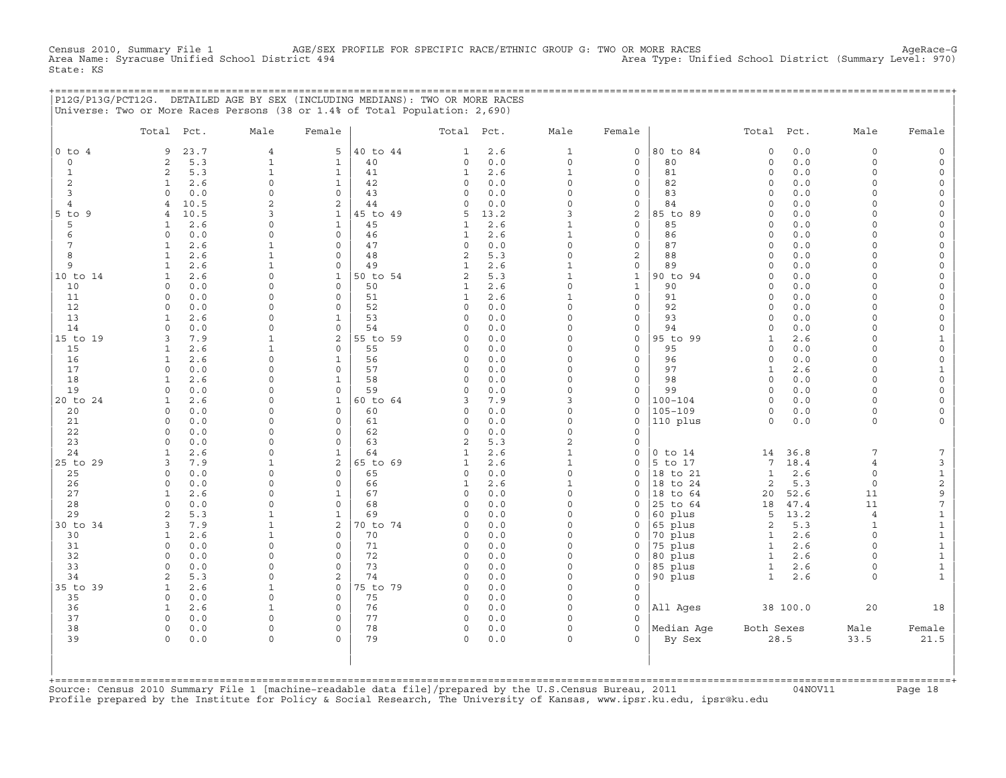Census 2010, AGE/SEX PROFILE FOR SPECIFIC RACE/ETHNIC GROUP G: TWO OR MORE RACES<br>Inified School District (Summary Level: 970) Area Type: Unified School District (Summary Level: 970) Census 2010, Summary File 1 AGE/SEX<br>Area Name: Syracuse Unified School District 494 State: KS

|                                | P12G/P13G/PCT12G. DETAILED AGE BY SEX (INCLUDING MEDIANS): TWO OR MORE RACES<br>Universe: Two or More Races Persons (38 or 1.4% of Total Population: 2,690) |                              |                              |                |                         |            |                              |                   |                        |                              |              |                      |                |
|--------------------------------|-------------------------------------------------------------------------------------------------------------------------------------------------------------|------------------------------|------------------------------|----------------|-------------------------|------------|------------------------------|-------------------|------------------------|------------------------------|--------------|----------------------|----------------|
|                                | Total Pct.                                                                                                                                                  | Male                         | Female                       |                | Total Pct.              |            | Male                         | Female            |                        | Total Pct.                   |              | Male                 | Female         |
| $0$ to $4$                     | 23.7<br>9                                                                                                                                                   | $\overline{4}$               | 5                            | 40 to 44       | 1                       | 2.6        | $\mathbf{1}$                 | $\mathsf{O}$      | 80 to 84               | $\mathbf 0$                  | 0.0          | $\circ$              |                |
| $\circ$                        | 5.3<br>2                                                                                                                                                    | $\mathbf{1}$                 | $\mathbf{1}$                 | 40             | 0                       | 0.0        | $\circ$                      | $\mathbf 0$       | 80                     | $\circ$                      | 0.0          | $\circ$              | $\Omega$       |
| $\mathbf{1}$<br>$\overline{c}$ | 5.3<br>2<br>2.6<br>1                                                                                                                                        | $\mathbf{1}$<br>$\Omega$     | $\mathbf{1}$<br>$\mathbf{1}$ | 41<br>42       | $\mathbf{1}$<br>$\circ$ | 2.6<br>0.0 | $\mathbf{1}$<br>$\circ$      | $\circ$<br>0      | 81<br>82               | $\Omega$<br>$\circ$          | $0.0$<br>0.0 | $\Omega$<br>$\Omega$ |                |
| 3                              | $\Omega$<br>0.0                                                                                                                                             | $\cap$                       | $\mathbf{0}$                 | 43             | 0                       | 0.0        | $\circ$                      | 0                 | 83                     | $\circ$                      | 0.0          | $\cap$               |                |
| 4                              | 10.5<br>4                                                                                                                                                   | $\overline{a}$               | 2                            | 44             | 0                       | 0.0        | $\circ$                      | 0                 | 84                     | $\Omega$                     | 0.0          | $\cap$               |                |
| $5$ to $9$                     | 10.5<br>$\overline{4}$                                                                                                                                      | κ                            | $\mathbf{1}$                 | 45 to 49       | 5.                      | 13.2       | κ                            | 2                 | 85 to 89               | $\Omega$                     | 0.0          | $\cap$               |                |
| 5                              | 2.6<br>$\mathbf{1}$                                                                                                                                         | $\Omega$                     | $\mathbf{1}$                 | 45             | 1                       | 2.6        | $\mathbf{1}$                 | $\mathbf 0$       | 85                     | $\Omega$                     | 0.0          |                      |                |
| 6                              | 0.0<br>$\Omega$                                                                                                                                             | $\cap$                       | $\circ$                      | 46             | 1                       | 2.6        | $\mathbf{1}$                 | 0                 | 86                     | $\Omega$                     | 0.0          | $\cap$               |                |
| 7                              | 2.6<br>1                                                                                                                                                    | -1                           | $\circ$                      | 47             | $\circ$                 | 0.0        | $\Omega$                     | $\mathbf{0}$      | 87                     | $\Omega$                     | 0.0          | $\cap$               |                |
| 8<br>9                         | $\mathbf{1}$<br>2.6<br>$\mathbf{1}$                                                                                                                         | $\mathbf{1}$<br>$\mathbf{1}$ | $\mathbf{0}$<br>$\circ$      | 48<br>49       | 2<br>$\mathbf{1}$       | 5.3        | $\circ$<br>$\mathbf{1}$      | $\overline{a}$    | 88<br>89               | $\mathbf 0$<br>$\circ$       | 0.0<br>0.0   | $\Omega$<br>$\Omega$ |                |
| 10 to 14                       | 2.6<br>2.6<br>$\mathbf{1}$                                                                                                                                  | $\Omega$                     | $\mathbf{1}$                 | 50 to 54       | $\overline{a}$          | 2.6<br>5.3 | $\mathbf{1}$                 | 0<br>$\mathbf{1}$ | 90 to 94               | $\Omega$                     | 0.0          | $\Omega$             |                |
| 10                             | $\circ$<br>0.0                                                                                                                                              | $\Omega$                     | $\mathsf O$                  | 50             | $\mathbf{1}$            | 2.6        | 0                            | $\mathbf{1}$      | 90                     | $\mathbf 0$                  | 0.0          | $\Omega$             |                |
| 11                             | 0.0<br>0                                                                                                                                                    | $\cap$                       | $\mathsf{O}$                 | 51             | 1                       | 2.6        | 1                            | 0                 | 91                     | $\circ$                      | 0.0          | $\cap$               |                |
| 12                             | 0.0<br>$\Omega$                                                                                                                                             |                              | $\Omega$                     | 52             | $\Omega$                | 0.0        | O                            | $\Omega$          | 92                     | $\Omega$                     | 0.0          |                      |                |
| 13                             | 2.6<br>$\mathbf{1}$                                                                                                                                         |                              | 1                            | 53             | 0                       | 0.0        | $\Omega$                     | 0                 | 93                     | $\Omega$                     | 0.0          | $\cap$               |                |
| 14                             | 0.0<br>$\Omega$                                                                                                                                             | $\cap$                       | $\Omega$                     | 54             | $\Omega$                | 0.0        | $\Omega$                     | $\mathbf{0}$      | 94                     | $\Omega$                     | 0.0          | $\cap$               | $\cap$         |
| 15 to 19                       | 7.9<br>3                                                                                                                                                    | 1                            | 2                            | 55 to 59       | 0                       | 0.0        | $\circ$                      | $\mathbf{0}$      | 95 to 99               | $\mathbf{1}$                 | 2.6          | $\cap$               |                |
| 15                             | 2.6<br>$\mathbf{1}$                                                                                                                                         |                              | $\mathbf{0}$                 | 55             | 0                       | 0.0        | $\Omega$                     | $\circ$           | 95                     | $\circ$                      | 0.0          | $\Omega$<br>$\Omega$ |                |
| 16<br>17                       | $\mathbf{1}$<br>2.6<br>$\Omega$<br>0.0                                                                                                                      | $\Omega$<br>$\Omega$         | $\mathbf{1}$<br>$\circ$      | 56<br>57       | $\circ$<br>$\circ$      | 0.0<br>0.0 | $\circ$<br>$\circ$           | $\circ$<br>0      | 96<br>97               | $\circ$<br>$\mathbf{1}$      | 0.0<br>2.6   | $\Omega$             | $\mathbf{1}$   |
| 18                             | 2.6<br>1                                                                                                                                                    | $\cap$                       | $\mathbf{1}$                 | 58             | $\circ$                 | 0.0        | $\circ$                      | $\mathbf{0}$      | 98                     | $\Omega$                     | 0.0          | $\Omega$             | $\Omega$       |
| 19                             | $\circ$<br>0.0                                                                                                                                              | $\Omega$                     | $\mathsf{O}\xspace$          | 59             | 0                       | 0.0        | $\circ$                      | 0                 | 99                     | $\circ$                      | 0.0          | $\Omega$             |                |
| 20 to 24                       | 2.6<br>-1                                                                                                                                                   | <sup>0</sup>                 | $\mathbf{1}$                 | 60 to 64       | 3                       | 7.9        | 3                            | 0                 | 100-104                | $\Omega$                     | 0.0          | $\cap$               | $\Omega$       |
| 20                             | 0.0<br>$\Omega$                                                                                                                                             | $\Omega$                     | $\Omega$                     | 60             | $\Omega$                | 0.0        | $\Omega$                     | $\Omega$          | $105 - 109$            | $\Omega$                     | 0.0          | $\Omega$             |                |
| 21                             | 0.0<br>$\mathbf 0$                                                                                                                                          | $\cap$                       | $\mathbf 0$                  | 61             | 0                       | 0.0        | $\circ$                      | 0                 | 110 plus               | $\circ$                      | 0.0          | $\Omega$             |                |
| 22                             | 0.0<br>$\Omega$                                                                                                                                             | <sup>n</sup>                 | $\mathbf 0$                  | 62             | $\circ$                 | 0.0        | $\Omega$                     | 0                 |                        |                              |              |                      |                |
| 23                             | 0.0<br>$\Omega$                                                                                                                                             | $\Omega$                     | $\mathbf 0$                  | 63             | $\overline{a}$          | 5.3        | $\overline{a}$               | $\mathbf 0$       |                        |                              |              |                      |                |
| 24<br>25 to 29                 | 2.6<br>1<br>3<br>7.9                                                                                                                                        | $\Omega$<br>-1               | $\mathbf{1}$<br>2            | 64<br>65 to 69 | 1<br>$\mathbf{1}$       | 2.6<br>2.6 | $\mathbf{1}$<br>$\mathbf{1}$ | 0<br>0            | $0$ to $14$<br>5 to 17 | 14<br>7                      | 36.8<br>18.4 | 7<br>$\overline{4}$  | 7<br>3         |
| 25                             | $\circ$<br>0.0                                                                                                                                              | $\Omega$                     | $\circ$                      | 65             | 0                       | 0.0        | $\circ$                      | 0                 | 18 to 21               | $\mathbf{1}$                 | 2.6          | $\circ$              | $\mathbf{1}$   |
| 26                             | $\Omega$<br>0.0                                                                                                                                             | $\cap$                       | $\mathbf 0$                  | 66             | 1                       | 2.6        | $\mathbf{1}$                 | $\mathbf{0}$      | 18 to 24               | 2                            | 5.3          | $\Omega$             | $\sqrt{2}$     |
| 27                             | $\mathbf{1}$<br>2.6                                                                                                                                         | $\Omega$                     | $\mathbf{1}$                 | 67             | $\circ$                 | 0.0        | $\Omega$                     | 0                 | 18 to 64               | 20                           | 52.6         | 11                   | 9              |
| 28                             | $\Omega$<br>0.0                                                                                                                                             | $\Omega$                     | $\circ$                      | 68             | $\Omega$                | 0.0        | O                            | $\Omega$          | 25 to 64               | 18                           | 47.4         | 11                   | $\overline{7}$ |
| 29                             | 5.3<br>2                                                                                                                                                    |                              | $\mathbf{1}$                 | 69             | $\Omega$                | 0.0        | $\Omega$                     | $\Omega$          | 60 plus                | 5                            | 13.2         | 4                    | 1              |
| 30 to 34                       | 7.9<br>3                                                                                                                                                    | 1                            | 2                            | 70 to 74       | $\circ$                 | 0.0        | 0                            | 0                 | 65 plus                | 2                            | 5.3          | 1                    | 1              |
| 30                             | 2.6<br>$\mathbf{1}$                                                                                                                                         |                              | $\circ$                      | 70             | 0                       | 0.0        | $\circ$                      | 0                 | 70 plus                | $\mathbf{1}$                 | 2.6          | $\Omega$             | $\mathbf{1}$   |
| 31                             | 0.0<br>$\circ$<br>$\Omega$                                                                                                                                  | $\Omega$<br>$\Omega$         | $\mathbf{0}$<br>$\mathbf 0$  | 71             | 0                       | 0.0        | $\Omega$<br>$\circ$          | $\mathbf 0$       | 75 plus                | $\mathbf{1}$                 | 2.6          | $\Omega$<br>$\Omega$ | $\mathbf{1}$   |
| 32<br>33                       | 0.0<br>$\Omega$<br>0.0                                                                                                                                      | $\cap$                       | $\mathbf 0$                  | 72<br>73       | 0<br>$\circ$            | 0.0<br>0.0 | $\circ$                      | 0<br>0            | 80 plus<br>85 plus     | $\mathbf{1}$<br>$\mathbf{1}$ | 2.6<br>2.6   | $\Omega$             | $1\,$          |
| 34                             | 5.3<br>$\mathfrak{D}$                                                                                                                                       | $\Omega$                     | 2                            | 74             | 0                       | 0.0        | $\Omega$                     | 0                 | 90 plus                | $\mathbf{1}$                 | 2.6          | $\Omega$             | $\mathbf{1}$   |
| 35 to 39                       | 2.6<br>$\mathbf{1}$                                                                                                                                         |                              | $\circ$                      | 75 to 79       | $\Omega$                | 0.0        | $\Omega$                     | $\Omega$          |                        |                              |              |                      |                |
| 35                             | 0.0<br>$\Omega$                                                                                                                                             | $\Omega$                     | $\circ$                      | 75             | $\circ$                 | 0.0        | $\Omega$                     | 0                 |                        |                              |              |                      |                |
| 36                             | 2.6<br>1                                                                                                                                                    | 1                            | $\circ$                      | 76             | $\circ$                 | 0.0        | $\Omega$                     | $\circ$           | All Ages               |                              | 38 100.0     | 20                   | 18             |
| 37                             | $\Omega$<br>0.0                                                                                                                                             | $\Omega$                     | $\Omega$                     | 77             | $\circ$                 | 0.0        | $\Omega$                     | $\Omega$          |                        |                              |              |                      |                |
| 38                             | $\circ$<br>0.0                                                                                                                                              | $\mathbf 0$                  | $\mathbf{0}$                 | 78             | $\circ$                 | 0.0        | $\circ$                      | $\circ$           | Median Aqe             | Both Sexes                   |              | Male                 | Female         |
| 39                             | 0.0<br>$\Omega$                                                                                                                                             | $\Omega$                     | $\Omega$                     | 79             | $\circ$                 | 0.0        | $\Omega$                     | $\Omega$          | By Sex                 |                              | 28.5         | 33.5                 | 21.5           |
|                                |                                                                                                                                                             |                              |                              |                |                         |            |                              |                   |                        |                              |              |                      |                |
|                                |                                                                                                                                                             |                              |                              |                |                         |            |                              |                   |                        |                              |              |                      |                |
| $+$ = = = = = = = = = = = =    |                                                                                                                                                             |                              |                              |                |                         |            |                              |                   |                        |                              |              |                      |                |

Source: Census 2010 Summary File 1 [machine-readable data file]/prepared by the U.S.Census Bureau, 2011 Page 18<br>Profile prepared by the Institute for Policy & Social Research, The University of Kansas, www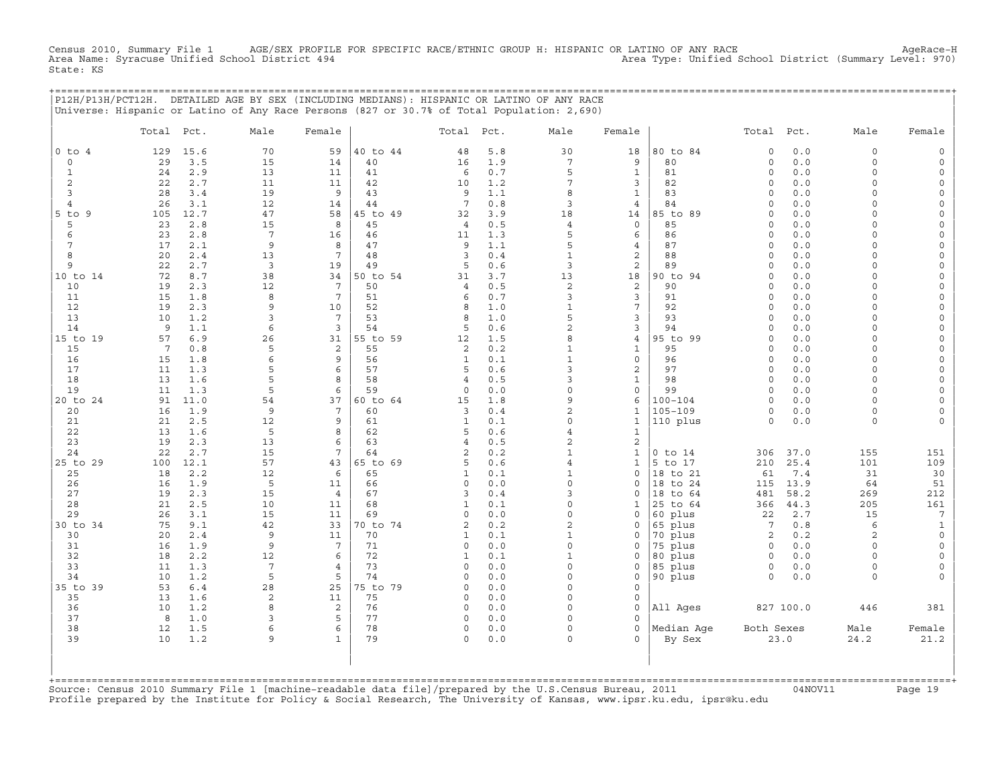Census 2010, Summary File 1 AGE/SEX PROFILE FOR SPECIFIC RACE/ETHNIC GROUP H: HISPANIC OR LATINO OF ANY RACE<br>Area Name: Syracuse Unified School District 494 Area Type: Unified School District (Summary Level: 970) State: KS

+===================================================================================================================================================+

|                 | P12H/P13H/PCT12H. DETAILED AGE BY SEX (INCLUDING MEDIANS): HISPANIC OR LATINO OF ANY RACE<br>Universe: Hispanic or Latino of Any Race Persons (827 or 30.7% of Total Population: 2,690) |                      |                     |                |                     |            |                                  |                         |                    |                     |              |                     |                     |
|-----------------|-----------------------------------------------------------------------------------------------------------------------------------------------------------------------------------------|----------------------|---------------------|----------------|---------------------|------------|----------------------------------|-------------------------|--------------------|---------------------|--------------|---------------------|---------------------|
|                 | Pct.<br>Total                                                                                                                                                                           | Male                 | Female              |                | Total               | Pct.       | Male                             | Female                  |                    | Total               | Pct.         | Male                | Female              |
| $0$ to $4$      | 15.6<br>129                                                                                                                                                                             | 70                   | 59                  | 40 to 44       | 48                  | 5.8        | 30                               | 18                      | 80 to 84           | $\Omega$            | 0.0          | $\circ$             | $\mathsf{O}$        |
| 0               | 3.5<br>29                                                                                                                                                                               | 15                   | 14                  | 40             | 16                  | 1.9        | 7                                | 9                       | 80                 | $\circ$             | 0.0          | $\circ$             | $\mathsf{O}$        |
| $\mathbf{1}$    | 24<br>2.9                                                                                                                                                                               | 13                   | 11                  | 41             | 6                   | 0.7        | 5                                | $\mathbf{1}$            | 81                 | $\circ$             | 0.0          | $\circ$             | $\mathsf{O}\xspace$ |
| 2               | 22<br>2.7                                                                                                                                                                               | 11                   | 11                  | 42             | 10                  | 1.2        | 7                                | 3                       | 82                 | $\circ$             | 0.0          | $\Omega$            | $\mathbf{0}$        |
| 3               | 28<br>3.4                                                                                                                                                                               | 19                   | 9                   | 43             | 9                   | 1.1        | 8                                | $\mathbf{1}$            | 83                 | $\circ$             | 0.0          | $\Omega$            | 0                   |
| $\overline{4}$  | 3.1<br>26                                                                                                                                                                               | 12                   | 14                  | 44             | $7\phantom{.0}$     | 0.8        | 3                                | $\overline{4}$          | 84                 | $\Omega$            | 0.0          | $\circ$             | $\mathsf{O}\xspace$ |
| 5 to 9          | 12.7<br>105                                                                                                                                                                             | 47                   | 58                  | 45 to 49       | 32                  | 3.9        | 18                               | 14                      | 85 to 89           | $\Omega$            | 0.0          | $\Omega$            | 0                   |
| 5               | 23<br>2.8                                                                                                                                                                               | 15                   | 8                   | 45             | $\overline{4}$      | 0.5        | $\overline{4}$                   | $\mathbf 0$             | 85                 | $\circ$             | 0.0          | $\Omega$            | 0                   |
| 6               | 23<br>2.8                                                                                                                                                                               | $7\phantom{.0}$      | 16                  | 46             | 11                  | 1.3        | 5                                | 6                       | 86                 | $\circ$             | 0.0          | $\Omega$            | $\mathsf{O}\xspace$ |
| 7               | 17<br>2.1                                                                                                                                                                               | 9                    | 8                   | 47             | 9                   | 1.1        | 5                                | $\overline{4}$          | 87                 | $\Omega$            | $0.0$        | $\Omega$            | $\mathsf{O}\xspace$ |
| 8               | 20<br>2.4                                                                                                                                                                               | 13                   | 7                   | 48             | 3                   | 0.4        | $\mathbf{1}$                     | $\mathbf{2}$            | 88                 | $\Omega$            | 0.0          | $\Omega$            | 0                   |
| 9               | 22<br>2.7<br>72                                                                                                                                                                         | 3                    | 19                  | 49             | 5                   | 0.6<br>3.7 | 3                                | 2                       | 89                 | $\circ$<br>$\Omega$ | 0.0          | $\circ$<br>$\Omega$ | $\mathsf{O}\xspace$ |
| 10 to 14<br>10  | 8.7<br>2.3<br>19                                                                                                                                                                        | 38<br>12             | 34<br>7             | 50 to 54<br>50 | 31<br>4             | 0.5        | 13<br>2                          | 18<br>2                 | 90 to 94<br>90     | $\Omega$            | $0.0$<br>0.0 | $\Omega$            | 0<br>0              |
| 11              | 15<br>1.8                                                                                                                                                                               | 8                    | $7\phantom{.0}$     | 51             | 6                   | 0.7        | 3                                | 3                       | 91                 | $\mathsf{O}\xspace$ | 0.0          | $\circ$             | $\mathsf{O}\xspace$ |
| 12              | 19<br>2.3                                                                                                                                                                               | 9                    | 10                  | 52             | 8                   | 1.0        | $\mathbf{1}$                     | $\overline{7}$          | 92                 | $\Omega$            | 0.0          | $\Omega$            | $\mathsf{O}\xspace$ |
| 13              | 1.2<br>10                                                                                                                                                                               | 3                    | 7                   | 53             | 8                   | 1.0        | 5                                | 3                       | 93                 | $\Omega$            | 0.0          | $\Omega$            | 0                   |
| 14              | 9<br>1.1                                                                                                                                                                                | 6                    | 3                   | 54             | 5                   | 0.6        | $\overline{a}$                   | 3                       | 94                 | $\Omega$            | 0.0          | $\circ$             | $\mathsf{O}\xspace$ |
| 15 to 19        | 57<br>6.9                                                                                                                                                                               | 26                   | 31                  | 55 to 59       | 12                  | 1.5        | 8                                | $\overline{4}$          | 95 to 99           | $\circ$             | 0.0          | $\Omega$            | $\mathsf{O}\xspace$ |
| 15              | $7\phantom{.0}$<br>0.8                                                                                                                                                                  | 5                    | 2                   | 55             | 2                   | 0.2        | $\mathbf{1}$                     | $\mathbf{1}$            | 95                 | $\Omega$            | 0.0          | $\Omega$            | 0                   |
| 16              | 1.8<br>15                                                                                                                                                                               | 6                    | 9                   | 56             | $\mathbf{1}$        | 0.1        | $\mathbf{1}$                     | $\mathsf{O}\xspace$     | 96                 | $\circ$             | 0.0          | $\circ$             | $\mathsf{O}\xspace$ |
| 17              | 1.3<br>11                                                                                                                                                                               | 5                    | 6                   | 57             | 5                   | 0.6        | 3                                | $\mathbf{2}$            | 97                 | $\circ$             | 0.0          | $\Omega$            | 0                   |
| 18              | 13<br>1.6                                                                                                                                                                               | 5                    | 8                   | 58             | $\overline{4}$      | 0.5        | 3                                | $\mathbf{1}$            | 98                 | $\circ$             | 0.0          | $\Omega$            | $\mathsf O$         |
| 19              | 11<br>1.3                                                                                                                                                                               | 5                    | 6                   | 59             | $\circ$             | 0.0        | $\mathbf 0$                      | $\mathsf{O}\xspace$     | 99                 | $\circ$             | 0.0          | $\Omega$            | $\mathsf{O}\xspace$ |
| 20 to 24        | 11.0<br>91                                                                                                                                                                              | 54                   | 37                  | 60 to 64       | 15                  | 1.8        | 9                                | 6                       | $100 - 104$        | $\Omega$            | 0.0          | $\Omega$            | 0                   |
| 20              | 16<br>1.9                                                                                                                                                                               | 9                    | 7                   | 60             | 3                   | 0.4        | $\overline{2}$                   | $\mathbf{1}$            | $105 - 109$        | $\circ$             | 0.0          | $\circ$             | 0                   |
| 21              | 21<br>2.5                                                                                                                                                                               | 12                   | 9                   | 61             | $\mathbf{1}$        | 0.1        | $\Omega$                         | $\mathbf{1}$            | 110 plus           | $\circ$             | $0.0$        | $\circ$             | $\mathsf{O}\xspace$ |
| 22<br>23        | 1.6<br>13<br>19<br>2.3                                                                                                                                                                  | 5<br>13              | 8<br>6              | 62<br>63       | 5<br>$\overline{4}$ | 0.6<br>0.5 | $\overline{4}$<br>$\overline{2}$ | $1\,$<br>$\mathbf{2}$   |                    |                     |              |                     |                     |
| 24              | 22<br>2.7                                                                                                                                                                               | 15                   | 7                   | 64             | $\overline{c}$      | 0.2        | $\mathbf{1}$                     | $\mathbf{1}$            | $0$ to $14$        | 306                 | 37.0         | 155                 | 151                 |
| 25 to 29        | 12.1<br>100                                                                                                                                                                             | 57                   | 43                  | 65 to 69       | 5                   | 0.6        | $\overline{a}$                   | $\mathbf 1$             | 5 to 17            | 210                 | 25.4         | 101                 | 109                 |
| 25              | 18<br>2.2                                                                                                                                                                               | 12                   | 6                   | 65             | $\mathbf{1}$        | 0.1        | $\mathbf{1}$                     | $\mathbf 0$             | 18 to 21           | 61                  | 7.4          | 31                  | 30                  |
| 26              | 16<br>1.9                                                                                                                                                                               | 5                    | 11                  | 66             | $\circ$             | 0.0        | $\Omega$                         | $\Omega$                | 18 to 24           | 115                 | 13.9         | 64                  | 51                  |
| 27              | 2.3<br>19                                                                                                                                                                               | 15                   | $\overline{4}$      | 67             | 3                   | 0.4        | 3                                | $\mathsf{O}$            | 18 to 64           | 481                 | 58.2         | 269                 | 212                 |
| 28              | 21<br>2.5                                                                                                                                                                               | 10                   | 11                  | 68             | $\mathbf{1}$        | 0.1        | $\Omega$                         | 1                       | 25 to 64           | 366                 | 44.3         | 205                 | 161                 |
| 29              | 26<br>3.1                                                                                                                                                                               | 15                   | 11                  | 69             | $\circ$             | 0.0        | $\Omega$                         | $\Omega$                | 60 plus            | 22                  | 2.7          | 15                  | $\overline{7}$      |
| 30 to 34        | 75<br>9.1                                                                                                                                                                               | 42                   | 33                  | 70 to 74       | $\overline{c}$      | 0.2        | $\overline{a}$                   | $\mathsf{O}$            | 65 plus            | $7\phantom{.0}$     | 0.8          | 6                   | $\mathbf{1}$        |
| 30              | 20<br>2.4                                                                                                                                                                               | 9                    | 11                  | 70             | $\mathbf{1}$        | 0.1        | $\mathbf{1}$                     | $\Omega$                | 70 plus            | 2                   | 0.2          | $\overline{2}$      | $\circ$             |
| 31              | 1.9<br>16                                                                                                                                                                               | $\overline{9}$       | $7\phantom{.0}$     | 71             | $\circ$             | 0.0        | $\Omega$                         | $\Omega$                | 75 plus            | $\circ$             | 0.0          | $\Omega$            | $\mathsf{O}\xspace$ |
| 32              | 2.2<br>18                                                                                                                                                                               | 12                   | 6                   | 72             | $\mathbf{1}$        | 0.1        | $\mathbf{1}$                     | $\mathsf{O}$            | 80 plus            | $\mathsf{O}$        | 0.0          | $\circ$             | 0                   |
| 33<br>34        | 1.3<br>11<br>10<br>1.2                                                                                                                                                                  | $7\phantom{.0}$<br>5 | $\overline{4}$<br>5 | 73<br>74       | 0<br>$\circ$        | 0.0<br>0.0 | $\Omega$<br>$\Omega$             | $\Omega$<br>$\mathbf 0$ | 85 plus<br>90 plus | $\circ$<br>$\circ$  | 0.0          | $\circ$<br>$\circ$  | $\circ$<br>$\circ$  |
| 35 to 39        | 53<br>$6.4$                                                                                                                                                                             | 28                   | 25                  | 75 to 79       | 0                   | 0.0        | $\mathbf 0$                      | $\mathbf 0$             |                    |                     | 0.0          |                     |                     |
| 35              | 13<br>1.6                                                                                                                                                                               | 2                    | 11                  | 75             | 0                   | 0.0        | $\Omega$                         | $\mathbf 0$             |                    |                     |              |                     |                     |
| 36              | 1.2<br>10                                                                                                                                                                               | 8                    | 2                   | 76             | $\circ$             | 0.0        | $\Omega$                         | $\Omega$                | All Ages           |                     | 827 100.0    | 446                 | 381                 |
| 37              | 8<br>1.0                                                                                                                                                                                | 3                    | 5                   | 77             | 0                   | 0.0        | $\Omega$                         | $\mathbf 0$             |                    |                     |              |                     |                     |
| 38              | 12<br>1.5                                                                                                                                                                               | 6                    | 6                   | 78             | 0                   | 0.0        | $\Omega$                         | $\Omega$                | Median Age         | Both Sexes          |              | Male                | Female              |
| 39              | 10<br>1.2                                                                                                                                                                               | 9                    | $\mathbf{1}$        | 79             | $\circ$             | 0.0        | $\Omega$                         | $\Omega$                | By Sex             |                     | 23.0         | 24.2                | 21.2                |
| +============== |                                                                                                                                                                                         |                      |                     |                |                     |            |                                  |                         |                    |                     |              |                     |                     |

+===================================================================================================================================================+Source: Census 2010 Summary File 1 [machine−readable data file]/prepared by the U.S.Census Bureau, 2011 04NOV11 Page 19 Profile prepared by the Institute for Policy & Social Research, The University of Kansas, www.ipsr.ku.edu, ipsr@ku.edu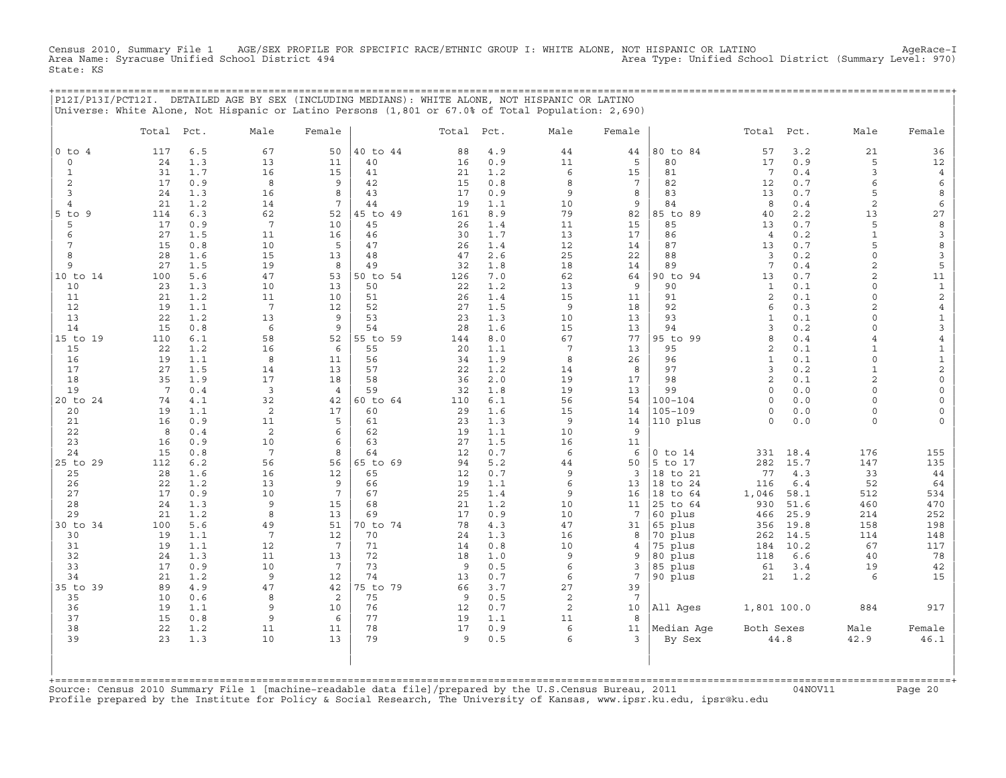Census 2010, Summary File 1 AGE/SEX PROFILE FOR SPECIFIC RACE/ETHNIC GROUP I: WHITE ALONE, NOT HISPANIC OR LATINO AgeRace−I Area Name: Syracuse Unified School District 494 Area Type: Unified School District (Summary Level: 970) State: KS

+===================================================================================================================================================+

|                                                                                                                                                                                                                                                                                                                 | P12I/P13I/PCT12I. DETAILED AGE BY SEX (INCLUDING MEDIANS): WHITE ALONE, NOT HISPANIC OR LATINO<br>Universe: White Alone, Not Hispanic or Latino Persons (1,801 or 67.0% of Total Population: 2,690)                                                                                                                                                                                                                                                                                                                                                      |                                                                                                                                                                                                                                                                                          |                                                                                                                                                                                                                                                                       |                                                                                                                                                                                                                                                                                        |                                                                                                                                                                                                                                                  |                                                                                                                                                                                                                                                                                      |                                                                                                                                                                                                                                  |                                                                                                                                                                                                                                               |                                                                                                                                                                                                                                                                                                                                                 |                                                                                                                                                                                                                                                                                                                                                                                                      |                                                                                                                                                                                                                                                                                    |                                                                                                                                                                                                                                                                                                                                                     |                                                                                                                                                                                                                                                                                                                                                              |
|-----------------------------------------------------------------------------------------------------------------------------------------------------------------------------------------------------------------------------------------------------------------------------------------------------------------|----------------------------------------------------------------------------------------------------------------------------------------------------------------------------------------------------------------------------------------------------------------------------------------------------------------------------------------------------------------------------------------------------------------------------------------------------------------------------------------------------------------------------------------------------------|------------------------------------------------------------------------------------------------------------------------------------------------------------------------------------------------------------------------------------------------------------------------------------------|-----------------------------------------------------------------------------------------------------------------------------------------------------------------------------------------------------------------------------------------------------------------------|----------------------------------------------------------------------------------------------------------------------------------------------------------------------------------------------------------------------------------------------------------------------------------------|--------------------------------------------------------------------------------------------------------------------------------------------------------------------------------------------------------------------------------------------------|--------------------------------------------------------------------------------------------------------------------------------------------------------------------------------------------------------------------------------------------------------------------------------------|----------------------------------------------------------------------------------------------------------------------------------------------------------------------------------------------------------------------------------|-----------------------------------------------------------------------------------------------------------------------------------------------------------------------------------------------------------------------------------------------|-------------------------------------------------------------------------------------------------------------------------------------------------------------------------------------------------------------------------------------------------------------------------------------------------------------------------------------------------|------------------------------------------------------------------------------------------------------------------------------------------------------------------------------------------------------------------------------------------------------------------------------------------------------------------------------------------------------------------------------------------------------|------------------------------------------------------------------------------------------------------------------------------------------------------------------------------------------------------------------------------------------------------------------------------------|-----------------------------------------------------------------------------------------------------------------------------------------------------------------------------------------------------------------------------------------------------------------------------------------------------------------------------------------------------|--------------------------------------------------------------------------------------------------------------------------------------------------------------------------------------------------------------------------------------------------------------------------------------------------------------------------------------------------------------|
|                                                                                                                                                                                                                                                                                                                 | Total<br>Pct.                                                                                                                                                                                                                                                                                                                                                                                                                                                                                                                                            | Male                                                                                                                                                                                                                                                                                     | Female                                                                                                                                                                                                                                                                |                                                                                                                                                                                                                                                                                        | Total                                                                                                                                                                                                                                            | Pct.                                                                                                                                                                                                                                                                                 | Male                                                                                                                                                                                                                             | Female                                                                                                                                                                                                                                        |                                                                                                                                                                                                                                                                                                                                                 | Total                                                                                                                                                                                                                                                                                                                                                                                                | Pct.                                                                                                                                                                                                                                                                               | Male                                                                                                                                                                                                                                                                                                                                                | Female                                                                                                                                                                                                                                                                                                                                                       |
| $0$ to $4$<br>$\circ$<br>$\mathbf{1}$<br>2<br>3<br>$\overline{4}$<br>$5$ to<br>9<br>5<br>6<br>7<br>8<br>9<br>10 to 14<br>10<br>11<br>12<br>13<br>14<br>15 to 19<br>15<br>16<br>17<br>18<br>19<br>20 to 24<br>20<br>21<br>22<br>23<br>24<br>25 to 29<br>25<br>26<br>27<br>28<br>29<br>30 to 34<br>30<br>31<br>32 | 6.5<br>117<br>1.3<br>24<br>31<br>1.7<br>17<br>0.9<br>24<br>1.3<br>1.2<br>21<br>6.3<br>114<br>17<br>0.9<br>27<br>1.5<br>15<br>0.8<br>28<br>1.6<br>27<br>1.5<br>100<br>5.6<br>23<br>1.3<br>1.2<br>21<br>19<br>1.1<br>22<br>1.2<br>15<br>0.8<br>$6.1$<br>110<br>22<br>1.2<br>19<br>1.1<br>27<br>1.5<br>1.9<br>35<br>$7\overline{ }$<br>0.4<br>4.1<br>74<br>1.1<br>19<br>0.9<br>16<br>8<br>0.4<br>0.9<br>16<br>0.8<br>15<br>112<br>6.2<br>28<br>1.6<br>22<br>1.2<br>17<br>0.9<br>24<br>1.3<br>21<br>1.2<br>100<br>5.6<br>19<br>1.1<br>19<br>1.1<br>1.3<br>24 | 67<br>13<br>16<br>8<br>16<br>14<br>62<br>$7\phantom{.0}$<br>11<br>10<br>15<br>19<br>47<br>10<br>11<br>$7\phantom{.0}$<br>13<br>6<br>58<br>16<br>8<br>14<br>17<br>3<br>32<br>2<br>11<br>2<br>10<br>$7\phantom{.0}$<br>56<br>16<br>13<br>10<br>9<br>8<br>49<br>$7\phantom{.0}$<br>12<br>11 | 50<br>11<br>15<br>9<br>8<br>7<br>52<br>10<br>16<br>5<br>13<br>8<br>53<br>13<br>10<br>12<br>9<br>9<br>52<br>6<br>11<br>13<br>18<br>$\overline{4}$<br>42<br>17<br>5<br>6<br>6<br>8<br>56<br>12<br>9<br>$7\phantom{.0}$<br>15<br>13<br>51<br>12<br>$7\overline{ }$<br>13 | 40 to 44<br>40<br>41<br>42<br>43<br>44<br>45 to 49<br>45<br>46<br>47<br>48<br>49<br>50 to 54<br>50<br>51<br>52<br>53<br>54<br>55 to 59<br>55<br>56<br>57<br>58<br>59<br>60 to 64<br>60<br>61<br>62<br>63<br>64<br>65 to 69<br>65<br>66<br>67<br>68<br>69<br>70 to 74<br>70<br>71<br>72 | 88<br>16<br>21<br>15<br>17<br>19<br>161<br>26<br>30<br>26<br>47<br>32<br>126<br>22<br>26<br>27<br>23<br>28<br>144<br>20<br>34<br>22<br>36<br>32<br>110<br>29<br>23<br>19<br>27<br>12<br>94<br>12<br>19<br>25<br>21<br>17<br>78<br>24<br>14<br>18 | 4.9<br>0.9<br>1.2<br>0.8<br>0.9<br>1.1<br>8.9<br>1.4<br>1.7<br>1.4<br>2.6<br>1.8<br>7.0<br>1.2<br>1.4<br>1.5<br>1.3<br>1.6<br>8.0<br>1.1<br>1.9<br>1.2<br>2.0<br>1.8<br>6.1<br>1.6<br>1.3<br>1.1<br>1.5<br>0.7<br>5.2<br>0.7<br>1.1<br>1.4<br>1.2<br>0.9<br>4.3<br>1.3<br>0.8<br>1.0 | 44<br>11<br>6<br>8<br>9<br>10<br>79<br>11<br>13<br>12<br>25<br>18<br>62<br>13<br>15<br>9<br>10<br>15<br>67<br>7<br>8<br>14<br>19<br>19<br>56<br>15<br>9<br>10<br>16<br>6<br>44<br>9<br>6<br>9<br>10<br>10<br>47<br>16<br>10<br>9 | 44<br>5<br>15<br>$7\phantom{.0}$<br>8<br>9<br>82<br>15<br>17<br>14<br>22<br>14<br>64<br>9<br>11<br>18<br>13<br>13<br>77<br>13<br>26<br>8<br>17<br>13<br>54<br>14<br>14<br>9<br>11<br>6<br>50<br>3<br>13<br>16<br>11<br>7<br>31<br>8<br>4<br>9 | 80 to 84<br>80<br>81<br>82<br>83<br>84<br>85 to 89<br>85<br>86<br>87<br>88<br>89<br>90 to 94<br>90<br>91<br>92<br>93<br>94<br>95 to 99<br>95<br>96<br>97<br>98<br>99<br>$100 - 104$<br>$105 - 109$<br>110 plus<br>$0$ to $14$<br>5 to 17<br>18 to 21<br>18 to 24<br>18 to 64<br>25 to 64<br>60 plus<br>65 plus<br>70 plus<br>75 plus<br>80 plus | 57<br>17<br>$7\phantom{.0}$<br>12<br>13<br>8<br>40<br>13<br>$\overline{4}$<br>13<br>$\overline{3}$<br>$7\phantom{.0}$<br>13<br>$\mathbf{1}$<br>2<br>6<br>$\mathbf{1}$<br>$\overline{3}$<br>8<br>2<br>$\mathbf{1}$<br>$\overline{\mathbf{3}}$<br>$\overline{c}$<br>$\circ$<br>$\circ$<br>$\circ$<br>$\mathsf{O}\xspace$<br>331<br>282<br>77<br>116<br>1,046<br>930<br>466<br>356<br>262<br>184<br>118 | 3.2<br>0.9<br>0.4<br>0.7<br>0.7<br>0.4<br>2.2<br>0.7<br>0.2<br>$0.7$<br>0.2<br>0.4<br>0.7<br>0.1<br>0.1<br>0.3<br>0.1<br>0.2<br>0.4<br>0.1<br>0.1<br>0.2<br>0.1<br>0.0<br>0.0<br>0.0<br>$0.0$<br>18.4<br>15.7<br>4.3<br>6.4<br>58.1<br>51.6<br>25.9<br>19.8<br>14.5<br>10.2<br>6.6 | 21<br>5<br>3<br>6<br>5<br>2<br>13<br>5<br>$1\,$<br>5<br>$\circ$<br>$\overline{c}$<br>$\overline{a}$<br>$\circ$<br>$\circ$<br>2<br>$\circ$<br>$\circ$<br>$\overline{4}$<br>$\mathbf{1}$<br>$\circ$<br>$\mathbf{1}$<br>$\overline{a}$<br>$\circ$<br>$\Omega$<br>$\circ$<br>0<br>176<br>147<br>33<br>52<br>512<br>460<br>214<br>158<br>114<br>67<br>40 | 36<br>12<br>$\overline{4}$<br>6<br>8<br>6<br>27<br>8<br>3<br>8<br>3<br>5<br>11<br>$\mathbf 1$<br>$\sqrt{2}$<br>$\overline{4}$<br>$\mathbf 1$<br>3<br>$\overline{4}$<br>$\mathbf{1}$<br>$\mathbf{1}$<br>$\overline{c}$<br>$\mathsf{O}\xspace$<br>$\mathsf{O}\xspace$<br>0<br>0<br>0<br>155<br>135<br>44<br>64<br>534<br>470<br>252<br>198<br>148<br>117<br>78 |
| 33<br>34<br>35 to 39<br>35<br>36<br>37<br>38                                                                                                                                                                                                                                                                    | 17<br>0.9<br>21<br>1.2<br>89<br>4.9<br>10<br>0.6<br>19<br>1.1<br>15<br>0.8<br>22<br>1.2                                                                                                                                                                                                                                                                                                                                                                                                                                                                  | 10<br>9<br>47<br>8<br>9<br>9<br>11                                                                                                                                                                                                                                                       | $7\overline{ }$<br>12<br>42<br>2<br>10<br>6<br>11                                                                                                                                                                                                                     | 73<br>74<br>75 to 79<br>75<br>76<br>77<br>78                                                                                                                                                                                                                                           | 9<br>13<br>66<br>9<br>12<br>19<br>17                                                                                                                                                                                                             | 0.5<br>0.7<br>3.7<br>0.5<br>0.7<br>1.1<br>0.9                                                                                                                                                                                                                                        | 6<br>6<br>27<br>2<br>2<br>11<br>6                                                                                                                                                                                                | 3<br>$7\phantom{.0}$<br>39<br>$7\phantom{.0}$<br>10<br>8<br>11                                                                                                                                                                                | 85 plus<br>90 plus<br>All Ages<br>Median Age                                                                                                                                                                                                                                                                                                    | 61<br>21<br>1,801 100.0<br>Both Sexes                                                                                                                                                                                                                                                                                                                                                                | 3.4<br>1.2                                                                                                                                                                                                                                                                         | 19<br>6<br>884<br>Male                                                                                                                                                                                                                                                                                                                              | 42<br>15<br>917<br>Female                                                                                                                                                                                                                                                                                                                                    |
| 39                                                                                                                                                                                                                                                                                                              | 23<br>1.3                                                                                                                                                                                                                                                                                                                                                                                                                                                                                                                                                | 10                                                                                                                                                                                                                                                                                       | 13                                                                                                                                                                                                                                                                    | 79                                                                                                                                                                                                                                                                                     | 9                                                                                                                                                                                                                                                | 0.5                                                                                                                                                                                                                                                                                  | 6                                                                                                                                                                                                                                | 3                                                                                                                                                                                                                                             | By Sex                                                                                                                                                                                                                                                                                                                                          | 44.8                                                                                                                                                                                                                                                                                                                                                                                                 |                                                                                                                                                                                                                                                                                    | 42.9                                                                                                                                                                                                                                                                                                                                                | 46.1                                                                                                                                                                                                                                                                                                                                                         |

| | +===================================================================================================================================================+Source: Census 2010 Summary File 1 [machine−readable data file]/prepared by the U.S.Census Bureau, 2011 04NOV11 Page 20 Profile prepared by the Institute for Policy & Social Research, The University of Kansas, www.ipsr.ku.edu, ipsr@ku.edu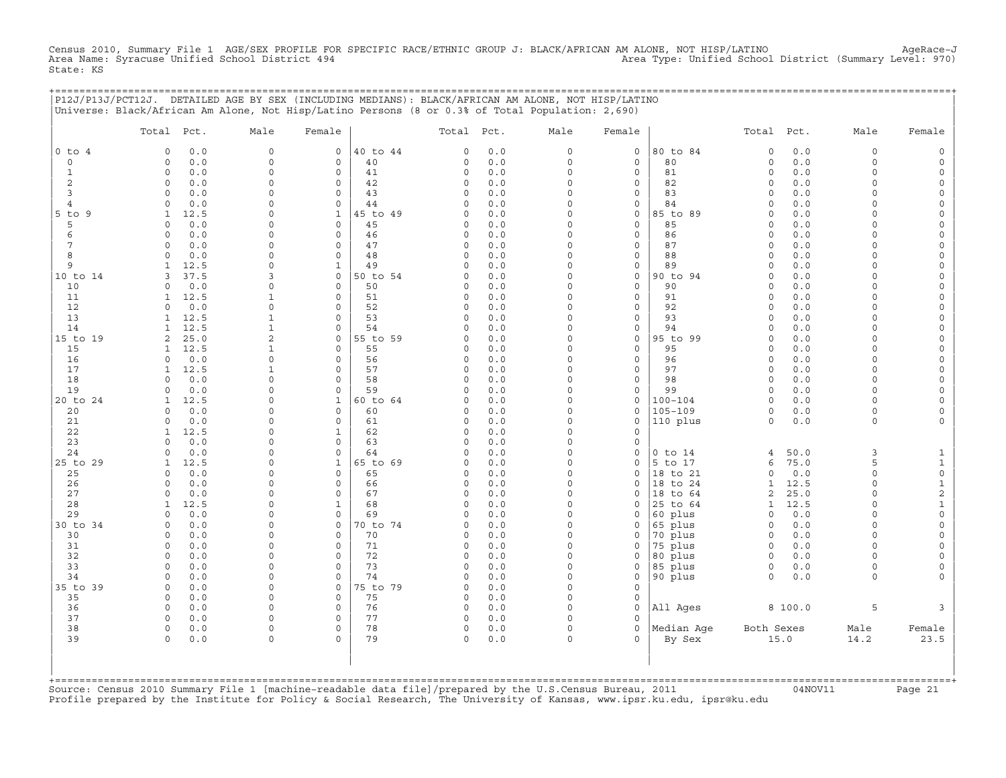Census 2010, Summary File 1 AGE/SEX PROFILE FOR SPECIFIC RACE/ETHNIC GROUP J: BLACK/AFRICAN AM ALONE, NOT HISP/LATINO AgeRace-J<br>Area Name: Syracuse Unified School District 494 State: KS

|                            | P12J/P13J/PCT12J. DETAILED AGE BY SEX (INCLUDING MEDIANS): BLACK/AFRICAN AM ALONE, NOT HISP/LATINO<br>Universe: Black/African Am Alone, Not Hisp/Latino Persons (8 or 0.3% of Total Population: 2,690) |                         |                            |                |                          |              |                      |                              | ,,,,,,,,,,,,,,,,,,,,,,,,,,,,, |                      |              |                         |                   |
|----------------------------|--------------------------------------------------------------------------------------------------------------------------------------------------------------------------------------------------------|-------------------------|----------------------------|----------------|--------------------------|--------------|----------------------|------------------------------|-------------------------------|----------------------|--------------|-------------------------|-------------------|
|                            | Total Pct.                                                                                                                                                                                             | Male                    | Female                     |                | Total Pct.               |              | Male                 | Female                       |                               | Total Pct.           |              | Male                    | Female            |
| $0$ to $4$                 | 0.0<br>$\mathbf 0$                                                                                                                                                                                     | $\circ$                 | $\mathsf{O}$               | 40 to 44       | $\Omega$                 | 0.0          | 0                    | 0                            | 80 to 84                      | $\mathsf O$          | 0.0          | $\mathbf 0$             |                   |
| $\mathbf 0$<br>$\mathbf 1$ | 0.0<br>$\mathbf 0$<br>0.0<br>$\Omega$                                                                                                                                                                  | $\mathbf 0$<br>$\Omega$ | $\mathbf 0$<br>$\mathbf 0$ | 40<br>41       | $\Omega$<br>$\circ$      | 0.0<br>0.0   | $\circ$<br>$\Omega$  | $\mathbf 0$<br>0             | 80<br>81                      | $\circ$<br>$\Omega$  | 0.0<br>0.0   | $\mathbf 0$<br>$\Omega$ |                   |
| 2                          | $\mathbf 0$<br>0.0                                                                                                                                                                                     | $\Omega$                | 0                          | 42             | 0                        | 0.0          | $\Omega$             | 0                            | 82                            | $\mathbf 0$          | 0.0          | $\Omega$                |                   |
| 3                          | $\Omega$<br>0.0                                                                                                                                                                                        | $\Omega$                | $\mathbf 0$                | 43             | $\Omega$                 | 0.0          | $\Omega$             | 0                            | 83                            | $\Omega$             | 0.0          | $\cap$                  |                   |
| 4                          | 0.0<br>$\Omega$                                                                                                                                                                                        | $\Omega$                | 0                          | 44             | $\Omega$                 | 0.0          | $\Omega$             | 0                            | 84                            | $\Omega$             | 0.0          | $\cap$                  |                   |
| 5 to 9                     | 12.5<br>$\mathbf{1}$                                                                                                                                                                                   | $\Omega$                | $\mathbf{1}$               | 45 to 49       | $\Omega$                 | 0.0          | $\Omega$             | 0                            | 85 to 89                      | $\Omega$             | 0.0          |                         |                   |
| 5                          | 0.0<br>$\Omega$<br>$\Omega$                                                                                                                                                                            | $\Omega$<br>$\Omega$    | 0<br>$\mathbf 0$           | 45             | 0                        | 0.0          | $\Omega$<br>$\Omega$ | $\mathbf{0}$                 | 85                            | $\Omega$<br>$\Omega$ | $0.0$        | ∩<br>$\cap$             |                   |
| 6<br>7                     | 0.0<br>0.0<br>$\Omega$                                                                                                                                                                                 | $\Omega$                | $\mathbf 0$                | 46<br>47       | 0<br>$\Omega$            | 0.0<br>0.0   | $\Omega$             | 0<br>$\mathbf{0}$            | 86<br>87                      | $\Omega$             | 0.0<br>0.0   | $\cap$                  |                   |
| 8                          | 0.0<br>$\Omega$                                                                                                                                                                                        | $\Omega$                | $\mathbf 0$                | 48             | $\circ$                  | $0.0$        | $\Omega$             | $\circ$                      | 88                            | $\Omega$             | 0.0          | $\Omega$                |                   |
| 9                          | 12.5                                                                                                                                                                                                   | $\Omega$                | 1                          | 49             | $\Omega$                 | 0.0          | $\Omega$             | 0                            | 89                            | $\Omega$             | 0.0          | $\Omega$                |                   |
| 10 to 14                   | 37.5<br>3                                                                                                                                                                                              | 3                       | $\mathbf 0$                | 50 to 54       | $\Omega$                 | 0.0          | $\Omega$             | 0                            | 90 to 94                      | $\Omega$             | 0.0          | $\cap$                  |                   |
| 10                         | 0.0<br>$\mathbf 0$                                                                                                                                                                                     | $\Omega$                | 0                          | 50             | 0                        | 0.0          | 0                    | 0                            | 90                            | $\Omega$             | 0.0          | $\cap$                  |                   |
| 11                         | 12.5<br>1                                                                                                                                                                                              | -1                      | 0                          | 51             | 0                        | 0.0          | $\Omega$             | 0                            | 91                            | $\Omega$             | 0.0          | $\cap$                  |                   |
| 12                         | 0.0<br>$\Omega$                                                                                                                                                                                        | $\Omega$<br>1           | $\Omega$<br>$\mathbf 0$    | 52<br>53       | $\Omega$                 | 0.0          | $\Omega$<br>$\Omega$ | $\mathbf{0}$<br>$\mathbf{0}$ | 92<br>93                      | $\Omega$<br>$\Omega$ | 0.0          | $\cap$                  |                   |
| 13<br>14                   | 12.5<br>1<br>12.5<br>$\mathbf{1}$                                                                                                                                                                      | 1                       | $\mathbf 0$                | 54             | 0<br>$\Omega$            | 0.0<br>$0.0$ | $\Omega$             | 0                            | 94                            | $\mathbf 0$          | 0.0<br>0.0   | $\cap$                  | $\Omega$          |
| 15 to 19                   | 25.0<br>2                                                                                                                                                                                              | $\overline{a}$          | $\circ$                    | 55 to 59       | $\Omega$                 | 0.0          | $\Omega$             | 0                            | 95 to 99                      | $\Omega$             | 0.0          | $\cap$                  |                   |
| 15                         | 12.5<br>1                                                                                                                                                                                              | 1                       | $\mathbf 0$                | 55             | 0                        | 0.0          | $\Omega$             | $\mathbf 0$                  | 95                            | $\Omega$             | 0.0          | $\Omega$                |                   |
| 16                         | 0.0<br>$\mathbf 0$                                                                                                                                                                                     | $\Omega$                | $\mathbf 0$                | 56             | 0                        | 0.0          | $\Omega$             | $\mathbf{0}$                 | 96                            | $\Omega$             | 0.0          | $\Omega$                |                   |
| 17                         | 12.5<br>1                                                                                                                                                                                              | 1                       | 0                          | 57             | $\Omega$                 | 0.0          | $\Omega$             | 0                            | 97                            | $\Omega$             | 0.0          | $\Omega$                |                   |
| 18                         | $\Omega$<br>0.0                                                                                                                                                                                        | $\Omega$                | $\circ$                    | 58             | $\Omega$                 | 0.0          | $\Omega$             | $\mathbf{0}$                 | 98                            | $\circ$              | 0.0          | $\Omega$                |                   |
| 19                         | 0.0<br>$\mathbf 0$                                                                                                                                                                                     | $\mathbf 0$             | $\mathsf{O}\xspace$        | 59             | $\Omega$                 | 0.0          | $\Omega$             | 0                            | 99                            | $\mathbf 0$          | 0.0          | $\Omega$<br>$\cap$      |                   |
| 20 to 24<br>20             | 12.5<br>0.0<br>$\Omega$                                                                                                                                                                                | $\Omega$<br>$\Omega$    | 1<br>$\Omega$              | 60 to 64<br>60 | <sup>0</sup><br>$\Omega$ | 0.0<br>0.0   | $\Omega$<br>$\Omega$ | 0<br>0                       | $100 - 104$<br>$105 - 109$    | $\circ$<br>$\Omega$  | 0.0<br>0.0   | $\Omega$                |                   |
| 21                         | 0.0<br>$\Omega$                                                                                                                                                                                        | $\Omega$                | $\mathbf 0$                | 61             | 0                        | 0.0          | $\Omega$             | 0                            | 110 plus                      | $\circ$              | 0.0          | $\Omega$                |                   |
| 22                         | 12.5<br>1                                                                                                                                                                                              | $\Omega$                | 1                          | 62             | 0                        | 0.0          | $\Omega$             | 0                            |                               |                      |              |                         |                   |
| 23                         | 0.0<br>$\Omega$                                                                                                                                                                                        | $\Omega$                | 0                          | 63             | $\Omega$                 | 0.0          | $\Omega$             | $\mathbf 0$                  |                               |                      |              |                         |                   |
| 24                         | 0.0                                                                                                                                                                                                    | $\Omega$                | $\mathbf 0$                | 64             | $\Omega$                 | 0.0          | $\Omega$             | 0                            | $0$ to $14$                   | 4                    | 50.0         | 3                       |                   |
| 25 to 29                   | 12.5<br>1                                                                                                                                                                                              | $\Omega$                | $\mathbf{1}$               | 65 to 69       | $\Omega$                 | 0.0          | $\Omega$             | $\mathbf 0$                  | 5 to 17                       | 6                    | 75.0         | 5                       | 1                 |
| 25                         | 0.0<br>$\Omega$<br>$\Omega$                                                                                                                                                                            | $\Omega$<br>$\Omega$    | $\mathsf{O}$<br>$\circ$    | 65             | $\Omega$<br>0            | 0.0          | $\Omega$<br>$\Omega$ | 0<br>$\mathbf{0}$            | 18 to 21                      | $\Omega$             | 0.0          | $\Omega$<br>$\cap$      | $\mathsf O$       |
| 26<br>27                   | 0.0<br>$\Omega$<br>0.0                                                                                                                                                                                 | $\Omega$                | $\mathbf 0$                | 66<br>67       | 0                        | 0.0<br>$0.0$ | $\Omega$             | 0                            | 18 to 24<br>18 to 64          | 1<br>2               | 12.5<br>25.0 | $\cap$                  | 1<br>$\mathbf{2}$ |
| 28                         | 12.5<br>1                                                                                                                                                                                              | $\Omega$                | 1                          | 68             | $\Omega$                 | 0.0          | $\Omega$             | $\Omega$                     | 25 to 64                      | 1                    | 12.5         | $\Omega$                | $\mathbf{1}$      |
| 29                         | 0.0<br>$\Omega$                                                                                                                                                                                        | $\Omega$                | $\mathbf 0$                | 69             | $\Omega$                 | 0.0          | $\Omega$             | $\Omega$                     | 60 plus                       | $\circ$              | 0.0          | $\cap$                  | $\Omega$          |
| 30 to 34                   | $\circ$<br>0.0                                                                                                                                                                                         | $\Omega$                | 0                          | 70 to 74       | 0                        | 0.0          | 0                    | 0                            | 65 plus                       | 0                    | 0.0          | $\Omega$                | $\Omega$          |
| 30                         | 0.0<br>$\mathbf 0$                                                                                                                                                                                     | $\Omega$                | 0                          | 70             | 0                        | 0.0          | $\Omega$             | 0                            | 70 plus                       | $\circ$              | 0.0          | $\Omega$                |                   |
| 31                         | 0.0<br>$\mathbf 0$                                                                                                                                                                                     | $\Omega$                | $\mathbf 0$                | 71             | $\Omega$                 | 0.0          | $\Omega$             | $\Omega$                     | 75 plus                       | $\circ$              | 0.0          | $\Omega$                |                   |
| 32<br>33                   | $\mathbf 0$<br>0.0<br>$\Omega$                                                                                                                                                                         | $\Omega$<br>$\Omega$    | 0<br>$\mathbf 0$           | 72<br>73       | 0<br>$\circ$             | 0.0<br>0.0   | $\Omega$<br>$\Omega$ | 0<br>0                       | 80 plus<br>85 plus            | $\circ$<br>$\circ$   | 0.0          | $\Omega$<br>$\Omega$    |                   |
| 34                         | 0.0<br>0.0<br>$\Omega$                                                                                                                                                                                 | $\Omega$                | 0                          | 74             | $\Omega$                 | 0.0          | $\Omega$             | 0                            | 90 plus                       | $\Omega$             | 0.0<br>0.0   | $\Omega$                |                   |
| 35 to 39                   | $\Omega$<br>0.0                                                                                                                                                                                        | $\Omega$                | $\mathbf 0$                | 75 to 79       | $\Omega$                 | 0.0          | $\Omega$             | $\mathbf{0}$                 |                               |                      |              |                         |                   |
| 35                         | 0.0<br>$\Omega$                                                                                                                                                                                        | $\Omega$                | $\mathbf 0$                | 75             | $\mathbf 0$              | 0.0          | $\Omega$             | 0                            |                               |                      |              |                         |                   |
| 36                         | $\circ$<br>0.0                                                                                                                                                                                         | $\Omega$                | 0                          | 76             | 0                        | 0.0          | $\Omega$             | $\mathbf 0$                  | All Ages                      |                      | 8 100.0      | 5                       | 3                 |
| 37                         | $\Omega$<br>0.0                                                                                                                                                                                        | $\Omega$                | $\circ$                    | 77             | 0                        | 0.0          | $\Omega$             | $\Omega$                     |                               |                      |              |                         |                   |
| 38                         | $\mathbf 0$<br>0.0                                                                                                                                                                                     | $\circ$                 | $\mathsf{O}\xspace$        | 78             | $\circ$                  | 0.0          | 0                    | $\circ$                      | Median Aqe                    | Both Sexes           |              | Male                    | Female            |
| 39                         | 0.0<br>$\mathbf 0$                                                                                                                                                                                     | $\Omega$                | $\Omega$                   | 79             | 0                        | 0.0          | $\Omega$             | $\Omega$                     | By Sex                        |                      | 15.0         | 14.2                    | 23.5              |
|                            |                                                                                                                                                                                                        |                         |                            |                |                          |              |                      |                              |                               |                      |              |                         |                   |
|                            |                                                                                                                                                                                                        |                         |                            |                |                          |              |                      |                              |                               |                      |              |                         |                   |
| +===========               |                                                                                                                                                                                                        |                         |                            |                |                          |              |                      |                              |                               |                      |              |                         |                   |

+===================================================================================================================================================+Source: Census 2010 Summary File 1 [machine−readable data file]/prepared by the U.S.Census Bureau, 2011 04NOV11 Page 21 Profile prepared by the Institute for Policy & Social Research, The University of Kansas, www.ipsr.ku.edu, ipsr@ku.edu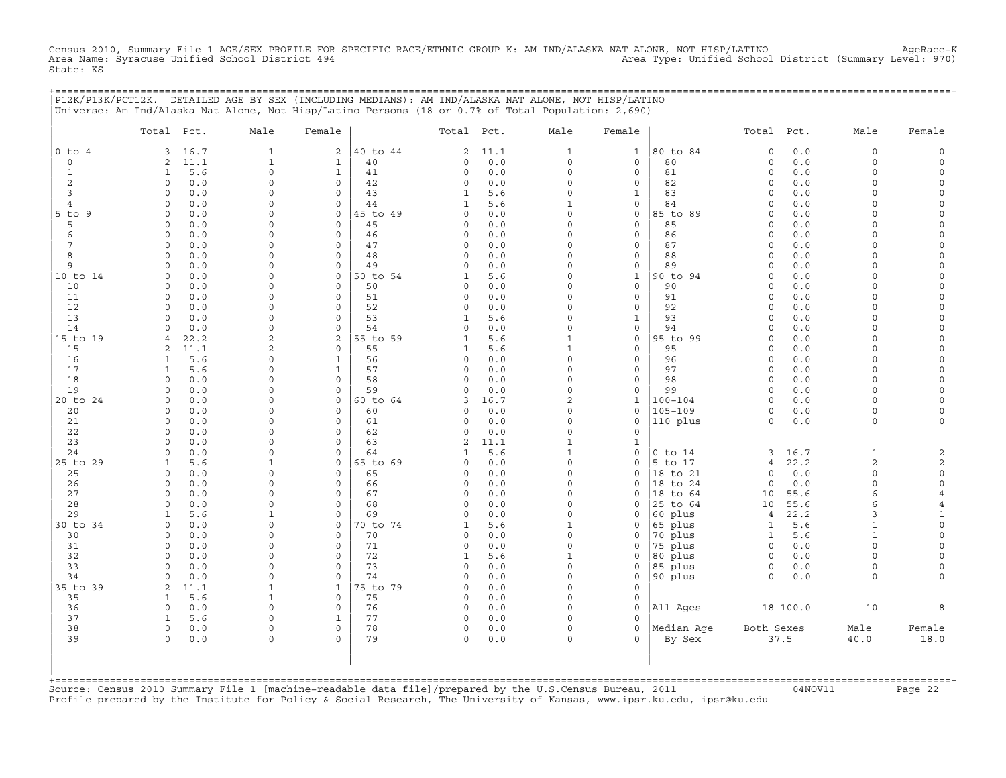Census 2010, Summary File 1 AGE/SEX PROFILE FOR SPECIFIC RACE/ETHNIC GROUP K: AM IND/ALASKA NAT ALONE, NOT HISP/LATINO AgeRace-K<br>Area Name: Syracuse Unified School District 494 State: KS

+===================================================================================================================================================+

|                | P12K/P13K/PCT12K. DETAILED AGE BY SEX (INCLUDING MEDIANS): AM IND/ALASKA NAT ALONE, NOT HISP/LATINO<br>Universe: Am Ind/Alaska Nat Alone, Not Hisp/Latino Persons (18 or 0.7% of Total Population: 2,690) |                             |                                    |                |                              |            |                             |                             |                        |                         |              |                                |                                            |
|----------------|-----------------------------------------------------------------------------------------------------------------------------------------------------------------------------------------------------------|-----------------------------|------------------------------------|----------------|------------------------------|------------|-----------------------------|-----------------------------|------------------------|-------------------------|--------------|--------------------------------|--------------------------------------------|
|                | Total Pct.                                                                                                                                                                                                | Male                        | Female                             |                | Total Pct.                   |            | Male                        | Female                      |                        | Total Pct.              |              | Male                           | Female                                     |
| $0$ to $4$     | 16.7<br>3                                                                                                                                                                                                 | 1                           | 2                                  | 40 to 44       | $\overline{a}$               | 11.1       | $\mathbf{1}$                | $\mathbf{1}$                | 80 to 84               | $\mathbf 0$             | 0.0          | 0                              | $\mathsf{O}\xspace$                        |
| $\mathbf 0$    | 2<br>11.1                                                                                                                                                                                                 | $1\,$                       | $\mathbf{1}$                       | 40             | 0                            | $0.0$      | $\circ$                     | $\mathbf 0$                 | 80                     | $\circ$                 | $0.0$        | $\circ$                        | $\mathsf O$                                |
| $\mathbf{1}$   | 5.6<br>$\mathbf{1}$                                                                                                                                                                                       | $\mathsf{O}\xspace$         | $1\,$                              | 41             | 0                            | $0.0$      | $\mathsf{O}\xspace$         | $\mathsf O$                 | 81                     | $\circ$                 | 0.0          | $\mathbf 0$                    | $\mathsf{O}\xspace$                        |
| 2<br>3         | $\circ$<br>0.0<br>$\circ$                                                                                                                                                                                 | $\mathbf 0$<br>$\mathbf 0$  | $\mathsf{O}$<br>$\mathbf 0$        | 42<br>43       | 0                            | 0.0<br>5.6 | $\Omega$<br>$\Omega$        | 0                           | 82<br>83               | $\mathbf 0$<br>$\Omega$ | 0.0          | $\Omega$<br>$\Omega$           | 0                                          |
| $\overline{4}$ | $0.0$<br>$\Omega$<br>0.0                                                                                                                                                                                  | $\mathsf{O}$                | $\circ$                            | 44             | $\mathbf{1}$<br>$\mathbf{1}$ | 5.6        | $\mathbf 1$                 | $\mathbf 1$<br>$\mathsf{O}$ | 84                     | $\Omega$                | 0.0<br>0.0   | $\Omega$                       | $\mathsf{O}$<br>$\mathsf{O}\xspace$        |
| $5$ to $9$     | $\circ$<br>0.0                                                                                                                                                                                            | $\Omega$                    | $\mathbf 0$                        | 45 to 49       | 0                            | 0.0        | $\Omega$                    | $\mathsf O$                 | 85 to 89               | $\Omega$                | 0.0          | $\Omega$                       | 0                                          |
| 5              | $0.0$<br>$\circ$                                                                                                                                                                                          | $\mathbf 0$                 | $\mathsf O$                        | 45             | 0                            | 0.0        | $\Omega$                    | $\mathsf O$                 | 85                     | $\Omega$                | 0.0          | $\circ$                        | $\mathsf{O}\xspace$                        |
| 6              | $\Omega$<br>0.0                                                                                                                                                                                           | $\Omega$                    | $\mathbf 0$                        | 46             | $\Omega$                     | 0.0        | $\Omega$                    | $\mathsf{O}\xspace$         | 86                     | $\Omega$                | 0.0          | $\Omega$                       | $\mathsf{O}\xspace$                        |
| 7              | $\circ$<br>0.0                                                                                                                                                                                            | $\Omega$                    | $\mathbf 0$                        | 47             | $\Omega$                     | 0.0        | $\Omega$                    | 0                           | 87                     | $\Omega$                | 0.0          | $\Omega$                       | 0                                          |
| 8              | 0.0<br>$\circ$                                                                                                                                                                                            | $\mathbf 0$                 | $\mathsf O$                        | 48             | 0                            | 0.0        | $\Omega$                    | $\mathsf O$                 | 88                     | $\Omega$                | 0.0          | $\circ$                        | $\mathsf{O}\xspace$                        |
| 9              | $\Omega$<br>0.0                                                                                                                                                                                           | $\Omega$                    | $\mathbf 0$                        | 49             | $\Omega$                     | 0.0        | $\Omega$                    | $\mathsf O$                 | 89                     | $\Omega$                | 0.0          | $\Omega$                       | $\mathsf{O}\xspace$                        |
| 10 to 14       | 0.0<br>$\circ$<br>$0.0$<br>$\circ$                                                                                                                                                                        | $\Omega$<br>$\mathbf 0$     | $\mathbf 0$<br>$\mathsf O$         | 50 to 54<br>50 | 1<br>0                       | 5.6<br>0.0 | $\Omega$<br>$\Omega$        | $\mathbf 1$<br>$\mathsf O$  | 90 to 94<br>90         | $\mathbf 0$<br>$\Omega$ | 0.0<br>$0.0$ | $\Omega$<br>$\circ$            | 0<br>$\mathsf{O}\xspace$                   |
| 10<br>11       | $\circ$<br>0.0                                                                                                                                                                                            | $\mathbf 0$                 | $\mathbf 0$                        | 51             | 0                            | 0.0        | $\Omega$                    | $\mathsf O$                 | 91                     | $\circ$                 | 0.0          | $\Omega$                       | $\mathsf{O}\xspace$                        |
| 12             | $\circ$<br>0.0                                                                                                                                                                                            | $\Omega$                    | $\mathbf 0$                        | 52             | $\Omega$                     | 0.0        | $\Omega$                    | $\mathsf{O}$                | 92                     | $\mathbf 0$             | 0.0          | $\Omega$                       | 0                                          |
| 13             | 0.0<br>$\circ$                                                                                                                                                                                            | $\mathsf{O}$                | $\mathbf 0$                        | 53             | $\mathbf{1}$                 | 5.6        | $\mathbf 0$                 | $\mathbf{1}$                | 93                     | $\Omega$                | 0.0          | $\Omega$                       | $\mathsf{O}\xspace$                        |
| 14             | $\Omega$<br>0.0                                                                                                                                                                                           | $\Omega$                    | $\mathbf 0$                        | 54             | $\Omega$                     | 0.0        | $\Omega$                    | $\mathsf{O}\xspace$         | 94                     | $\circ$                 | 0.0          | $\Omega$                       | 0                                          |
| 15 to 19       | 22.2<br>4                                                                                                                                                                                                 | 2                           | 2                                  | 55 to 59       | 1                            | 5.6        | $\mathbf 1$                 | $\mathsf O$                 | 95 to 99               | $\circ$                 | 0.0          | $\Omega$                       | 0                                          |
| 15             | 11.1<br>2                                                                                                                                                                                                 | $\mathbf{2}$                | 0                                  | 55             | $\mathbf{1}$                 | 5.6        | $\mathbf 1$                 | $\mathsf{O}$                | 95                     | $\Omega$                | $0.0$        | $\Omega$                       | $\mathsf{O}\xspace$                        |
| 16             | $\mathbf{1}$<br>5.6                                                                                                                                                                                       | $\Omega$                    | $\mathbf{1}$                       | 56             | 0                            | 0.0        | $\Omega$                    | $\mathsf{O}$                | 96                     | $\Omega$                | 0.0          | $\Omega$                       | 0                                          |
| 17<br>18       | $\mathbf{1}$<br>5.6<br>$0.0$<br>$\circ$                                                                                                                                                                   | $\mathbf 0$<br>$\mathbf 0$  | $\mathbf{1}$<br>$\mathsf O$        | 57<br>58       | 0<br>$\Omega$                | 0.0<br>0.0 | $\mathbf 0$<br>$\mathbf 0$  | $\mathsf O$<br>0            | 97<br>98               | $\circ$<br>$\circ$      | 0.0<br>0.0   | $\circ$<br>$\Omega$            | $\mathsf{O}\xspace$<br>$\mathsf{O}\xspace$ |
| 19             | 0.0<br>$\Omega$                                                                                                                                                                                           | $\Omega$                    | $\Omega$                           | 59             | $\Omega$                     | 0.0        | $\Omega$                    | $\mathbf 0$                 | 99                     | $\Omega$                | 0.0          | $\Omega$                       | $\mathsf{O}\xspace$                        |
| 20 to 24       | $0.0$<br>$\circ$                                                                                                                                                                                          | $\mathbf 0$                 | $\mathsf O$                        | 60 to 64       | 3                            | 16.7       | $\overline{a}$              | $1\,$                       | $100 - 104$            | $\circ$                 | 0.0          | $\circ$                        | $\mathsf{O}\xspace$                        |
| 20             | $0.0$<br>$\circ$                                                                                                                                                                                          | $\mathbf 0$                 | $\mathsf{O}$                       | 60             | 0                            | 0.0        | $\mathbf 0$                 | $\mathsf{O}$                | $105 - 109$            | $\circ$                 | 0.0          | 0                              | 0                                          |
| 21             | 0.0<br>$\Omega$                                                                                                                                                                                           | $\Omega$                    | $\mathbf 0$                        | 61             | $\Omega$                     | 0.0        | $\Omega$                    | $\mathbf 0$                 | 110 plus               | $\Omega$                | 0.0          | $\circ$                        | $\mathbf 0$                                |
| 22             | 0.0<br>$\circ$                                                                                                                                                                                            | $\mathbf 0$                 | $\mathsf{O}$                       | 62             | 0                            | 0.0        | $\mathbf 0$                 | $\mathsf{O}\xspace$         |                        |                         |              |                                |                                            |
| 23             | $\Omega$<br>0.0                                                                                                                                                                                           | $\Omega$                    | $\mathbf 0$                        | 63             | $\overline{c}$               | 11.1       | $\mathbf{1}$                | $\mathbf{1}$                |                        |                         |              |                                |                                            |
| 24<br>25 to 29 | 0.0<br>$\circ$<br>5.6<br>$\mathbf{1}$                                                                                                                                                                     | $\mathbf 0$<br>$\mathbf{1}$ | $\mathbf 0$<br>$\mathsf{O}\xspace$ | 64<br>65 to 69 | 1<br>0                       | 5.6<br>0.0 | $\mathbf{1}$<br>$\mathbf 0$ | $\mathbf 0$<br>0            | $0$ to $14$<br>5 to 17 | 3<br>$\overline{4}$     | 16.7<br>22.2 | $\mathbf{1}$<br>$\overline{a}$ | 2<br>$\overline{c}$                        |
| 25             | $\Omega$<br>0.0                                                                                                                                                                                           | $\mathbf 0$                 | $\mathbf 0$                        | 65             | 0                            | 0.0        | $\Omega$                    | $\mathbf 0$                 | 18 to 21               | $\circ$                 | 0.0          | $\circ$                        | $\mathsf{O}\xspace$                        |
| 26             | 0.0<br>$\circ$                                                                                                                                                                                            | $\mathbf 0$                 | $\mathsf{O}$                       | 66             | $\Omega$                     | 0.0        | $\Omega$                    | $\mathbf 0$                 | 18 to 24               | $\circ$                 | 0.0          | $\circ$                        | 0                                          |
| 27             | 0.0<br>$\circ$                                                                                                                                                                                            | $\Omega$                    | $\mathsf{O}$                       | 67             | $\Omega$                     | 0.0        | $\Omega$                    | $\Omega$                    | 18 to 64               | 10                      | 55.6         | 6                              | $\overline{4}$                             |
| 28             | $\Omega$<br>0.0                                                                                                                                                                                           | $\mathbf 0$                 | $\Omega$                           | 68             | $\Omega$                     | 0.0        | $\Omega$                    | $\mathbf 0$                 | 25 to 64               | 10                      | 55.6         | 6                              | 4                                          |
| 29             | 5.6<br>1                                                                                                                                                                                                  | 1                           | $\circ$                            | 69             | $\Omega$                     | 0.0        | $\Omega$                    | 0                           | 60 plus                | $\overline{4}$          | 22.2         | 3                              | $\mathbf{1}$                               |
| 30 to 34       | 0.0<br>$\circ$                                                                                                                                                                                            | $\mathbf 0$                 | $\mathsf{O}$                       | 70 to 74       | 1                            | 5.6        | $\mathbf 1$                 | 0                           | 65 plus                | $\mathbf{1}$            | 5.6          | $\mathbf{1}$                   | $\mathsf{O}\xspace$                        |
| 30             | 0.0<br>$\Omega$                                                                                                                                                                                           | $\Omega$                    | $\mathbf 0$                        | 70             | $\Omega$                     | 0.0        | $\Omega$<br>$\Omega$        | $\mathbf 0$                 | 70 plus                | 1                       | 5.6          | $\mathbf{1}$                   | $\mathsf{O}\xspace$                        |
| 31<br>32       | 0.0<br>$\circ$<br>0.0<br>$\circ$                                                                                                                                                                          | $\mathbf 0$<br>$\mathbf 0$  | 0<br>$\mathsf{O}$                  | 71<br>72       | 0<br>1                       | 0.0<br>5.6 | $\mathbf 1$                 | 0<br>0                      | 75 plus<br>80 plus     | $\circ$<br>$\circ$      | 0.0<br>0.0   | $\circ$<br>$\circ$             | 0<br>$\mathsf{O}\xspace$                   |
| 33             | $\Omega$<br>0.0                                                                                                                                                                                           | $\Omega$                    | $\mathbf 0$                        | 73             | $\Omega$                     | 0.0        | $\Omega$                    | $\mathbf 0$                 | 85 plus                | $\circ$                 | 0.0          | $\Omega$                       | 0                                          |
| 34             | 0.0<br>$\Omega$                                                                                                                                                                                           | $\Omega$                    | $\mathbf 0$                        | 74             | $\Omega$                     | 0.0        | $\Omega$                    | 0                           | 90 plus                | $\circ$                 | 0.0          | 0                              | 0                                          |
| 35 to 39       | 11.1<br>2                                                                                                                                                                                                 | $\mathbf{1}$                | $\mathbf{1}$                       | 75 to 79       | $\Omega$                     | 0.0        | $\Omega$                    | $\mathsf{O}\xspace$         |                        |                         |              |                                |                                            |
| 35             | $\mathbf{1}$<br>5.6                                                                                                                                                                                       | $\mathbf 1$                 | $\mathbf 0$                        | 75             | $\Omega$                     | 0.0        | $\Omega$                    | $\mathsf{O}$                |                        |                         |              |                                |                                            |
| 36             | 0.0<br>$\circ$                                                                                                                                                                                            | $\mathbf 0$                 | $\mathbf 0$                        | 76             | 0                            | 0.0        | $\Omega$                    | $\mathbf 0$                 | All Ages               |                         | 18 100.0     | 10                             | 8                                          |
| 37             | $\mathbf{1}$<br>5.6                                                                                                                                                                                       | $\mathbf 0$                 | $\mathbf{1}$                       | 77             | 0                            | 0.0        | $\cap$                      | $\Omega$                    |                        |                         |              |                                |                                            |
| 38<br>39       | $\circ$<br>0.0<br>$0.0$<br>$\circ$                                                                                                                                                                        | $\mathbf 0$<br>$\mathbf 0$  | $\mathbf 0$<br>$\Omega$            | 78<br>79       | 0<br>0                       | 0.0<br>0.0 | $\circ$<br>$\Omega$         | $\mathbf 0$<br>$\Omega$     | Median Age<br>By Sex   | Both Sexes              | 37.5         | Male<br>40.0                   | Female<br>18.0                             |
|                |                                                                                                                                                                                                           |                             |                                    |                |                              |            |                             |                             |                        |                         |              |                                |                                            |

+===================================================================================================================================================+Source: Census 2010 Summary File 1 [machine−readable data file]/prepared by the U.S.Census Bureau, 2011 04NOV11 Page 22 Profile prepared by the Institute for Policy & Social Research, The University of Kansas, www.ipsr.ku.edu, ipsr@ku.edu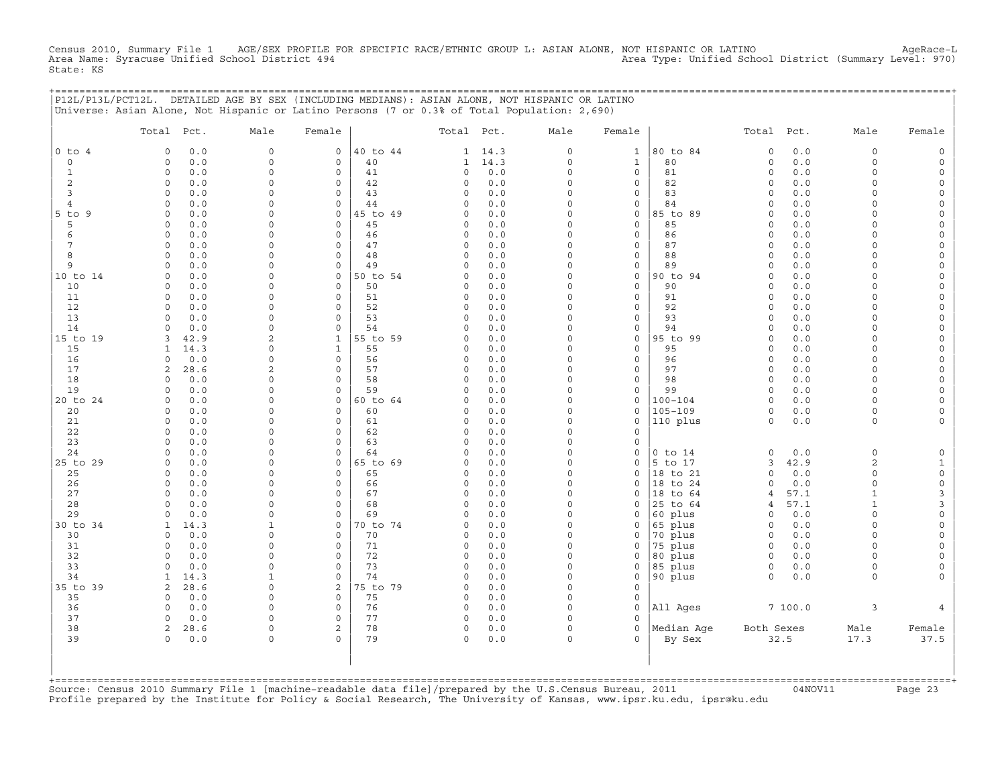Census 2010, Summary File 1 AGE/SEX PROFILE FOR SPECIFIC RACE/ETHNIC GROUP L: ASIAN ALONE, NOT HISPANIC OR LATINO AgeRace−L Area Name: Syracuse Unified School District 494 Area Type: Unified School District (Summary Level: 970) State: KS

+===================================================================================================================================================+

|                     | P12L/P13L/PCT12L. DETAILED AGE BY SEX (INCLUDING MEDIANS): ASIAN ALONE, NOT HISPANIC OR LATINO<br>Universe: Asian Alone, Not Hispanic or Latino Persons (7 or 0.3% of Total Population: 2,690) |                            |                         |                |                         |            |                      |               |                      |                     |              |                         |                      |
|---------------------|------------------------------------------------------------------------------------------------------------------------------------------------------------------------------------------------|----------------------------|-------------------------|----------------|-------------------------|------------|----------------------|---------------|----------------------|---------------------|--------------|-------------------------|----------------------|
|                     | Total Pct.                                                                                                                                                                                     | Male                       | Female                  |                | Total Pct.              |            | Male                 | Female        |                      | Total Pct.          |              | Male                    | Female               |
| $0$ to $4$          | 0.0<br>$\Omega$                                                                                                                                                                                | $\Omega$                   | $\circ$                 | 40 to 44       | 1                       | 14.3       | 0                    | $\mathbf{1}$  | 80 to 84             | $\circ$             | 0.0          | $\mathbf 0$             |                      |
| 0                   | 0.0<br>$\circ$                                                                                                                                                                                 | $\mathbf 0$                | $\mathbf 0$             | 40             | 1                       | 14.3       | $\Omega$             | $\mathbf{1}$  | 80                   | $\circ$             | $0.0$        | $\Omega$                | $\Omega$             |
| $\mathbf{1}$        | $\circ$<br>$0.0$                                                                                                                                                                               | $\mathsf{O}\xspace$        | $\mathsf{O}\xspace$     | 41             | 0                       | 0.0        | $\mathbf 0$          | $\circ$       | 81                   | $\mathsf{O}\xspace$ | 0.0          | $\circ$                 | $\Omega$             |
| 2                   | $\circ$<br>0.0                                                                                                                                                                                 | $\mathbf 0$<br>$\mathbf 0$ | $\circ$                 | 42             | $\Omega$<br>$\Omega$    | 0.0        | $\Omega$<br>$\Omega$ | 0             | 82<br>83             | $\circ$<br>$\circ$  | 0.0<br>0.0   | $\Omega$<br>$\Omega$    | $\Omega$             |
| 3<br>$\overline{4}$ | 0.0<br>$\circ$<br>$\Omega$<br>0.0                                                                                                                                                              | $\circ$                    | 0<br>$\mathbf 0$        | 43<br>44       | $\Omega$                | 0.0<br>0.0 | $\overline{0}$       | 0<br>0        | 84                   | $\Omega$            | 0.0          | $\Omega$                | $\Omega$             |
| $5$ to<br>9         | $\Omega$<br>0.0                                                                                                                                                                                | $\mathbf 0$                | $\mathbf 0$             | 45 to 49       | $\Omega$                | 0.0        | $\Omega$             | 0             | 85 to 89             | $\circ$             | 0.0          | $\Omega$                | $\Omega$             |
| 5                   | 0.0<br>$\circ$                                                                                                                                                                                 | $\mathbf 0$                | $\circ$                 | 45             | $\Omega$                | 0.0        | 0                    | 0             | 85                   | $\Omega$            | 0.0          | $\Omega$                | $\Omega$             |
| 6                   | $\Omega$<br>0.0                                                                                                                                                                                | $\circ$                    | $\circ$                 | 46             | $\Omega$                | 0.0        | $\mathbf 0$          | 0             | 86                   | $\circ$             | 0.0          | $\Omega$                | $\Omega$             |
| 7                   | $\circ$<br>0.0                                                                                                                                                                                 | $\mathbf 0$                | $\circ$                 | 47             | $\Omega$                | 0.0        | $\Omega$             | 0             | 87                   | $\circ$             | 0.0          | $\Omega$                | $\Omega$             |
| 8                   | 0.0<br>$\circ$                                                                                                                                                                                 | $\mathbf 0$                | 0                       | 48             | $\Omega$                | 0.0        | 0                    | 0             | 88                   | $\circ$             | 0.0          | $\Omega$                | $\Omega$             |
| 9                   | $\circ$<br>0.0                                                                                                                                                                                 | $\circ$                    | $\circ$                 | 49             | $\Omega$                | 0.0        | $\mathbf 0$          | 0             | 89                   | $\circ$             | 0.0          | $\Omega$                | $\Omega$             |
| 10 to 14            | $\mathbf 0$<br>0.0                                                                                                                                                                             | $\mathbf 0$                | $\mathbf 0$             | 50 to 54       | $\Omega$                | 0.0        | $\Omega$             | $\circ$       | 90 to 94             | $\circ$             | $0.0$        | $\Omega$                | $\Omega$             |
| 10<br>11            | 0.0<br>$\circ$<br>0.0<br>$\circ$                                                                                                                                                               | $\mathbf 0$<br>$\circ$     | 0<br>$\mathbf 0$        | 50<br>51       | $\Omega$<br>$\Omega$    | 0.0<br>0.0 | 0<br>$\mathbf 0$     | 0<br>0        | 90<br>91             | $\circ$<br>$\circ$  | 0.0<br>0.0   | $\Omega$<br>$\Omega$    | $\Omega$<br>$\Omega$ |
| 12                  | $\Omega$<br>0.0                                                                                                                                                                                | $\mathbf 0$                | $\Omega$                | 52             | $\Omega$                | 0.0        | $\Omega$             | 0             | 92                   | $\circ$             | 0.0          | $\Omega$                | $\Omega$             |
| 13                  | $\Omega$<br>0.0                                                                                                                                                                                | 0                          | $\Omega$                | 53             | $\Omega$                | 0.0        | 0                    | 0             | 93                   | $\Omega$            | 0.0          | $\Omega$                | $\Omega$             |
| 14                  | $0.0$<br>$\Omega$                                                                                                                                                                              | $\circ$                    | $\mathbf 0$             | 54             | $\Omega$                | 0.0        | $\Omega$             | 0             | 94                   | $\Omega$            | 0.0          | $\Omega$                | $\Omega$             |
| 15 to 19            | 3<br>42.9                                                                                                                                                                                      | $\mathbf{2}$               | $\mathbf{1}$            | 55 to 59       | $\Omega$                | 0.0        | $\Omega$             | 0             | 95 to 99             | $\circ$             | 0.0          | $\Omega$                | $\Omega$             |
| 15                  | 14.3<br>1                                                                                                                                                                                      | $\Omega$                   | $\mathbf{1}$            | 55             | $\Omega$                | 0.0        | 0                    | 0             | 95                   | $\Omega$            | 0.0          | $\Omega$                | $\Omega$             |
| 16                  | $\circ$<br>0.0                                                                                                                                                                                 | $\mathbf 0$                | $\mathsf{O}\xspace$     | 56             | $\Omega$                | 0.0        | $\Omega$             | 0             | 96                   | $\Omega$            | 0.0          | $\Omega$                | $\Omega$             |
| 17                  | 2<br>28.6                                                                                                                                                                                      | $\mathbf{2}$               | $\mathbf 0$             | 57             | $\Omega$                | 0.0        | 0                    | 0             | 97                   | $\circ$             | 0.0          | $\Omega$                | $\Omega$             |
| 18                  | 0.0<br>$\circ$                                                                                                                                                                                 | $\mathbf 0$                | $\Omega$                | 58             | $\Omega$                | 0.0        | 0                    | 0             | 98                   | $\circ$             | 0.0          | $\Omega$<br>$\Omega$    | $\Omega$             |
| 19<br>20 to 24      | 0.0<br>$\circ$<br>0.0<br>$\mathbf 0$                                                                                                                                                           | $\mathbf 0$<br>$\mathbf 0$ | $\Omega$<br>$\mathbf 0$ | 59<br>60 to 64 | $\Omega$<br>$\Omega$    | 0.0<br>0.0 | $\Omega$<br>0        | 0<br>0        | 99<br>$100 - 104$    | $\Omega$<br>$\circ$ | 0.0<br>0.0   | $\Omega$                | $\Omega$<br>$\Omega$ |
| 20                  | 0.0<br>$\circ$                                                                                                                                                                                 | $\mathbf 0$                | $\mathbf 0$             | 60             | $\Omega$                | 0.0        | 0                    | 0             | $105 - 109$          | $\circ$             | 0.0          | $\circ$                 | $\Omega$             |
| 21                  | $0.0$<br>$\circ$                                                                                                                                                                               | $\circ$                    | $\mathbf 0$             | 61             | $\Omega$                | 0.0        | $\Omega$             | $\mathbf 0$   | 110 plus             | $\circ$             | $0.0$        | $\circ$                 |                      |
| 22                  | $\circ$<br>0.0                                                                                                                                                                                 | $\mathbf 0$                | $\Omega$                | 62             | $\Omega$                | 0.0        | 0                    | $\Omega$      |                      |                     |              |                         |                      |
| 23                  | 0.0<br>$\circ$                                                                                                                                                                                 | 0                          | $\mathbf 0$             | 63             | $\Omega$                | 0.0        | $\Omega$             | 0             |                      |                     |              |                         |                      |
| 24                  | 0.0<br>$\circ$                                                                                                                                                                                 | $\circ$                    | 0                       | 64             | $\Omega$                | 0.0        | $\mathbf 0$          | 0             | $0$ to $14$          | $\mathsf{O}\xspace$ | 0.0          | $\mathsf{O}\xspace$     | $\mathsf O$          |
| 25 to 29            | 0.0<br>$\mathbf 0$                                                                                                                                                                             | $\mathbf 0$                | $\mathbf 0$             | 65 to 69       | $\Omega$                | 0.0        | $\Omega$             | $\Omega$      | 5 to 17              | 3                   | 42.9         | $\overline{2}$          | $\mathbf{1}$         |
| 25                  | 0.0<br>$\circ$                                                                                                                                                                                 | $\mathbf 0$                | $\mathbf 0$             | 65             | $\Omega$                | 0.0        | $\Omega$             | 0             | 18 to 21             | $\Omega$            | 0.0          | $\circ$                 | $\mathsf{O}\xspace$  |
| 26                  | 0<br>0.0                                                                                                                                                                                       | 0                          | 0                       | 66             | $\mathbf 0$             | 0.0        | 0<br>$\Omega$        | 0             | 18 to 24             | 0                   | 0.0          | $\circ$<br>$\mathbf{1}$ | $\mathsf{O}\xspace$  |
| 27<br>28            | $\circ$<br>0.0<br>$\circ$<br>0.0                                                                                                                                                               | $\circ$<br>$\Omega$        | $\Omega$<br>$\Omega$    | 67<br>68       | $\Omega$<br>$\Omega$    | 0.0<br>0.0 | $\Omega$             | $\Omega$<br>0 | 18 to 64<br>25 to 64 | 4<br>4              | 57.1<br>57.1 | $\mathbf{1}$            | 3<br>$\mathsf 3$     |
| 29                  | $0.0$<br>0                                                                                                                                                                                     | $\mathbf 0$                | 0                       | 69             | $\Omega$                | 0.0        | 0                    | 0             | 60 plus              | $\circ$             | 0.0          | $\Omega$                | $\mathbf 0$          |
| 30 to 34            | 14.3<br>1                                                                                                                                                                                      | $\mathbf{1}$               | $\mathbf 0$             | 0 to 74        | $\Omega$                | 0.0        | $\Omega$             | $\Omega$      | 65 plus              | $\circ$             | 0.0          | $\Omega$                | $\Omega$             |
| 30                  | $\circ$<br>0.0                                                                                                                                                                                 | $\mathbf 0$                | $\mathbf 0$             | 70             | $\Omega$                | 0.0        | $\mathbf 0$          | 0             | 70 plus              | $\circ$             | 0.0          | $\Omega$                | $\Omega$             |
| 31                  | $\Omega$<br>0.0                                                                                                                                                                                | $\Omega$                   | $\mathbf 0$             | 71             | $\mathbf 0$             | 0.0        | $\overline{0}$       | 0             | 75 plus              | $\circ$             | $0.0$        | $\Omega$                | $\Omega$             |
| 32                  | $\Omega$<br>0.0                                                                                                                                                                                | $\mathbf 0$                | $\Omega$                | 72             | $\Omega$                | 0.0        | $\Omega$             | $\Omega$      | 80 plus              | $\Omega$            | 0.0          | $\Omega$                | $\Omega$             |
| 33                  | $\circ$<br>0.0                                                                                                                                                                                 | $\mathbf 0$                | $\circ$                 | 73             | $\Omega$                | 0.0        | $\Omega$             | $\Omega$      | 85 plus              | $\circ$             | 0.0          | $\circ$                 | 0                    |
| 34                  | 14.3<br>$\mathbf{1}$                                                                                                                                                                           | $\mathbf{1}$               | $\Omega$                | 74             | $\Omega$                | 0.0        | $\mathbf 0$          | 0             | 90 plus              | $\circ$             | 0.0          | $\circ$                 |                      |
| 35 to 39            | 28.6<br>2                                                                                                                                                                                      | $\Omega$                   | 2                       | 5 to 79        | $\Omega$                | 0.0        | $\Omega$             | $\Omega$      |                      |                     |              |                         |                      |
| 35                  | $\circ$<br>0.0<br>$\Omega$                                                                                                                                                                     | $\mathbf 0$<br>$\Omega$    | $\mathbf 0$             | 75             | 0                       | 0.0        | 0<br>$\mathbf 0$     | 0             |                      |                     |              |                         |                      |
| 36<br>37            | 0.0<br>$\circ$<br>0.0                                                                                                                                                                          | $\Omega$                   | $\mathbf 0$<br>$\Omega$ | 76<br>77       | $\mathbf 0$<br>$\Omega$ | 0.0<br>0.0 | $\Omega$             | 0<br>$\Omega$ | All Ages             |                     | 7100.0       | 3                       |                      |
| 38                  | 2<br>28.6                                                                                                                                                                                      | $\mathbf 0$                | 2                       | 78             | 0                       | 0.0        | 0                    | 0             | Median Age           | Both Sexes          |              | Male                    | Female               |
| 39                  | $0.0$<br>$\circ$                                                                                                                                                                               | $\mathbf 0$                | $\Omega$                | 79             | $\circ$                 | 0.0        | $\Omega$             | 0             | By Sex               |                     | 32.5         | 17.3                    | 37.5                 |
|                     |                                                                                                                                                                                                |                            |                         |                |                         |            |                      |               |                      |                     |              |                         |                      |

Source: Census 2010 Summary File 1 [machine-readable data file]/prepared by the U.S.Census Bureau, 2011 Page 23<br>Profile prepared by the Institute for Policy & Social Research, The University of Kansas, www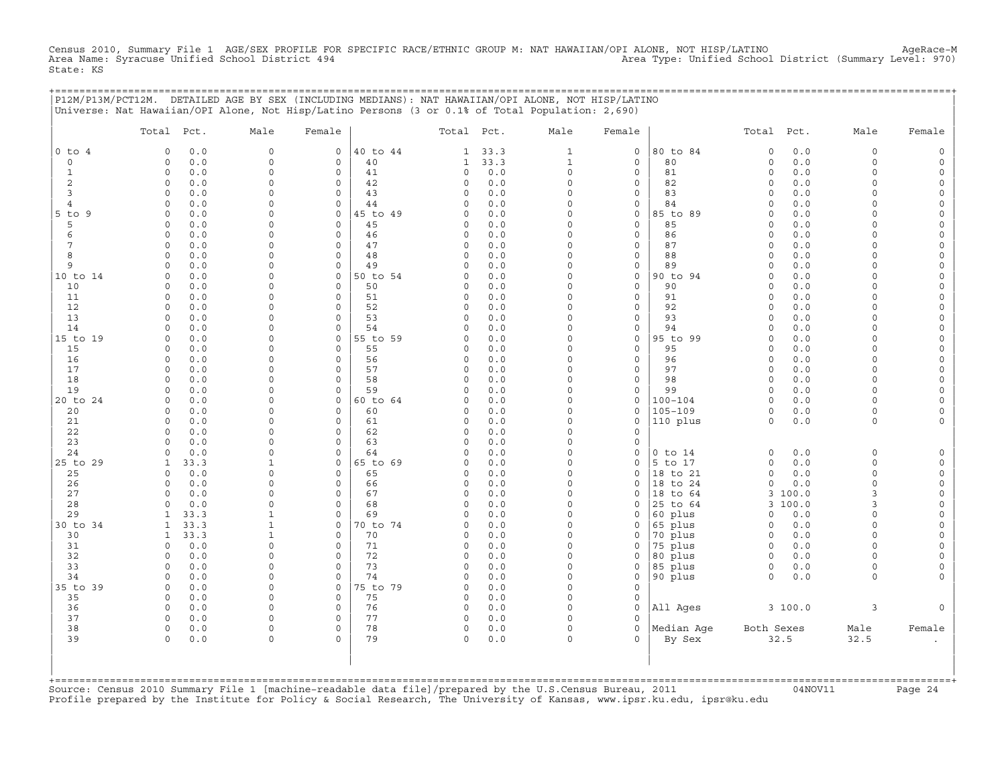Census 2010, Summary File 1 AGE/SEX PROFILE FOR SPECIFIC RACE/ETHNIC GROUP M: NAT HAWAIIAN/OPI ALONE, NOT HISP/LATINO AgeRace-M<br>Area Name: Syracuse Unified School District 494 State: KS

|                | P12M/P13M/PCT12M. DETAILED AGE BY SEX (INCLUDING MEDIANS): NAT HAWAIIAN/OPI ALONE, NOT HISP/LATINO |                         |                            |                |                         |              |                      |                   | ================================== |                         |                  |                         |                      |
|----------------|----------------------------------------------------------------------------------------------------|-------------------------|----------------------------|----------------|-------------------------|--------------|----------------------|-------------------|------------------------------------|-------------------------|------------------|-------------------------|----------------------|
|                | Universe: Nat Hawaiian/OPI Alone, Not Hisp/Latino Persons (3 or 0.1% of Total Population: 2,690)   |                         |                            |                |                         |              |                      |                   |                                    |                         |                  |                         |                      |
|                | Total Pct.                                                                                         | Male                    | Female                     |                | Total Pct.              |              | Male                 | Female            |                                    | Total Pct.              |                  | Male                    | Female               |
| $0$ to $4$     | 0.0<br>$\mathbf 0$                                                                                 | $\mathsf{O}$            | $\mathsf{O}$               | 40 to 44       | $\mathbf{1}$            | 33.3         | $\mathbf{1}$         | $\circ$           | 80 to 84                           | $\mathsf O$             | 0.0              | $\mathsf O$             |                      |
| $\circ$        | 0.0<br>$\mathbf 0$                                                                                 | 0<br>$\Omega$           | 0                          | 40             | 1                       | 33.3         | 1                    | 0                 | 80                                 | $\circ$                 | 0.0              | $\mathbf 0$<br>$\Omega$ |                      |
| 1<br>2         | $\Omega$<br>0.0<br>$\circ$<br>0.0                                                                  | $\Omega$                | $\mathbf 0$<br>0           | 41<br>42       | 0<br>0                  | 0.0<br>0.0   | $\Omega$<br>0        | $\mathbf{0}$<br>0 | 81<br>82                           | $\Omega$<br>$\mathbf 0$ | 0.0<br>0.0       | $\Omega$                | $\Omega$             |
| 3              | 0.0<br>$\Omega$                                                                                    | $\Omega$                | $\mathbf 0$                | 43             | 0                       | 0.0          | $\Omega$             | 0                 | 83                                 | $\Omega$                | 0.0              | ∩                       | $\Omega$             |
| $\overline{4}$ | 0.0<br>$\Omega$                                                                                    | $\Omega$                | $\circ$                    | 44             | $\Omega$                | 0.0          | $\Omega$             | $\mathbf 0$       | 84                                 | $\Omega$                | 0.0              | $\Omega$                |                      |
| 5 to 9<br>5    | $\mathbf 0$<br>0.0<br>0.0<br>$\Omega$                                                              | $\Omega$<br>$\Omega$    | 0<br>$\mathbf 0$           | 45 to 49<br>45 | 0<br>0                  | 0.0<br>0.0   | $\Omega$<br>$\Omega$ | 0<br>$\mathbf{0}$ | 85 to 89<br>85                     | $\mathbf 0$<br>$\Omega$ | 0.0<br>0.0       | $\Omega$<br>$\cap$      | $\Omega$<br>$\Omega$ |
| 6              | 0.0<br>$\circ$                                                                                     | $\Omega$                | $\mathbf 0$                | 46             | 0                       | 0.0          | $\Omega$             | 0                 | 86                                 | $\Omega$                | 0.0              | $\Omega$                | $\Omega$             |
| 7              | $\circ$<br>0.0                                                                                     | $\Omega$                | $\circ$                    | 47             | $\circ$                 | 0.0          | $\Omega$             | 0                 | 87                                 | $\Omega$                | 0.0              | $\Omega$                |                      |
| 8              | $\Omega$<br>0.0                                                                                    | $\Omega$                | $\mathbf 0$                | 48             | $\mathbf 0$             | 0.0          | $\Omega$             | 0                 | 88                                 | $\mathbf 0$             | 0.0              | $\Omega$                | $\Omega$             |
| 9              | 0.0<br>$\mathbf 0$<br>$\mathbf 0$                                                                  | $\Omega$<br>$\Omega$    | 0                          | 49             | 0<br>$\Omega$           | 0.0          | $\Omega$<br>$\Omega$ | 0                 | 89                                 | $\Omega$<br>$\Omega$    | 0.0              | $\Omega$<br>$\cap$      | $\Omega$             |
| 10 to 14<br>10 | 0.0<br>0.0<br>$\mathbf 0$                                                                          | $\Omega$                | 0<br>$\mathbf 0$           | 50 to 54<br>50 | 0                       | 0.0<br>$0.0$ | $\Omega$             | 0<br>$\mathbf 0$  | 90 to 94<br>90                     | $\Omega$                | 0.0<br>0.0       | $\Omega$                |                      |
| 11             | $\mathbf 0$<br>0.0                                                                                 | $\Omega$                | 0                          | 51             | 0                       | 0.0          | $\Omega$             | 0                 | 91                                 | $\Omega$                | 0.0              | $\Omega$                |                      |
| 12             | 0.0<br>$\Omega$                                                                                    | $\Omega$                | $\circ$                    | 52             | $\Omega$                | 0.0          | $\Omega$             | $\circ$           | 92                                 | $\Omega$                | 0.0              | $\cap$                  | $\Omega$             |
| 13             | $\mathbf 0$<br>0.0                                                                                 | $\mathbf 0$             | 0                          | 53             | 0                       | 0.0          | 0                    | 0                 | 93                                 | $\mathbf 0$             | 0.0              | $\Omega$<br>$\Omega$    | $\Omega$             |
| 14<br>15 to 19 | 0.0<br>$\mathbf 0$<br>0.0<br>$\Omega$                                                              | $\mathbf 0$<br>$\Omega$ | 0<br>0                     | 54<br>55 to 59 | $\Omega$<br>$\Omega$    | 0.0<br>0.0   | 0<br>$\Omega$        | 0<br>0            | 94<br>95 to 99                     | $\Omega$<br>$\Omega$    | 0.0<br>0.0       | $\cap$                  | $\Omega$             |
| 15             | 0.0<br>$\Omega$                                                                                    | $\Omega$                | $\mathbf 0$                | 55             | 0                       | 0.0          | $\Omega$             | $\mathbf{0}$      | 95                                 | $\mathbf 0$             | 0.0              | $\cap$                  | $\Omega$             |
| 16             | $\Omega$<br>0.0                                                                                    | $\Omega$                | 0                          | 56             | 0                       | 0.0          | $\Omega$             | 0                 | 96                                 | $\mathbf 0$             | 0.0              | $\Omega$                | $\Omega$             |
| 17             | 0.0<br>$\mathbf 0$                                                                                 | $\mathbf 0$             | 0                          | 57             | $\Omega$                | 0.0          | $\Omega$             | 0                 | 97                                 | $\Omega$                | 0.0              | $\Omega$                | $\Omega$             |
| 18<br>19       | 0.0<br>$\mathbf 0$<br>$\Omega$<br>0.0                                                              | $\Omega$<br>$\Omega$    | $\mathbf 0$<br>0           | 58<br>59       | 0<br>$\Omega$           | 0.0<br>0.0   | $\Omega$<br>$\Omega$ | 0<br>0            | 98<br>99                           | $\Omega$<br>$\Omega$    | 0.0<br>0.0       | $\Omega$<br>$\Omega$    | $\Omega$             |
| 20 to 24       | $\Omega$<br>0.0                                                                                    | $\Omega$                | 0                          | 60 to 64       | 0                       | 0.0          | $\Omega$             | 0                 | $100 - 104$                        | $\Omega$                | 0.0              | $\cap$                  | $\Omega$             |
| 20             | 0.0<br>$\Omega$                                                                                    | $\Omega$                | $\mathbf 0$                | 60             | $\Omega$                | 0.0          | $\Omega$             | $\mathbf{0}$      | $105 - 109$                        | $\circ$                 | 0.0              | $\Omega$                |                      |
| 21             | $\mathbf 0$<br>0.0                                                                                 | $\Omega$                | $\mathbf 0$                | 61             | 0                       | 0.0          | $\Omega$             | $\mathbf 0$       | 110 plus                           | $\mathbf 0$             | 0.0              | $\mathbf 0$             |                      |
| 22<br>23       | 0.0<br>$\Omega$<br>0.0<br>$\Omega$                                                                 | $\Omega$<br>$\Omega$    | $\mathsf O$<br>$\mathbf 0$ | 62<br>63       | $\mathbf 0$<br>$\Omega$ | 0.0<br>0.0   | $\Omega$<br>$\Omega$ | $\mathbf 0$<br>0  |                                    |                         |                  |                         |                      |
| 24             | 0.0<br>$\Omega$                                                                                    | $\Omega$                | 0                          | 64             | 0                       | 0.0          | 0                    | 0                 | $0$ to $14$                        | $\circ$                 | 0.0              | $\Omega$                |                      |
| 25 to 29       | 33.3<br>1                                                                                          | 1                       | $\circ$                    | 65 to 69       | 0                       | 0.0          | $\Omega$             | 0                 | 5 to 17                            | $\circ$                 | 0.0              | $\Omega$                |                      |
| 25             | 0.0<br>$\Omega$                                                                                    | $\Omega$                | 0                          | 65             | 0                       | 0.0          | $\Omega$             | $\Omega$          | 18 to 21                           | $\Omega$                | 0.0              | $\Omega$                | $\Omega$             |
| 26<br>27       | 0.0<br>$\mathbf 0$<br>$\Omega$                                                                     | $\Omega$<br>$\Omega$    | 0<br>0                     | 66<br>67       | 0                       | 0.0          | $\Omega$<br>$\Omega$ | 0<br>0            | 18 to 24<br>18 to 64               | 0                       | 0.0              | $\Omega$<br>3           | $\Omega$             |
| 28             | 0.0<br>0.0<br>$\Omega$                                                                             | $\Omega$                | 0                          | 68             | 0<br>$\Omega$           | 0.0<br>0.0   | $\Omega$             | 0                 | 25 to 64                           | 3                       | 3 100.0<br>100.0 | 3                       |                      |
| 29             | 33.3<br>-1                                                                                         | -1                      | $\circ$                    | 69             | $\Omega$                | 0.0          | $\Omega$             | 0                 | 60 plus                            | 0                       | 0.0              | $\Omega$                |                      |
| 30 to 34       | 33.3<br>$\mathbf{1}$                                                                               | 1                       | 0                          | 70 to 74       | 0                       | 0.0          | $\Omega$             | 0                 | 65 plus                            | $\mathbf 0$             | 0.0              | $\Omega$                |                      |
| 30<br>31       | 33.3<br>$\mathbf{1}$<br>0.0<br>$\mathbf 0$                                                         | 1<br>$\mathbf 0$        | 0<br>$\mathbf 0$           | 70             | 0<br>$\Omega$           | 0.0<br>0.0   | $\Omega$<br>$\Omega$ | 0<br>$\mathbf 0$  | 70 plus                            | $\mathbf 0$<br>$\circ$  | 0.0<br>0.0       | $\Omega$<br>$\Omega$    |                      |
| 32             | 0.0<br>$\mathbf 0$                                                                                 | $\Omega$                | $\mathbf 0$                | 71<br>72       | 0                       | 0.0          | $\Omega$             | 0                 | 75 plus<br>80 plus                 | $\circ$                 | 0.0              | $\Omega$                |                      |
| 33             | 0.0<br>$\mathbf 0$                                                                                 | $\mathbf 0$             | $\mathsf O$                | 73             | 0                       | 0.0          | 0                    | 0                 | 85 plus                            | $\circ$                 | 0.0              | $\mathbf 0$             | $\Omega$             |
| 34             | 0.0<br>$\Omega$                                                                                    | $\Omega$                | $\Omega$                   | 74             | $\Omega$                | $0.0$        | $\Omega$             | $\mathbf{0}$      | 90 plus                            | $\Omega$                | 0.0              | $\Omega$                |                      |
| 35 to 39       | $\mathbf 0$<br>0.0                                                                                 | 0                       | $\circ$                    | 75 to 79       | 0                       | 0.0          | $\circ$              | $\mathbf 0$       |                                    |                         |                  |                         |                      |
| 35<br>36       | 0.0<br>0<br>$\Omega$<br>0.0                                                                        | $\Omega$<br>$\Omega$    | 0<br>$\mathbf 0$           | 75<br>76       | 0<br>0                  | 0.0<br>0.0   | 0<br>$\Omega$        | 0<br>$\mathbf 0$  | All Ages                           |                         | 3 100.0          | 3                       |                      |
| 37             | $\circ$<br>0.0                                                                                     | $\Omega$                | 0                          | 77             | 0                       | 0.0          | $\Omega$             | 0                 |                                    |                         |                  |                         |                      |
| 38             | $\Omega$<br>0.0                                                                                    | $\mathbf 0$             | $\mathbf 0$                | 78             | $\mathbf 0$             | 0.0          | 0                    | $\mathbf{0}$      | Median Aqe                         | Both Sexes              |                  | Male                    | Female               |
| 39             | $\Omega$<br>0.0                                                                                    | $\mathbf 0$             | $\Omega$                   | 79             | $\Omega$                | 0.0          | $\Omega$             | $\Omega$          | By Sex                             |                         | 32.5             | 32.5                    |                      |
|                |                                                                                                    |                         |                            |                |                         |              |                      |                   |                                    |                         |                  |                         |                      |
|                |                                                                                                    |                         |                            |                |                         |              |                      |                   |                                    |                         |                  |                         |                      |
|                |                                                                                                    |                         |                            |                |                         |              |                      |                   |                                    |                         |                  |                         |                      |

+===================================================================================================================================================+Source: Census 2010 Summary File 1 [machine−readable data file]/prepared by the U.S.Census Bureau, 2011 04NOV11 Page 24 Profile prepared by the Institute for Policy & Social Research, The University of Kansas, www.ipsr.ku.edu, ipsr@ku.edu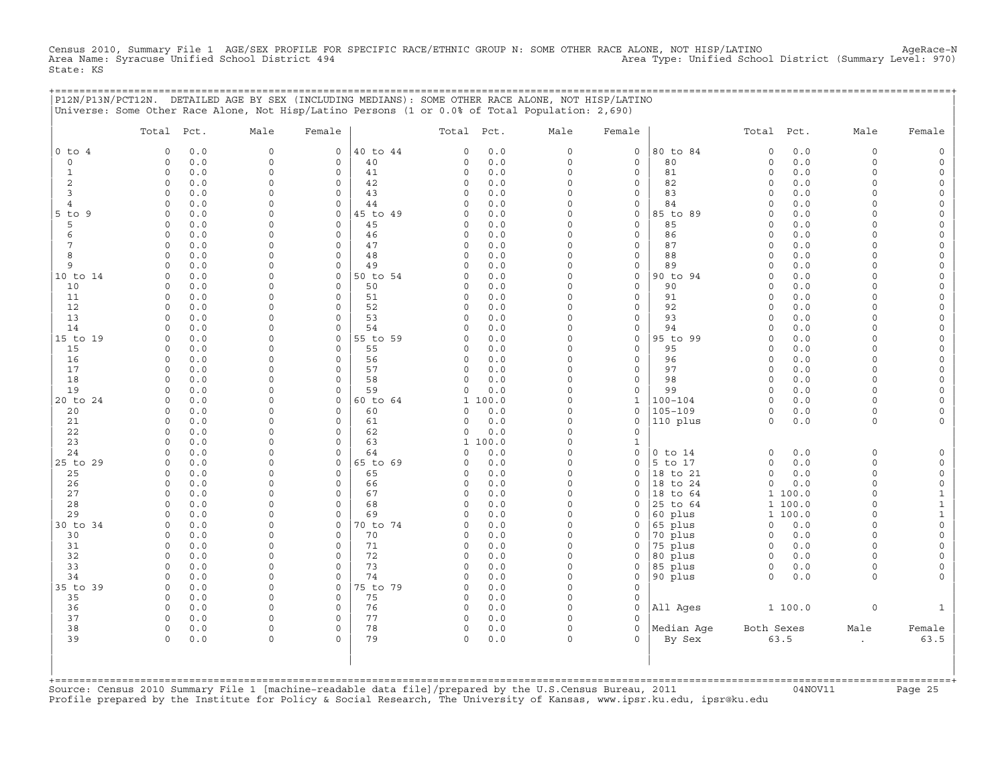Census 2010, Summary File 1 AGE/SEX PROFILE FOR SPECIFIC RACE/ETHNIC GROUP N: SOME OTHER RACE ALONE, NOT HISP/LATINO<br>Area Name: Syracuse Unified School District 494 State: KS

+===================================================================================================================================================+

|                | P12N/P13N/PCT12N. DETAILED AGE BY SEX (INCLUDING MEDIANS): SOME OTHER RACE ALONE, NOT HISP/LATINO<br>Universe: Some Other Race Alone, Not Hisp/Latino Persons (1 or 0.0% of Total Population: 2,690) |                      |                            |          |                            |                         |                                     |                            |                     |              |                      |                                            |
|----------------|------------------------------------------------------------------------------------------------------------------------------------------------------------------------------------------------------|----------------------|----------------------------|----------|----------------------------|-------------------------|-------------------------------------|----------------------------|---------------------|--------------|----------------------|--------------------------------------------|
|                | Total Pct.                                                                                                                                                                                           | Male                 | Female                     |          | Total<br>Pct.              | Male                    | Female                              |                            | Total               | Pct.         | Male                 | Female                                     |
| $0$ to $4$     | 0.0<br>$\Omega$                                                                                                                                                                                      | $\Omega$             | 0                          | 40 to 44 | $0.0$<br>0                 | $\Omega$                | $\mathbf 0$                         | 80 to 84                   | $\mathbf 0$         | $0.0$        | $\circ$              | $\mathsf{O}$                               |
| 0              | 0.0<br>$\Omega$                                                                                                                                                                                      | $\Omega$             | $\mathbf 0$                | 40       | 0.0<br>0                   | $\Omega$                | $\mathbf 0$                         | 80                         | $\mathsf{O}\xspace$ | 0.0          | $\circ$              | $\mathsf O$                                |
| $\mathbf{1}$   | 0.0<br>$\circ$                                                                                                                                                                                       | $\Omega$             | $\mathbf 0$                | 41       | 0.0<br>0                   | $\Omega$                | $\mathbf 0$                         | 81                         | $\mathsf{O}\xspace$ | 0.0          | $\circ$              | $\circ$                                    |
| 2              | 0.0<br>0                                                                                                                                                                                             | $\Omega$             | $\Omega$                   | 42       | $0.0$<br>0                 | $\Omega$                | $\mathbf 0$                         | 82                         | $\circ$             | 0.0          | $\Omega$             | $\mathbf 0$                                |
| 3              | $\Omega$<br>0.0                                                                                                                                                                                      | $\Omega$             | $\mathbf 0$                | 43       | 0<br>0.0                   | $\Omega$                | $\mathbf 0$                         | 83                         | $\circ$             | 0.0          | $\circ$              | 0                                          |
| $\overline{4}$ | 0.0<br>$\Omega$                                                                                                                                                                                      | $\Omega$             | $\mathbf 0$                | 44       | 0.0<br>0                   | $\Omega$                | $\mathsf{O}\xspace$                 | 84                         | $\mathbf 0$         | $0.0$        | $\Omega$             | $\mathsf{O}\xspace$                        |
| 5 to 9         | 0.0<br>$\Omega$                                                                                                                                                                                      | $\Omega$             | 0                          | 45 to 49 | $0.0$<br>0                 | $\Omega$                | $\mathsf O$                         | 85 to 89                   | $\Omega$            | $0.0$        | $\Omega$             | $\mathsf{O}\xspace$                        |
| 5              | 0.0<br>0                                                                                                                                                                                             | $\Omega$<br>0        | $\mathbf 0$<br>$\mathbf 0$ | 45       | 0.0<br>0                   | $\Omega$<br>$\mathbf 0$ | $\mathbf 0$                         | 85                         | $\circ$             | 0.0          | $\Omega$<br>$\Omega$ | 0                                          |
| 6<br>7         | $\mathbf 0$<br>0.0<br>$\Omega$                                                                                                                                                                       | $\Omega$             | $\Omega$                   | 46       | 0.0<br>0<br>0              | $\Omega$                | $\mathsf{O}\xspace$<br>$\mathsf{O}$ | 86<br>87                   | $\circ$<br>$\Omega$ | 0.0          | $\Omega$             | $\mathsf{O}\xspace$<br>$\mathsf{O}\xspace$ |
| 8              | 0.0<br>$\Omega$<br>0.0                                                                                                                                                                               | $\Omega$             | $\mathbf 0$                | 47<br>48 | 0.0<br>0<br>0.0            | $\Omega$                | $\mathsf{O}$                        | 88                         | $\circ$             | 0.0<br>0.0   | $\Omega$             | 0                                          |
| 9              | $\mathbf 0$<br>0.0                                                                                                                                                                                   | $\Omega$             | $\mathsf{O}\xspace$        | 49       | 0.0<br>0                   | $\mathbf 0$             | $\mathsf{O}\xspace$                 | 89                         | $\mathbf 0$         | 0.0          | $\Omega$             | $\mathsf{O}\xspace$                        |
| 10 to 14       | 0.0<br>$\Omega$                                                                                                                                                                                      | $\Omega$             | 0                          | 50 to 54 | 0.0<br>O                   | $\Omega$                | $\mathsf O$                         | 90 to 94                   | $\Omega$            | 0.0          | $\Omega$             | $\mathsf{O}\xspace$                        |
| 10             | 0.0<br>$\Omega$                                                                                                                                                                                      | $\Omega$             | $\Omega$                   | 50       | 0<br>0.0                   | $\Omega$                | $\mathbf 0$                         | 90                         | $\Omega$            | 0.0          | $\Omega$             | 0                                          |
| 11             | 0.0<br>$\circ$                                                                                                                                                                                       | $\Omega$             | $\mathsf{O}\xspace$        | 51       | 0<br>0.0                   | $\mathbf 0$             | $\mathsf{O}\xspace$                 | 91                         | $\mathsf{O}\xspace$ | 0.0          | $\Omega$             | $\mathsf{O}\xspace$                        |
| 12             | 0.0<br>$\Omega$                                                                                                                                                                                      | $\Omega$             | 0                          | 52       | 0<br>0.0                   | $\Omega$                | $\mathsf{O}$                        | 92                         | $\Omega$            | $0.0$        | $\Omega$             | $\mathsf{O}\xspace$                        |
| 13             | 0.0<br>$\Omega$                                                                                                                                                                                      | $\Omega$             | $\Omega$                   | 53       | 0.0<br>$\Omega$            | $\Omega$                | $\mathbf 0$                         | 93                         | $\Omega$            | 0.0          | $\Omega$             | 0                                          |
| 14             | 0.0<br>$\Omega$                                                                                                                                                                                      | $\Omega$             | $\mathbf 0$                | 54       | 0.0<br>0                   | $\mathbf 0$             | $\mathsf{O}\xspace$                 | 94                         | $\Omega$            | 0.0          | $\circ$              | $\mathsf{O}\xspace$                        |
| 15 to 19       | 0.0<br>$\Omega$                                                                                                                                                                                      | 0                    | 0                          | 55 to 59 | 0<br>0.0                   | $\Omega$                | $\mathsf O$                         | 95 to 99                   | $\circ$             | 0.0          | $\Omega$             | $\mathsf{O}\xspace$                        |
| 15             | 0.0<br>$\Omega$                                                                                                                                                                                      | $\Omega$             | $\Omega$                   | 55       | 0.0<br>$\Omega$            | $\Omega$                | $\mathbf 0$                         | 95                         | $\Omega$            | 0.0          | $\Omega$             | 0                                          |
| 16             | $\Omega$<br>0.0                                                                                                                                                                                      | $\Omega$             | $\mathsf{O}\xspace$        | 56       | 0<br>0.0                   | $\mathbf 0$             | $\mathsf{O}\xspace$                 | 96                         | $\mathbf 0$         | 0.0          | $\Omega$             | $\mathsf{O}\xspace$                        |
| 17             | $\Omega$<br>0.0                                                                                                                                                                                      | $\Omega$             | $\mathsf{O}$               | 57       | 0<br>0.0                   | $\Omega$                | $\mathsf{O}$                        | 97                         | $\circ$             | 0.0          | 0                    | 0                                          |
| 18             | 0.0<br>$\Omega$                                                                                                                                                                                      | $\Omega$             | $\mathbf 0$                | 58       | 0.0<br>0                   | $\Omega$                | $\mathbf 0$                         | 98                         | $\circ$             | 0.0          | $\circ$              | $\mathsf O$                                |
| 19             | 0.0<br>$\Omega$                                                                                                                                                                                      | $\Omega$<br>$\Omega$ | 0                          | 59       | $0.0$<br>0                 | $\mathbf 0$<br>$\Omega$ | $\mathsf{O}\xspace$                 | 99                         | $\Omega$            | 0.0          | $\Omega$             | $\mathsf{O}\xspace$                        |
| 20 to 24       | 0.0<br>$\Omega$<br>$\Omega$                                                                                                                                                                          | 0                    | $\Omega$<br>$\mathbf 0$    | 60 to 64 | $\mathbf{1}$<br>100.0<br>0 | $\Omega$                | $\mathbf{1}$<br>$\mathbf 0$         | $100 - 104$<br>$105 - 109$ | $\circ$             | 0.0          | $\Omega$<br>$\circ$  | 0                                          |
| 20<br>21       | 0.0<br>0.0<br>$\Omega$                                                                                                                                                                               | $\Omega$             | $\mathbf 0$                | 60<br>61 | 0.0<br>0<br>0.0            | $\Omega$                | $\mathsf{O}\xspace$                 | 110 plus                   | $\circ$<br>$\circ$  | 0.0<br>$0.0$ | $\circ$              | 0<br>$\mathsf{O}\xspace$                   |
| 22             | $\Omega$<br>0.0                                                                                                                                                                                      | $\Omega$             | 0                          | 62       | 0.0<br>0                   | $\Omega$                | $\mathsf{O}$                        |                            |                     |              |                      |                                            |
| 23             | 0.0<br>$\Omega$                                                                                                                                                                                      | $\Omega$             | $\Omega$                   | 63       | 1 100.0                    | $\Omega$                | 1                                   |                            |                     |              |                      |                                            |
| 24             | 0.0<br>$\Omega$                                                                                                                                                                                      | $\Omega$             | $\Omega$                   | 64       | 0.0<br>0                   | $\Omega$                | $\mathsf{O}\xspace$                 | $0$ to $14$                | $\circ$             | 0.0          | $\circ$              | $\mathsf O$                                |
| 25 to 29       | $\mathbf 0$<br>0.0                                                                                                                                                                                   | $\Omega$             | $\mathsf{O}\xspace$        | 65 to 69 | $0.0$<br>0                 | $\mathbf 0$             | $\mathsf{O}\xspace$                 | 5 to 17                    | $\mathsf O$         | 0.0          | $\Omega$             | $\mathsf O$                                |
| 25             | 0.0<br>$\Omega$                                                                                                                                                                                      | $\Omega$             | 0                          | 65       | 0.0<br>0                   | $\Omega$                | $\mathbf 0$                         | 18 to 21                   | $\Omega$            | 0.0          | $\Omega$             | $\mathsf{O}$                               |
| 26             | 0.0<br>$\circ$                                                                                                                                                                                       | $\Omega$             | $\Omega$                   | 66       | 0.0<br>0                   | $\Omega$                | $\Omega$                            | 18 to 24                   | $\Omega$            | 0.0          | $\Omega$             | $\mathsf{O}\xspace$                        |
| 27             | $\mathsf{O}$<br>0.0                                                                                                                                                                                  | $\Omega$             | $\mathsf{O}\xspace$        | 67       | 0.0<br>0                   | $\Omega$                | $\mathsf{O}$                        | 18 to 64                   | $\mathbf{1}$        | 100.0        | $\Omega$             | $\mathbf{1}$                               |
| 28             | 0.0<br>$\Omega$                                                                                                                                                                                      | $\Omega$             | 0                          | 68       | 0.0<br>0                   | $\Omega$                | $\Omega$                            | 25 to 64                   |                     | 1 100.0      | $\Omega$             | $\mathbf 1$                                |
| 29             | 0.0<br>$\Omega$                                                                                                                                                                                      | $\Omega$             | $\Omega$                   | 69       | 0.0<br>0                   | $\Omega$                | $\mathbf 0$                         | 60 plus                    |                     | 1 100.0      | $\circ$              | $\mathbf 1$                                |
| 30 to 34       | 0<br>0.0                                                                                                                                                                                             | $\Omega$             | 0                          | 70 to 74 | 0<br>0.0                   | $\Omega$                | $\mathsf{O}$                        | 65 plus                    | $\circ$             | 0.0          | 0                    | $\mathsf{O}\xspace$                        |
| 30             | 0.0<br>$\Omega$                                                                                                                                                                                      | 0                    | $\mathbf 0$                | 70       | 0.0<br>0                   | $\Omega$                | $\Omega$                            | 70 plus                    | $\circ$             | 0.0          | $\circ$              | $\mathsf O$                                |
| 31             | 0.0<br>$\Omega$                                                                                                                                                                                      | $\Omega$             | $\Omega$                   | 71       | 0.0<br>0                   | $\Omega$                | $\mathbf 0$                         | 75 plus                    | $\circ$             | 0.0          | $\Omega$             | $\mathsf{O}\xspace$                        |
| 32             | 0<br>0.0                                                                                                                                                                                             | $\mathbf 0$          | $\mathbf 0$                | 72       | $0.0$<br>0                 | $\mathbf 0$             | $\mathsf{O}$                        | 80 plus                    | $\mathsf{O}$        | 0.0          | 0                    | $\mathsf{O}\xspace$                        |
| 33<br>34       | 0.0<br>$\Omega$<br>0.0<br>$\Omega$                                                                                                                                                                   | 0<br>$\Omega$        | $\mathbf 0$<br>$\mathbf 0$ | 73<br>74 | 0<br>0.0<br>0.0<br>0       | $\Omega$<br>$\Omega$    | $\mathbf 0$<br>$\mathbf 0$          | 85 plus                    | 0<br>$\circ$        | 0.0          | $\circ$<br>$\circ$   | 0<br>$\mathsf{O}\xspace$                   |
| 35 to 39       | $\mathbf 0$<br>0.0                                                                                                                                                                                   | $\Omega$             | 0                          | 75 to 79 | 0<br>0.0                   | $\mathbf 0$             | $\mathsf{O}\xspace$                 | 90 plus                    |                     | 0.0          |                      |                                            |
| 35             | $\circ$<br>0.0                                                                                                                                                                                       | $\Omega$             | $\mathbf 0$                | 75       | 0<br>0.0                   | $\Omega$                | $\mathbf 0$                         |                            |                     |              |                      |                                            |
| 36             | 0.0<br>$\circ$                                                                                                                                                                                       | $\Omega$             | $\mathbf 0$                | 76       | $\circ$<br>0.0             | $\Omega$                | $\Omega$                            | All Ages                   |                     | 1 100.0      | $\mathsf{O}\xspace$  | $\mathbf{1}$                               |
| 37             | $\Omega$<br>0.0                                                                                                                                                                                      | $\Omega$             | 0                          | 77       | 0<br>0.0                   | $\mathbf 0$             | $\mathbf 0$                         |                            |                     |              |                      |                                            |
| 38             | $\circ$<br>0.0                                                                                                                                                                                       | $\Omega$             | $\Omega$                   | 78       | 0<br>0.0                   | $\Omega$                | $\Omega$                            | Median Age                 | Both Sexes          |              | Male                 | Female                                     |
| 39             | $\circ$<br>0.0                                                                                                                                                                                       | $\Omega$             | $\circ$                    | 79       | $\circ$<br>0.0             | $\Omega$                | $\Omega$                            | By Sex                     |                     | 63.5         | $\bullet$            | 63.5                                       |
|                | +=============================                                                                                                                                                                       |                      |                            |          |                            |                         |                                     |                            |                     |              |                      |                                            |

+===================================================================================================================================================+Source: Census 2010 Summary File 1 [machine−readable data file]/prepared by the U.S.Census Bureau, 2011 04NOV11 Page 25 Profile prepared by the Institute for Policy & Social Research, The University of Kansas, www.ipsr.ku.edu, ipsr@ku.edu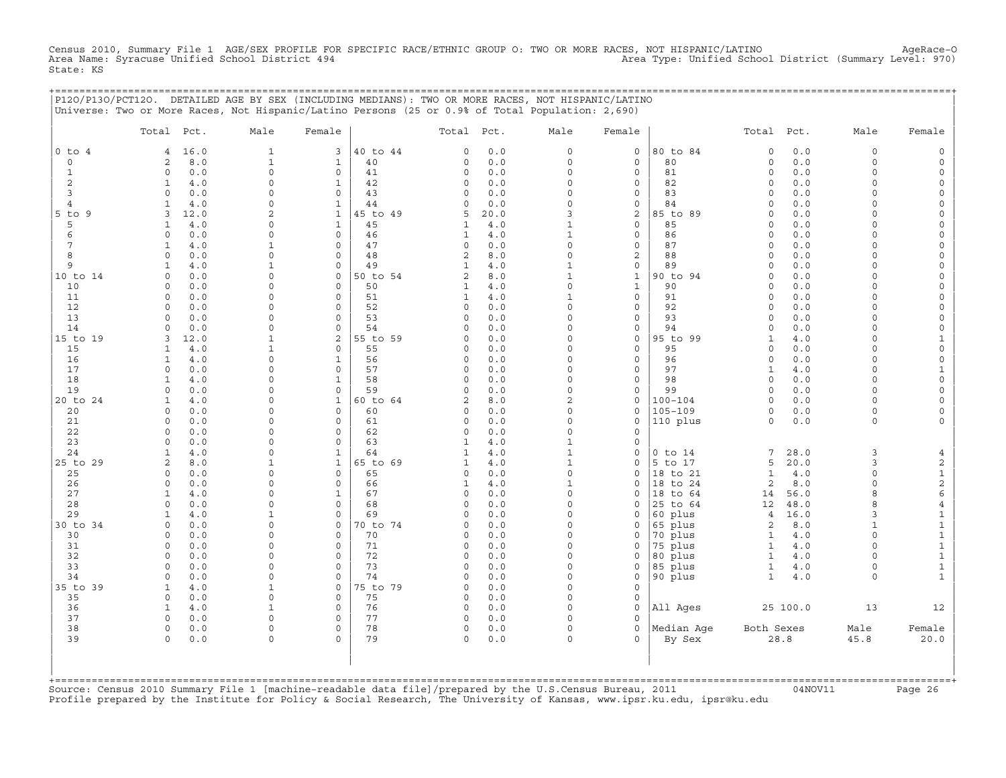Census 2010, Summary File 1 AGE/SEX PROFILE FOR SPECIFIC RACE/ETHNIC GROUP O: TWO OR MORE RACES, NOT HISPANIC/LATINO AgeRace-O<br>Area Name: Syracuse Unified School District 494 State: KS

+===================================================================================================================================================+

|                | Total Pct.                 | Male                         | Female           |          | Total Pct.     |            | Male                 | Female                       |                | Total Pct.               |            | Male                | Female                              |
|----------------|----------------------------|------------------------------|------------------|----------|----------------|------------|----------------------|------------------------------|----------------|--------------------------|------------|---------------------|-------------------------------------|
| $0$ to $4$     | 16.0<br>4                  | $\mathbf{1}$                 | 3                | 40 to 44 | $\Omega$       | 0.0        | $\mathsf{O}$         | $\mathbf 0$                  | 80 to 84       | $\Omega$                 | 0.0        | $\circ$             | $\mathsf{O}\xspace$                 |
| $\circ$        | 2<br>8.0                   | $\mathbf 1$                  | $\mathbf{1}$     | 40       | 0              | 0.0        | $\Omega$             | $\mathbf 0$                  | 80             | $\circ$                  | 0.0        | $\circ$             | $\mathsf{O}\xspace$                 |
| $\mathbf{1}$   | 0.0<br>$\circ$             | $\Omega$                     | $\mathbf 0$      | 41       | 0              | 0.0        | $\Omega$             | $\mathbf 0$                  | 81             | $\circ$                  | 0.0        | $\circ$             | $\mathsf{O}\xspace$                 |
| 2              | 4.0<br>1                   | $\Omega$                     | 1                | 42       | 0              | 0.0        | $\Omega$             | $\mathbf 0$                  | 82             | $\circ$                  | 0.0        | 0                   | 0                                   |
| 3              | 0.0<br>$\circ$             | $\Omega$                     | $\mathbf 0$      | 43       | 0              | 0.0        | $\Omega$             | $\mathbf 0$                  | 83             | $\circ$                  | 0.0        | $\Omega$            | $\mathsf{O}$                        |
| 4              | $\mathbf{1}$<br>4.0        | $\Omega$                     | $\mathbf{1}$     | 44       | 0              | 0.0        | $\Omega$             | $\mathbf 0$                  | 84             | $\Omega$                 | 0.0        | $\Omega$            | $\circ$                             |
| $5$ to $9$     | 3<br>12.0                  | $\overline{c}$               | $\mathbf{1}$     | 45 to 49 | 5              | 20.0       | 3                    | 2                            | 85 to 89       | $\circ$                  | 0.0        | $\Omega$            | 0                                   |
| 5              | 4.0<br>1                   | $\Omega$                     | $\mathbf{1}$     | 45       | 1              | $4.0$      | $\mathbf{1}$         | $\mathsf{O}\xspace$          | 85             | $\circ$                  | 0.0        | $\circ$             | $\mathsf{O}\xspace$                 |
| 6              | 0.0<br>$\Omega$            | $\Omega$                     | $\mathbf 0$      | 46       | 1              | 4.0        | $\mathbf{1}$         | $\mathbf 0$                  | 86             | $\circ$                  | 0.0        | $\Omega$            | $\mathsf{O}\xspace$                 |
| 7              | 4.0<br>$\mathbf{1}$        | $\mathbf{1}$                 | $\Omega$         | 47       | $\circ$        | 0.0        | $\Omega$             | $\mathsf{O}\xspace$          | 87             | $\circ$                  | 0.0        | $\circ$             | $\mathsf{O}\xspace$                 |
| 8              | 0.0<br>$\Omega$            | $\mathsf{O}\xspace$          | 0                | 48       | $\overline{c}$ | 8.0        | $\Omega$             | $\mathbf{2}$                 | 88             | $\Omega$                 | 0.0        | $\Omega$            | $\mathsf O$                         |
| 9              | 4.0<br>$\mathbf{1}$        | $\mathbf{1}$                 | $\mathbf 0$      | 49       | $\mathbf{1}$   | 4.0        | $\mathbf 1$          | $\mathsf{O}\xspace$          | 89             | $\circ$                  | 0.0        | $\Omega$            | 0                                   |
| 10 to 14       | 0.0<br>$\circ$             | $\Omega$                     | $\mathbf 0$      | 50 to 54 | $\overline{c}$ | 8.0        | $\mathbf{1}$         | $\mathbf 1$                  | 90 to 94       | $\circ$                  | 0.0        | $\circ$             | $\mathsf{O}\xspace$                 |
| 10             | 0.0<br>$\Omega$            | $\Omega$                     | $\mathbf 0$      | 50       | $\mathbf{1}$   | 4.0        | $\circ$              | $\mathbf{1}$                 | 90             | $\circ$                  | 0.0        | $\circ$             | 0                                   |
| 11             | 0.0<br>$\Omega$            | $\Omega$                     | $\mathbf 0$      | 51       | 1              | 4.0        | $\mathbf{1}$         | $\mathsf{O}$                 | 91             | $\circ$                  | 0.0        | $\circ$             | 0                                   |
| 12<br>13       | $\circ$<br>0.0<br>$\Omega$ | $\Omega$<br>$\Omega$         | $\mathbf 0$      | 52       | 0              | 0.0        | $\Omega$<br>$\Omega$ | $\mathsf{O}\xspace$          | 92             | $\circ$<br>$\Omega$      | 0.0        | $\circ$<br>$\Omega$ | $\mathsf{O}\xspace$                 |
|                | 0.0<br>$\Omega$            | $\Omega$                     | 0<br>$\mathbf 0$ | 53<br>54 | 0              | 0.0        | $\Omega$             | $\mathbf 0$                  | 93             | $\circ$                  | 0.0        | $\circ$             | 0                                   |
| 14             | 0.0                        |                              | $\overline{c}$   | 55 to 59 | 0<br>0         | 0.0<br>0.0 | $\Omega$             | $\mathsf{O}$<br>$\mathsf{O}$ | 94<br>95 to 99 |                          | 0.0        | $\Omega$            | 0                                   |
| 15 to 19<br>15 | 12.0<br>3<br>4.0<br>1      | $\mathbf{1}$<br>$\mathbf{1}$ | $\mathbf 0$      | 55       | 0              | 0.0        | $\Omega$             | $\mathbf 0$                  | 95             | $\mathbf{1}$<br>$\Omega$ | 4.0<br>0.0 | $\Omega$            | $\mathbf{1}$<br>$\mathsf{O}\xspace$ |
| 16             | $4.0$<br>$\mathbf{1}$      | $\Omega$                     | $\mathbf 1$      | 56       | 0              | 0.0        | $\Omega$             | $\mathbf 0$                  | 96             | $\circ$                  | 0.0        | $\Omega$            | $\mathsf{O}\xspace$                 |
| 17             | $\circ$<br>0.0             | $\Omega$                     | $\mathbf 0$      | 57       | 0              | 0.0        | $\Omega$             | $\mathbf 0$                  | 97             | $\mathbf{1}$             | 4.0        | $\Omega$            | $\mathbf{1}$                        |
| 18             | 4.0<br>1                   | $\Omega$                     | 1                | 58       | 0              | 0.0        | $\Omega$             | $\mathbf 0$                  | 98             | $\circ$                  | 0.0        | $\Omega$            | $\mathsf O$                         |
| 19             | 0.0<br>$\Omega$            | $\Omega$                     | $\Omega$         | 59       | $\Omega$       | 0.0        | $\Omega$             | $\mathbf 0$                  | 99             | $\Omega$                 | 0.0        | $\Omega$            | $\mathsf{O}\xspace$                 |
| 20 to 24       | $\mathbf{1}$<br>4.0        | $\Omega$                     | $\mathbf{1}$     | 60 to 64 | 2              | 8.0        | $\overline{2}$       | $\mathbf 0$                  | $100 - 104$    | $\circ$                  | 0.0        | $\circ$             | $\mathsf{O}\xspace$                 |
| 20             | 0.0<br>0                   | 0                            | $\mathbf 0$      | 60       | 0              | 0.0        | $\Omega$             | $\mathbf 0$                  | $105 - 109$    | $\circ$                  | 0.0        | $\circ$             | 0                                   |
| 21             | 0.0<br>$\circ$             | $\Omega$                     | $\mathbf 0$      | 61       | 0              | 0.0        | $\Omega$             | $\mathbf 0$                  | 110 plus       | $\circ$                  | $0.0$      | $\circ$             | $\circ$                             |
| 22             | $\circ$<br>0.0             | $\Omega$                     | $\mathbf 0$      | 62       | 0              | 0.0        | $\Omega$             | $\mathbf 0$                  |                |                          |            |                     |                                     |
| 23             | 0.0<br>$\mathbf 0$         | $\Omega$                     | 0                | 63       | 1              | 4.0        | $\mathbf{1}$         | $\mathbf 0$                  |                |                          |            |                     |                                     |
| 24             | 4.0<br>$\mathbf{1}$        | $\Omega$                     | $\mathbf{1}$     | 64       | $\mathbf{1}$   | 4.0        | $\mathbf 1$          | $\mathsf{O}\xspace$          | $0$ to $14$    | 7                        | 28.0       | 3                   | 4                                   |
| 25 to 29       | 2<br>8.0                   | $\mathbf{1}$                 | $\mathbf{1}$     | 65 to 69 | $\mathbf{1}$   | 4.0        | $\mathbf{1}$         | $\mathbf 0$                  | 5 to 17        | 5                        | 20.0       | 3                   | 2                                   |
| 25             | 0.0<br>$\circ$             | $\Omega$                     | $\mathbf 0$      | 65       | 0              | 0.0        | $\mathsf{O}\xspace$  | $\mathbf 0$                  | 18 to 21       | $\mathbf{1}$             | 4.0        | $\circ$             | $\mathbf{1}$                        |
| 26             | 0.0<br>$\Omega$            | $\Omega$                     | $\mathbf 0$      | 66       | $\mathbf{1}$   | 4.0        | $\mathbf{1}$         | $\Omega$                     | 18 to 24       | 2                        | 8.0        | $\Omega$            | $\mathbf{2}$                        |
| 27             | 4.0<br>1                   | $\Omega$                     | $\mathbf 1$      | 67       | 0              | 0.0        | $\Omega$             | $\Omega$                     | 18 to 64       | 14                       | 56.0       | 8                   | 6                                   |
| 28             | $\Omega$<br>0.0            | $\Omega$                     | $\mathbf 0$      | 68       | 0              | $0.0$      | $\Omega$             | $\mathbf 0$                  | 25 to 64       | 12                       | 48.0       | 8                   | $\overline{4}$                      |
| 29             | 4.0<br>$\mathbf{1}$        | 1                            | $\mathbf 0$      | 69       | $\Omega$       | 0.0        | $\Omega$             | $\Omega$                     | 60 plus        | $\overline{4}$           | 16.0       | 3                   | $\mathbf 1$                         |
| 30 to 34       | 0.0<br>$\Omega$            | $\Omega$                     | $\mathbf 0$      | 70 to 74 | 0              | 0.0        | $\Omega$             | $\mathbf 0$                  | 65 plus        | 2                        | 8.0        | $\mathbf{1}$        | $\mathbf 1$                         |
| 30             | 0.0<br>$\Omega$            | $\Omega$                     | 0                | 70       | 0              | 0.0        | $\Omega$             | $\mathsf{O}$                 | 70 plus        | $\mathbf{1}$             | 4.0        | $\circ$             | $\,1\,$                             |
| 31             | 0.0<br>0                   | $\Omega$                     | $\mathbf 0$      | 71       | 0              | 0.0        | $\Omega$             | $\mathbf 0$                  | 75 plus        | $\mathbf{1}$             | 4.0        | $\Omega$            | $\mathbf 1$                         |
| 32             | 0.0<br>$\Omega$            | $\Omega$                     | $\mathbf 0$      | 72       | 0              | 0.0        | $\Omega$             | $\Omega$                     | 80 plus        | $\mathbf{1}$             | 4.0        | $\Omega$            | $\mathbf 1$                         |
| 33             | 0.0<br>$\mathbf 0$         | $\Omega$                     | $\mathbf 0$      | 73       | 0              | 0.0        | $\Omega$             | $\mathbf 0$                  | 85 plus        | $\mathbf{1}$             | 4.0        | $\circ$             | $\mathbf{1}$                        |
| 34             | 0.0<br>$\Omega$            | $\Omega$                     | $\Omega$         | 74       | 0              | 0.0        | $\Omega$             | $\mathbf 0$                  | 90 plus        | $\mathbf{1}$             | 4.0        | $\Omega$            | $\mathbf{1}$                        |
| 35 to 39       | 4.0<br>$\mathbf{1}$        | $\mathbf{1}$                 | $\mathbf 0$      | 75 to 79 | 0              | 0.0        | $\Omega$             | $\mathbf 0$                  |                |                          |            |                     |                                     |
| 35             | $\circ$<br>0.0             | $\Omega$                     | $\Omega$         | 75       | 0              | 0.0        | $\Omega$             | $\mathbf 0$                  |                |                          |            |                     |                                     |
| 36             | 4.0<br>1                   | 1                            | $\mathbf 0$      | 76       | 0              | 0.0        | $\Omega$             | $\Omega$                     | All Ages       |                          | 25 100.0   | 13                  | 12                                  |
| 37             | 0.0<br>$\circ$             | $\mathbf 0$                  | $\mathbf 0$      | 77       | 0              | 0.0        | $\Omega$             | $\Omega$                     |                |                          |            |                     |                                     |
| 38             | $\circ$<br>0.0             | $\Omega$                     | $\mathbf 0$      | 78       | 0              | 0.0        | $\mathbf 0$          | $\Omega$                     | Median Age     | Both Sexes               |            | Male                | Female                              |
| 39             | 0.0<br>$\Omega$            | $\Omega$                     | $\Omega$         | 79       | 0              | 0.0        | $\Omega$             |                              | By Sex         |                          | 28.8       | 45.8                | 20.0                                |

+===================================================================================================================================================+Source: Census 2010 Summary File 1 [machine−readable data file]/prepared by the U.S.Census Bureau, 2011 04NOV11 Page 26 Profile prepared by the Institute for Policy & Social Research, The University of Kansas, www.ipsr.ku.edu, ipsr@ku.edu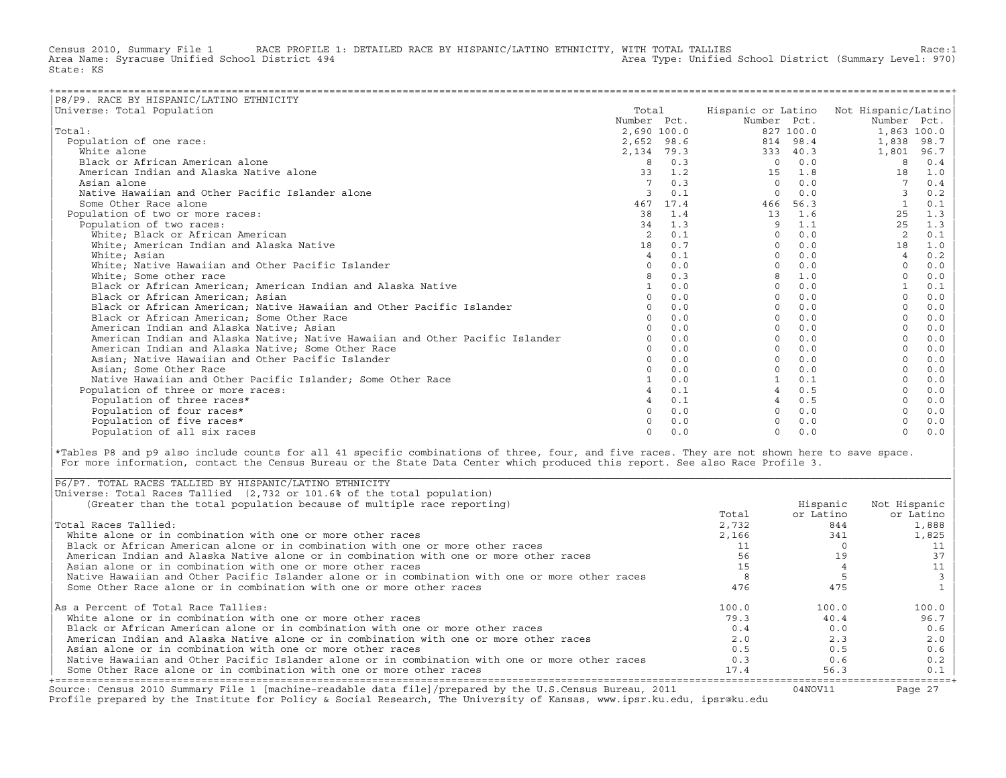Census 2010, Summary File 1 RACE PROFILE 1: DETAILED RACE BY HISPANIC/LATINO ETHNICITY, WITH TOTAL TALLIES Race:1<br>Area Name: Syracuse Unified School District 494 area Type: Unified School District (Summary Level: 970) Area Type: Unified School District (Summary Level: 970) State: KS

| P8/P9. RACE BY HISPANIC/LATINO ETHNICITY                                      |                |            |             |           |                                        |       |
|-------------------------------------------------------------------------------|----------------|------------|-------------|-----------|----------------------------------------|-------|
| Universe: Total Population                                                    | Total          |            |             |           | Hispanic or Latino Not Hispanic/Latino |       |
|                                                                               | Number Pct.    |            | Number Pct. |           | Number Pct.                            |       |
| Total:                                                                        | 2,690 100.0    |            |             | 827 100.0 | 1,863 100.0                            |       |
| Population of one race:                                                       |                | 2,652 98.6 |             | 814 98.4  | 1,838                                  | 98.7  |
| White alone                                                                   | 2,134 79.3     |            |             | 333 40.3  | 1,801                                  | 96.7  |
| Black or African American alone                                               | 8              | 0.3        | $\Omega$    | 0.0       | 8                                      | 0.4   |
| American Indian and Alaska Native alone                                       | 33             | 1.2        | 15          | 1.8       | 18                                     | 1.0   |
| Asian alone                                                                   |                | 0.3        | $\Omega$    | 0.0       |                                        | 0.4   |
| Native Hawaiian and Other Pacific Islander alone                              |                | 0.1        | $\Omega$    | 0.0       |                                        | 0.2   |
| Some Other Race alone                                                         | 467            | 17.4       | 466         | 56.3      |                                        | 0.1   |
| Population of two or more races:                                              | 38             | 1.4        | 13          | 1.6       | 25                                     | 1.3   |
| Population of two races:                                                      | 34             | 1.3        | 9           | 1.1       | 25                                     | 1.3   |
| White; Black or African American                                              |                | 0.1        | $\Omega$    | 0.0       | 2                                      | 0.1   |
| White; American Indian and Alaska Native                                      | 18             | 0.7        | $\Omega$    | 0.0       | 18                                     | 1.0   |
| White; Asian                                                                  | $\overline{4}$ | 0.1        | $\Omega$    | 0.0       | $\overline{4}$                         | $0.2$ |
| White; Native Hawaiian and Other Pacific Islander                             | $\Omega$       | 0.0        |             | 0.0       | $\Omega$                               | 0.0   |
| White; Some other race                                                        |                | 0.3        |             | 1.0       |                                        | 0.0   |
| Black or African American; American Indian and Alaska Native                  | $\mathbf{1}$   | 0.0        | $\Omega$    | 0.0       |                                        | 0.1   |
| Black or African American; Asian                                              | $\circ$        | 0.0        | $\Omega$    | 0.0       |                                        | 0.0   |
| Black or African American; Native Hawaiian and Other Pacific Islander         | $\Omega$       | 0.0        | $\Omega$    | 0.0       | $\Omega$                               | 0.0   |
| Black or African American; Some Other Race                                    | $\cap$         | 0.0        | $\Omega$    | 0.0       | $\Omega$                               | 0.0   |
| American Indian and Alaska Native; Asian                                      |                | 0.0        | $\Omega$    | 0.0       |                                        | 0.0   |
| American Indian and Alaska Native; Native Hawaiian and Other Pacific Islander | $\Omega$       | 0.0        | $\Omega$    | 0.0       |                                        | 0.0   |
| American Indian and Alaska Native; Some Other Race                            | $\Omega$       | 0.0        | $\Omega$    | 0.0       |                                        | 0.0   |
| Asian; Native Hawaiian and Other Pacific Islander                             | $\Omega$       | 0.0        |             | 0.0       |                                        | 0.0   |
| Asian; Some Other Race                                                        |                | 0.0        |             | 0.0       |                                        | 0.0   |
| Native Hawaiian and Other Pacific Islander: Some Other Race                   |                | 0.0        |             | 0.1       |                                        | 0.0   |
| Population of three or more races:                                            |                | 0.1        |             | 0.5       |                                        | 0.0   |
| Population of three races*                                                    |                | 0.1        |             | 0.5       |                                        | 0.0   |
| Population of four races*                                                     | $\cap$         | 0.0        |             | 0.0       |                                        | 0.0   |
| Population of five races*                                                     |                | 0.0        |             | 0.0       |                                        | 0.0   |
| Population of all six races                                                   | $\Omega$       | 0.0        | $\Omega$    | 0.0       | $\Omega$                               | 0.0   |

|\*Tables P8 and p9 also include counts for all 41 specific combinations of three, four, and five races. They are not shown here to save space. | For more information, contact the Census Bureau or the State Data Center which produced this report. See also Race Profile 3.

| |

|\_\_\_\_\_\_\_\_\_\_\_\_\_\_\_\_\_\_\_\_\_\_\_\_\_\_\_\_\_\_\_\_\_\_\_\_\_\_\_\_\_\_\_\_\_\_\_\_\_\_\_\_\_\_\_\_\_\_\_\_\_\_\_\_\_\_\_\_\_\_\_\_\_\_\_\_\_\_\_\_\_\_\_\_\_\_\_\_\_\_\_\_\_\_\_\_\_\_\_\_\_\_\_\_\_\_\_\_\_\_\_\_\_\_\_\_\_\_\_\_\_\_\_\_\_\_\_\_\_\_\_\_\_\_\_\_\_\_\_\_\_\_\_\_\_\_\_|

| Source: Census 2010 Summary File 1 [machine-readable data file]/prepared by the U.S.Census Bureau, 2011<br>Profile prepared by the Institute for Policy & Social Research, The University of Kansas, www.ipsr.ku.edu, ipsr@ku.edu |       | 04NOV11   | Page 27      |
|-----------------------------------------------------------------------------------------------------------------------------------------------------------------------------------------------------------------------------------|-------|-----------|--------------|
| Some Other Race alone or in combination with one or more other races                                                                                                                                                              | 17.4  | 56.3      | 0.1          |
| Native Hawaiian and Other Pacific Islander alone or in combination with one or more other races                                                                                                                                   | 0.3   | 0.6       | 0.2          |
| Asian alone or in combination with one or more other races                                                                                                                                                                        | 0.5   | 0.5       | 0.6          |
| American Indian and Alaska Native alone or in combination with one or more other races                                                                                                                                            | 2.0   | 2.3       | 2.0          |
| Black or African American alone or in combination with one or more other races                                                                                                                                                    | 0.4   | 0.0       | 0.6          |
| White alone or in combination with one or more other races                                                                                                                                                                        | 79.3  | 40.4      | 96.7         |
| As a Percent of Total Race Tallies:                                                                                                                                                                                               | 100.0 | 100.0     | 100.0        |
| Some Other Race alone or in combination with one or more other races                                                                                                                                                              | 476   | 475       |              |
| Native Hawaiian and Other Pacific Islander alone or in combination with one or more other races                                                                                                                                   |       |           |              |
| Asian alone or in combination with one or more other races                                                                                                                                                                        |       |           | 11           |
| American Indian and Alaska Native alone or in combination with one or more other races                                                                                                                                            | 56    | 19        | 37           |
| Black or African American alone or in combination with one or more other races                                                                                                                                                    |       |           |              |
| White alone or in combination with one or more other races                                                                                                                                                                        | 2,166 | 341       | 1,825        |
| Total Races Tallied:                                                                                                                                                                                                              | 2,732 | 844       | 1,888        |
|                                                                                                                                                                                                                                   | Total | or Latino | or Latino    |
| (Greater than the total population because of multiple race reporting)                                                                                                                                                            |       | Hispanic  | Not Hispanic |
| Universe: Total Races Tallied (2,732 or 101.6% of the total population)                                                                                                                                                           |       |           |              |
| P6/P7. TOTAL RACES TALLIED BY HISPANIC/LATINO ETHNICITY                                                                                                                                                                           |       |           |              |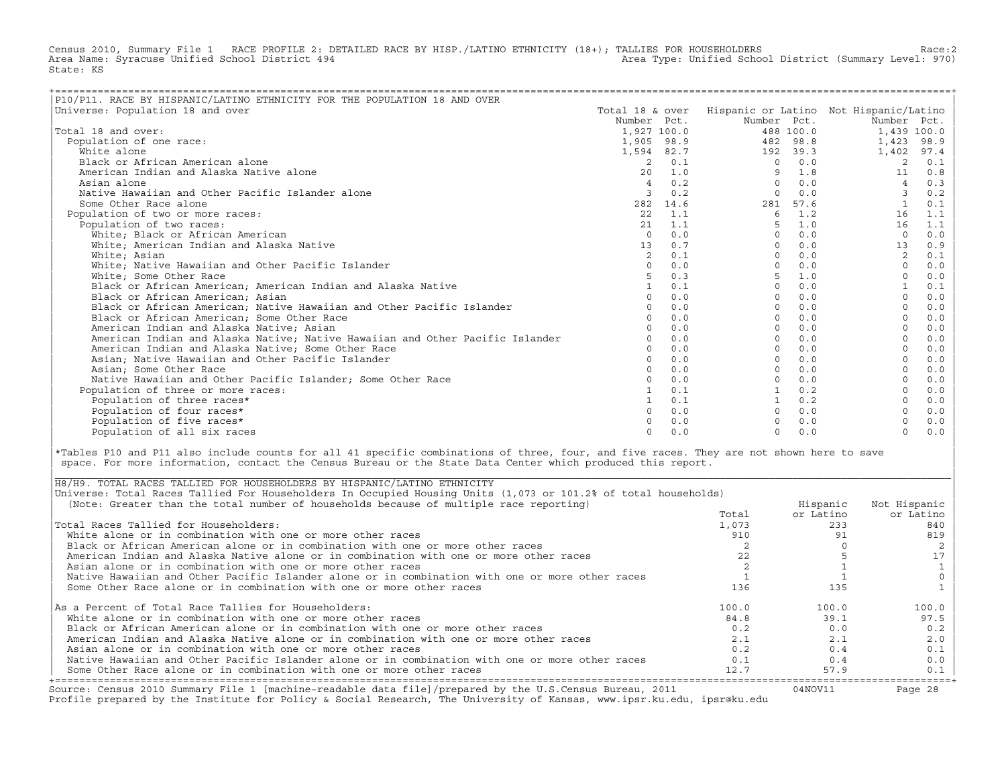Census 2010, Summary File 1 RACE PROFILE 2: DETAILED RACE BY HISP./LATINO ETHNICITY (18+); TALLIES FOR HOUSEHOLDERS Race:2<br>Area Name: Syracuse Unified School District 494 Area Type: Unified School District (Summary Level: 970) State: KS

| P10/P11. RACE BY HISPANIC/LATINO ETHNICITY FOR THE POPULATION 18 AND OVER<br>Universe: Population 18 and over | Total 18 & over |                |              |           | Hispanic or Latino Not Hispanic/Latino |       |
|---------------------------------------------------------------------------------------------------------------|-----------------|----------------|--------------|-----------|----------------------------------------|-------|
|                                                                                                               | Number Pct.     |                | Number Pct.  |           | Number Pct.                            |       |
| Total 18 and over:                                                                                            |                 |                |              | 488 100.0 |                                        |       |
|                                                                                                               | 1,927 100.0     |                |              |           | 1,439 100.0                            |       |
| Population of one race:                                                                                       | 1,905 98.9      |                |              | 482 98.8  | 1,423                                  | 98.9  |
| White alone                                                                                                   | 1,594 82.7      |                |              | 192 39.3  | 1,402                                  | 97.4  |
| Black or African American alone                                                                               | 2               | 0.1            | $\Omega$     | 0.0       | 2                                      | 0.1   |
| American Indian and Alaska Native alone                                                                       | 20              | 1.0            | 9            | 1.8       | 11                                     | 0.8   |
| Asian alone                                                                                                   | $\overline{4}$  | 0.2            |              | 0.0       |                                        | 0.3   |
| Native Hawaiian and Other Pacific Islander alone                                                              |                 | 0.2            | $\Omega$     | 0.0       | 3                                      | 0.2   |
| Some Other Race alone                                                                                         | 282 14.6        |                |              | 281 57.6  |                                        | 0.1   |
| Population of two or more races:                                                                              | 2.2             | 1.1            | 6            | 1.2       | 16                                     | 1.1   |
| Population of two races:                                                                                      |                 | $21 \quad 1.1$ | 5            | 1.0       | 16                                     | 1.1   |
| White; Black or African American                                                                              | $\Omega$        | 0.0            | $\Omega$     | 0.0       | $\Omega$                               | 0.0   |
| White; American Indian and Alaska Native                                                                      | 13              | 0.7            | $\Omega$     | 0.0       | 13                                     | 0.9   |
| White; Asian                                                                                                  |                 | 0.1            | $\Omega$     | 0.0       | 2                                      | 0.1   |
| White; Native Hawaiian and Other Pacific Islander                                                             | $\cap$          | 0.0            | $\Omega$     | 0.0       | $\Omega$                               | 0.0   |
| White; Some Other Race                                                                                        |                 | 0.3            |              | 1.0       |                                        | 0.0   |
| Black or African American; American Indian and Alaska Native                                                  |                 | 0.1            | $\Omega$     | 0.0       |                                        | 0.1   |
| Black or African American; Asian                                                                              |                 | 0.0            | $\Omega$     | 0.0       |                                        | 0.0   |
| Black or African American; Native Hawaiian and Other Pacific Islander                                         |                 | 0.0            | $\Omega$     | 0.0       | $\Omega$                               | 0.0   |
| Black or African American; Some Other Race                                                                    |                 | 0.0            | $\Omega$     | 0.0       |                                        | 0.0   |
| American Indian and Alaska Native; Asian                                                                      |                 | 0.0            | $\Omega$     | 0.0       |                                        | 0.0   |
| American Indian and Alaska Native; Native Hawaiian and Other Pacific Islander                                 |                 | 0.0            | $\Omega$     | 0.0       |                                        | 0.0   |
| American Indian and Alaska Native; Some Other Race                                                            | $\Omega$        | 0.0            | $\Omega$     | 0.0       |                                        | 0.0   |
| Asian; Native Hawaiian and Other Pacific Islander                                                             | $\cap$          | 0.0            | $\Omega$     | 0.0       |                                        | 0.0   |
| Asian; Some Other Race                                                                                        |                 | 0.0            | $\Omega$     | 0.0       |                                        | 0.0   |
| Native Hawaiian and Other Pacific Islander: Some Other Race                                                   |                 | 0.0            | <sup>n</sup> | 0.0       |                                        | 0.0   |
| Population of three or more races:                                                                            |                 | 0.1            |              | 0.2       |                                        | 0.0   |
| Population of three races*                                                                                    |                 | 0.1            |              | 0.2       |                                        | 0.0   |
| Population of four races*                                                                                     |                 | 0.0            | $\Omega$     | 0.0       |                                        | 0.0   |
| Population of five races*                                                                                     |                 | 0.0            |              | 0.0       |                                        | $0.0$ |
| Population of all six races                                                                                   | $\cap$          | 0.0            | $\Omega$     | 0.0       | $\Omega$                               | 0.0   |

|\*Tables P10 and P11 also include counts for all 41 specific combinations of three, four, and five races. They are not shown here to save | space. For more information, contact the Census Bureau or the State Data Center which produced this report.

| Source: Census 2010 Summary File 1 [machine-readable data file]/prepared by the U.S.Census Bureau, 2011<br>Profile prepared by the Institute for Policy & Social Research, The University of Kansas, www.ipsr.ku.edu, ipsr@ku.edu |       | 04NOV11   | Page 28      |
|-----------------------------------------------------------------------------------------------------------------------------------------------------------------------------------------------------------------------------------|-------|-----------|--------------|
| Some Other Race alone or in combination with one or more other races                                                                                                                                                              | 12.7  | 57.9      | 0.1          |
| Native Hawaiian and Other Pacific Islander alone or in combination with one or more other races                                                                                                                                   | 0.1   | 0.4       | 0.0          |
| Asian alone or in combination with one or more other races                                                                                                                                                                        | 0.2   | 0.4       | 0.1          |
| American Indian and Alaska Native alone or in combination with one or more other races                                                                                                                                            | 2.1   | 2.1       | 2.0          |
| Black or African American alone or in combination with one or more other races                                                                                                                                                    | 0.2   | 0.0       | 0.2          |
| White alone or in combination with one or more other races                                                                                                                                                                        | 84.8  | 39.1      | 97.5         |
| As a Percent of Total Race Tallies for Householders:                                                                                                                                                                              | 100.0 | 100.0     | 100.0        |
| Some Other Race alone or in combination with one or more other races                                                                                                                                                              | 136   | 135       |              |
| Native Hawaiian and Other Pacific Islander alone or in combination with one or more other races                                                                                                                                   |       |           |              |
| Asian alone or in combination with one or more other races                                                                                                                                                                        |       |           |              |
| American Indian and Alaska Native alone or in combination with one or more other races                                                                                                                                            |       |           |              |
| Black or African American alone or in combination with one or more other races                                                                                                                                                    |       |           |              |
| White alone or in combination with one or more other races                                                                                                                                                                        | 910   |           | 819          |
| Total Races Tallied for Householders:                                                                                                                                                                                             | 1,073 | 233       | 840          |
|                                                                                                                                                                                                                                   | Total | or Latino | or Latino    |
| (Note: Greater than the total number of households because of multiple race reporting)                                                                                                                                            |       | Hispanic  | Not Hispanic |
| Universe: Total Races Tallied For Householders In Occupied Housing Units (1,073 or 101.2% of total households)                                                                                                                    |       |           |              |
| H8/H9. TOTAL RACES TALLIED FOR HOUSEHOLDERS BY HISPANIC/LATINO ETHNICITY                                                                                                                                                          |       |           |              |

| |

|\_\_\_\_\_\_\_\_\_\_\_\_\_\_\_\_\_\_\_\_\_\_\_\_\_\_\_\_\_\_\_\_\_\_\_\_\_\_\_\_\_\_\_\_\_\_\_\_\_\_\_\_\_\_\_\_\_\_\_\_\_\_\_\_\_\_\_\_\_\_\_\_\_\_\_\_\_\_\_\_\_\_\_\_\_\_\_\_\_\_\_\_\_\_\_\_\_\_\_\_\_\_\_\_\_\_\_\_\_\_\_\_\_\_\_\_\_\_\_\_\_\_\_\_\_\_\_\_\_\_\_\_\_\_\_\_\_\_\_\_\_\_\_\_\_\_\_|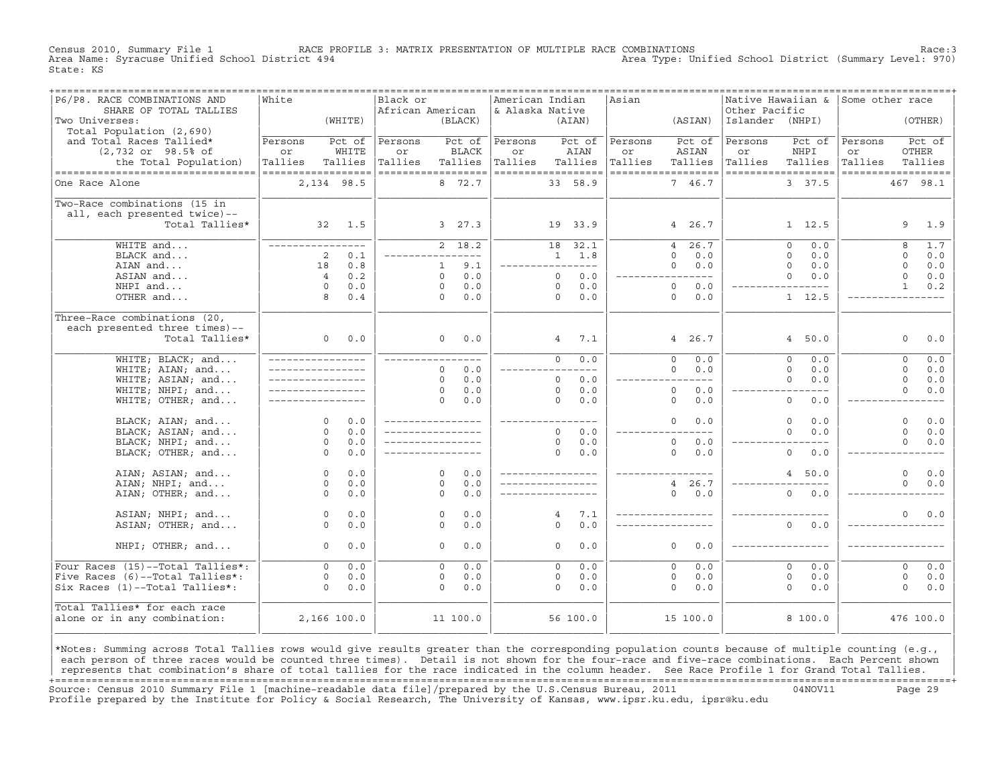Census 2010, Summary File 1 RACE PROFILE 3: MATRIX PRESENTATION OF MULTIPLE RACE COMBINATIONS Race:3 Area Type: Unified School District (Summary Level: 970) State: KS

| P6/P8. RACE COMBINATIONS AND<br>SHARE OF TOTAL TALLIES      | White                         |         | Black or<br>African American |                               | American Indian<br>& Alaska Native |                       | Asian   | =================================== | Native Hawaiian &<br>Other Pacific       | Some other race                          |
|-------------------------------------------------------------|-------------------------------|---------|------------------------------|-------------------------------|------------------------------------|-----------------------|---------|-------------------------------------|------------------------------------------|------------------------------------------|
| Two Universes:<br>Total Population (2,690)                  |                               | (WHTTE) |                              | (BLACK)                       |                                    | (AIAN)                |         | (ASIAN)                             | Islander (NHPI)                          | (OTHER)                                  |
| and Total Races Tallied*                                    | Persons                       | Pct of  | Persons                      | Pct of                        | Persons                            | Pct of                | Persons | Pct of                              | Persons<br>Pct of                        | Pct of<br>Persons                        |
| $(2,732$ or $98.5$ ° of                                     | or                            | WHITE   | or                           | <b>BLACK</b>                  | or                                 | AIAN                  | or      | ASIAN                               | or<br>NHPI                               | <b>OTHER</b><br>or                       |
| the Total Population)<br>---------------------------------- | Tallies<br>================== | Tallies | Tallies                      | Tallies<br>================== | Tallies<br>------------------      | Tallies               | Tallies | Tallies<br>------------------       | Tallies<br>Tallies<br>================== | Tallies<br>Tallies<br>------------------ |
| One Race Alone                                              | 2,134 98.5                    |         |                              | 8 72.7                        |                                    | 33 58.9               |         | 7 46.7                              | 3 37.5                                   | 467 98.1                                 |
| Two-Race combinations (15 in                                |                               |         |                              |                               |                                    |                       |         |                                     |                                          |                                          |
| all, each presented twice)--                                |                               |         |                              |                               |                                    |                       |         |                                     |                                          |                                          |
| Total Tallies*                                              |                               | 32 1.5  |                              | 3, 27.3                       |                                    | 19 33.9               |         | 4 26.7                              | $1 \quad 12.5$                           | 9<br>1.9                                 |
| WHITE and                                                   | ________________              |         |                              | $2 \overline{18.2}$           |                                    | 18 32.1               |         | 26.7<br>4                           | 0.0<br>$\Omega$                          | 8<br>1.7                                 |
| BLACK and                                                   | 2                             | 0.1     |                              |                               |                                    | $1 \t 1.8$            |         | $\Omega$<br>0.0                     | $\circ$<br>0.0                           | $\Omega$<br>0.0                          |
| AIAN and                                                    | 18                            | 0.8     |                              | 9.1<br>$\mathbf{1}$           |                                    | _________________     |         | 0.0<br>$\Omega$                     | $\Omega$<br>0.0                          | $\Omega$<br>0.0                          |
| ASIAN and                                                   | $\overline{4}$                | 0.2     |                              | 0.0<br>$\Omega$               |                                    | 0.0<br>$\Omega$       |         | $---$                               | $\Omega$<br>0.0                          | $\Omega$<br>0.0                          |
| NHPI and                                                    | $\circ$                       | 0.0     |                              | 0.0<br>$\circ$                |                                    | $\Omega$<br>0.0       |         | $\circ$<br>0.0                      | $- - - -$                                | 0.2<br>$\mathbf{1}$                      |
| OTHER and                                                   | 8                             | 0.4     |                              | 0.0<br>$\Omega$               |                                    | $\Omega$<br>0.0       |         | $\Omega$<br>0.0                     | $1 \quad 12.5$                           |                                          |
| Three-Race combinations (20,                                |                               |         |                              |                               |                                    |                       |         |                                     |                                          |                                          |
| each presented three times)--                               |                               |         |                              |                               |                                    |                       |         |                                     |                                          |                                          |
| Total Tallies*                                              | $\overline{0}$                | 0.0     |                              | $\Omega$<br>0.0               |                                    | $4\degree$<br>7.1     |         | 4 26.7                              | 4, 50.0                                  | $\Omega$<br>0.0                          |
| WHITE; BLACK; and                                           | _________________             |         |                              | ----------                    |                                    | $\overline{0}$<br>0.0 |         | 0.0<br>$\Omega$                     | $\Omega$<br>0.0                          | 0.0<br>$\Omega$                          |
| WHITE; AIAN; and                                            | _________________             |         |                              | 0.0<br>$\Omega$               |                                    | $---$                 |         | 0.0<br>$\Omega$                     | $\Omega$<br>0.0                          | $\Omega$<br>0.0                          |
| WHITE; ASIAN; and                                           |                               |         |                              | 0.0<br>$\Omega$               |                                    | $\Omega$<br>0.0       |         | $---$                               | $\Omega$<br>0.0                          | $\Omega$<br>0.0                          |
| WHITE; NHPI; and                                            |                               |         |                              | 0.0<br>$\circ$                |                                    | $\circ$<br>0.0        |         | $\circ$<br>0.0                      | $- - - -$                                | $\Omega$<br>0.0                          |
| WHITE; OTHER; and                                           | _________________             |         |                              | 0.0<br>$\Omega$               |                                    | $\Omega$<br>0.0       |         | $\Omega$<br>0.0                     | $\circ$<br>0.0                           |                                          |
| BLACK; AIAN; and                                            | $\Omega$                      | 0.0     |                              |                               |                                    | ________________      |         | $\Omega$<br>0.0                     | $\Omega$<br>0.0                          | $\Omega$<br>0.0                          |
| BLACK; ASIAN; and                                           | $\Omega$                      | 0.0     |                              |                               |                                    | $\Omega$<br>0.0       |         | $---$                               | $\Omega$<br>0.0                          | $\Omega$<br>0.0                          |
| BLACK; NHPI; and                                            | $\circ$                       | 0.0     |                              |                               |                                    | $\circ$<br>0.0        |         | $\circ$<br>0.0                      |                                          | $\Omega$<br>0.0                          |
| BLACK; OTHER; and                                           | $\Omega$                      | 0.0     |                              |                               |                                    | $\Omega$<br>0.0       |         | 0.0<br>$\Omega$                     | $\Omega$<br>0.0                          |                                          |
| AIAN; ASIAN; and                                            | $\circ$                       | 0.0     |                              | $\Omega$<br>0.0               |                                    | ________________      |         |                                     | $\overline{4}$<br>50.0                   | $\Omega$<br>0.0                          |
| AIAN; NHPI; and                                             | $\circ$                       | 0.0     |                              | 0.0<br>$\Omega$               |                                    |                       |         | 4 26.7                              |                                          | $\Omega$<br>0.0                          |
| AIAN; OTHER; and                                            | $\Omega$                      | 0.0     |                              | 0.0<br>$\Omega$               |                                    |                       |         | $\Omega$<br>0.0                     | $\Omega$<br>0.0                          |                                          |
| ASIAN; NHPI; and                                            | $\circ$                       | 0.0     |                              | 0.0<br>$\Omega$               |                                    | $\overline{4}$<br>7.1 |         | _________________                   |                                          | 0.0<br>$\Omega$                          |
| ASIAN; OTHER; and                                           | $\circ$                       | 0.0     |                              | 0.0<br>$\Omega$               |                                    | $\Omega$<br>0.0       |         | ________________                    | $\Omega$<br>0.0                          |                                          |
| NHPI; OTHER; and                                            | $\Omega$                      | 0.0     |                              | 0.0<br>$\Omega$               |                                    | $\Omega$<br>0.0       |         | $\Omega$<br>0.0                     |                                          |                                          |
|                                                             |                               |         |                              |                               |                                    |                       |         |                                     |                                          |                                          |
| Four Races (15)--Total Tallies*:                            | $\Omega$                      | 0.0     |                              | 0.0<br>$\Omega$               |                                    | 0.0<br>$\Omega$       |         | $\Omega$<br>0.0                     | $\Omega$<br>0.0                          | $\Omega$<br>0.0                          |
| Five Races (6)--Total Tallies*:                             | $\circ$                       | 0.0     |                              | 0.0<br>$\circ$                |                                    | 0.0<br>0              |         | 0.0<br>$\circ$                      | $\mathbf{0}$<br>0.0                      | $\circ$<br>0.0                           |
| Six Races (1)--Total Tallies*:                              | $\Omega$                      | 0.0     |                              | 0.0<br>$\Omega$               |                                    | $\Omega$<br>0.0       |         | $\Omega$<br>0.0                     | $\Omega$<br>0.0                          | $\Omega$<br>0.0                          |
| Total Tallies* for each race                                |                               |         |                              |                               |                                    |                       |         |                                     |                                          |                                          |
| alone or in any combination:                                | 2,166 100.0                   |         |                              | 11 100.0                      |                                    | 56 100.0              |         | 15 100.0                            | 8 100.0                                  | 476 100.0                                |
|                                                             |                               |         |                              |                               |                                    |                       |         |                                     |                                          |                                          |

|\*Notes: Summing across Total Tallies rows would give results greater than the corresponding population counts because of multiple counting (e.g., | each person of three races would be counted three times). Detail is not shown for the four-race and five-race combinations. Each Percent shown represents that combination's share of total tallies for the race indicated in the column header. See Race Profile 1 for Grand Total Tallies. +===================================================================================================================================================+ Source: Census 2010 Summary File 1 [machine−readable data file]/prepared by the U.S.Census Bureau, 2011 04NOV11 Page 29 Profile prepared by the Institute for Policy & Social Research, The University of Kansas, www.ipsr.ku.edu, ipsr@ku.edu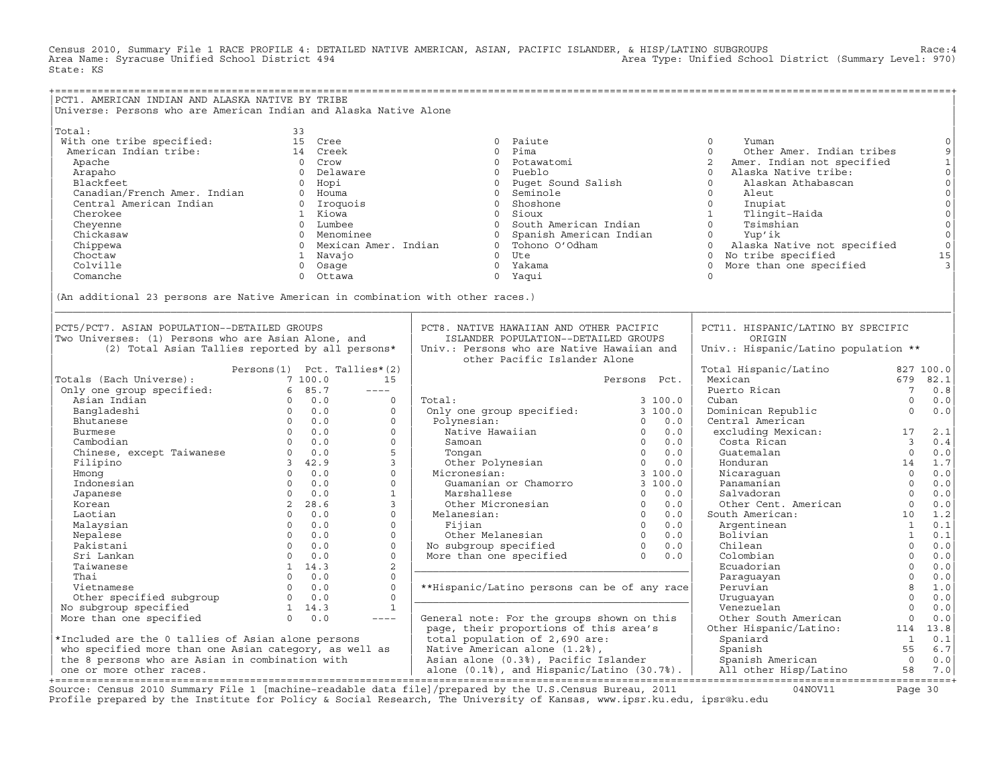Census 2010, Summary File 1 RACE PROFILE 4: DETAILED NATIVE AMERICAN, ASIAN, PACIFIC ISLANDER, & HISP/LATINO SUBGROUPS<br>Area Name: Syracuse Unified School District 494 State: KS

| PCT1. AMERICAN INDIAN AND ALASKA NATIVE BY TRIBE                                |                                                  |              |                                                                                        |                       |                                        |                         |                                                                                                                                                                                                                                                                                                                                     |
|---------------------------------------------------------------------------------|--------------------------------------------------|--------------|----------------------------------------------------------------------------------------|-----------------------|----------------------------------------|-------------------------|-------------------------------------------------------------------------------------------------------------------------------------------------------------------------------------------------------------------------------------------------------------------------------------------------------------------------------------|
| Universe: Persons who are American Indian and Alaska Native Alone               |                                                  |              |                                                                                        |                       |                                        |                         |                                                                                                                                                                                                                                                                                                                                     |
|                                                                                 |                                                  |              |                                                                                        |                       |                                        |                         |                                                                                                                                                                                                                                                                                                                                     |
| Total:                                                                          | 33                                               |              |                                                                                        |                       |                                        |                         |                                                                                                                                                                                                                                                                                                                                     |
| With one tribe specified:                                                       | 15 Cree                                          |              | 0 Paiute                                                                               |                       | $\circ$<br>Yuman                       |                         | $\circ$                                                                                                                                                                                                                                                                                                                             |
| American Indian tribe:                                                          | 14 Creek                                         |              | $\Omega$<br>Pima                                                                       |                       | $\Omega$<br>Other Amer. Indian tribes  |                         | $\mathsf 9$                                                                                                                                                                                                                                                                                                                         |
| Apache                                                                          | 0 Crow                                           |              | $\Omega$<br>Potawatomi                                                                 |                       | 2<br>Amer. Indian not specified        |                         |                                                                                                                                                                                                                                                                                                                                     |
| Arapaho                                                                         | 0 Delaware                                       |              | 0 Pueblo                                                                               |                       | Alaska Native tribe:<br>$\Omega$       |                         |                                                                                                                                                                                                                                                                                                                                     |
| Blackfeet                                                                       | 0 Hopi                                           |              | $\circ$<br>Puqet Sound Salish                                                          |                       | $\Omega$<br>Alaskan Athabascan         |                         |                                                                                                                                                                                                                                                                                                                                     |
| Canadian/French Amer. Indian                                                    | 0 Houma                                          |              | Seminole<br>$\overline{0}$                                                             |                       | $\circ$<br>Aleut                       |                         |                                                                                                                                                                                                                                                                                                                                     |
| Central American Indian                                                         | 0 Iroquois                                       |              | 0 Shoshone                                                                             |                       | $\circ$<br>Inupiat                     |                         |                                                                                                                                                                                                                                                                                                                                     |
| Cherokee                                                                        | 1 Kiowa                                          |              | Sioux<br>$\Omega$                                                                      |                       | 1<br>Tlingit-Haida                     |                         |                                                                                                                                                                                                                                                                                                                                     |
| Cheyenne                                                                        | 0 Lumbee                                         |              | 0 South American Indian                                                                |                       | $\Omega$<br>Tsimshian                  |                         | $\begin{bmatrix} 1 & 0 & 0 \\ 0 & 0 & 0 \\ 0 & 0 & 0 \\ 0 & 0 & 0 \\ 0 & 0 & 0 \\ 0 & 0 & 0 \\ 0 & 0 & 0 \\ 0 & 0 & 0 \\ 0 & 0 & 0 \\ 0 & 0 & 0 \\ 0 & 0 & 0 \\ 0 & 0 & 0 \\ 0 & 0 & 0 \\ 0 & 0 & 0 \\ 0 & 0 & 0 \\ 0 & 0 & 0 & 0 \\ 0 & 0 & 0 & 0 \\ 0 & 0 & 0 & 0 \\ 0 & 0 & 0 & 0 \\ 0 & 0 & 0 & 0 \\ 0 & 0 & 0 & 0 \\ 0 & 0 & $ |
| Chickasaw                                                                       | 0 Menominee                                      |              | $\circ$<br>Spanish American Indian                                                     |                       | Yup'ik<br>$\circ$                      |                         |                                                                                                                                                                                                                                                                                                                                     |
| Chippewa                                                                        | 0 Mexican Amer. Indian                           |              | 0 Tohono O'Odham                                                                       |                       | $\circ$<br>Alaska Native not specified |                         | $\begin{matrix} 0 \\ 0 \end{matrix}$                                                                                                                                                                                                                                                                                                |
| Choctaw                                                                         | 1 Navajo                                         |              | 0 Ute                                                                                  |                       | 0 No tribe specified                   |                         | 15                                                                                                                                                                                                                                                                                                                                  |
| Colville                                                                        | 0 Osage                                          |              | 0 Yakama                                                                               |                       | More than one specified<br>$\circ$     |                         |                                                                                                                                                                                                                                                                                                                                     |
| Comanche                                                                        | $\circ$<br>Ottawa                                |              | 0 Yaqui                                                                                |                       | $\circ$                                |                         |                                                                                                                                                                                                                                                                                                                                     |
|                                                                                 |                                                  |              |                                                                                        |                       |                                        |                         |                                                                                                                                                                                                                                                                                                                                     |
|                                                                                 |                                                  |              |                                                                                        |                       |                                        |                         |                                                                                                                                                                                                                                                                                                                                     |
| (An additional 23 persons are Native American in combination with other races.) |                                                  |              |                                                                                        |                       |                                        |                         |                                                                                                                                                                                                                                                                                                                                     |
|                                                                                 |                                                  |              |                                                                                        |                       |                                        |                         |                                                                                                                                                                                                                                                                                                                                     |
| PCT5/PCT7. ASIAN POPULATION--DETAILED GROUPS                                    |                                                  |              | PCT8. NATIVE HAWAIIAN AND OTHER PACIFIC                                                |                       | PCT11. HISPANIC/LATINO BY SPECIFIC     |                         |                                                                                                                                                                                                                                                                                                                                     |
|                                                                                 |                                                  |              |                                                                                        |                       | ORIGIN                                 |                         |                                                                                                                                                                                                                                                                                                                                     |
| Two Universes: (1) Persons who are Asian Alone, and                             |                                                  |              | ISLANDER POPULATION--DETAILED GROUPS                                                   |                       |                                        |                         |                                                                                                                                                                                                                                                                                                                                     |
|                                                                                 | (2) Total Asian Tallies reported by all persons* |              | Univ.: Persons who are Native Hawaiian and                                             |                       | Univ.: Hispanic/Latino population **   |                         |                                                                                                                                                                                                                                                                                                                                     |
|                                                                                 |                                                  |              | other Pacific Islander Alone                                                           |                       |                                        |                         |                                                                                                                                                                                                                                                                                                                                     |
|                                                                                 | Persons (1) Pct. Tallies* (2)                    |              |                                                                                        |                       | Total Hispanic/Latino                  |                         | 827 100.0                                                                                                                                                                                                                                                                                                                           |
| Totals (Each Universe):                                                         | 7 100.0                                          | 15           |                                                                                        | Persons Pct.          | Mexican                                |                         | 679 82.1                                                                                                                                                                                                                                                                                                                            |
| Only one group specified:                                                       | 6 85.7                                           | $---$        |                                                                                        |                       | Puerto Rican                           | $7\overline{ }$         | 0.8                                                                                                                                                                                                                                                                                                                                 |
| Asian Indian                                                                    | $0 \t 0.0$                                       | $\circ$      | Total:                                                                                 | 3 100.0               | Cuban                                  | $\mathbf 0$             | 0.0                                                                                                                                                                                                                                                                                                                                 |
| Bangladeshi                                                                     | $0 \t 0.0$                                       | $\mathbf 0$  | Only one group specified:                                                              | 3100.0                | Dominican Republic                     | $\Omega$                | 0.0                                                                                                                                                                                                                                                                                                                                 |
| Bhutanese                                                                       | $0 \t 0.0$                                       | $\Omega$     | Polynesian:                                                                            | 0.0<br>$\Omega$       | Central American                       |                         |                                                                                                                                                                                                                                                                                                                                     |
| Burmese                                                                         | $0 \t 0.0$                                       | $\Omega$     | Native Hawaiian                                                                        | $\circ$<br>0.0        | excluding Mexican:                     | 17                      | 2.1                                                                                                                                                                                                                                                                                                                                 |
| Cambodian                                                                       | $0 \t 0.0$                                       | $\Omega$     | Samoan                                                                                 | $\Omega$<br>0.0       | Costa Rican                            | $\overline{\mathbf{3}}$ | 0.4                                                                                                                                                                                                                                                                                                                                 |
| Chinese, except Taiwanese                                                       | $0 \t 0.0$                                       | 5            | Tongan<br>Other Polynesian                                                             | 0.0<br>$\overline{0}$ | Guatemalan                             | $\overline{0}$          | 0.0                                                                                                                                                                                                                                                                                                                                 |
| Filipino                                                                        | 3, 42.9                                          | $\mathbf{3}$ |                                                                                        | $\circ$<br>0.0        | Honduran                               | 14                      | $1.7\,$                                                                                                                                                                                                                                                                                                                             |
| Hmonq                                                                           | $0 \t 0.0$                                       | $\Omega$     | Micronesian:                                                                           | 3100.0                | Nicaraquan                             | $\Omega$                | $0.0$                                                                                                                                                                                                                                                                                                                               |
| Indonesian                                                                      | $0 \t 0.0$                                       | $\circ$      | Guamanian or Chamorro                                                                  | 3100.0                | Panamanian                             | $\overline{0}$          | $0.0$                                                                                                                                                                                                                                                                                                                               |
| Japanese                                                                        | $0 \t 0.0$                                       | $\mathbf{1}$ | Marshallese                                                                            | $\Omega$<br>0.0       | Salvadoran                             | $\Omega$                | $0.0$                                                                                                                                                                                                                                                                                                                               |
| Korean                                                                          | 2 28.6                                           | $\mathbf{3}$ | Other Micronesian                                                                      | $\overline{0}$<br>0.0 | Other Cent. American                   | $\overline{0}$          | 0.0                                                                                                                                                                                                                                                                                                                                 |
| Laotian                                                                         | $0 \t 0.0$                                       | $\circ$      | Melanesian:                                                                            | $\overline{0}$<br>0.0 | South American:                        | 10                      | 1.2                                                                                                                                                                                                                                                                                                                                 |
| Malaysian                                                                       | $\Omega$<br>0.0                                  | $\Omega$     | Fijian                                                                                 | $\overline{0}$<br>0.0 | Argentinean                            | $\mathbf{1}$            | 0.1                                                                                                                                                                                                                                                                                                                                 |
| Nepalese                                                                        | $0 \t 0.0$                                       | $\Omega$     | Other Melanesian 0 0.0<br>No subgroup specified 0 0.0<br>More than one specified 0 0.0 |                       | Bolivian                               | $\overline{1}$          | 0.1                                                                                                                                                                                                                                                                                                                                 |
| Pakistani                                                                       | $0 \t 0.0$                                       | $\Omega$     |                                                                                        |                       | Chilean                                | $\Omega$                | 0.0                                                                                                                                                                                                                                                                                                                                 |
| Sri Lankan                                                                      | $0 \t 0.0$                                       | $\Omega$     |                                                                                        |                       | Colombian                              | $\overline{0}$          | $0.0$                                                                                                                                                                                                                                                                                                                               |
| Taiwanese                                                                       | 1 14.3                                           | 2            |                                                                                        |                       | Ecuadorian                             | $\Omega$                | 0.0                                                                                                                                                                                                                                                                                                                                 |
| Thai                                                                            | $0 \t 0.0$                                       | $\Omega$     |                                                                                        |                       | Paraquayan                             | $\Omega$                | 0.0                                                                                                                                                                                                                                                                                                                                 |
| Vietnamese                                                                      | 0 0.0                                            | $\Omega$     | **Hispanic/Latino persons can be of any race                                           |                       | Peruvian                               | 8                       | 1.0                                                                                                                                                                                                                                                                                                                                 |
| Other specified subgroup                                                        | $0 \t 0.0$                                       | $\Omega$     |                                                                                        |                       | Uruquayan                              | $\Omega$                | 0.0                                                                                                                                                                                                                                                                                                                                 |
| No subgroup specified                                                           | $1 \quad 14.3$                                   | $\mathbf{1}$ |                                                                                        |                       | Venezuelan                             | $\Omega$                | 0.0                                                                                                                                                                                                                                                                                                                                 |
| More than one specified                                                         | $0 \t 0.0$                                       | $---$        | General note: For the groups shown on this                                             |                       | Other South American                   | $\mathbf{0}$            | 0.0                                                                                                                                                                                                                                                                                                                                 |
|                                                                                 |                                                  |              | page, their proportions of this area's                                                 |                       | Other Hispanic/Latino:                 |                         | 114 13.8                                                                                                                                                                                                                                                                                                                            |
| *Included are the 0 tallies of Asian alone persons                              |                                                  |              | total population of 2,690 are:                                                         |                       | Spaniard                               | $\overline{1}$          | 0.1                                                                                                                                                                                                                                                                                                                                 |
| who specified more than one Asian category, as well as                          |                                                  |              | Native American alone (1.2%),                                                          |                       | Spanish                                | 55                      | 6.7                                                                                                                                                                                                                                                                                                                                 |
| the 8 persons who are Asian in combination with                                 |                                                  |              | Asian alone (0.3%), Pacific Islander                                                   |                       | Spanish American                       | $\overline{0}$          | 0.0                                                                                                                                                                                                                                                                                                                                 |
| one or more other races.                                                        |                                                  |              | alone $(0.1%)$ , and Hispanic/Latino $(30.7%)$ .                                       |                       | All other Hisp/Latino                  | 58                      | 7.0                                                                                                                                                                                                                                                                                                                                 |
|                                                                                 |                                                  |              |                                                                                        |                       |                                        |                         |                                                                                                                                                                                                                                                                                                                                     |

+===================================================================================================================================================+ Source: Census 2010 Summary File 1 [machine−readable data file]/prepared by the U.S.Census Bureau, 2011 04NOV11 Page 30 Profile prepared by the Institute for Policy & Social Research, The University of Kansas, www.ipsr.ku.edu, ipsr@ku.edu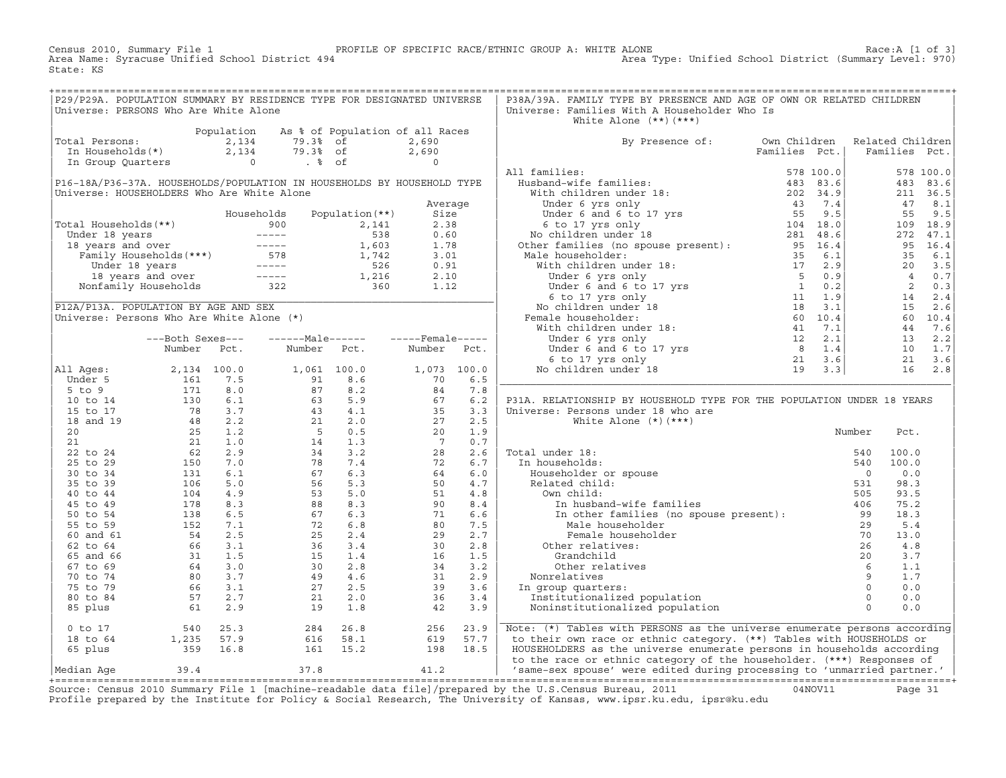Census 2010, Summary File 1 PROFILE OF SPECIFIC RACE/ETHNIC GROUP A: WHITE ALONE Race:A [1 of 3] Area Type: Unified School District (Summary Level: 970) State: KS

| P29/P29A. POPULATION SUMMARY BY RESIDENCE TYPE FOR DESIGNATED UNIVERSE                                                                                     |  |  |  | P38A/39A. FAMILY TYPE BY PRESENCE AND AGE OF OWN OR RELATED CHILDREN                                                                                                                                                                                                                                                                                                                                                                                                      |  |  |  |  |  |  |
|------------------------------------------------------------------------------------------------------------------------------------------------------------|--|--|--|---------------------------------------------------------------------------------------------------------------------------------------------------------------------------------------------------------------------------------------------------------------------------------------------------------------------------------------------------------------------------------------------------------------------------------------------------------------------------|--|--|--|--|--|--|
| Universe: PERSONS Who Are White Alone                                                                                                                      |  |  |  | Universe: Families With A Householder Who Is                                                                                                                                                                                                                                                                                                                                                                                                                              |  |  |  |  |  |  |
|                                                                                                                                                            |  |  |  | White Alone (**)(***)<br>By Presence of: Own Children Related Children<br>Families Pct.   Families Pct.                                                                                                                                                                                                                                                                                                                                                                   |  |  |  |  |  |  |
| Population As % of Population of all Races<br>Total Persons: 2,134 79.3% of 2,690<br>In Households(*) 2,134 79.3% of 2,690<br>In Group Quarters 0 . % of 0 |  |  |  |                                                                                                                                                                                                                                                                                                                                                                                                                                                                           |  |  |  |  |  |  |
|                                                                                                                                                            |  |  |  |                                                                                                                                                                                                                                                                                                                                                                                                                                                                           |  |  |  |  |  |  |
|                                                                                                                                                            |  |  |  |                                                                                                                                                                                                                                                                                                                                                                                                                                                                           |  |  |  |  |  |  |
|                                                                                                                                                            |  |  |  |                                                                                                                                                                                                                                                                                                                                                                                                                                                                           |  |  |  |  |  |  |
|                                                                                                                                                            |  |  |  |                                                                                                                                                                                                                                                                                                                                                                                                                                                                           |  |  |  |  |  |  |
|                                                                                                                                                            |  |  |  |                                                                                                                                                                                                                                                                                                                                                                                                                                                                           |  |  |  |  |  |  |
|                                                                                                                                                            |  |  |  |                                                                                                                                                                                                                                                                                                                                                                                                                                                                           |  |  |  |  |  |  |
|                                                                                                                                                            |  |  |  |                                                                                                                                                                                                                                                                                                                                                                                                                                                                           |  |  |  |  |  |  |
|                                                                                                                                                            |  |  |  |                                                                                                                                                                                                                                                                                                                                                                                                                                                                           |  |  |  |  |  |  |
|                                                                                                                                                            |  |  |  |                                                                                                                                                                                                                                                                                                                                                                                                                                                                           |  |  |  |  |  |  |
|                                                                                                                                                            |  |  |  |                                                                                                                                                                                                                                                                                                                                                                                                                                                                           |  |  |  |  |  |  |
|                                                                                                                                                            |  |  |  |                                                                                                                                                                                                                                                                                                                                                                                                                                                                           |  |  |  |  |  |  |
|                                                                                                                                                            |  |  |  |                                                                                                                                                                                                                                                                                                                                                                                                                                                                           |  |  |  |  |  |  |
|                                                                                                                                                            |  |  |  |                                                                                                                                                                                                                                                                                                                                                                                                                                                                           |  |  |  |  |  |  |
|                                                                                                                                                            |  |  |  | $\begin{tabular}{l c c c c c} \hline {\tt red\ & Borel\ & Borel\ & Diverne & Porel\ & Diverne & Porel\ & Diverne & Porel\ & Diverne & Porel\ & Diverne & Porel\ & Diverne & Porel\ & Diverne & Porel\ & Diverne & Porel\ & Diverne & Porel\ & Diverne & Porel\ & Diverne & Porel\ & Diverne & Porel\ & Diverne & Porel\ & Diverne & Porel\ & Diverne & Porel\ & Diverne & Porel\ & Diverne & Porel\ & Diverne & Porel\ & Diverne & Porel\ & Diverne & Porel\ & Diverne &$ |  |  |  |  |  |  |
|                                                                                                                                                            |  |  |  |                                                                                                                                                                                                                                                                                                                                                                                                                                                                           |  |  |  |  |  |  |
|                                                                                                                                                            |  |  |  |                                                                                                                                                                                                                                                                                                                                                                                                                                                                           |  |  |  |  |  |  |
|                                                                                                                                                            |  |  |  |                                                                                                                                                                                                                                                                                                                                                                                                                                                                           |  |  |  |  |  |  |
|                                                                                                                                                            |  |  |  |                                                                                                                                                                                                                                                                                                                                                                                                                                                                           |  |  |  |  |  |  |
|                                                                                                                                                            |  |  |  |                                                                                                                                                                                                                                                                                                                                                                                                                                                                           |  |  |  |  |  |  |
|                                                                                                                                                            |  |  |  |                                                                                                                                                                                                                                                                                                                                                                                                                                                                           |  |  |  |  |  |  |
|                                                                                                                                                            |  |  |  |                                                                                                                                                                                                                                                                                                                                                                                                                                                                           |  |  |  |  |  |  |
|                                                                                                                                                            |  |  |  |                                                                                                                                                                                                                                                                                                                                                                                                                                                                           |  |  |  |  |  |  |
|                                                                                                                                                            |  |  |  |                                                                                                                                                                                                                                                                                                                                                                                                                                                                           |  |  |  |  |  |  |
|                                                                                                                                                            |  |  |  |                                                                                                                                                                                                                                                                                                                                                                                                                                                                           |  |  |  |  |  |  |
|                                                                                                                                                            |  |  |  | P31A. RELATIONSHIP BY HOUSEHOLD TYPE FOR THE POPULATION UNDER 18 YEARS                                                                                                                                                                                                                                                                                                                                                                                                    |  |  |  |  |  |  |
|                                                                                                                                                            |  |  |  |                                                                                                                                                                                                                                                                                                                                                                                                                                                                           |  |  |  |  |  |  |
|                                                                                                                                                            |  |  |  |                                                                                                                                                                                                                                                                                                                                                                                                                                                                           |  |  |  |  |  |  |
|                                                                                                                                                            |  |  |  |                                                                                                                                                                                                                                                                                                                                                                                                                                                                           |  |  |  |  |  |  |
|                                                                                                                                                            |  |  |  |                                                                                                                                                                                                                                                                                                                                                                                                                                                                           |  |  |  |  |  |  |
|                                                                                                                                                            |  |  |  |                                                                                                                                                                                                                                                                                                                                                                                                                                                                           |  |  |  |  |  |  |
|                                                                                                                                                            |  |  |  |                                                                                                                                                                                                                                                                                                                                                                                                                                                                           |  |  |  |  |  |  |
|                                                                                                                                                            |  |  |  |                                                                                                                                                                                                                                                                                                                                                                                                                                                                           |  |  |  |  |  |  |
|                                                                                                                                                            |  |  |  |                                                                                                                                                                                                                                                                                                                                                                                                                                                                           |  |  |  |  |  |  |
|                                                                                                                                                            |  |  |  |                                                                                                                                                                                                                                                                                                                                                                                                                                                                           |  |  |  |  |  |  |
|                                                                                                                                                            |  |  |  |                                                                                                                                                                                                                                                                                                                                                                                                                                                                           |  |  |  |  |  |  |
|                                                                                                                                                            |  |  |  |                                                                                                                                                                                                                                                                                                                                                                                                                                                                           |  |  |  |  |  |  |
|                                                                                                                                                            |  |  |  |                                                                                                                                                                                                                                                                                                                                                                                                                                                                           |  |  |  |  |  |  |
|                                                                                                                                                            |  |  |  |                                                                                                                                                                                                                                                                                                                                                                                                                                                                           |  |  |  |  |  |  |
|                                                                                                                                                            |  |  |  |                                                                                                                                                                                                                                                                                                                                                                                                                                                                           |  |  |  |  |  |  |
|                                                                                                                                                            |  |  |  |                                                                                                                                                                                                                                                                                                                                                                                                                                                                           |  |  |  |  |  |  |
|                                                                                                                                                            |  |  |  |                                                                                                                                                                                                                                                                                                                                                                                                                                                                           |  |  |  |  |  |  |
|                                                                                                                                                            |  |  |  |                                                                                                                                                                                                                                                                                                                                                                                                                                                                           |  |  |  |  |  |  |
|                                                                                                                                                            |  |  |  |                                                                                                                                                                                                                                                                                                                                                                                                                                                                           |  |  |  |  |  |  |
|                                                                                                                                                            |  |  |  |                                                                                                                                                                                                                                                                                                                                                                                                                                                                           |  |  |  |  |  |  |
|                                                                                                                                                            |  |  |  |                                                                                                                                                                                                                                                                                                                                                                                                                                                                           |  |  |  |  |  |  |
|                                                                                                                                                            |  |  |  |                                                                                                                                                                                                                                                                                                                                                                                                                                                                           |  |  |  |  |  |  |
|                                                                                                                                                            |  |  |  |                                                                                                                                                                                                                                                                                                                                                                                                                                                                           |  |  |  |  |  |  |
|                                                                                                                                                            |  |  |  |                                                                                                                                                                                                                                                                                                                                                                                                                                                                           |  |  |  |  |  |  |
|                                                                                                                                                            |  |  |  |                                                                                                                                                                                                                                                                                                                                                                                                                                                                           |  |  |  |  |  |  |
|                                                                                                                                                            |  |  |  |                                                                                                                                                                                                                                                                                                                                                                                                                                                                           |  |  |  |  |  |  |
|                                                                                                                                                            |  |  |  |                                                                                                                                                                                                                                                                                                                                                                                                                                                                           |  |  |  |  |  |  |

+===================================================================================================================================================+Source: Census 2010 Summary File 1 [machine−readable data file]/prepared by the U.S.Census Bureau, 2011 04NOV11 Page 31 Profile prepared by the Institute for Policy & Social Research, The University of Kansas, www.ipsr.ku.edu, ipsr@ku.edu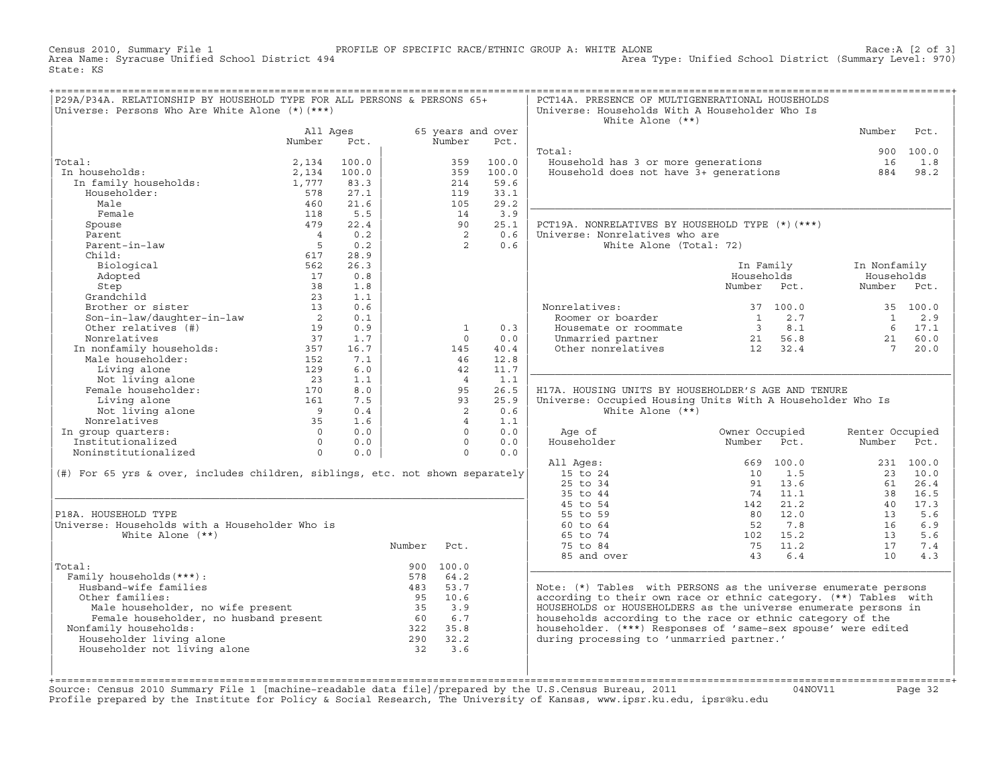Census 2010, Summary File 1 PROFILE OF SPECIFIC RACE/ETHNIC GROUP A: WHITE ALONE Race:A [2 of 3] Area Type: Unified School District (Summary Level: 970) State: KS

| P29A/P34A. RELATIONSHIP BY HOUSEHOLD TYPE FOR ALL PERSONS & PERSONS 65+<br>Universe: Persons Who Are White Alone (*) (***) |                |            |        |                      |             | PCT14A. PRESENCE OF MULTIGENERATIONAL HOUSEHOLDS<br>Universe: Households With A Householder Who Is |                       |                 |           |
|----------------------------------------------------------------------------------------------------------------------------|----------------|------------|--------|----------------------|-------------|----------------------------------------------------------------------------------------------------|-----------------------|-----------------|-----------|
|                                                                                                                            |                |            |        |                      |             | White Alone $(**)$                                                                                 |                       |                 |           |
|                                                                                                                            | All Ages       |            |        | 65 years and over    |             |                                                                                                    |                       | Number          | Pct.      |
|                                                                                                                            | Number         | Pct.       |        | Number               | Pct.        |                                                                                                    |                       |                 |           |
|                                                                                                                            |                |            |        |                      |             | Total:                                                                                             |                       |                 | 900 100.0 |
| Total:                                                                                                                     | 2,134          | 100.0      |        | 359                  | 100.0       | Household has 3 or more generations                                                                |                       | 16              | 1.8       |
| In households:                                                                                                             | 2,134          | 100.0      |        | 359                  | 100.0       | Household does not have 3+ generations                                                             |                       | 884             | 98.2      |
| In family households:                                                                                                      | 1,777          | 83.3       |        | 214                  | 59.6        |                                                                                                    |                       |                 |           |
| Householder:                                                                                                               | 578            | 27.1       |        | 119                  | 33.1        |                                                                                                    |                       |                 |           |
| Male                                                                                                                       | 460            | 21.6       |        | 105                  | 29.2        |                                                                                                    |                       |                 |           |
| Female                                                                                                                     | 118            | 5.5        |        | 14                   | 3.9         |                                                                                                    |                       |                 |           |
| Spouse                                                                                                                     | 479            | 22.4       |        | 90                   | 25.1        | PCT19A. NONRELATIVES BY HOUSEHOLD TYPE (*) (***)                                                   |                       |                 |           |
| Parent                                                                                                                     | $\overline{4}$ | 0.2        |        | $\overline{2}$       | 0.6         | Universe: Nonrelatives who are                                                                     |                       |                 |           |
| Parent-in-law                                                                                                              | $5^{\circ}$    | 0.2        |        | $\overline{2}$       | 0.6         | White Alone (Total: 72)                                                                            |                       |                 |           |
| Child:                                                                                                                     | 617            | 28.9       |        |                      |             |                                                                                                    |                       |                 |           |
| Biological                                                                                                                 | 562            | 26.3       |        |                      |             |                                                                                                    | In Family             | In Nonfamily    |           |
| Adopted                                                                                                                    | 17             | 0.8        |        |                      |             |                                                                                                    | Households            | Households      |           |
| Step                                                                                                                       | 38             | 1.8        |        |                      |             |                                                                                                    | Number Pct.           | Number Pct.     |           |
| Grandchild                                                                                                                 | 23             | 1.1        |        |                      |             |                                                                                                    |                       |                 |           |
| Brother or sister                                                                                                          | 13             | 0.6        |        |                      |             | Nonrelatives:                                                                                      | 37 100.0              |                 | 35 100.0  |
| Son-in-law/daughter-in-law                                                                                                 | $\overline{2}$ | 0.1        |        |                      |             | Roomer or boarder                                                                                  | $\overline{1}$<br>2.7 | 1               | 2.9       |
| Other relatives (#)                                                                                                        | 19             | 0.9        |        | $\mathbf{1}$         | 0.3         | Housemate or roommate                                                                              | $3 \t 8.1$            |                 | 6 17.1    |
| Nonrelatives                                                                                                               | 37             | 1.7        |        | $\Omega$             | 0.0         | Unmarried partner                                                                                  | 21 56.8               | 21              | 60.0      |
| In nonfamily households:                                                                                                   | 357            | 16.7       |        | 145                  | 40.4        | Other nonrelatives                                                                                 | 12 32.4               | $7\overline{ }$ | 20.0      |
| Male householder:                                                                                                          | 152            | 7.1        |        | 46                   | 12.8        |                                                                                                    |                       |                 |           |
| Living alone                                                                                                               | 129            | 6.0        |        | 42<br>$\overline{4}$ | 11.7<br>1.1 |                                                                                                    |                       |                 |           |
| Not living alone<br>Female householder:                                                                                    | 23<br>170      | 1.1<br>8.0 |        | 95                   | 26.5        |                                                                                                    |                       |                 |           |
|                                                                                                                            | 161            | 7.5        |        | 93                   | 25.9        | H17A. HOUSING UNITS BY HOUSEHOLDER'S AGE AND TENURE                                                |                       |                 |           |
| Living alone                                                                                                               | $\overline{9}$ | 0.4        |        | 2                    | 0.6         | Universe: Occupied Housing Units With A Householder Who Is<br>White Alone $(**)$                   |                       |                 |           |
| Not living alone<br>Nonrelatives                                                                                           | 35             | 1.6        |        | $\overline{4}$       | 1.1         |                                                                                                    |                       |                 |           |
| In group quarters:                                                                                                         | $\Omega$       | 0.0        |        | $\Omega$             | 0.0         | Age of                                                                                             | Owner Occupied        | Renter Occupied |           |
| Institutionalized                                                                                                          | $\Omega$       | 0.0        |        | $\Omega$             | 0.0         | Householder                                                                                        | Number<br>Pct.        | Number          | Pct.      |
| Noninstitutionalized                                                                                                       | $\Omega$       | 0.0        |        | $\Omega$             | 0.0         |                                                                                                    |                       |                 |           |
|                                                                                                                            |                |            |        |                      |             | All Ages:                                                                                          | 669 100.0             |                 | 231 100.0 |
| $(\#)$ For 65 yrs & over, includes children, siblings, etc. not shown separately                                           |                |            |        |                      |             | 15 to 24                                                                                           | 10<br>1.5             | 23              | 10.0      |
|                                                                                                                            |                |            |        |                      |             | 25 to 34                                                                                           | 91 13.6               | 61              | 26.4      |
|                                                                                                                            |                |            |        |                      |             | 35 to 44                                                                                           | 74 11.1               | 38              | 16.5      |
|                                                                                                                            |                |            |        |                      |             | 45 to 54                                                                                           | 21.2<br>142           | 40              | 17.3      |
| P18A. HOUSEHOLD TYPE                                                                                                       |                |            |        |                      |             | 55 to 59                                                                                           | 12.0<br>80            | 13              | 5.6       |
| Universe: Households with a Householder Who is                                                                             |                |            |        |                      |             | 60 to 64                                                                                           | 7.8<br>52             | 16              | 6.9       |
| White Alone $(**)$                                                                                                         |                |            |        |                      |             | 65 to 74                                                                                           | 102 15.2              | 13              | 5.6       |
|                                                                                                                            |                |            | Number | Pct.                 |             | 75 to 84                                                                                           | 75<br>11.2            | 17              | 7.4       |
|                                                                                                                            |                |            |        |                      |             | 85 and over                                                                                        | 6.4<br>43             | 1 O             | 4.3       |
| Total:                                                                                                                     |                |            |        | 900 100.0            |             |                                                                                                    |                       |                 |           |
| Family households (***) :                                                                                                  |                |            | 578    | 64.2                 |             |                                                                                                    |                       |                 |           |
| Husband-wife families                                                                                                      |                |            | 483    | 53.7                 |             | Note: (*) Tables with PERSONS as the universe enumerate persons                                    |                       |                 |           |
| Other families:                                                                                                            |                |            | 95     | 10.6                 |             | according to their own race or ethnic category. (**) Tables with                                   |                       |                 |           |
|                                                                                                                            |                |            | 35     | 3.9                  |             | HOUSEHOLDS or HOUSEHOLDERS as the universe enumerate persons in                                    |                       |                 |           |
| Male householder, no wife present<br>Female householder, no husband present<br>Family households:                          |                |            | 60     | 6.7                  |             | households according to the race or ethnic category of the                                         |                       |                 |           |
| Nonfamily households:                                                                                                      |                |            |        | 322 35.8             |             | householder. (***) Responses of 'same-sex spouse' were edited                                      |                       |                 |           |
| Householder living alone                                                                                                   |                |            | 290    | 32.2                 |             | during processing to 'unmarried partner.'                                                          |                       |                 |           |
| Householder not living alone                                                                                               |                |            | 32     | 3.6                  |             |                                                                                                    |                       |                 |           |
|                                                                                                                            |                |            |        |                      |             |                                                                                                    |                       |                 |           |
|                                                                                                                            |                |            |        |                      |             |                                                                                                    |                       |                 |           |
|                                                                                                                            |                |            |        |                      |             |                                                                                                    |                       |                 |           |

+===================================================================================================================================================+Source: Census 2010 Summary File 1 [machine−readable data file]/prepared by the U.S.Census Bureau, 2011 04NOV11 Page 32 Profile prepared by the Institute for Policy & Social Research, The University of Kansas, www.ipsr.ku.edu, ipsr@ku.edu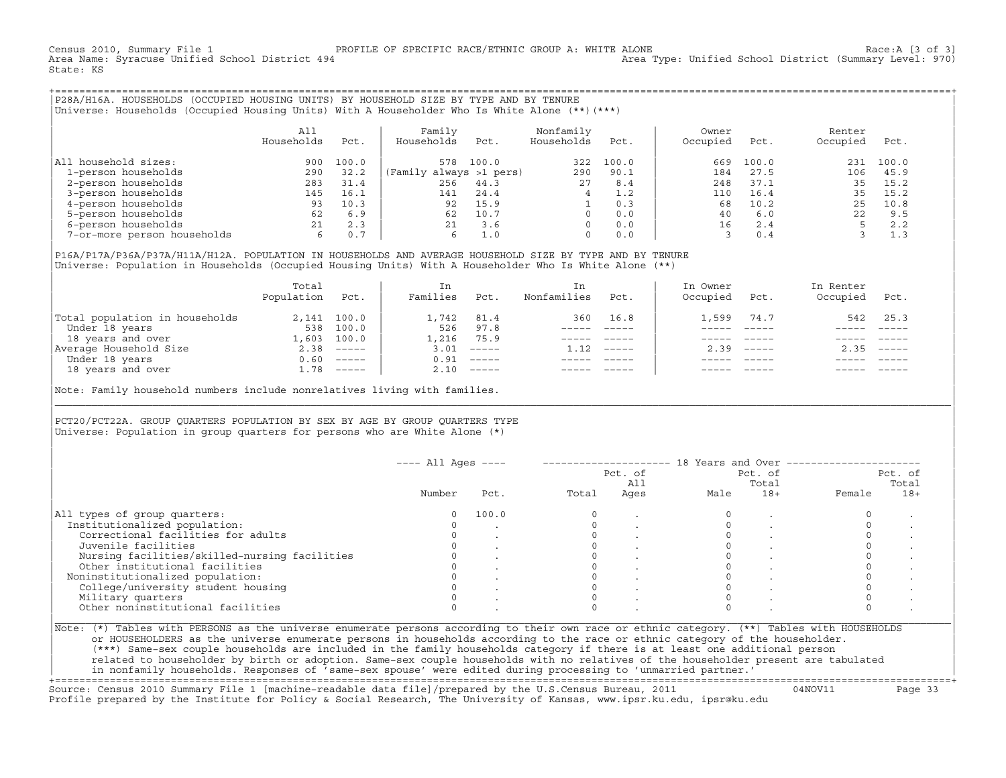Census 2010, Summary File 1 [3 of 3] PROFILE OF SPECIFIC RACE/ETHNIC GROUP A: WHITE ALONE 16 and the stracuse<br>Area Name: Syracuse Unified School District 494 area Type: Unified School District (Summary Level: 970) Area Type: Unified School District (Summary Level: 970) State: KS

+===================================================================================================================================================+|P28A/H16A. HOUSEHOLDS (OCCUPIED HOUSING UNITS) BY HOUSEHOLD SIZE BY TYPE AND BY TENURE | |Universe: Households (Occupied Housing Units) With A Householder Who Is White Alone (\*\*)(\*\*\*) |

|                             | All<br>Households | Pct.  | Family<br>Households<br>Pct. | Nonfamily<br>Households | Pct.  | Owner<br>Occupied | Pct.  | Renter<br>Occupied | Pct.  |  |
|-----------------------------|-------------------|-------|------------------------------|-------------------------|-------|-------------------|-------|--------------------|-------|--|
| All household sizes:        | 900               | 100.0 | 100.0<br>578                 | 322                     | 100.0 | 669               | 100.0 | 231                | 100.0 |  |
| 1-person households         | 290               | 32.2  | (Family always >1 pers)      | 290                     | 90.1  | 184               | 27.5  | 106                | 45.9  |  |
| 2-person households         | 283               | 31.4  | 256<br>44.3                  | 27                      | 8.4   | 248               | 37.1  | 35                 | 15.2  |  |
| 3-person households         | 145               | 16.1  | 24.4<br>141                  |                         | 1.2   | 110               | 16.4  | 35                 | 15.2  |  |
| 4-person households         | 93                | 10.3  | 15.9<br>92                   |                         | 0.3   | 68                | 10.2  | 25                 | 10.8  |  |
| 5-person households         | 62                | 6.9   | 10.7<br>62                   |                         | 0.0   | 40                | 6.0   |                    | 9.5   |  |
| 6-person households         | 21                | 2.3   | 3.6<br>21                    |                         | 0.0   | 16                | 2.4   |                    | 2.2   |  |
| 7-or-more person households |                   | 0.7   | $\perp$ .0<br>6              |                         | 0.0   |                   |       |                    | 1.3   |  |

| | |P16A/P17A/P36A/P37A/H11A/H12A. POPULATION IN HOUSEHOLDS AND AVERAGE HOUSEHOLD SIZE BY TYPE AND BY TENURE | Universe: Population in Households (Occupied Housing Units) With A Householder Who Is White Alone (\*\*)

|                                | Total<br>Population | Pct.         | In<br>Families | Pct.                      | In<br>Nonfamilies | Pct.     | In Owner<br>Occupied | Pct.                      | In Renter<br>Occupied | Pct.        |  |
|--------------------------------|---------------------|--------------|----------------|---------------------------|-------------------|----------|----------------------|---------------------------|-----------------------|-------------|--|
| Total population in households |                     | 2,141 100.0  | 1,742          | 81.4                      | 360               | 16.8     | 1,599                | 74.7                      | 542                   | 25.3        |  |
| Under 18 years                 | 538                 | 100.0        | 526            | 97.8                      |                   |          |                      |                           |                       |             |  |
| 18 years and over              | 1,603               | 100.0        | 1,216          | 75.9                      |                   |          |                      |                           |                       |             |  |
| Average Household Size         | 2.38                | ______       | 3.01           | $------$                  | 1.12              | $------$ | 2.39                 | $\qquad \qquad - - - - -$ | 2.35                  | $------$    |  |
| Under 18 years                 | 0.60                |              | 0.91           | $\qquad \qquad - - - - -$ |                   |          |                      |                           |                       |             |  |
| 18 years and over              |                     | $1.78$ ----- |                | $2.10$ -----              |                   |          |                      |                           |                       | $- - - - -$ |  |
|                                |                     |              |                |                           |                   |          |                      |                           |                       |             |  |

Note: Family household numbers include nonrelatives living with families.

## | | PCT20/PCT22A. GROUP OUARTERS POPULATION BY SEX BY AGE BY GROUP OUARTERS TYPE Universe: Population in group quarters for persons who are White Alone  $(*)$

|                                               |        |       |       | Pct. of<br>All | Pct. of<br>Total |       | Pct. of<br>Total |       |
|-----------------------------------------------|--------|-------|-------|----------------|------------------|-------|------------------|-------|
|                                               | Number | Pct.  | Total | Ages           | Male             | $18+$ | Female           | $18+$ |
| All types of group quarters:                  |        | 100.0 |       |                |                  |       |                  |       |
| Institutionalized population:                 |        |       |       |                |                  |       |                  |       |
| Correctional facilities for adults            |        |       |       |                |                  |       |                  |       |
| Juvenile facilities                           |        |       |       |                |                  |       |                  |       |
| Nursing facilities/skilled-nursing facilities |        |       |       |                |                  |       |                  |       |
| Other institutional facilities                |        |       |       |                |                  |       |                  |       |
| Noninstitutionalized population:              |        |       |       |                |                  |       |                  |       |
| College/university student housing            |        |       |       |                |                  |       |                  |       |
| Military quarters                             |        |       |       |                |                  |       |                  |       |
| Other noninstitutional facilities             |        |       |       |                |                  |       |                  |       |

|\_\_\_\_\_\_\_\_\_\_\_\_\_\_\_\_\_\_\_\_\_\_\_\_\_\_\_\_\_\_\_\_\_\_\_\_\_\_\_\_\_\_\_\_\_\_\_\_\_\_\_\_\_\_\_\_\_\_\_\_\_\_\_\_\_\_\_\_\_\_\_\_\_\_\_\_\_\_\_\_\_\_\_\_\_\_\_\_\_\_\_\_\_\_\_\_\_\_\_\_\_\_\_\_\_\_\_\_\_\_\_\_\_\_\_\_\_\_\_\_\_\_\_\_\_\_\_\_\_\_\_\_\_\_\_\_\_\_\_\_\_\_\_\_\_\_\_|

| |

| or HOUSEHOLDERS as the universe enumerate persons in households according to the race or ethnic category of the householder. | | (\*\*\*) Same−sex couple households are included in the family households category if there is at least one additional person | | related to householder by birth or adoption. Same−sex couple households with no relatives of the householder present are tabulated | | in nonfamily households. Responses of 'same−sex spouse' were edited during processing to 'unmarried partner.' |

+===================================================================================================================================================+ Source: Census 2010 Summary File 1 [machine−readable data file]/prepared by the U.S.Census Bureau, 2011 04NOV11 Page 33 Profile prepared by the Institute for Policy & Social Research, The University of Kansas, www.ipsr.ku.edu, ipsr@ku.edu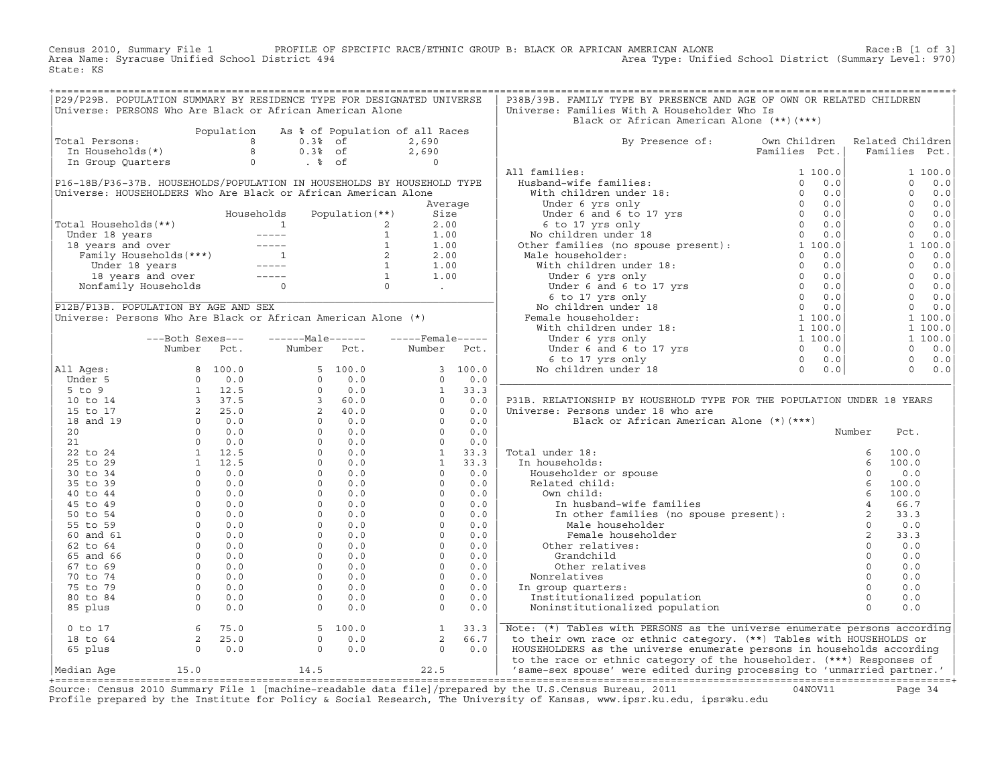Census 2010, Summary File 1 PROFILE OF SPECIFIC RACE/ETHNIC GROUP B: BLACK OR AFRICAN AMERICAN ALONE Race:B [1 of 3] Area Name: Syracuse Unified School District 494 Area Type: Unified School District (Summary Level: 970) State: KS

| P29/P29B. POPULATION SUMMARY BY RESIDENCE TYPE FOR DESIGNATED UNIVERSE                                                                                                                                                                                                                      |                                                                  |            |                                                                 |                   |                                            |            | P38B/39B. FAMILY TYPE BY PRESENCE AND AGE OF OWN OR RELATED CHILDREN                                                                                                                                                                                                                                           |                                              |        |                       |
|---------------------------------------------------------------------------------------------------------------------------------------------------------------------------------------------------------------------------------------------------------------------------------------------|------------------------------------------------------------------|------------|-----------------------------------------------------------------|-------------------|--------------------------------------------|------------|----------------------------------------------------------------------------------------------------------------------------------------------------------------------------------------------------------------------------------------------------------------------------------------------------------------|----------------------------------------------|--------|-----------------------|
| Universe: PERSONS Who Are Black or African American Alone                                                                                                                                                                                                                                   |                                                                  |            |                                                                 |                   |                                            |            | Universe: Families With A Householder Who Is                                                                                                                                                                                                                                                                   |                                              |        |                       |
|                                                                                                                                                                                                                                                                                             |                                                                  |            |                                                                 |                   |                                            |            | Black or African American Alone (**)(***)                                                                                                                                                                                                                                                                      |                                              |        |                       |
|                                                                                                                                                                                                                                                                                             |                                                                  | Population | As % of Population of all Races                                 |                   |                                            |            |                                                                                                                                                                                                                                                                                                                |                                              |        |                       |
| Total Persons:                                                                                                                                                                                                                                                                              |                                                                  |            |                                                                 |                   | 2,690                                      |            | By Presence of: Own Children                                                                                                                                                                                                                                                                                   |                                              |        | Related Children      |
| otal Persons: $\begin{array}{cccccc} 8 & 0.38 & \text{of} \\ \text{In Households(*)} & 8 & 0.38 & \text{of} \\ \text{In Group Quatters} & 0 & .8 & \text{of} \\ \end{array}$                                                                                                                |                                                                  |            |                                                                 |                   | 2,690                                      |            |                                                                                                                                                                                                                                                                                                                | Families Pct.                                |        | Families Pct.         |
|                                                                                                                                                                                                                                                                                             |                                                                  |            |                                                                 |                   |                                            |            |                                                                                                                                                                                                                                                                                                                |                                              |        |                       |
|                                                                                                                                                                                                                                                                                             |                                                                  |            |                                                                 |                   |                                            |            |                                                                                                                                                                                                                                                                                                                |                                              |        | 1 100.0               |
| P16-18B/P36-37B. HOUSEHOLDS/POPULATION IN HOUSEHOLDS BY HOUSEHOLD TYPE                                                                                                                                                                                                                      |                                                                  |            |                                                                 |                   |                                            |            |                                                                                                                                                                                                                                                                                                                |                                              |        | $0 \t 0.0$            |
| Universe: HOUSEHOLDERS Who Are Black or African American Alone                                                                                                                                                                                                                              |                                                                  |            |                                                                 |                   |                                            |            |                                                                                                                                                                                                                                                                                                                |                                              |        | $\Omega$<br>0.0       |
|                                                                                                                                                                                                                                                                                             |                                                                  |            |                                                                 |                   | Average                                    |            |                                                                                                                                                                                                                                                                                                                |                                              |        | $\overline{0}$<br>0.0 |
|                                                                                                                                                                                                                                                                                             |                                                                  |            | Households                                                      | Population $(**)$ | Size                                       |            |                                                                                                                                                                                                                                                                                                                |                                              |        | $0 \t 0.0$            |
|                                                                                                                                                                                                                                                                                             |                                                                  |            |                                                                 |                   |                                            |            |                                                                                                                                                                                                                                                                                                                |                                              |        | $\overline{0}$<br>0.0 |
|                                                                                                                                                                                                                                                                                             |                                                                  |            |                                                                 |                   |                                            |            |                                                                                                                                                                                                                                                                                                                |                                              |        | $\overline{0}$<br>0.0 |
|                                                                                                                                                                                                                                                                                             |                                                                  |            |                                                                 |                   |                                            |            |                                                                                                                                                                                                                                                                                                                |                                              |        | 1 100.0               |
|                                                                                                                                                                                                                                                                                             |                                                                  |            |                                                                 |                   |                                            |            |                                                                                                                                                                                                                                                                                                                |                                              |        | $\Omega$<br>0.0       |
|                                                                                                                                                                                                                                                                                             |                                                                  |            |                                                                 |                   |                                            |            |                                                                                                                                                                                                                                                                                                                |                                              |        | $0 \t 0.0$            |
| Total Households (**)<br>Under 18 years<br>18 years and over<br>18 years and over<br>Emily Households (***)<br>Under 18 years<br>Under 18 years<br>Under 18 years<br>10 2 2.00<br>Under 18 years<br>10 2 2.00<br>Under 18 years<br>10 1.00<br>10 1.00<br>1                                  |                                                                  |            |                                                                 |                   |                                            |            | All families:<br>Husband-wife families:<br>Husband-wife families:<br>Under 6 yrs only<br>Under 6 and 6 to 17 yrs<br>6 to 17 yrs<br>6 to 17 yrs only<br>No children under 18<br>Mediate in the 18<br>No the families (no spouse present):<br>Male h                                                             |                                              |        | $0 \t 0.0$            |
|                                                                                                                                                                                                                                                                                             |                                                                  |            |                                                                 |                   |                                            |            |                                                                                                                                                                                                                                                                                                                |                                              |        | $0 \t 0.0$            |
|                                                                                                                                                                                                                                                                                             |                                                                  |            |                                                                 |                   |                                            |            |                                                                                                                                                                                                                                                                                                                |                                              |        | $0 \t 0.0$            |
|                                                                                                                                                                                                                                                                                             |                                                                  |            |                                                                 |                   |                                            |            |                                                                                                                                                                                                                                                                                                                |                                              |        | $\overline{0}$<br>0.0 |
| Universe: Persons Who Are Black or African American Alone (*)                                                                                                                                                                                                                               |                                                                  |            |                                                                 |                   |                                            |            |                                                                                                                                                                                                                                                                                                                |                                              |        | 1 100.0               |
|                                                                                                                                                                                                                                                                                             |                                                                  |            |                                                                 |                   |                                            |            |                                                                                                                                                                                                                                                                                                                |                                              |        | 1 100.0               |
|                                                                                                                                                                                                                                                                                             | ---Both Sexes---                                                 |            | $---Male----$                                                   |                   | $---$ Female-----                          |            |                                                                                                                                                                                                                                                                                                                |                                              |        | 1 100.0               |
|                                                                                                                                                                                                                                                                                             | Number Pct.                                                      |            | Number                                                          | Pct.              | Number Pct.                                |            |                                                                                                                                                                                                                                                                                                                |                                              |        | $\Omega$<br>0.0       |
|                                                                                                                                                                                                                                                                                             |                                                                  |            |                                                                 |                   |                                            |            |                                                                                                                                                                                                                                                                                                                |                                              |        | $\circ$<br>0.0        |
| All Ages:                                                                                                                                                                                                                                                                                   |                                                                  |            |                                                                 |                   |                                            | 3 100.0    |                                                                                                                                                                                                                                                                                                                |                                              |        | $0 \t 0.0$            |
|                                                                                                                                                                                                                                                                                             |                                                                  |            |                                                                 |                   |                                            | 0.0        |                                                                                                                                                                                                                                                                                                                |                                              |        |                       |
|                                                                                                                                                                                                                                                                                             |                                                                  |            |                                                                 |                   |                                            | 33.3       |                                                                                                                                                                                                                                                                                                                |                                              |        |                       |
|                                                                                                                                                                                                                                                                                             |                                                                  |            |                                                                 |                   |                                            | 0.0        | P31B. RELATIONSHIP BY HOUSEHOLD TYPE FOR THE POPULATION UNDER 18 YEARS                                                                                                                                                                                                                                         |                                              |        |                       |
|                                                                                                                                                                                                                                                                                             |                                                                  |            |                                                                 |                   |                                            | 0.0        | Universe: Persons under 18 who are                                                                                                                                                                                                                                                                             |                                              |        |                       |
|                                                                                                                                                                                                                                                                                             |                                                                  |            |                                                                 |                   |                                            | 0.0        | Black or African American Alone (*) (***)                                                                                                                                                                                                                                                                      |                                              |        |                       |
|                                                                                                                                                                                                                                                                                             |                                                                  |            |                                                                 |                   |                                            | 0.0        |                                                                                                                                                                                                                                                                                                                |                                              | Number | Pct.                  |
|                                                                                                                                                                                                                                                                                             |                                                                  |            |                                                                 |                   |                                            | 0.0        |                                                                                                                                                                                                                                                                                                                |                                              |        |                       |
|                                                                                                                                                                                                                                                                                             |                                                                  |            |                                                                 |                   |                                            | 33.3       | Total under 18:                                                                                                                                                                                                                                                                                                |                                              |        |                       |
|                                                                                                                                                                                                                                                                                             |                                                                  |            |                                                                 |                   |                                            | 33.3       | In households:                                                                                                                                                                                                                                                                                                 |                                              |        |                       |
|                                                                                                                                                                                                                                                                                             |                                                                  |            |                                                                 |                   |                                            | 0.0<br>0.0 |                                                                                                                                                                                                                                                                                                                |                                              |        |                       |
|                                                                                                                                                                                                                                                                                             |                                                                  |            |                                                                 |                   |                                            | 0.0        |                                                                                                                                                                                                                                                                                                                |                                              |        |                       |
|                                                                                                                                                                                                                                                                                             |                                                                  |            |                                                                 |                   |                                            | 0.0        |                                                                                                                                                                                                                                                                                                                |                                              |        |                       |
|                                                                                                                                                                                                                                                                                             |                                                                  |            |                                                                 |                   |                                            | 0.0        |                                                                                                                                                                                                                                                                                                                |                                              |        |                       |
|                                                                                                                                                                                                                                                                                             |                                                                  |            |                                                                 |                   |                                            | 0.0        |                                                                                                                                                                                                                                                                                                                |                                              |        |                       |
|                                                                                                                                                                                                                                                                                             |                                                                  |            |                                                                 |                   |                                            | 0.0        | al under 18:<br>households:<br>Householder or spouse<br>Related child:<br>Own child:<br>In husband-wife families<br>In other families (no spouse present):<br>$\begin{array}{cccc}\n & 6 & 100.0 \\  & 6 & 100.0 \\  & 6 & 100.0 \\  & 6 & 100.0 \\  & 6 & 100.0 \\  & 6 & 100.0 \\  & $<br>Female householder | $\begin{array}{c}\n2 \\ 2 \\ 0\n\end{array}$ |        | 33.3                  |
|                                                                                                                                                                                                                                                                                             |                                                                  |            |                                                                 |                   |                                            | 0.0        | Other relatives:                                                                                                                                                                                                                                                                                               |                                              |        | 0.0                   |
|                                                                                                                                                                                                                                                                                             |                                                                  |            |                                                                 |                   |                                            | 0.0        | Grandchild                                                                                                                                                                                                                                                                                                     |                                              |        | 0.0                   |
|                                                                                                                                                                                                                                                                                             |                                                                  |            |                                                                 |                   |                                            | 0.0        | Other relatives                                                                                                                                                                                                                                                                                                |                                              |        | 0.0                   |
|                                                                                                                                                                                                                                                                                             |                                                                  |            |                                                                 |                   |                                            | 0.0        | Nonrelatives                                                                                                                                                                                                                                                                                                   |                                              |        | 0.0                   |
|                                                                                                                                                                                                                                                                                             |                                                                  |            |                                                                 |                   |                                            | 0.0        | In group quarters:                                                                                                                                                                                                                                                                                             |                                              |        | 0.0                   |
|                                                                                                                                                                                                                                                                                             |                                                                  |            |                                                                 |                   |                                            | 0.0        | Institutionalized population                                                                                                                                                                                                                                                                                   |                                              |        | 0.0                   |
|                                                                                                                                                                                                                                                                                             |                                                                  |            |                                                                 |                   |                                            | 0.0        | Noninstitutionalized population                                                                                                                                                                                                                                                                                |                                              |        | 0.0                   |
|                                                                                                                                                                                                                                                                                             |                                                                  |            |                                                                 |                   |                                            |            |                                                                                                                                                                                                                                                                                                                |                                              |        |                       |
| Number Pct. Number Pct.<br>11 Ages:<br>5 to 9 0 0.0<br>10 to 14<br>1 3 37.5<br>16 and 19<br>2 2 5.0<br>2 0 0.0<br>20<br>20<br>20 0 0.0<br>2 0 0.0<br>20<br>20 0 0.0<br>2 0 0.0<br>2 0 0.0<br>2 1 12.5<br>0 0.0<br>2 0 0.0<br>2 1 12.5<br>0 0.0<br>2 0 0.0<br>2 1 12.5<br>0 0<br>$0$ to $17$ | $\begin{array}{ccc} 6 & 75.0 \\ 2 & 25.0 \\ 0 & 0.0 \end{array}$ |            | $\begin{bmatrix} 5 & 100.0 \\ 0 & 0.0 \\ 0 & 0.0 \end{bmatrix}$ |                   | $\begin{array}{c} 1 \\ 2 \\ 0 \end{array}$ | 33.3       | Note: (*) Tables with PERSONS as the universe enumerate persons according                                                                                                                                                                                                                                      |                                              |        |                       |
| 18 to 64                                                                                                                                                                                                                                                                                    |                                                                  |            |                                                                 |                   |                                            | 66.7       | to their own race or ethnic category. (**) Tables with HOUSEHOLDS or                                                                                                                                                                                                                                           |                                              |        |                       |
| 65 plus                                                                                                                                                                                                                                                                                     |                                                                  |            |                                                                 |                   | $\Omega$                                   | 0.0        | HOUSEHOLDERS as the universe enumerate persons in households according                                                                                                                                                                                                                                         |                                              |        |                       |
|                                                                                                                                                                                                                                                                                             |                                                                  |            |                                                                 |                   |                                            |            | to the race or ethnic category of the householder. (***) Responses of                                                                                                                                                                                                                                          |                                              |        |                       |
| Median Aqe                                                                                                                                                                                                                                                                                  | 15.0                                                             |            |                                                                 |                   |                                            |            | 14.5 22.5 (So the face of centre category of the householder. (The responses of the same-sex spouse' were edited during processing to 'unmarried partner.'                                                                                                                                                     |                                              |        |                       |
|                                                                                                                                                                                                                                                                                             |                                                                  |            |                                                                 |                   |                                            |            | $\alpha$ and $\alpha$ is the internal to the contract of $\alpha$                                                                                                                                                                                                                                              |                                              |        |                       |

Source: Census 2010 Summary File 1 [machine-readable data file]/prepared by the U.S.Census Bureau, 2011 Page 34<br>Profile prepared by the Institute for Policy & Social Research, The University of Kansas, www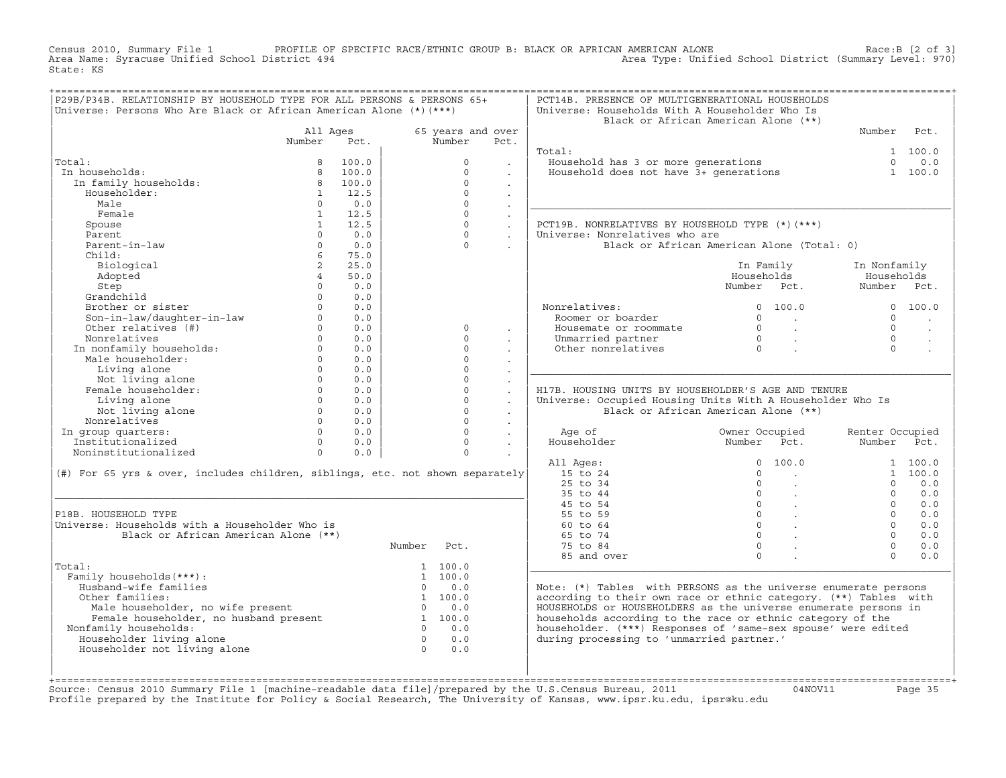Census 2010, Summary File 1 PROFILE OF SPECIFIC RACE/ETHNIC GROUP B: BLACK OR AFRICAN AMERICAN ALONE Race:B [2 of 3]<br>Area Name: Syracuse Unified School District 494 Area Type: Unified School District (Summary Level: 970) Area Type: Unified School District (Summary Level: 970) State: KS

| Universe: Persons Who Are Black or African American Alone (*) (***)           | P29B/P34B. RELATIONSHIP BY HOUSEHOLD TYPE FOR ALL PERSONS & PERSONS 65+ |            |                |                   |                                       | PCT14B. PRESENCE OF MULTIGENERATIONAL HOUSEHOLDS<br>Universe: Households With A Householder Who Is |                                            |                           |                      |
|-------------------------------------------------------------------------------|-------------------------------------------------------------------------|------------|----------------|-------------------|---------------------------------------|----------------------------------------------------------------------------------------------------|--------------------------------------------|---------------------------|----------------------|
|                                                                               |                                                                         |            |                |                   |                                       |                                                                                                    | Black or African American Alone (**)       |                           |                      |
|                                                                               | All Ages                                                                |            |                | 65 years and over |                                       |                                                                                                    |                                            | Number                    | Pct.                 |
|                                                                               | Number                                                                  | Pct.       |                | Number            | Pct.                                  |                                                                                                    |                                            |                           |                      |
|                                                                               |                                                                         |            |                |                   |                                       | Total:                                                                                             |                                            |                           | 1 100.0              |
| Total:                                                                        | 8                                                                       | 100.0      |                | $\Omega$          |                                       | Household has 3 or more generations                                                                |                                            | $\Omega$                  | 0.0                  |
| In households:                                                                | 8                                                                       | 100.0      |                | $\Omega$          | $\ddot{\phantom{0}}$                  | Household does not have 3+ generations                                                             |                                            |                           | 1 100.0              |
| In family households:                                                         | 8                                                                       | 100.0      |                | $\Omega$          | $\blacksquare$                        |                                                                                                    |                                            |                           |                      |
| Householder:                                                                  | $\mathbf{1}$                                                            | 12.5       |                | $\Omega$          | $\ddot{\phantom{a}}$                  |                                                                                                    |                                            |                           |                      |
| Male                                                                          | $\Omega$                                                                | 0.0        |                | $\Omega$          | $\ddot{\phantom{a}}$                  |                                                                                                    |                                            |                           |                      |
| Female                                                                        | $\mathbf{1}$                                                            | 12.5       |                | $\circ$           | $\sim$                                |                                                                                                    |                                            |                           |                      |
| Spouse                                                                        | 1                                                                       | 12.5       |                | $\circ$           | $\mathcal{L}^{\mathcal{L}}$           | PCT19B. NONRELATIVES BY HOUSEHOLD TYPE (*)(***)                                                    |                                            |                           |                      |
| Parent                                                                        | $\Omega$                                                                | 0.0        |                | $\Omega$          | $\sim$                                | Universe: Nonrelatives who are                                                                     |                                            |                           |                      |
| Parent-in-law                                                                 | $\Omega$                                                                | 0.0        |                | $\Omega$          |                                       |                                                                                                    | Black or African American Alone (Total: 0) |                           |                      |
| Child:                                                                        | $6\overline{6}$                                                         | 75.0       |                |                   |                                       |                                                                                                    |                                            |                           |                      |
| Biological                                                                    | $\overline{a}$                                                          | 25.0       |                |                   |                                       |                                                                                                    | In Family                                  | In Nonfamily              |                      |
| Adopted                                                                       | $\overline{4}$                                                          | 50.0       |                |                   |                                       |                                                                                                    | Households                                 | Households                |                      |
| Step                                                                          | $\Omega$<br>$\Omega$                                                    | 0.0        |                |                   |                                       |                                                                                                    | Number Pct.                                | Number Pct.               |                      |
| Grandchild                                                                    |                                                                         | 0.0        |                |                   |                                       |                                                                                                    |                                            |                           |                      |
| Brother or sister<br>Son-in-law/daughter-in-law                               | $\Omega$<br>$\circ$                                                     | 0.0<br>0.0 |                |                   |                                       | Nonrelatives:<br>Roomer or boarder                                                                 | $\Omega$<br>100.0<br>$\Omega$              | $\Omega$                  | 0 100.0              |
| Other relatives (#)                                                           | $\Omega$                                                                | 0.0        |                | $\Omega$          |                                       | Housemate or roommate                                                                              | <b>Contract Contract</b><br>$\bigcap$      | $\Omega$                  |                      |
| Nonrelatives                                                                  | $\Omega$                                                                | 0.0        |                | $\Omega$          | $\cdot$                               | Unmarried partner                                                                                  | $\sim 10^{-11}$<br>$\overline{0}$          | $\Omega$                  | $\ddot{\phantom{a}}$ |
| In nonfamily households:                                                      | $\Omega$                                                                | 0.0        |                | $\Omega$          |                                       | Other nonrelatives                                                                                 | $\sim$<br>$\bigcap$                        | $\Omega$                  |                      |
| Male householder:                                                             | $\Omega$                                                                | 0.0        |                | $\circ$           | $\ddot{\phantom{0}}$                  |                                                                                                    |                                            |                           |                      |
| Living alone                                                                  | $\Omega$                                                                | 0.0        |                | $\Omega$          | $\sim$                                |                                                                                                    |                                            |                           |                      |
| Not living alone                                                              | $\Omega$                                                                | 0.0        |                | $\Omega$          | $\sim$<br>$\mathcal{L}_{\mathcal{A}}$ |                                                                                                    |                                            |                           |                      |
| Female householder:                                                           | $\Omega$                                                                | 0.0        |                | $\circ$           | $\ddot{\phantom{a}}$                  | H17B. HOUSING UNITS BY HOUSEHOLDER'S AGE AND TENURE                                                |                                            |                           |                      |
| Living alone                                                                  | $\Omega$                                                                | 0.0        |                | $\Omega$          | $\ddot{\phantom{a}}$                  | Universe: Occupied Housing Units With A Householder Who Is                                         |                                            |                           |                      |
| Not living alone                                                              | $\circ$                                                                 | 0.0        |                | $\circ$           | $\sim$                                |                                                                                                    | Black or African American Alone (**)       |                           |                      |
| Nonrelatives                                                                  | $\Omega$                                                                | 0.0        |                | $\Omega$          | $\sim$                                |                                                                                                    |                                            |                           |                      |
|                                                                               |                                                                         |            |                |                   |                                       |                                                                                                    |                                            |                           |                      |
|                                                                               | $\Omega$                                                                | 0.0        |                | $\Omega$          |                                       |                                                                                                    |                                            |                           |                      |
| In group quarters:                                                            | $\Omega$                                                                | 0.0        |                | $\Omega$          | $\Box$                                | Age of                                                                                             | Owner Occupied                             | Renter Occupied<br>Number | Pct.                 |
| Institutionalized<br>Noninstitutionalized                                     | $\Omega$                                                                |            |                | $\Omega$          | $\sim$                                | Householder                                                                                        | Number Pct.                                |                           |                      |
|                                                                               |                                                                         | 0.0        |                |                   |                                       | All Ages:                                                                                          | 100.0<br>$\Omega$                          |                           | 1 100.0              |
|                                                                               |                                                                         |            |                |                   |                                       | 15 to 24                                                                                           | $\Omega$<br><b>Contract</b>                |                           | 1, 100, 0            |
| (#) For 65 yrs & over, includes children, siblings, etc. not shown separately |                                                                         |            |                |                   |                                       | $25$ to $34$                                                                                       | $\Omega$<br>$\mathbf{r}$                   | $\Omega$                  | 0.0                  |
|                                                                               |                                                                         |            |                |                   |                                       | 35 to 44                                                                                           | $\circ$<br>$\sim 100$ $\mu$                | $\Omega$                  | 0.0                  |
|                                                                               |                                                                         |            |                |                   |                                       | 45 to 54                                                                                           | $\overline{0}$<br>$\sim 100$ $\mu$         | $\cap$                    | 0.0                  |
| P18B. HOUSEHOLD TYPE                                                          |                                                                         |            |                |                   |                                       | 55 to 59                                                                                           | $\overline{0}$ .                           | $\Omega$                  | 0.0                  |
| Universe: Households with a Householder Who is                                |                                                                         |            |                |                   |                                       | 60 to 64                                                                                           | $0 \qquad \qquad$                          | $\Omega$                  | 0.0                  |
| Black or African American Alone (**)                                          |                                                                         |            |                |                   |                                       | 65 to 74                                                                                           | $\Omega$                                   | $\Omega$                  | 0.0                  |
|                                                                               |                                                                         |            | Number         | Pct.              |                                       | 75 to 84                                                                                           | $\Omega$                                   | $\Omega$                  | 0.0                  |
|                                                                               |                                                                         |            |                |                   |                                       | 85 and over                                                                                        | $\Omega$                                   | $\cap$                    | 0.0                  |
| Total:                                                                        |                                                                         |            |                | 1 100.0           |                                       |                                                                                                    |                                            |                           |                      |
| Family households (***) :                                                     |                                                                         |            |                | 1, 100, 0         |                                       |                                                                                                    |                                            |                           |                      |
| Husband-wife families                                                         |                                                                         |            | $\Omega$       | 0.0               |                                       | Note: $(*)$ Tables with PERSONS as the universe enumerate persons                                  |                                            |                           |                      |
| Other families:                                                               |                                                                         |            |                | 1 100.0           |                                       | according to their own race or ethnic category. (**) Tables with                                   |                                            |                           |                      |
|                                                                               |                                                                         |            | $\Omega$       | 0.0               |                                       | HOUSEHOLDS or HOUSEHOLDERS as the universe enumerate persons in                                    |                                            |                           |                      |
| Male householder, no wife present<br>Female householder, no husband present   |                                                                         |            |                | 1 100.0           |                                       | households according to the race or ethnic category of the                                         |                                            |                           |                      |
| Nonfamily households:                                                         |                                                                         |            | $\Omega$       | 0.0               |                                       | householder. (***) Responses of 'same-sex spouse' were edited                                      |                                            |                           |                      |
| Householder living alone                                                      |                                                                         |            | $\overline{0}$ | 0.0               |                                       | during processing to 'unmarried partner.'                                                          |                                            |                           |                      |
| Householder not living alone                                                  |                                                                         |            | $\Omega$       | 0.0               |                                       |                                                                                                    |                                            |                           |                      |

+===================================================================================================================================================+Source: Census 2010 Summary File 1 [machine−readable data file]/prepared by the U.S.Census Bureau, 2011 04NOV11 Page 35 Profile prepared by the Institute for Policy & Social Research, The University of Kansas, www.ipsr.ku.edu, ipsr@ku.edu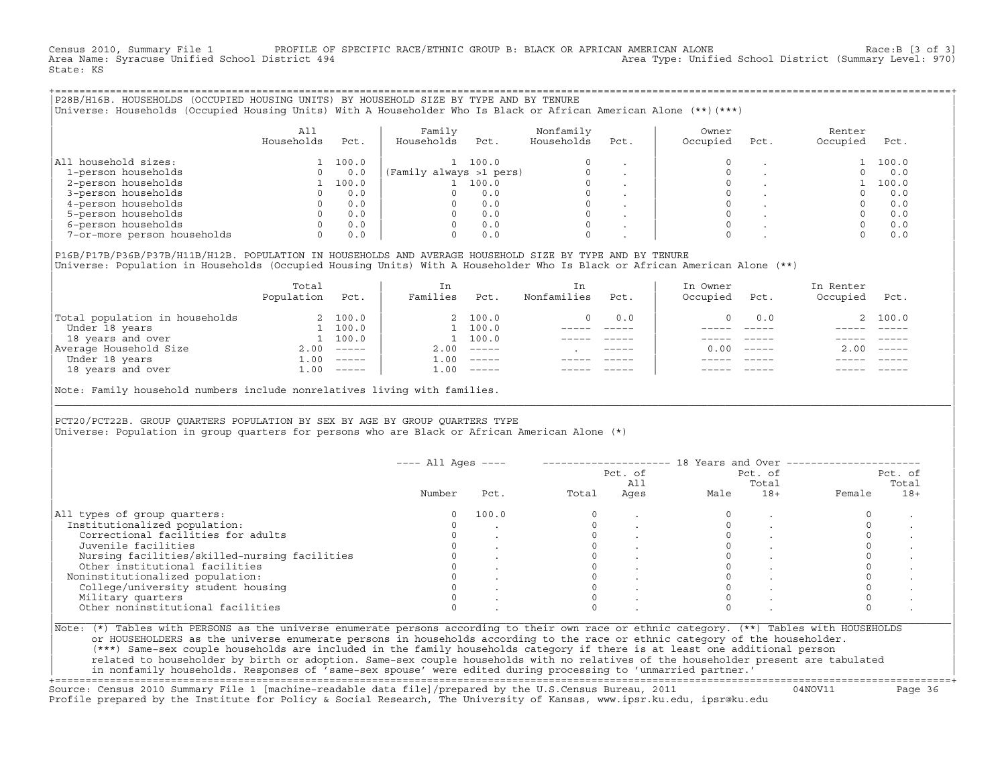Census 2010, Summary File 1 PROFILE OF SPECIFIC RACE/ETHNIC GROUP B: BLACK OR AFRICAN AMERICAN ALONE Race:B [3 of 3]<br>Area Name: Syracuse Unified School District 494 area Type: Unified School District (Summary Level: 970) Area Type: Unified School District (Summary Level: 970) State: KS

+===================================================================================================================================================+|P28B/H16B. HOUSEHOLDS (OCCUPIED HOUSING UNITS) BY HOUSEHOLD SIZE BY TYPE AND BY TENURE | |Universe: Households (Occupied Housing Units) With A Householder Who Is Black or African American Alone (\*\*)(\*\*\*) |

|                             | All<br>Households | Pct.  | Family<br>Households    | Pct.  | Nonfamily<br>Households | Pct.    | Owner<br>Occupied | Pct. | Renter<br>Occupied | Pct.  |
|-----------------------------|-------------------|-------|-------------------------|-------|-------------------------|---------|-------------------|------|--------------------|-------|
| household sizes:<br>All     |                   | 100.0 |                         | 100.0 | $\Omega$                |         |                   |      |                    | 100.0 |
| 1-person households         |                   | 0.0   | (Family always >1 pers) |       |                         |         |                   |      |                    | 0.0   |
| 2-person households         |                   | 100.0 |                         | 100.0 | $\Omega$                |         |                   |      |                    | 100.0 |
| 3-person households         |                   | 0.0   |                         | 0.0   | $\mathbf 0$             | $\cdot$ |                   |      |                    | 0.0   |
| 4-person households         |                   | 0.0   |                         | 0.0   | $\Omega$                | $\cdot$ |                   |      |                    | 0.0   |
| 5-person households         |                   | 0.0   |                         | 0.0   | $\Omega$                |         |                   |      |                    | 0.0   |
| 6-person households         |                   | 0.0   |                         | 0.0   | $\Omega$                |         |                   |      |                    | 0.0   |
| 7-or-more person households |                   | 0.0   |                         | 0.0   | $\mathbf 0$             |         | 0                 |      |                    | 0.0   |

|P16B/P17B/P36B/P37B/H11B/H12B. POPULATION IN HOUSEHOLDS AND AVERAGE HOUSEHOLD SIZE BY TYPE AND BY TENURE | Universe: Population in Households (Occupied Housing Units) With A Householder Who Is Black or African American Alone (\*\*)

|                                | Total<br>Population | Pct.     | In<br>Families     | Pct.     | In.<br>Nonfamilies | Pct.        | In Owner<br>Occupied | Pct.                      | In Renter<br>Occupied | Pct.     |
|--------------------------------|---------------------|----------|--------------------|----------|--------------------|-------------|----------------------|---------------------------|-----------------------|----------|
| Total population in households |                     | 2 100.0  |                    | 2 100.0  |                    | 0.0         |                      | 0.0                       |                       | 2 100.0  |
| Under 18 years                 |                     | 100.0    |                    | 100.0    |                    |             |                      |                           |                       |          |
| 18 years and over              |                     | 1 100.0  |                    | 100.0    |                    |             |                      |                           |                       |          |
| Average Household Size         | 2.00                | $------$ | 2.00               | $------$ |                    | $- - - - -$ | 0. Q Q               | $\qquad \qquad - - - - -$ | 2.00                  | $------$ |
| Under 18 years                 | 1.00                | $------$ | $\overline{1}$ .00 | $------$ |                    |             |                      |                           |                       |          |
| 18 years and over              | 1.00                | $------$ | 1.00               | $------$ |                    |             |                      | $- - - - -$               |                       | $------$ |

Note: Family household numbers include nonrelatives living with families.

| | PCT20/PCT22B. GROUP OUARTERS POPULATION BY SEX BY AGE BY GROUP OUARTERS TYPE Universe: Population in group quarters for persons who are Black or African American Alone (\*)

|                                               |        |       |       | Pct. of<br>All |      | Pct. of<br>Total |        | Pct. of<br>Total |
|-----------------------------------------------|--------|-------|-------|----------------|------|------------------|--------|------------------|
|                                               | Number | Pct.  | Total | Ages           | Male | $18+$            | Female | $18+$            |
| All types of group quarters:                  | 0      | 100.0 |       |                |      |                  |        |                  |
| Institutionalized population:                 |        |       |       |                |      |                  |        |                  |
| Correctional facilities for adults            |        |       |       |                |      |                  |        |                  |
| Juvenile facilities                           |        |       |       |                |      |                  |        |                  |
| Nursing facilities/skilled-nursing facilities |        |       |       |                |      |                  |        |                  |
| Other institutional facilities                |        |       |       |                |      |                  |        |                  |
| Noninstitutionalized population:              |        |       |       |                |      |                  |        |                  |
| College/university student housing            |        |       |       |                |      |                  |        |                  |
| Military quarters                             |        |       |       |                |      |                  |        |                  |
| Other noninstitutional facilities             |        |       |       |                |      |                  |        |                  |

|\_\_\_\_\_\_\_\_\_\_\_\_\_\_\_\_\_\_\_\_\_\_\_\_\_\_\_\_\_\_\_\_\_\_\_\_\_\_\_\_\_\_\_\_\_\_\_\_\_\_\_\_\_\_\_\_\_\_\_\_\_\_\_\_\_\_\_\_\_\_\_\_\_\_\_\_\_\_\_\_\_\_\_\_\_\_\_\_\_\_\_\_\_\_\_\_\_\_\_\_\_\_\_\_\_\_\_\_\_\_\_\_\_\_\_\_\_\_\_\_\_\_\_\_\_\_\_\_\_\_\_\_\_\_\_\_\_\_\_\_\_\_\_\_\_\_\_|

| |

or HOUSEHOLDERS as the universe enumerate persons in households according to the race or ethnic category of the householder. | (\*\*\*) Same−sex couple households are included in the family households category if there is at least one additional person | | related to householder by birth or adoption. Same−sex couple households with no relatives of the householder present are tabulated | | in nonfamily households. Responses of 'same−sex spouse' were edited during processing to 'unmarried partner.' |

+===================================================================================================================================================+ Source: Census 2010 Summary File 1 [machine−readable data file]/prepared by the U.S.Census Bureau, 2011 04NOV11 Page 36 Profile prepared by the Institute for Policy & Social Research, The University of Kansas, www.ipsr.ku.edu, ipsr@ku.edu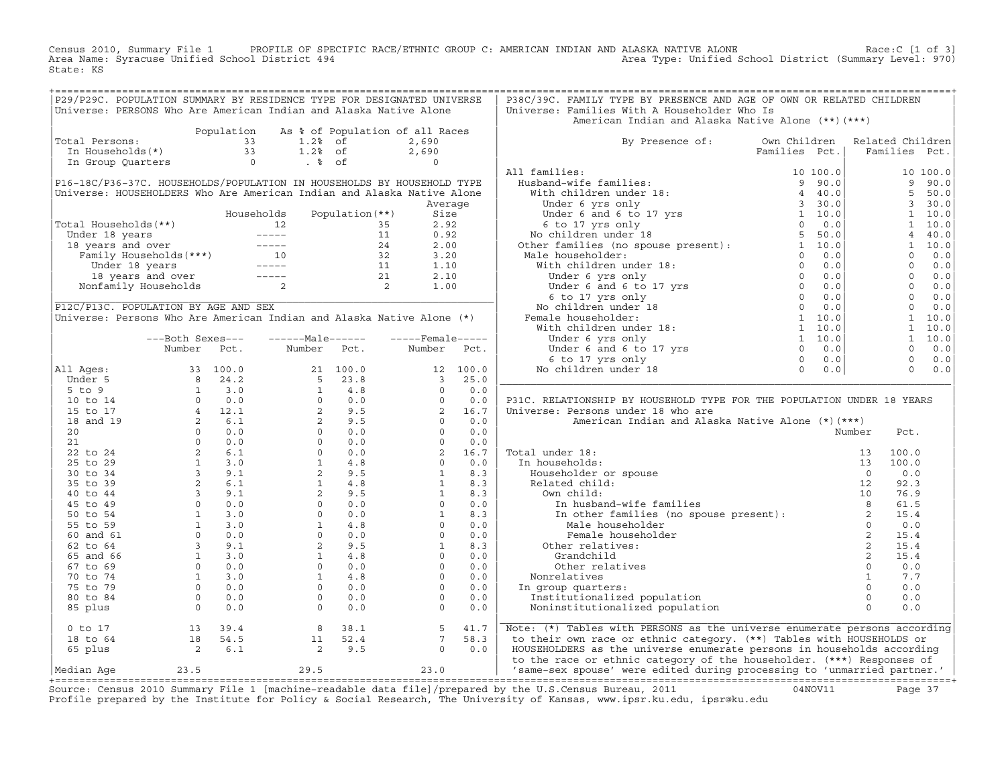Census 2010, Summary File 1 PROFILE OF SPECIFIC RACE/ETHNIC GROUP C: AMERICAN INDIAN AND ALASKA NATIVE ALONE Race:C [1 of 3] Area Name: Syracuse Unified School District 494 Area Type: Unified School District (Summary Level: 970) State: KS

| P29/P29C. POPULATION SUMMARY BY RESIDENCE TYPE FOR DESIGNATED UNIVERSE<br>Universe: PERSONS Who Are American Indian and Alaska Native Alone                                                                                                                                                                                                                                |                  |               |                   |                                                                                      |         | P38C/39C. FAMILY TYPE BY PRESENCE AND AGE OF OWN OR RELATED CHILDREN<br>Universe: Families With A Householder Who Is                                                                                                                                              |               |  |                |                                                                                                                                                                                                                                                                                                                                       |
|----------------------------------------------------------------------------------------------------------------------------------------------------------------------------------------------------------------------------------------------------------------------------------------------------------------------------------------------------------------------------|------------------|---------------|-------------------|--------------------------------------------------------------------------------------|---------|-------------------------------------------------------------------------------------------------------------------------------------------------------------------------------------------------------------------------------------------------------------------|---------------|--|----------------|---------------------------------------------------------------------------------------------------------------------------------------------------------------------------------------------------------------------------------------------------------------------------------------------------------------------------------------|
|                                                                                                                                                                                                                                                                                                                                                                            |                  |               |                   | Population As % of Population of all Races                                           |         | American Indian and Alaska Native Alone (**) (***)                                                                                                                                                                                                                |               |  |                |                                                                                                                                                                                                                                                                                                                                       |
| obtal Persons:<br>In Households(*)<br>1.28 of 2,690<br>In Group Quarters 0 . 8 of 0<br>Total Persons:                                                                                                                                                                                                                                                                      |                  |               |                   |                                                                                      |         | By Presence of: Own Children Related Children                                                                                                                                                                                                                     |               |  |                |                                                                                                                                                                                                                                                                                                                                       |
|                                                                                                                                                                                                                                                                                                                                                                            |                  |               |                   |                                                                                      |         |                                                                                                                                                                                                                                                                   | Families Pct. |  |                | Families Pct.                                                                                                                                                                                                                                                                                                                         |
|                                                                                                                                                                                                                                                                                                                                                                            |                  |               |                   |                                                                                      |         |                                                                                                                                                                                                                                                                   |               |  |                |                                                                                                                                                                                                                                                                                                                                       |
|                                                                                                                                                                                                                                                                                                                                                                            |                  |               |                   |                                                                                      |         | All families:                                                                                                                                                                                                                                                     |               |  |                | 10 100.0                                                                                                                                                                                                                                                                                                                              |
| P16-18C/P36-37C. HOUSEHOLDS/POPULATION IN HOUSEHOLDS BY HOUSEHOLD TYPE                                                                                                                                                                                                                                                                                                     |                  |               |                   |                                                                                      |         |                                                                                                                                                                                                                                                                   |               |  |                | 990.0                                                                                                                                                                                                                                                                                                                                 |
| Universe: HOUSEHOLDERS Who Are American Indian and Alaska Native Alone                                                                                                                                                                                                                                                                                                     |                  |               |                   |                                                                                      |         |                                                                                                                                                                                                                                                                   |               |  |                | 5 50.0                                                                                                                                                                                                                                                                                                                                |
|                                                                                                                                                                                                                                                                                                                                                                            |                  |               |                   |                                                                                      | Average |                                                                                                                                                                                                                                                                   |               |  |                | 3 30.0                                                                                                                                                                                                                                                                                                                                |
|                                                                                                                                                                                                                                                                                                                                                                            |                  | Households    | Population $(**)$ | Size                                                                                 |         |                                                                                                                                                                                                                                                                   |               |  |                | $1 \quad 10.0$                                                                                                                                                                                                                                                                                                                        |
|                                                                                                                                                                                                                                                                                                                                                                            |                  |               |                   | 2.92                                                                                 |         |                                                                                                                                                                                                                                                                   |               |  |                | 1 10.0                                                                                                                                                                                                                                                                                                                                |
|                                                                                                                                                                                                                                                                                                                                                                            |                  |               |                   | 0.92                                                                                 |         |                                                                                                                                                                                                                                                                   |               |  |                | 4 40.0                                                                                                                                                                                                                                                                                                                                |
|                                                                                                                                                                                                                                                                                                                                                                            |                  |               |                   | 2.00                                                                                 |         |                                                                                                                                                                                                                                                                   |               |  |                | 1 10.0                                                                                                                                                                                                                                                                                                                                |
|                                                                                                                                                                                                                                                                                                                                                                            |                  |               |                   | 3.20                                                                                 |         |                                                                                                                                                                                                                                                                   |               |  |                | $0 \t 0.0$                                                                                                                                                                                                                                                                                                                            |
|                                                                                                                                                                                                                                                                                                                                                                            |                  |               |                   | 1.10                                                                                 |         |                                                                                                                                                                                                                                                                   |               |  |                |                                                                                                                                                                                                                                                                                                                                       |
| Total Households (**)<br>Under 18 years<br>12 35<br>18 years and over<br>Family Households (***)<br>10 32<br>Under 18 years<br>10 32<br>Under 18 years<br>10 32<br>11 14<br>10 32<br>Under 18 years<br>11 14<br>12 21<br>12 14<br>21<br>22<br>Nonfamily Households                                                                                                         |                  |               |                   | 2.10                                                                                 |         |                                                                                                                                                                                                                                                                   |               |  |                | $\begin{bmatrix} 0 & 0 & 0 \\ 0 & 0 & 0 \\ 0 & 0 & 0 \\ 0 & 0 & 0 \\ 0 & 0 & 0 \\ 0 & 0 & 0 \\ 0 & 0 & 0 \\ 0 & 0 & 0 \\ 0 & 0 & 0 \\ 0 & 0 & 0 \\ 0 & 0 & 0 \\ 0 & 0 & 0 \\ 0 & 0 & 0 \\ 0 & 0 & 0 \\ 0 & 0 & 0 \\ 0 & 0 & 0 \\ 0 & 0 & 0 \\ 0 & 0 & 0 \\ 0 & 0 & 0 \\ 0 & 0 & 0 \\ 0 & 0 & 0 \\ 0 & 0 & 0 \\ 0 & 0 & 0 \\ 0 & 0 & $ |
|                                                                                                                                                                                                                                                                                                                                                                            |                  |               |                   | 1.00                                                                                 |         |                                                                                                                                                                                                                                                                   |               |  |                |                                                                                                                                                                                                                                                                                                                                       |
|                                                                                                                                                                                                                                                                                                                                                                            |                  |               |                   |                                                                                      |         |                                                                                                                                                                                                                                                                   |               |  |                |                                                                                                                                                                                                                                                                                                                                       |
| P12C/P13C. POPULATION BY AGE AND SEX                                                                                                                                                                                                                                                                                                                                       |                  |               |                   |                                                                                      |         |                                                                                                                                                                                                                                                                   |               |  | $\overline{0}$ | 0.0                                                                                                                                                                                                                                                                                                                                   |
| Universe: Persons Who Are American Indian and Alaska Native Alone (*)                                                                                                                                                                                                                                                                                                      |                  |               |                   |                                                                                      |         |                                                                                                                                                                                                                                                                   |               |  |                | $1 \quad 10.0$                                                                                                                                                                                                                                                                                                                        |
|                                                                                                                                                                                                                                                                                                                                                                            |                  |               |                   |                                                                                      |         |                                                                                                                                                                                                                                                                   |               |  |                | $1 \quad 10.0$                                                                                                                                                                                                                                                                                                                        |
|                                                                                                                                                                                                                                                                                                                                                                            | ---Both Sexes--- | $---Male----$ |                   | $---$ Female -----                                                                   |         |                                                                                                                                                                                                                                                                   |               |  |                | $1 \quad 10.0$                                                                                                                                                                                                                                                                                                                        |
|                                                                                                                                                                                                                                                                                                                                                                            | Number Pct.      | Number Pct.   |                   | Number Pct.                                                                          |         |                                                                                                                                                                                                                                                                   |               |  |                | $0 \t 0.0$                                                                                                                                                                                                                                                                                                                            |
|                                                                                                                                                                                                                                                                                                                                                                            |                  |               |                   |                                                                                      |         |                                                                                                                                                                                                                                                                   |               |  |                | $0 \t 0.0$                                                                                                                                                                                                                                                                                                                            |
| All Ages:                                                                                                                                                                                                                                                                                                                                                                  |                  |               |                   |                                                                                      |         |                                                                                                                                                                                                                                                                   |               |  |                | $0 \t 0.0$                                                                                                                                                                                                                                                                                                                            |
|                                                                                                                                                                                                                                                                                                                                                                            |                  |               |                   |                                                                                      |         |                                                                                                                                                                                                                                                                   |               |  |                |                                                                                                                                                                                                                                                                                                                                       |
|                                                                                                                                                                                                                                                                                                                                                                            |                  |               |                   |                                                                                      |         |                                                                                                                                                                                                                                                                   |               |  |                |                                                                                                                                                                                                                                                                                                                                       |
|                                                                                                                                                                                                                                                                                                                                                                            |                  |               |                   |                                                                                      |         | P31C. RELATIONSHIP BY HOUSEHOLD TYPE FOR THE POPULATION UNDER 18 YEARS                                                                                                                                                                                            |               |  |                |                                                                                                                                                                                                                                                                                                                                       |
|                                                                                                                                                                                                                                                                                                                                                                            |                  |               |                   |                                                                                      |         | Universe: Persons under 18 who are                                                                                                                                                                                                                                |               |  |                |                                                                                                                                                                                                                                                                                                                                       |
|                                                                                                                                                                                                                                                                                                                                                                            |                  |               |                   |                                                                                      |         | American Indian and Alaska Native Alone (*) (***)                                                                                                                                                                                                                 |               |  |                |                                                                                                                                                                                                                                                                                                                                       |
|                                                                                                                                                                                                                                                                                                                                                                            |                  |               |                   |                                                                                      |         |                                                                                                                                                                                                                                                                   |               |  | Pct.           |                                                                                                                                                                                                                                                                                                                                       |
|                                                                                                                                                                                                                                                                                                                                                                            |                  |               |                   |                                                                                      |         | Total under 18:                                                                                                                                                                                                                                                   |               |  | 100.0          |                                                                                                                                                                                                                                                                                                                                       |
|                                                                                                                                                                                                                                                                                                                                                                            |                  |               |                   |                                                                                      |         |                                                                                                                                                                                                                                                                   |               |  | 100.0          |                                                                                                                                                                                                                                                                                                                                       |
|                                                                                                                                                                                                                                                                                                                                                                            |                  |               |                   |                                                                                      |         |                                                                                                                                                                                                                                                                   |               |  | 0.0            |                                                                                                                                                                                                                                                                                                                                       |
|                                                                                                                                                                                                                                                                                                                                                                            |                  |               |                   |                                                                                      |         |                                                                                                                                                                                                                                                                   |               |  | 92.3           |                                                                                                                                                                                                                                                                                                                                       |
|                                                                                                                                                                                                                                                                                                                                                                            |                  |               |                   |                                                                                      |         |                                                                                                                                                                                                                                                                   |               |  | 76.9           |                                                                                                                                                                                                                                                                                                                                       |
|                                                                                                                                                                                                                                                                                                                                                                            |                  |               |                   |                                                                                      |         |                                                                                                                                                                                                                                                                   |               |  | 61.5           |                                                                                                                                                                                                                                                                                                                                       |
|                                                                                                                                                                                                                                                                                                                                                                            |                  |               |                   |                                                                                      |         |                                                                                                                                                                                                                                                                   |               |  | 15.4           |                                                                                                                                                                                                                                                                                                                                       |
|                                                                                                                                                                                                                                                                                                                                                                            |                  |               |                   |                                                                                      |         | al under 18:<br>13 1<br>n households:<br>Householder or spouse<br>Related child:<br>2<br>own child:<br>10<br>In husband-wife families<br>In other families<br>In other families<br>In other families<br>Male householder<br>Female householder<br>2<br>2<br>2<br> |               |  | 0.0            |                                                                                                                                                                                                                                                                                                                                       |
|                                                                                                                                                                                                                                                                                                                                                                            |                  |               |                   |                                                                                      |         |                                                                                                                                                                                                                                                                   |               |  | 15.4           |                                                                                                                                                                                                                                                                                                                                       |
|                                                                                                                                                                                                                                                                                                                                                                            |                  |               |                   |                                                                                      |         |                                                                                                                                                                                                                                                                   |               |  | 15.4           |                                                                                                                                                                                                                                                                                                                                       |
|                                                                                                                                                                                                                                                                                                                                                                            |                  |               |                   |                                                                                      |         | Grandchild                                                                                                                                                                                                                                                        |               |  | 15.4           |                                                                                                                                                                                                                                                                                                                                       |
|                                                                                                                                                                                                                                                                                                                                                                            |                  |               |                   |                                                                                      |         | Other relatives                                                                                                                                                                                                                                                   |               |  | 0.0            |                                                                                                                                                                                                                                                                                                                                       |
|                                                                                                                                                                                                                                                                                                                                                                            |                  |               |                   |                                                                                      |         | Nonrelatives                                                                                                                                                                                                                                                      |               |  | 7.7            |                                                                                                                                                                                                                                                                                                                                       |
|                                                                                                                                                                                                                                                                                                                                                                            |                  |               |                   |                                                                                      |         | In group quarters:                                                                                                                                                                                                                                                |               |  | 0.0            |                                                                                                                                                                                                                                                                                                                                       |
|                                                                                                                                                                                                                                                                                                                                                                            |                  |               |                   |                                                                                      |         | Institutionalized population                                                                                                                                                                                                                                      |               |  | 0.0            |                                                                                                                                                                                                                                                                                                                                       |
| $\begin{tabular}{l cccc} All layers: & Number & Pct. & Number & Pct. & Number & Pct. \\[.05in] \hline \texttt{Mumber} & 5 & 3 & 100.0 & 21 & 100.0 & 12 & 100.0 \\[.05in] \hline \texttt{5} & 5 & 2 & 3.8 & 3 & 25.0 \\[.05in] \hline \texttt{10} & 1 & 3.0 & 1 & 4.8 & 0 & 0.0 \\[.05in] \hline \texttt{10} & 4 & 12.1 & 2 & 9.5 & 2 & 16.7 \\[.05in] \hline \texttt{20}$ |                  |               |                   |                                                                                      |         | $\begin{array}{c}\n 0 \\  \text{opulation} \\  1 \\  \hline\n 0 \\  0\n \end{array}$<br>Noninstitutionalized population                                                                                                                                           |               |  | 0.0            |                                                                                                                                                                                                                                                                                                                                       |
|                                                                                                                                                                                                                                                                                                                                                                            |                  |               |                   |                                                                                      | 41.7    | Note: $(*)$ Tables with PERSONS as the universe enumerate persons according                                                                                                                                                                                       |               |  |                |                                                                                                                                                                                                                                                                                                                                       |
|                                                                                                                                                                                                                                                                                                                                                                            |                  |               |                   |                                                                                      | 58.3    | to their own race or ethnic category. (**) Tables with HOUSEHOLDS or                                                                                                                                                                                              |               |  |                |                                                                                                                                                                                                                                                                                                                                       |
|                                                                                                                                                                                                                                                                                                                                                                            |                  |               |                   |                                                                                      |         |                                                                                                                                                                                                                                                                   |               |  |                |                                                                                                                                                                                                                                                                                                                                       |
| 0 to 17<br>18 to 64<br>18 54.5<br>65 plus<br>2 6.1                                                                                                                                                                                                                                                                                                                         |                  |               |                   | $\begin{array}{cccc} 8 & 38.1 & & 5 \\ 11 & 52.4 & & 7 \\ 2 & 9.5 & & 0 \end{array}$ | 0.0     | HOUSEHOLDERS as the universe enumerate persons in households according<br>to the race or ethnic category of the householder. (***) Responses of                                                                                                                   |               |  |                |                                                                                                                                                                                                                                                                                                                                       |

+===================================================================================================================================================+Source: Census 2010 Summary File 1 [machine−readable data file]/prepared by the U.S.Census Bureau, 2011 04NOV11 Page 37 Profile prepared by the Institute for Policy & Social Research, The University of Kansas, www.ipsr.ku.edu, ipsr@ku.edu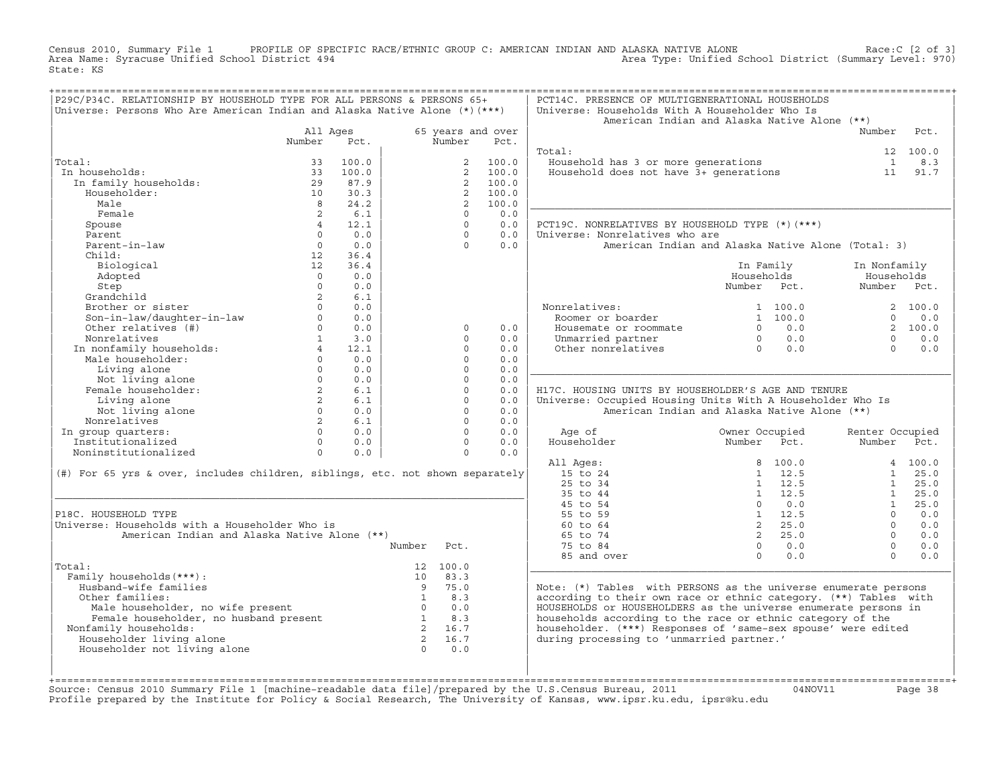Census 2010, Summary File 1 PROFILE OF SPECIFIC RACE/ETHNIC GROUP C: AMERICAN INDIAN AND ALASKA NATIVE ALONE<br>Area Name: Syracuse Unified School District 494 Area Type: Unified School Dis State: KS

| P29C/P34C. RELATIONSHIP BY HOUSEHOLD TYPE FOR ALL PERSONS & PERSONS 65+<br>Universe: Persons Who Are American Indian and Alaska Native Alone $(*)$ $(***)$ |                  |               |                                                              |                         |                   | PCT14C. PRESENCE OF MULTIGENERATIONAL HOUSEHOLDS<br>Universe: Households With A Householder Who Is<br>American Indian and Alaska Native Alone (**) |                |                                                       |                 |          |
|------------------------------------------------------------------------------------------------------------------------------------------------------------|------------------|---------------|--------------------------------------------------------------|-------------------------|-------------------|----------------------------------------------------------------------------------------------------------------------------------------------------|----------------|-------------------------------------------------------|-----------------|----------|
|                                                                                                                                                            | All Ages         |               |                                                              |                         | 65 years and over |                                                                                                                                                    |                |                                                       | Number          | Pct.     |
|                                                                                                                                                            | Number           | Pct.          |                                                              | Number                  | Pct.              |                                                                                                                                                    |                |                                                       |                 |          |
|                                                                                                                                                            |                  |               |                                                              |                         |                   | Total:                                                                                                                                             |                |                                                       |                 | 12 100.0 |
| Total:                                                                                                                                                     | 33               | 100.0         |                                                              | $\overline{2}$          | 100.0<br>100.0    | Household has 3 or more generations<br>Household does not have 3+ generations                                                                      |                |                                                       | $\overline{1}$  | 8.3      |
| In households:<br>In family households:                                                                                                                    | 33<br>29         | 100.0<br>87.9 |                                                              | 2<br>2                  | 100.0             |                                                                                                                                                    |                |                                                       | 11              | 91.7     |
| Householder:                                                                                                                                               | 10               | 30.3          |                                                              | 2                       | 100.0             |                                                                                                                                                    |                |                                                       |                 |          |
| Male                                                                                                                                                       | $\overline{8}$   | 24.2          |                                                              | $\overline{2}$          | 100.0             |                                                                                                                                                    |                |                                                       |                 |          |
| Female                                                                                                                                                     | 2                | 6.1           |                                                              | $\Omega$                | 0.0               |                                                                                                                                                    |                |                                                       |                 |          |
| Spouse                                                                                                                                                     | 4                | 12.1          |                                                              | $\Omega$                | 0.0               | PCT19C. NONRELATIVES BY HOUSEHOLD TYPE (*) (***)                                                                                                   |                |                                                       |                 |          |
| Parent                                                                                                                                                     | $\Omega$         | 0.0           |                                                              | $\Omega$                | 0.0               | Universe: Nonrelatives who are                                                                                                                     |                |                                                       |                 |          |
| Parent-in-law                                                                                                                                              | $\circ$          | 0.0           |                                                              | $\Omega$                | 0.0               | American Indian and Alaska Native Alone (Total: 3)                                                                                                 |                |                                                       |                 |          |
| Child:                                                                                                                                                     | 12               | 36.4          |                                                              |                         |                   |                                                                                                                                                    |                |                                                       |                 |          |
| Biological                                                                                                                                                 | 12               | 36.4          |                                                              |                         |                   |                                                                                                                                                    | In Family      |                                                       | In Nonfamily    |          |
| Adopted                                                                                                                                                    | $\Omega$         | 0.0           |                                                              |                         |                   |                                                                                                                                                    | Households     |                                                       | Households      |          |
| Step                                                                                                                                                       | $\Omega$         | 0.0           |                                                              |                         |                   |                                                                                                                                                    | Number Pct.    |                                                       | Number Pct.     |          |
| Grandchild                                                                                                                                                 | 2                | 6.1           |                                                              |                         |                   |                                                                                                                                                    |                |                                                       |                 |          |
| Brother or sister                                                                                                                                          | $\Omega$         | 0.0           |                                                              |                         |                   | Nonrelatives:                                                                                                                                      |                | 1, 100, 0                                             |                 | 2 100.0  |
| Son-in-law/daughter-in-law                                                                                                                                 | $\Omega$         | 0.0           |                                                              |                         |                   | Roomer or boarder                                                                                                                                  |                | 1 100.0                                               | $\Omega$        | 0.0      |
| Other relatives (#)                                                                                                                                        | $\Omega$         | 0.0           |                                                              | $\Omega$                | 0.0               | Housemate or roommate                                                                                                                              |                | $0 \qquad 0.0$                                        |                 | 2 100.0  |
| Nonrelatives                                                                                                                                               | $\mathbf{1}$     | 3.0           |                                                              | $\Omega$                | 0.0               | Unmarried partner                                                                                                                                  |                | $\begin{matrix} 0 && 0 & 0 \ 0 && 0 & 0 \end{matrix}$ | $\cap$          | 0.0      |
| In nonfamily households:                                                                                                                                   | $\overline{4}$   | 12.1          |                                                              | $\Omega$                | 0.0               | Other nonrelatives                                                                                                                                 |                |                                                       | $\Omega$        | 0.0      |
| Male householder:                                                                                                                                          | $\Omega$         | 0.0           |                                                              | $\Omega$                | 0.0               |                                                                                                                                                    |                |                                                       |                 |          |
| Living alone                                                                                                                                               | $\Omega$         | 0.0           |                                                              | $\Omega$                | 0.0               |                                                                                                                                                    |                |                                                       |                 |          |
| Not living alone                                                                                                                                           | $\circ$          | 0.0           |                                                              | $\Omega$                | 0.0               |                                                                                                                                                    |                |                                                       |                 |          |
| Female householder:<br>Living alone                                                                                                                        | 2<br>$2^{\circ}$ | 6.1<br>6.1    |                                                              | $\Omega$<br>$\circ$     | 0.0<br>0.0        | H17C. HOUSING UNITS BY HOUSEHOLDER'S AGE AND TENURE<br>Universe: Occupied Housing Units With A Householder Who Is                                  |                |                                                       |                 |          |
| Not living alone                                                                                                                                           | $\circ$          | 0.0           |                                                              | $\Omega$                | 0.0               | American Indian and Alaska Native Alone (**)                                                                                                       |                |                                                       |                 |          |
| Nonrelatives                                                                                                                                               | 2                | 6.1           |                                                              | $\Omega$                | 0.0               |                                                                                                                                                    |                |                                                       |                 |          |
| In group quarters:                                                                                                                                         | $\Omega$         | 0.0           |                                                              | $\Omega$                | 0.0               | Age of                                                                                                                                             | Owner Occupied |                                                       | Renter Occupied |          |
| Institutionalized                                                                                                                                          | $\Omega$         | 0.0           |                                                              | $\Omega$                | 0.0               | Householder                                                                                                                                        | Number Pct.    |                                                       | Number Pct.     |          |
| Noninstitutionalized                                                                                                                                       | $\Omega$         | 0.0           |                                                              | $\Omega$                | 0.0               |                                                                                                                                                    |                |                                                       |                 |          |
|                                                                                                                                                            |                  |               |                                                              |                         |                   | All Ages:                                                                                                                                          |                | 8 100.0                                               |                 | 4 100.0  |
| (#) For 65 yrs & over, includes children, siblings, etc. not shown separately                                                                              |                  |               |                                                              |                         |                   | 15 to 24                                                                                                                                           |                | $1 \t12.5$                                            |                 | 1 25.0   |
|                                                                                                                                                            |                  |               |                                                              |                         |                   | 25 to 34                                                                                                                                           |                | $1 \quad 12.5$                                        | 1               | 25.0     |
|                                                                                                                                                            |                  |               |                                                              |                         |                   | 35 to 44                                                                                                                                           |                | 1 12.5                                                | 1               | 25.0     |
|                                                                                                                                                            |                  |               |                                                              |                         |                   | 45 to 54                                                                                                                                           |                | $0 \t 0.0$                                            | 1               | 25.0     |
| P18C. HOUSEHOLD TYPE                                                                                                                                       |                  |               |                                                              |                         |                   | 55 to 59                                                                                                                                           |                | $1 \t 12.5$                                           | $\Omega$        | 0.0      |
| Universe: Households with a Householder Who is                                                                                                             |                  |               |                                                              |                         |                   | 60 to 64                                                                                                                                           |                | 2, 25.0                                               | $\Omega$        | 0.0      |
| American Indian and Alaska Native Alone (**)                                                                                                               |                  |               |                                                              |                         |                   | 65 to 74                                                                                                                                           |                | 2, 25.0                                               | $\Omega$        | 0.0      |
|                                                                                                                                                            |                  |               | Number                                                       | Pct.                    |                   | 75 to 84                                                                                                                                           |                | $0 \qquad 0.0$                                        | $\cap$          | 0.0      |
|                                                                                                                                                            |                  |               |                                                              |                         |                   | 85 and over                                                                                                                                        | $\Omega$       | 0.0                                                   | $\Omega$        | 0.0      |
| Total:                                                                                                                                                     |                  |               |                                                              | 12, 100.0               |                   |                                                                                                                                                    |                |                                                       |                 |          |
| Family households (***) :                                                                                                                                  |                  |               | 9                                                            | $10 \quad 83.3$<br>75.0 |                   |                                                                                                                                                    |                |                                                       |                 |          |
| Husband-wife families<br>Other families:                                                                                                                   |                  |               |                                                              | $1 \t 8.3$              |                   | Note: (*) Tables with PERSONS as the universe enumerate persons<br>according to their own race or ethnic category. (**) Tables with                |                |                                                       |                 |          |
| Ner Lamilles:<br>Male householder, no wife present<br>Female householder, no husband present                                                               |                  |               |                                                              | $0 \t 0.0$              |                   | HOUSEHOLDS or HOUSEHOLDERS as the universe enumerate persons in                                                                                    |                |                                                       |                 |          |
|                                                                                                                                                            |                  |               | $\begin{array}{cc} 0 & 0 \\ 1 & 8.3 \\ 2 & 16.7 \end{array}$ |                         |                   | households according to the race or ethnic category of the                                                                                         |                |                                                       |                 |          |
| Nonfamily households:                                                                                                                                      |                  |               |                                                              | 2 16.7                  |                   | householder. (***) Responses of 'same-sex spouse' were edited                                                                                      |                |                                                       |                 |          |
| Householder living alone                                                                                                                                   |                  |               |                                                              | 2 16.7                  |                   | during processing to 'unmarried partner.'                                                                                                          |                |                                                       |                 |          |
| Householder not living alone                                                                                                                               |                  |               | $\bigcap$                                                    | 0.0                     |                   |                                                                                                                                                    |                |                                                       |                 |          |
|                                                                                                                                                            |                  |               |                                                              |                         |                   |                                                                                                                                                    |                |                                                       |                 |          |
|                                                                                                                                                            |                  |               |                                                              |                         |                   |                                                                                                                                                    |                |                                                       |                 |          |
|                                                                                                                                                            |                  |               |                                                              |                         |                   |                                                                                                                                                    |                |                                                       |                 |          |

+===================================================================================================================================================+Source: Census 2010 Summary File 1 [machine−readable data file]/prepared by the U.S.Census Bureau, 2011 04NOV11 Page 38 Profile prepared by the Institute for Policy & Social Research, The University of Kansas, www.ipsr.ku.edu, ipsr@ku.edu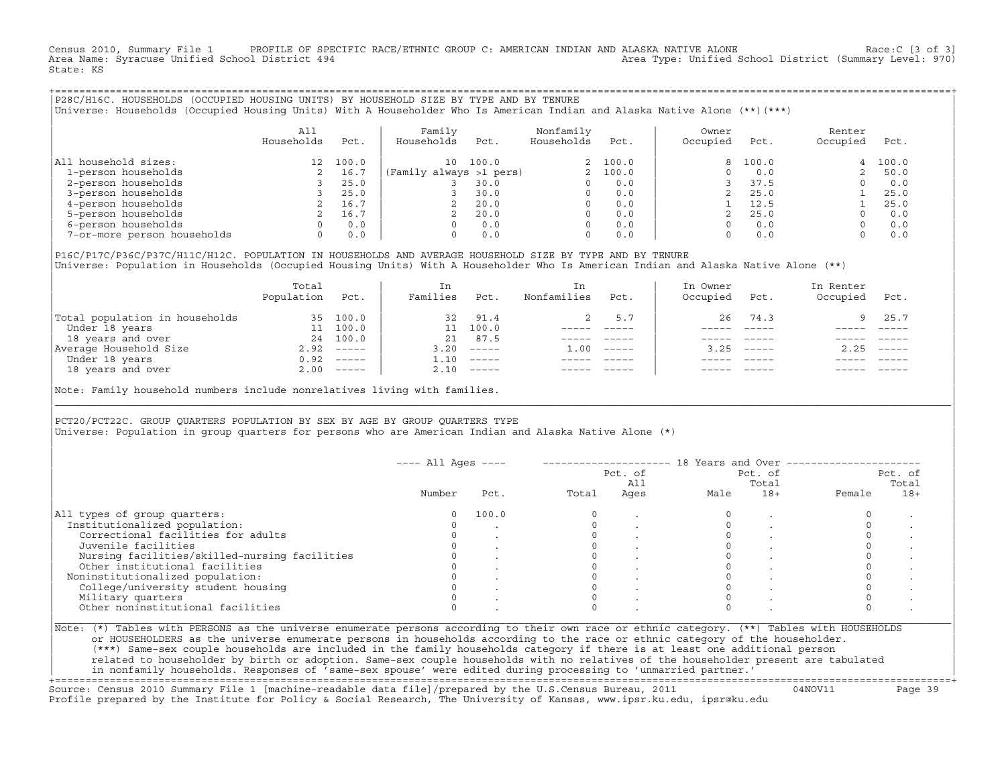Census 2010, Summary File 1 PROFILE OF SPECIFIC RACE/ETHNIC GROUP C: AMERICAN INDIAN AND ALASKA NATIVE ALONE Race:C [3 of 3]<br>Area Name: Syracuse Unified School District 494 Area Type: Unified School District (Summary Level: 970) State: KS

+===================================================================================================================================================+|P28C/H16C. HOUSEHOLDS (OCCUPIED HOUSING UNITS) BY HOUSEHOLD SIZE BY TYPE AND BY TENURE | |Universe: Households (Occupied Housing Units) With A Householder Who Is American Indian and Alaska Native Alone (\*\*)(\*\*\*) |

|                             | All<br>Households | Pct.  | Family<br>Households    | Pct.  | Nonfamily<br>Households | Pct.    | Owner<br>Occupied | Pct.  | Renter<br>Occupied | Pct.  |
|-----------------------------|-------------------|-------|-------------------------|-------|-------------------------|---------|-------------------|-------|--------------------|-------|
| All household sizes:        |                   | 100.0 | 10                      | 100.0 |                         | 2 100.0 |                   | 100.0 | 4                  | 100.0 |
| 1-person households         |                   | 16.7  | (Family always >1 pers) |       |                         | 100.0   |                   | 0.0   |                    | 50.0  |
| 2-person households         |                   | 25.0  |                         | 30.0  |                         | 0.0     |                   | 37.5  |                    | 0.0   |
| 3-person households         |                   | 25.0  |                         | 30.0  | 0                       | 0.0     |                   | 25.0  |                    | 25.0  |
| 4-person households         |                   | 16.7  | 2                       | 20.0  | 0                       | 0.0     |                   | 12.5  |                    | 25.0  |
| 5-person households         |                   | 16.7  |                         | 20.0  |                         | 0.0     |                   | 25.0  |                    | 0.0   |
| 6-person households         |                   | 0.0   | O.                      | 0.0   |                         | 0.0     |                   | 0.0   |                    | 0.0   |
| 7-or-more person households | $\Omega$          | 0.0   | 0                       | 0.0   | 0                       | 0.0     |                   | 0.0   |                    | 0.0   |

|P16C/P17C/P36C/P37C/H11C/H12C. POPULATION IN HOUSEHOLDS AND AVERAGE HOUSEHOLD SIZE BY TYPE AND BY TENURE | Universe: Population in Households (Occupied Housing Units) With A Householder Who Is American Indian and Alaska Native Alone (\*\*)

|                                | Total<br>Population | Pct.         | In<br>Families | Pct.     | In.<br>Nonfamilies | Pct.     | In Owner<br>Occupied | Pct.                      | In Renter<br>Occupied | Pct.        |  |
|--------------------------------|---------------------|--------------|----------------|----------|--------------------|----------|----------------------|---------------------------|-----------------------|-------------|--|
| Total population in households |                     | 35 100.0     | 32             | 91.4     |                    | 5.7      | 26                   | 74.3                      |                       | 9 25.7      |  |
| Under 18 years                 | 11                  | 100.0        |                | 100.0    |                    |          |                      |                           |                       |             |  |
| 18 years and over              | 24                  | 100.0        | 21             | 87.5     |                    |          |                      |                           |                       |             |  |
| Average Household Size         | 2.92                | $------$     | 3.20           | $------$ | 1.00               | $------$ | 3.25                 | $\qquad \qquad - - - - -$ | 2.25                  | $------$    |  |
| Under 18 years                 | 0.92                | $------$     | 1.10           | $------$ |                    |          |                      |                           |                       |             |  |
| 18 years and over              |                     | $2.00$ ----- | 2.10           |          |                    |          |                      | $- - - - -$               |                       | $- - - - -$ |  |
|                                |                     |              |                |          |                    |          |                      |                           |                       |             |  |

Note: Family household numbers include nonrelatives living with families.

| | PCT20/PCT22C. GROUP OUARTERS POPULATION BY SEX BY AGE BY GROUP OUARTERS TYPE Universe: Population in group quarters for persons who are American Indian and Alaska Native Alone (\*)

|                                               |        |       |       | Pct. of<br>All |      | Pct. of<br>Total | Pct. of<br>Total |       |  |
|-----------------------------------------------|--------|-------|-------|----------------|------|------------------|------------------|-------|--|
|                                               | Number | Pct.  | Total | Ages           | Male | $18+$            | Female           | $18+$ |  |
| All types of group quarters:                  |        | 100.0 |       |                |      |                  |                  |       |  |
| Institutionalized population:                 |        |       |       |                |      |                  |                  |       |  |
| Correctional facilities for adults            |        |       |       |                |      |                  |                  |       |  |
| Juvenile facilities                           |        |       |       |                |      |                  |                  |       |  |
| Nursing facilities/skilled-nursing facilities |        |       |       |                |      |                  |                  |       |  |
| Other institutional facilities                |        |       |       |                |      |                  |                  |       |  |
| Noninstitutionalized population:              |        |       |       |                |      |                  |                  |       |  |
| College/university student housing            |        |       |       |                |      |                  |                  |       |  |
| Military quarters                             |        |       |       |                |      |                  |                  |       |  |
| Other noninstitutional facilities             |        |       |       |                |      |                  |                  |       |  |

|\_\_\_\_\_\_\_\_\_\_\_\_\_\_\_\_\_\_\_\_\_\_\_\_\_\_\_\_\_\_\_\_\_\_\_\_\_\_\_\_\_\_\_\_\_\_\_\_\_\_\_\_\_\_\_\_\_\_\_\_\_\_\_\_\_\_\_\_\_\_\_\_\_\_\_\_\_\_\_\_\_\_\_\_\_\_\_\_\_\_\_\_\_\_\_\_\_\_\_\_\_\_\_\_\_\_\_\_\_\_\_\_\_\_\_\_\_\_\_\_\_\_\_\_\_\_\_\_\_\_\_\_\_\_\_\_\_\_\_\_\_\_\_\_\_\_\_|

| |

| (\*\*\*) Same−sex couple households are included in the family households category if there is at least one additional person | | related to householder by birth or adoption. Same−sex couple households with no relatives of the householder present are tabulated | | in nonfamily households. Responses of 'same−sex spouse' were edited during processing to 'unmarried partner.' | +===================================================================================================================================================+

Source: Census 2010 Summary File 1 [machine−readable data file]/prepared by the U.S.Census Bureau, 2011 04NOV11 Page 39 Profile prepared by the Institute for Policy & Social Research, The University of Kansas, www.ipsr.ku.edu, ipsr@ku.edu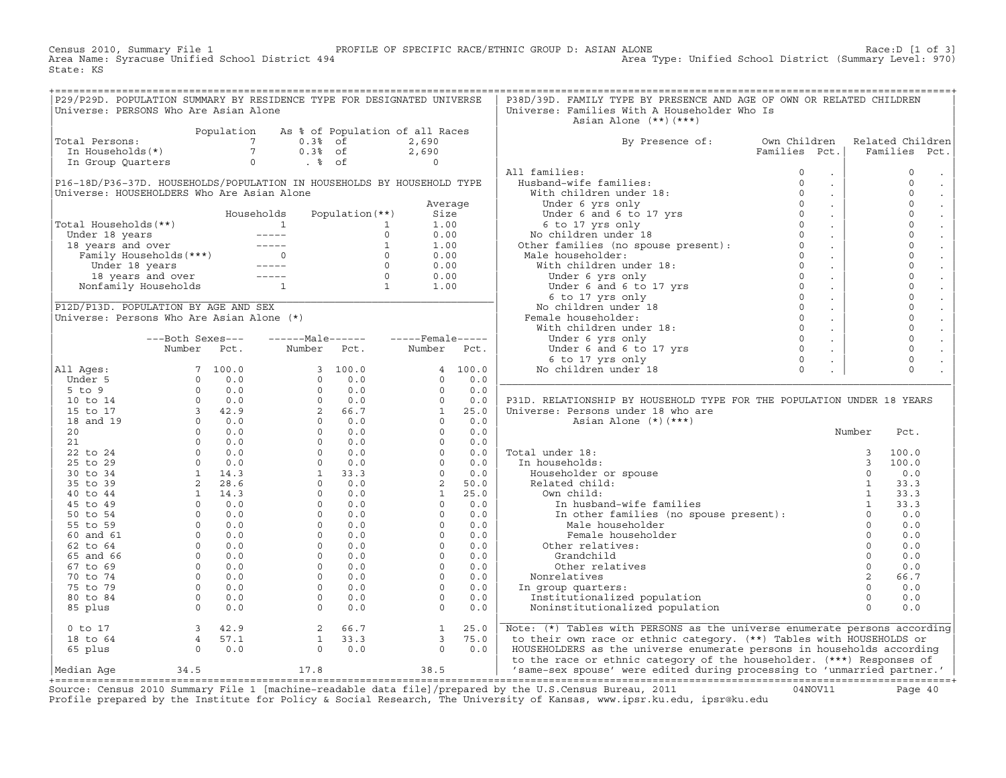Census 2010, Summary File 1 PROFILE OF SPECIFIC RACE/ETHNIC GROUP D: ASIAN ALONE RACE:D [1 of 3]<br>Area Name: Syracuse Unified School District 494 Area Type: Unified School District (Summary Level: 970) Area Type: Unified School District (Summary Level: 970) State: KS

| P29/P29D. POPULATION SUMMARY BY RESIDENCE TYPE FOR DESIGNATED UNIVERSE                                                                           |  |  |  | P38D/39D. FAMILY TYPE BY PRESENCE AND AGE OF OWN OR RELATED CHILDREN                                                                                                                                                          |  |  |
|--------------------------------------------------------------------------------------------------------------------------------------------------|--|--|--|-------------------------------------------------------------------------------------------------------------------------------------------------------------------------------------------------------------------------------|--|--|
| Universe: PERSONS Who Are Asian Alone                                                                                                            |  |  |  | Universe: Families With A Householder Who Is                                                                                                                                                                                  |  |  |
| Population As % of Population of all Races<br>Total Persons: 7 0.3% of 2,690<br>In Households(*) 7 0.3% of 2,690<br>In Group Quarters 0 . % of 0 |  |  |  | Asian Alone (**)(***)<br>By Presence of: Own Children Related Children<br>Families Pct.   Families Pct.                                                                                                                       |  |  |
|                                                                                                                                                  |  |  |  |                                                                                                                                                                                                                               |  |  |
|                                                                                                                                                  |  |  |  |                                                                                                                                                                                                                               |  |  |
|                                                                                                                                                  |  |  |  |                                                                                                                                                                                                                               |  |  |
|                                                                                                                                                  |  |  |  |                                                                                                                                                                                                                               |  |  |
|                                                                                                                                                  |  |  |  |                                                                                                                                                                                                                               |  |  |
|                                                                                                                                                  |  |  |  |                                                                                                                                                                                                                               |  |  |
|                                                                                                                                                  |  |  |  |                                                                                                                                                                                                                               |  |  |
|                                                                                                                                                  |  |  |  |                                                                                                                                                                                                                               |  |  |
|                                                                                                                                                  |  |  |  |                                                                                                                                                                                                                               |  |  |
|                                                                                                                                                  |  |  |  |                                                                                                                                                                                                                               |  |  |
|                                                                                                                                                  |  |  |  |                                                                                                                                                                                                                               |  |  |
|                                                                                                                                                  |  |  |  |                                                                                                                                                                                                                               |  |  |
|                                                                                                                                                  |  |  |  |                                                                                                                                                                                                                               |  |  |
|                                                                                                                                                  |  |  |  |                                                                                                                                                                                                                               |  |  |
|                                                                                                                                                  |  |  |  |                                                                                                                                                                                                                               |  |  |
|                                                                                                                                                  |  |  |  |                                                                                                                                                                                                                               |  |  |
|                                                                                                                                                  |  |  |  |                                                                                                                                                                                                                               |  |  |
|                                                                                                                                                  |  |  |  |                                                                                                                                                                                                                               |  |  |
|                                                                                                                                                  |  |  |  |                                                                                                                                                                                                                               |  |  |
|                                                                                                                                                  |  |  |  |                                                                                                                                                                                                                               |  |  |
|                                                                                                                                                  |  |  |  |                                                                                                                                                                                                                               |  |  |
|                                                                                                                                                  |  |  |  |                                                                                                                                                                                                                               |  |  |
|                                                                                                                                                  |  |  |  |                                                                                                                                                                                                                               |  |  |
|                                                                                                                                                  |  |  |  |                                                                                                                                                                                                                               |  |  |
|                                                                                                                                                  |  |  |  |                                                                                                                                                                                                                               |  |  |
|                                                                                                                                                  |  |  |  |                                                                                                                                                                                                                               |  |  |
|                                                                                                                                                  |  |  |  |                                                                                                                                                                                                                               |  |  |
|                                                                                                                                                  |  |  |  |                                                                                                                                                                                                                               |  |  |
|                                                                                                                                                  |  |  |  |                                                                                                                                                                                                                               |  |  |
|                                                                                                                                                  |  |  |  |                                                                                                                                                                                                                               |  |  |
|                                                                                                                                                  |  |  |  |                                                                                                                                                                                                                               |  |  |
|                                                                                                                                                  |  |  |  |                                                                                                                                                                                                                               |  |  |
|                                                                                                                                                  |  |  |  |                                                                                                                                                                                                                               |  |  |
|                                                                                                                                                  |  |  |  |                                                                                                                                                                                                                               |  |  |
|                                                                                                                                                  |  |  |  |                                                                                                                                                                                                                               |  |  |
|                                                                                                                                                  |  |  |  |                                                                                                                                                                                                                               |  |  |
|                                                                                                                                                  |  |  |  |                                                                                                                                                                                                                               |  |  |
|                                                                                                                                                  |  |  |  |                                                                                                                                                                                                                               |  |  |
|                                                                                                                                                  |  |  |  |                                                                                                                                                                                                                               |  |  |
|                                                                                                                                                  |  |  |  |                                                                                                                                                                                                                               |  |  |
|                                                                                                                                                  |  |  |  |                                                                                                                                                                                                                               |  |  |
|                                                                                                                                                  |  |  |  |                                                                                                                                                                                                                               |  |  |
|                                                                                                                                                  |  |  |  |                                                                                                                                                                                                                               |  |  |
|                                                                                                                                                  |  |  |  |                                                                                                                                                                                                                               |  |  |
|                                                                                                                                                  |  |  |  |                                                                                                                                                                                                                               |  |  |
|                                                                                                                                                  |  |  |  |                                                                                                                                                                                                                               |  |  |
|                                                                                                                                                  |  |  |  |                                                                                                                                                                                                                               |  |  |
|                                                                                                                                                  |  |  |  | 0 to 17 and 18 to 64 and 18 to 64 and 19 and 19 and 19 and 19 and 19 and 19 and 18 to 64 and 19 and 19 and 19 and 19 and 19 and 19 and 19 and 19 and 19 and 19 and 19 and 19 and 19 and 19 and 19 and 19 and 19 and 19 and 19 |  |  |
|                                                                                                                                                  |  |  |  |                                                                                                                                                                                                                               |  |  |

Source: Census 2010 Summary File 1 [machine-readable data file]/prepared by the U.S.Census Bureau, 2011 Page 40<br>Profile prepared by the Institute for Policy & Social Research, The University of Kansas, www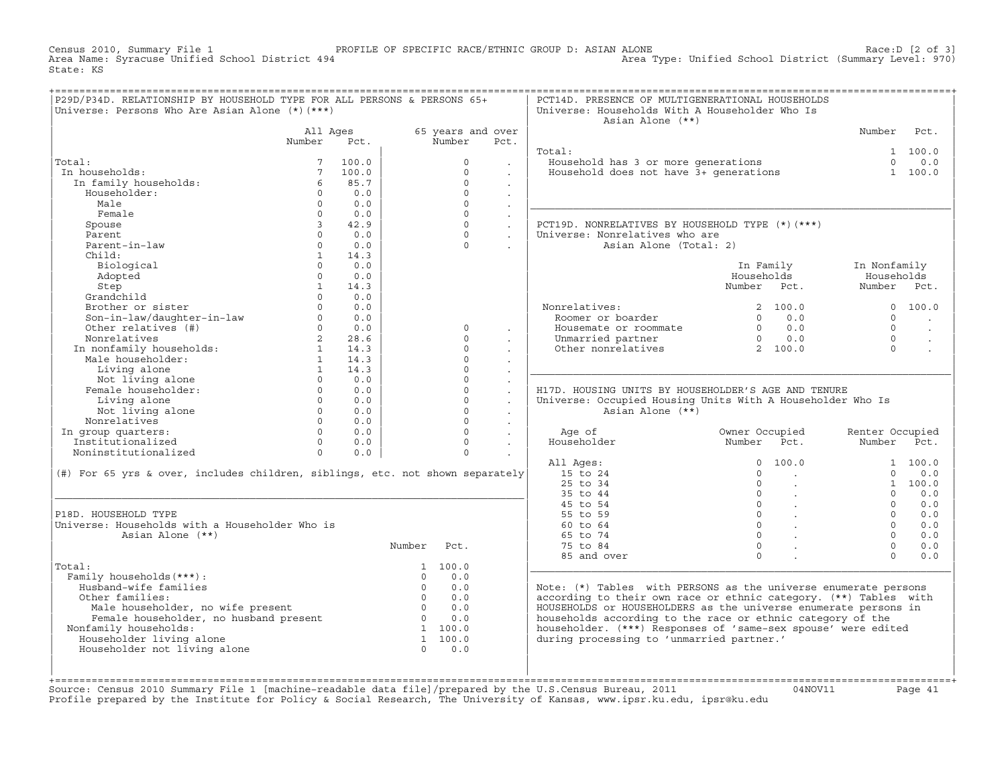Census 2010, Summary File 1 PROFILE OF SPECIFIC RACE/ETHNIC GROUP D: ASIAN ALONE Race:D [2 of 3] Area Type: Unified School District (Summary Level: 970) State: KS

|                                                                                                                                                            | Universe: Persons Who Are Asian Alone (*) (***) | P29D/P34D. RELATIONSHIP BY HOUSEHOLD TYPE FOR ALL PERSONS & PERSONS 65+ |                |                   |                           | PCT14D. PRESENCE OF MULTIGENERATIONAL HOUSEHOLDS<br>Universe: Households With A Householder Who Is<br>Asian Alone (**) |                                              |                 |           |
|------------------------------------------------------------------------------------------------------------------------------------------------------------|-------------------------------------------------|-------------------------------------------------------------------------|----------------|-------------------|---------------------------|------------------------------------------------------------------------------------------------------------------------|----------------------------------------------|-----------------|-----------|
|                                                                                                                                                            | All Ages                                        |                                                                         |                | 65 years and over |                           |                                                                                                                        |                                              | Number          | Pct.      |
|                                                                                                                                                            | Number                                          | Pct.                                                                    |                | Number            | Pct.                      |                                                                                                                        |                                              |                 |           |
|                                                                                                                                                            |                                                 |                                                                         |                |                   |                           | Total:                                                                                                                 |                                              |                 | 1 100.0   |
| Total:                                                                                                                                                     |                                                 | 100.0                                                                   |                | $\Omega$          |                           | Fousehold has 3 or more generations<br>Household does not have 3+ generations                                          |                                              | $\Omega$        | 0.0       |
| In households:                                                                                                                                             | $7\overline{ }$                                 | 100.0                                                                   |                | $\Omega$          |                           |                                                                                                                        |                                              |                 | 1 100.0   |
| In family households:                                                                                                                                      | 6                                               | 85.7                                                                    |                | $\Omega$          | $\mathbf{r}$              |                                                                                                                        |                                              |                 |           |
| Householder:                                                                                                                                               | $\circ$                                         | 0.0                                                                     |                | $\Omega$          | $\mathbf{r}$              |                                                                                                                        |                                              |                 |           |
| Male                                                                                                                                                       | $\Omega$                                        | 0.0                                                                     |                | $\Omega$          | $\ddot{\phantom{a}}$      |                                                                                                                        |                                              |                 |           |
| Female                                                                                                                                                     | $\Omega$                                        | 0.0                                                                     |                | $\Omega$          | $\mathcal{L}^{\pm}$       |                                                                                                                        |                                              |                 |           |
| Spouse                                                                                                                                                     | $\overline{3}$                                  | 42.9                                                                    |                | $\Omega$          | $\mathbb{Z}^2$            | PCT19D. NONRELATIVES BY HOUSEHOLD TYPE (*)(***)                                                                        |                                              |                 |           |
| Parent                                                                                                                                                     | $\cap$                                          | 0.0                                                                     |                | $\Omega$          |                           | Universe: Nonrelatives who are                                                                                         |                                              |                 |           |
| Parent-in-law                                                                                                                                              | $\Omega$                                        | 0.0                                                                     |                | $\Omega$          |                           | Asian Alone (Total: 2)                                                                                                 |                                              |                 |           |
| Child:                                                                                                                                                     | $\mathbf{1}$                                    | 14.3                                                                    |                |                   |                           |                                                                                                                        |                                              |                 |           |
| Biological                                                                                                                                                 | $\Omega$                                        | 0.0                                                                     |                |                   |                           |                                                                                                                        | In Family                                    | In Nonfamily    |           |
| Adopted                                                                                                                                                    | $\Omega$                                        | 0.0                                                                     |                |                   |                           |                                                                                                                        | Households                                   | Households      |           |
| Step                                                                                                                                                       | $\mathbf{1}$                                    | 14.3                                                                    |                |                   |                           |                                                                                                                        | Number Pct.                                  | Number Pct.     |           |
| Grandchild                                                                                                                                                 | $\Omega$                                        | 0.0                                                                     |                |                   |                           |                                                                                                                        |                                              |                 |           |
| Brother or sister                                                                                                                                          | $\Omega$                                        | 0.0                                                                     |                |                   |                           | Nonrelatives:                                                                                                          | 2, 100.0                                     |                 | 0, 100, 0 |
| Brother or sister<br>Son-in-law/daughter-in-law<br>Other relatives (#)                                                                                     | $\Omega$                                        | 0.0                                                                     |                |                   |                           | Roomer or boarder                                                                                                      | 0.0<br>$\Omega$                              | $\Omega$        |           |
|                                                                                                                                                            |                                                 | $\Omega$<br>0.0                                                         |                | $\Omega$          |                           | Housemate or roommate                                                                                                  | $0 \t 0.0$                                   | $\Omega$        |           |
|                                                                                                                                                            | $2^{\circ}$                                     | 28.6                                                                    |                | $\Omega$          |                           | Unmarried partner                                                                                                      | $0 \qquad 0.0$                               | $\Omega$        |           |
| Nonrelatives<br>In nonfamily households:<br>"'' householder:                                                                                               | 1                                               | 14.3                                                                    |                | $\Omega$          | $\sim$                    | Other nonrelatives                                                                                                     | 2 100.0                                      | $\Omega$        |           |
|                                                                                                                                                            | $\mathbf{1}$                                    | 14.3                                                                    |                | $\Omega$          | $\ddot{\phantom{a}}$      |                                                                                                                        |                                              |                 |           |
| Living alone                                                                                                                                               | 1                                               | 14.3                                                                    |                | $\Omega$          | $\mathbb{Z}^2$            |                                                                                                                        |                                              |                 |           |
| Not living alone                                                                                                                                           | $\Omega$                                        | 0.0                                                                     |                | $\Omega$          | $\ddot{\phantom{a}}$      |                                                                                                                        |                                              |                 |           |
| Female householder:                                                                                                                                        | $\circ$                                         | 0.0                                                                     |                | $\circ$           | $\mathbb{Z}^{\mathbb{Z}}$ | H17D. HOUSING UNITS BY HOUSEHOLDER'S AGE AND TENURE                                                                    |                                              |                 |           |
|                                                                                                                                                            |                                                 |                                                                         |                |                   |                           |                                                                                                                        |                                              |                 |           |
| Living alone                                                                                                                                               | $0 \qquad \qquad$                               | 0.0                                                                     |                | $\circ$           |                           |                                                                                                                        |                                              |                 |           |
|                                                                                                                                                            |                                                 | $\Omega$<br>0.0                                                         |                | $\Omega$          | $\mathcal{L}$             | Universe: Occupied Housing Units With A Householder Who Is                                                             |                                              |                 |           |
| Not living alone                                                                                                                                           | $\Omega$                                        | 0.0                                                                     |                | $\Omega$          | $\sim$                    | Asian Alone $(**)$                                                                                                     |                                              |                 |           |
| Nonrelatives                                                                                                                                               | $\Omega$                                        |                                                                         |                | $\Omega$          | $\sim$                    |                                                                                                                        |                                              |                 |           |
| In group quarters:                                                                                                                                         | $\Omega$                                        | 0.0                                                                     |                | $\Omega$          | $\sim$                    | Age of                                                                                                                 | Owner Occupied                               | Renter Occupied |           |
| Institutionalized                                                                                                                                          |                                                 | 0.0                                                                     |                |                   | $\sim$                    | Householder                                                                                                            | Number<br>Pct.                               | Number          | Pct.      |
| Noninstitutionalized                                                                                                                                       | $\Omega$                                        | 0.0                                                                     |                | $\Omega$          |                           |                                                                                                                        | $\Omega$                                     |                 |           |
|                                                                                                                                                            |                                                 |                                                                         |                |                   |                           | All Ages:                                                                                                              | 100.0<br>$\Omega$                            | $\Omega$        | 1, 100, 0 |
| (#) For 65 yrs & over, includes children, siblings, etc. not shown separately                                                                              |                                                 |                                                                         |                |                   |                           | 15 to 24                                                                                                               | $\sim$ 100 $\sim$                            |                 | 0.0       |
|                                                                                                                                                            |                                                 |                                                                         |                |                   |                           | $25$ to $34$                                                                                                           | $\Omega$                                     | $\cap$          | 1 100.0   |
|                                                                                                                                                            |                                                 |                                                                         |                |                   |                           | 35 to 44                                                                                                               | $\begin{array}{ccc} 0 & & \end{array}$       | $\Omega$        | 0.0       |
|                                                                                                                                                            |                                                 |                                                                         |                |                   |                           | 45 to 54                                                                                                               | $\overline{0}$<br>$\sim 10^{-11}$ km $^{-1}$ |                 | 0.0       |
| P18D. HOUSEHOLD TYPE                                                                                                                                       |                                                 |                                                                         |                |                   |                           | 55 to 59                                                                                                               | $\begin{array}{ccc} 0 & & \end{array}$       | $\Omega$        | 0.0       |
| Universe: Households with a Householder Who is                                                                                                             |                                                 |                                                                         |                |                   |                           | 60 to 64                                                                                                               | $\overline{0}$<br>$\sim$                     | $\Omega$        | 0.0       |
| Asian Alone (**)                                                                                                                                           |                                                 |                                                                         |                |                   |                           | 65 to 74                                                                                                               | $\Omega$                                     | $\Omega$        | 0.0       |
|                                                                                                                                                            |                                                 |                                                                         | Number         | Pct.              |                           | 75 to 84                                                                                                               | $\Omega$                                     | $\cap$          | 0.0       |
|                                                                                                                                                            |                                                 |                                                                         |                |                   |                           | 85 and over                                                                                                            | $\Omega$                                     | $\Omega$        | 0.0       |
| Total:                                                                                                                                                     |                                                 |                                                                         |                | 1 100.0           |                           |                                                                                                                        |                                              |                 |           |
| Family households (***) :                                                                                                                                  |                                                 |                                                                         | $\Omega$       | 0.0               |                           |                                                                                                                        |                                              |                 |           |
| Husband-wife families                                                                                                                                      |                                                 |                                                                         | $\overline{0}$ | 0.0               |                           | Note: $(*)$ Tables with PERSONS as the universe enumerate persons                                                      |                                              |                 |           |
| Other families:                                                                                                                                            |                                                 |                                                                         | $\overline{0}$ | 0.0               |                           | according to their own race or ethnic category. (**) Tables with                                                       |                                              |                 |           |
|                                                                                                                                                            |                                                 |                                                                         |                | 0.0               |                           | HOUSEHOLDS or HOUSEHOLDERS as the universe enumerate persons in                                                        |                                              |                 |           |
|                                                                                                                                                            |                                                 |                                                                         |                | 0.0               |                           | households according to the race or ethnic category of the                                                             |                                              |                 |           |
| Nonfamily households:                                                                                                                                      |                                                 |                                                                         |                | 1 100.0           |                           | householder. (***) Responses of 'same-sex spouse' were edited                                                          |                                              |                 |           |
| Female householder, no wife present<br>Female householder, no husband present<br>Tamily households:<br>wiseholder living alone<br>Householder living alone |                                                 |                                                                         |                | 1 100.0           |                           | during processing to 'unmarried partner.'                                                                              |                                              |                 |           |
| Householder not living alone                                                                                                                               |                                                 |                                                                         | $\Omega$       | 0.0               |                           |                                                                                                                        |                                              |                 |           |

Source: Census 2010 Summary File 1 [machine-readable data file]/prepared by the U.S.Census Bureau, 2011 Page 41<br>Profile prepared by the Institute for Policy & Social Research, The University of Kansas, www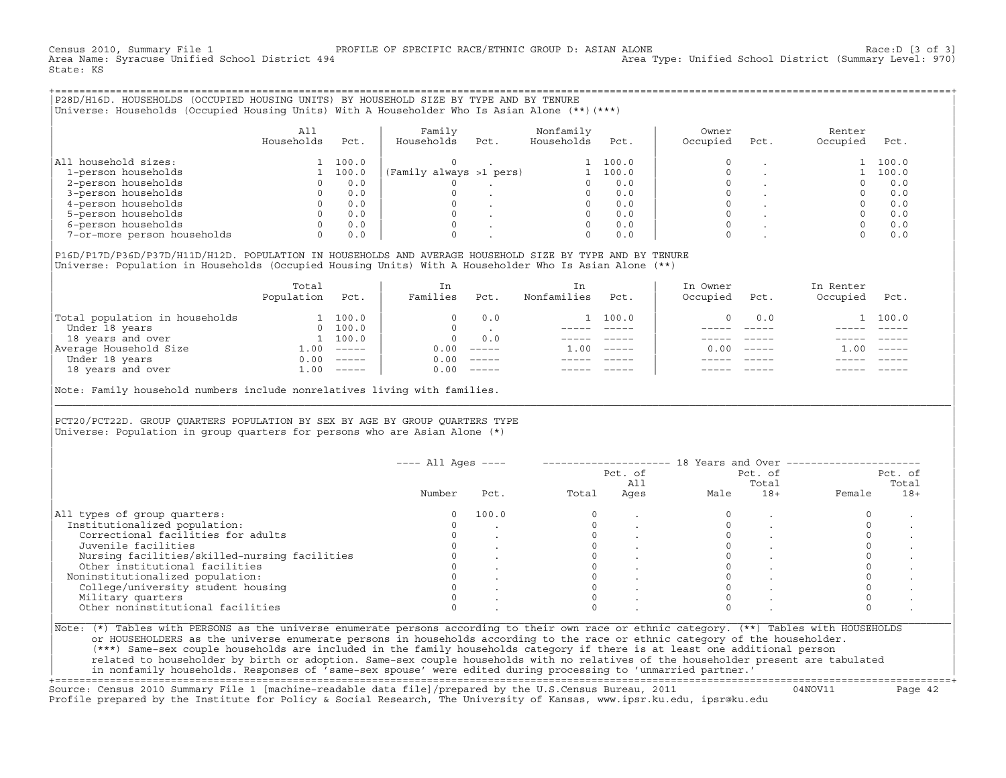Census 2010, Summary File 1 [3 of 3] PROFILE OF SPECIFIC RACE/ETHNIC GROUP D: ASIAN ALONE RACOUP 20 Race:D [3 of 3]<br>Area Name: Syracuse Unified School District 494 area Type: Unified School District (Summary Level: 970) Area Type: Unified School District (Summary Level: 970) State: KS

+===================================================================================================================================================+|P28D/H16D. HOUSEHOLDS (OCCUPIED HOUSING UNITS) BY HOUSEHOLD SIZE BY TYPE AND BY TENURE |

|Universe: Households (Occupied Housing Units) With A Householder Who Is Asian Alone (\*\*)(\*\*\*) |

|                             | A11<br>Households | Pct.  | Family<br>Households    | Pct. | Nonfamily<br>Households | Pct.  | Owner<br>Occupied | Pct. | Renter<br>Occupied | Pct.  |
|-----------------------------|-------------------|-------|-------------------------|------|-------------------------|-------|-------------------|------|--------------------|-------|
| All household sizes:        |                   | 100.0 |                         |      |                         | 100.0 |                   |      |                    | 100.0 |
| 1-person households         |                   | 100.0 | (Family always >1 pers) |      |                         | 100.0 |                   |      |                    | 100.0 |
| 2-person households         |                   | 0.0   |                         |      |                         | 0.0   |                   |      |                    | 0.0   |
| 3-person households         |                   | 0.0   |                         |      |                         | 0.0   |                   |      |                    | 0.0   |
| 4-person households         |                   | 0.0   |                         |      |                         | 0.0   |                   |      |                    | 0.0   |
| 5-person households         |                   | 0.0   |                         |      |                         | 0.0   |                   |      |                    | 0.0   |
| 6-person households         |                   | 0.0   |                         |      |                         | 0.0   |                   |      |                    | 0.0   |
| 7-or-more person households | $\circ$           | 0.0   |                         |      | 0                       | 0.0   |                   |      |                    | 0.0   |

|P16D/P17D/P36D/P37D/H11D/H12D. POPULATION IN HOUSEHOLDS AND AVERAGE HOUSEHOLD SIZE BY TYPE AND BY TENURE | Universe: Population in Households (Occupied Housing Units) With A Householder Who Is Asian Alone (\*\*)

|                                | Total<br>Population | Pct.     | In<br>Families | Pct.     | In.<br>Nonfamilies | Pct.     | In Owner<br>Occupied | Pct.                      | In Renter<br>Occupied | Pct.     |
|--------------------------------|---------------------|----------|----------------|----------|--------------------|----------|----------------------|---------------------------|-----------------------|----------|
| Total population in households |                     | 100.0    |                | 0.0      |                    | 100.0    |                      | 0.0                       |                       | 1 100.0  |
| Under 18 years                 | $\Omega$            | 100.0    |                |          |                    |          |                      |                           |                       |          |
| 18 years and over              |                     | 100.0    | $\Omega$       | 0.0      |                    |          |                      |                           |                       |          |
| Average Household Size         | 1.00                | $------$ | 0.00           | $------$ | 1.00               | $------$ | 0.00                 | $\qquad \qquad - - - - -$ | . 00                  | $------$ |
| Under 18 years                 | 0.00                | $------$ | 0.00           | $------$ |                    |          |                      |                           |                       |          |
| 18 years and over              | 1.00                | $------$ | 0.00           | $------$ |                    |          |                      | $- - - - -$               |                       | $------$ |
|                                |                     |          |                |          |                    |          |                      |                           |                       |          |

Note: Family household numbers include nonrelatives living with families.

| | PCT20/PCT22D. GROUP OUARTERS POPULATION BY SEX BY AGE BY GROUP OUARTERS TYPE Universe: Population in group quarters for persons who are Asian Alone  $(*)$ 

|                                               |        |       |       | Pct. of<br>All | Pct. of<br>Total |       | Pct. of<br>Total |       |
|-----------------------------------------------|--------|-------|-------|----------------|------------------|-------|------------------|-------|
|                                               | Number | Pct.  | Total | Ages           | Male             | $18+$ | Female           | $18+$ |
| All types of group quarters:                  | 0      | 100.0 |       |                |                  |       |                  |       |
| Institutionalized population:                 |        |       |       |                |                  |       |                  |       |
| Correctional facilities for adults            |        |       |       |                |                  |       |                  |       |
| Juvenile facilities                           |        |       |       |                |                  |       |                  |       |
| Nursing facilities/skilled-nursing facilities |        |       |       |                |                  |       |                  |       |
| Other institutional facilities                |        |       |       |                |                  |       |                  |       |
| Noninstitutionalized population:              |        |       |       |                |                  |       |                  |       |
| College/university student housing            |        |       |       |                |                  |       |                  |       |
| Military quarters                             |        |       |       |                |                  |       |                  |       |
| Other noninstitutional facilities             |        |       |       |                |                  |       |                  |       |

|\_\_\_\_\_\_\_\_\_\_\_\_\_\_\_\_\_\_\_\_\_\_\_\_\_\_\_\_\_\_\_\_\_\_\_\_\_\_\_\_\_\_\_\_\_\_\_\_\_\_\_\_\_\_\_\_\_\_\_\_\_\_\_\_\_\_\_\_\_\_\_\_\_\_\_\_\_\_\_\_\_\_\_\_\_\_\_\_\_\_\_\_\_\_\_\_\_\_\_\_\_\_\_\_\_\_\_\_\_\_\_\_\_\_\_\_\_\_\_\_\_\_\_\_\_\_\_\_\_\_\_\_\_\_\_\_\_\_\_\_\_\_\_\_\_\_\_|

| |

| or HOUSEHOLDERS as the universe enumerate persons in households according to the race or ethnic category of the householder. | | (\*\*\*) Same−sex couple households are included in the family households category if there is at least one additional person | | related to householder by birth or adoption. Same−sex couple households with no relatives of the householder present are tabulated | | in nonfamily households. Responses of 'same−sex spouse' were edited during processing to 'unmarried partner.' |

+===================================================================================================================================================+ Source: Census 2010 Summary File 1 [machine−readable data file]/prepared by the U.S.Census Bureau, 2011 04NOV11 Page 42 Profile prepared by the Institute for Policy & Social Research, The University of Kansas, www.ipsr.ku.edu, ipsr@ku.edu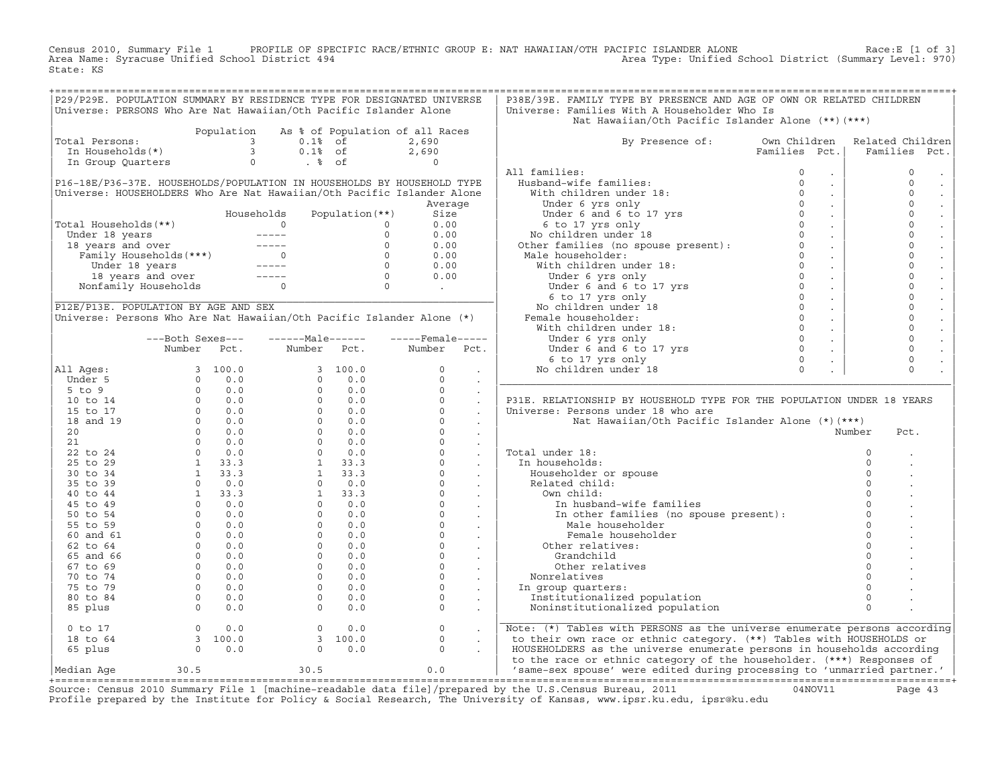Census 2010, Summary File 1 PROFILE OF SPECIFIC RACE/ETHNIC GROUP E: NAT HAWAIIAN/OTH PACIFIC ISLANDER ALONE Race:E [1 of 3]<br>Area Name: Syracuse Unified School District 494 State: KS

|                                                                                                                                                                                                                                                |                                                                                                                                                                                                                                                                                                                          |            |                                                                                                                                                                                                                                                                                                                        |                                                                                           | P29/P29E. POPULATION SUMMARY BY RESIDENCE TYPE FOR DESIGNATED UNIVERSE | P38E/39E. FAMILY TYPE BY PRESENCE AND AGE OF OWN OR RELATED CHILDREN                                                                                                                                                                             |                                       |                  |
|------------------------------------------------------------------------------------------------------------------------------------------------------------------------------------------------------------------------------------------------|--------------------------------------------------------------------------------------------------------------------------------------------------------------------------------------------------------------------------------------------------------------------------------------------------------------------------|------------|------------------------------------------------------------------------------------------------------------------------------------------------------------------------------------------------------------------------------------------------------------------------------------------------------------------------|-------------------------------------------------------------------------------------------|------------------------------------------------------------------------|--------------------------------------------------------------------------------------------------------------------------------------------------------------------------------------------------------------------------------------------------|---------------------------------------|------------------|
| Universe: PERSONS Who Are Nat Hawaiian/Oth Pacific Islander Alone                                                                                                                                                                              |                                                                                                                                                                                                                                                                                                                          |            |                                                                                                                                                                                                                                                                                                                        |                                                                                           |                                                                        | Universe: Families With A Householder Who Is                                                                                                                                                                                                     |                                       |                  |
|                                                                                                                                                                                                                                                |                                                                                                                                                                                                                                                                                                                          |            |                                                                                                                                                                                                                                                                                                                        |                                                                                           |                                                                        | Nat Hawaiian/Oth Pacific Islander Alone (**) (***)                                                                                                                                                                                               |                                       |                  |
|                                                                                                                                                                                                                                                |                                                                                                                                                                                                                                                                                                                          | Population |                                                                                                                                                                                                                                                                                                                        |                                                                                           | As % of Population of all Races                                        |                                                                                                                                                                                                                                                  |                                       |                  |
| Total Persons:                                                                                                                                                                                                                                 |                                                                                                                                                                                                                                                                                                                          |            | $\overline{\mathbf{3}}$<br>$0.1$ % of                                                                                                                                                                                                                                                                                  |                                                                                           | 2,690                                                                  | By Presence of: Own Children                                                                                                                                                                                                                     |                                       | Related Children |
| otal Persons:<br>In Households(*)                                                                                                                                                                                                              |                                                                                                                                                                                                                                                                                                                          |            | $\overline{3}$<br>$0.1$ % of                                                                                                                                                                                                                                                                                           |                                                                                           | 2,690                                                                  |                                                                                                                                                                                                                                                  | Families Pct.                         | Families<br>Pct. |
| In Group Quarters                                                                                                                                                                                                                              |                                                                                                                                                                                                                                                                                                                          |            | $\Omega$<br>. %                                                                                                                                                                                                                                                                                                        |                                                                                           | $\Omega$                                                               |                                                                                                                                                                                                                                                  |                                       |                  |
|                                                                                                                                                                                                                                                |                                                                                                                                                                                                                                                                                                                          |            |                                                                                                                                                                                                                                                                                                                        |                                                                                           |                                                                        | All families:                                                                                                                                                                                                                                    |                                       | $\mathbf 0$      |
|                                                                                                                                                                                                                                                |                                                                                                                                                                                                                                                                                                                          |            |                                                                                                                                                                                                                                                                                                                        |                                                                                           | P16-18E/P36-37E. HOUSEHOLDS/POPULATION IN HOUSEHOLDS BY HOUSEHOLD TYPE |                                                                                                                                                                                                                                                  | $\mathcal{L}^{\mathcal{L}}$<br>$\sim$ | $\circ$          |
|                                                                                                                                                                                                                                                |                                                                                                                                                                                                                                                                                                                          |            |                                                                                                                                                                                                                                                                                                                        |                                                                                           | Universe: HOUSEHOLDERS Who Are Nat Hawaiian/Oth Pacific Islander Alone |                                                                                                                                                                                                                                                  | $\sim$                                | $\circ$          |
|                                                                                                                                                                                                                                                |                                                                                                                                                                                                                                                                                                                          |            |                                                                                                                                                                                                                                                                                                                        |                                                                                           | Average                                                                |                                                                                                                                                                                                                                                  | $\sim$                                | $\mathsf{O}$     |
|                                                                                                                                                                                                                                                |                                                                                                                                                                                                                                                                                                                          |            | Households                                                                                                                                                                                                                                                                                                             | Population $(**)$                                                                         | Size                                                                   |                                                                                                                                                                                                                                                  | $\sim$                                | $\mathbf 0$      |
| Total Households(**)                                                                                                                                                                                                                           |                                                                                                                                                                                                                                                                                                                          |            |                                                                                                                                                                                                                                                                                                                        |                                                                                           | 0.00                                                                   |                                                                                                                                                                                                                                                  | $\sim 10^{-1}$                        | $\circ$          |
|                                                                                                                                                                                                                                                |                                                                                                                                                                                                                                                                                                                          |            |                                                                                                                                                                                                                                                                                                                        |                                                                                           | 0.00                                                                   |                                                                                                                                                                                                                                                  | $\sim$                                | $\mathbf 0$      |
|                                                                                                                                                                                                                                                |                                                                                                                                                                                                                                                                                                                          |            |                                                                                                                                                                                                                                                                                                                        |                                                                                           | 0.00                                                                   |                                                                                                                                                                                                                                                  | $\sim 10$                             | $\mathbf{0}$     |
|                                                                                                                                                                                                                                                |                                                                                                                                                                                                                                                                                                                          |            |                                                                                                                                                                                                                                                                                                                        |                                                                                           | 0.00                                                                   |                                                                                                                                                                                                                                                  | $\sim$                                | $\mathbf 0$      |
|                                                                                                                                                                                                                                                |                                                                                                                                                                                                                                                                                                                          |            |                                                                                                                                                                                                                                                                                                                        |                                                                                           | 0.00                                                                   |                                                                                                                                                                                                                                                  | $\sim 100$                            | $\mathsf{O}$     |
|                                                                                                                                                                                                                                                |                                                                                                                                                                                                                                                                                                                          |            |                                                                                                                                                                                                                                                                                                                        |                                                                                           | 0.00                                                                   |                                                                                                                                                                                                                                                  | $\sim$                                | $\circ$          |
| otal Households (**)<br>Under 18 years<br>18 years and over<br>Family Households (***)<br>Under 18 years<br>Tamily Households (***)<br>Under 18 years<br>18 years and over<br>Nonfamily Households<br>0<br>Nonfamily Households<br>0<br>0<br>0 |                                                                                                                                                                                                                                                                                                                          |            |                                                                                                                                                                                                                                                                                                                        |                                                                                           |                                                                        | All families:<br>Husband-wife families:<br>With children under 18:<br>Under 6 yrs only<br>Under 6 at 6 to 17 yrs<br>6 to 17 yrs only<br>No children under 18<br>Other families (no spouse present):<br>Other families (no spouse present):<br>Ot |                                       | $\mathbf 0$      |
|                                                                                                                                                                                                                                                |                                                                                                                                                                                                                                                                                                                          |            |                                                                                                                                                                                                                                                                                                                        | $\begin{array}{c c} \hline \begin{array}{ccc} & & 0 & \end{array} & & \hline \end{array}$ |                                                                        |                                                                                                                                                                                                                                                  | $\sim$<br>$\sim 10$                   | $\mathbf 0$      |
|                                                                                                                                                                                                                                                |                                                                                                                                                                                                                                                                                                                          |            |                                                                                                                                                                                                                                                                                                                        |                                                                                           |                                                                        |                                                                                                                                                                                                                                                  |                                       | $\mathbf{0}$     |
| P12E/P13E. POPULATION BY AGE AND SEX                                                                                                                                                                                                           |                                                                                                                                                                                                                                                                                                                          |            |                                                                                                                                                                                                                                                                                                                        |                                                                                           |                                                                        |                                                                                                                                                                                                                                                  | $\sim$                                | $\circ$          |
| Universe: Persons Who Are Nat Hawaiian/Oth Pacific Islander Alone (*)                                                                                                                                                                          |                                                                                                                                                                                                                                                                                                                          |            |                                                                                                                                                                                                                                                                                                                        |                                                                                           |                                                                        |                                                                                                                                                                                                                                                  | $\sim$                                | $\mathbf 0$      |
|                                                                                                                                                                                                                                                |                                                                                                                                                                                                                                                                                                                          |            |                                                                                                                                                                                                                                                                                                                        |                                                                                           |                                                                        |                                                                                                                                                                                                                                                  | $\sim$                                |                  |
|                                                                                                                                                                                                                                                | ---Both Sexes---                                                                                                                                                                                                                                                                                                         |            | $---Male----$                                                                                                                                                                                                                                                                                                          |                                                                                           | $---$ Female-----                                                      |                                                                                                                                                                                                                                                  | $\sim 100$                            | $\mathbb O$      |
|                                                                                                                                                                                                                                                | Number                                                                                                                                                                                                                                                                                                                   | Pct.       | Number                                                                                                                                                                                                                                                                                                                 | Pct.                                                                                      | Number<br>Pct.                                                         |                                                                                                                                                                                                                                                  | $\sim$                                | $\circ$          |
|                                                                                                                                                                                                                                                |                                                                                                                                                                                                                                                                                                                          |            |                                                                                                                                                                                                                                                                                                                        |                                                                                           |                                                                        |                                                                                                                                                                                                                                                  |                                       | $\mathsf{O}$     |
| All Ages:                                                                                                                                                                                                                                      |                                                                                                                                                                                                                                                                                                                          | 3 100.0    |                                                                                                                                                                                                                                                                                                                        | 3, 100.0                                                                                  | $\Omega$                                                               |                                                                                                                                                                                                                                                  |                                       | $\Omega$         |
| Under 5                                                                                                                                                                                                                                        |                                                                                                                                                                                                                                                                                                                          |            |                                                                                                                                                                                                                                                                                                                        |                                                                                           | $\Omega$<br>$\ddot{\phantom{a}}$                                       |                                                                                                                                                                                                                                                  |                                       |                  |
| $5$ to $9$                                                                                                                                                                                                                                     |                                                                                                                                                                                                                                                                                                                          |            |                                                                                                                                                                                                                                                                                                                        |                                                                                           | $\circ$<br>$\ddot{\phantom{a}}$                                        |                                                                                                                                                                                                                                                  |                                       |                  |
| 10 to 14                                                                                                                                                                                                                                       |                                                                                                                                                                                                                                                                                                                          |            |                                                                                                                                                                                                                                                                                                                        |                                                                                           | $\circ$<br>$\mathbf{r}$                                                | P31E. RELATIONSHIP BY HOUSEHOLD TYPE FOR THE POPULATION UNDER 18 YEARS                                                                                                                                                                           |                                       |                  |
| 15 to 17                                                                                                                                                                                                                                       |                                                                                                                                                                                                                                                                                                                          |            |                                                                                                                                                                                                                                                                                                                        |                                                                                           | $\circ$<br>$\sim$                                                      | Universe: Persons under 18 who are                                                                                                                                                                                                               |                                       |                  |
| 18 and 19                                                                                                                                                                                                                                      |                                                                                                                                                                                                                                                                                                                          |            |                                                                                                                                                                                                                                                                                                                        |                                                                                           | $\Omega$                                                               | Nat Hawaiian/Oth Pacific Islander Alone (*)(***)                                                                                                                                                                                                 |                                       |                  |
| 20                                                                                                                                                                                                                                             |                                                                                                                                                                                                                                                                                                                          |            |                                                                                                                                                                                                                                                                                                                        |                                                                                           | $\circ$                                                                |                                                                                                                                                                                                                                                  |                                       | Number<br>Pct.   |
| 21                                                                                                                                                                                                                                             |                                                                                                                                                                                                                                                                                                                          |            |                                                                                                                                                                                                                                                                                                                        |                                                                                           | $\Omega$                                                               |                                                                                                                                                                                                                                                  |                                       |                  |
| 22 to 24                                                                                                                                                                                                                                       |                                                                                                                                                                                                                                                                                                                          |            |                                                                                                                                                                                                                                                                                                                        |                                                                                           | $\circ$<br>$\ddot{\phantom{a}}$                                        | Total under 18:                                                                                                                                                                                                                                  |                                       | $\circ$          |
| 25 to 29                                                                                                                                                                                                                                       |                                                                                                                                                                                                                                                                                                                          |            |                                                                                                                                                                                                                                                                                                                        |                                                                                           | $\circ$<br>$\sim$                                                      | In households:                                                                                                                                                                                                                                   |                                       | $\circ$          |
| 30 to 34                                                                                                                                                                                                                                       |                                                                                                                                                                                                                                                                                                                          |            |                                                                                                                                                                                                                                                                                                                        |                                                                                           | $\circ$<br>$\sim$                                                      | Householder or spouse                                                                                                                                                                                                                            |                                       | $\circ$          |
| 35 to 39                                                                                                                                                                                                                                       |                                                                                                                                                                                                                                                                                                                          |            |                                                                                                                                                                                                                                                                                                                        |                                                                                           | $\circ$<br>$\sim$                                                      | Related child:                                                                                                                                                                                                                                   |                                       | $\Omega$         |
| 40 to 44                                                                                                                                                                                                                                       |                                                                                                                                                                                                                                                                                                                          |            |                                                                                                                                                                                                                                                                                                                        |                                                                                           | $\Omega$<br>$\sim$                                                     | Own child:                                                                                                                                                                                                                                       |                                       | $\Omega$         |
| 45 to 49                                                                                                                                                                                                                                       |                                                                                                                                                                                                                                                                                                                          |            |                                                                                                                                                                                                                                                                                                                        |                                                                                           | $\circ$                                                                | In husband-wife families                                                                                                                                                                                                                         |                                       |                  |
| 50 to 54                                                                                                                                                                                                                                       |                                                                                                                                                                                                                                                                                                                          |            |                                                                                                                                                                                                                                                                                                                        |                                                                                           | $\overline{0}$                                                         | In other families (no spouse present):<br>Male hourshald:                                                                                                                                                                                        |                                       | $\Omega$         |
| 55 to 59                                                                                                                                                                                                                                       |                                                                                                                                                                                                                                                                                                                          |            |                                                                                                                                                                                                                                                                                                                        |                                                                                           | $\circ$<br>$\mathcal{L}^{\text{max}}$ .                                | Male householder                                                                                                                                                                                                                                 |                                       | $\Omega$         |
| 60 and 61                                                                                                                                                                                                                                      |                                                                                                                                                                                                                                                                                                                          |            |                                                                                                                                                                                                                                                                                                                        |                                                                                           | $\circ$<br><b>Contract Contract Street</b>                             | Female householder                                                                                                                                                                                                                               |                                       | $\Omega$         |
| 62 to 64                                                                                                                                                                                                                                       |                                                                                                                                                                                                                                                                                                                          |            |                                                                                                                                                                                                                                                                                                                        |                                                                                           | $\circ$<br>$\sim$                                                      | Other relatives:                                                                                                                                                                                                                                 |                                       | $\Omega$         |
| 65 and 66                                                                                                                                                                                                                                      |                                                                                                                                                                                                                                                                                                                          |            |                                                                                                                                                                                                                                                                                                                        |                                                                                           | $\circ$<br>$\sim$                                                      | Grandchild                                                                                                                                                                                                                                       |                                       |                  |
| 67 to 69                                                                                                                                                                                                                                       |                                                                                                                                                                                                                                                                                                                          |            |                                                                                                                                                                                                                                                                                                                        |                                                                                           | $\Omega$                                                               | Other relatives                                                                                                                                                                                                                                  |                                       |                  |
| 70 to 74                                                                                                                                                                                                                                       |                                                                                                                                                                                                                                                                                                                          |            |                                                                                                                                                                                                                                                                                                                        |                                                                                           | $\circ$                                                                | Nonrelatives                                                                                                                                                                                                                                     |                                       |                  |
| 75 to 79                                                                                                                                                                                                                                       |                                                                                                                                                                                                                                                                                                                          |            |                                                                                                                                                                                                                                                                                                                        |                                                                                           | $\circ$                                                                | In group quarters:                                                                                                                                                                                                                               |                                       |                  |
| 80 to 84                                                                                                                                                                                                                                       |                                                                                                                                                                                                                                                                                                                          |            |                                                                                                                                                                                                                                                                                                                        |                                                                                           | $\circ$<br>$\sim$                                                      | Institutionalized population                                                                                                                                                                                                                     |                                       | $\mathbf 0$      |
| 85 plus                                                                                                                                                                                                                                        | $\begin{array}{cccccc} & 3 & 100.0 \\ 0 & 0.0 \\ 0 & 0.0 \\ 0 & 0.0 \\ 0 & 0.0 \\ 0 & 0.0 \\ 0 & 0.0 \\ 0 & 0.0 \\ 0 & 0.0 \\ 0 & 0.0 \\ 1 & 33.3 \\ 1 & 33.3 \\ 1 & 33.3 \\ 1 & 33.3 \\ 1 & 33.3 \\ 0 & 0.0 \\ 0 & 0.0 \\ 0 & 0.0 \\ 0 & 0.0 \\ 0 & 0.0 \\ 0 & 0.0 \\ 0 & 0.0 \\ 0 & 0.0 \\ 0 & 0.0 \\ 0 & 0.0 \\ 0 & $ |            | $\begin{array}{cccc} 3 & 100.0 \\ 0 & 0.0 \\ 0 & 0.0 \\ 0 & 0.0 \\ 0 & 0.0 \\ 0 & 0.0 \\ 0 & 0.0 \\ 0 & 0.0 \\ 0 & 0.0 \\ 0 & 0.0 \\ 0 & 0.0 \\ 1 & 33.3 \\ 1 & 33.3 \\ 1 & 33.3 \\ 1 & 33.3 \\ 0 & 0.0 \\ 0 & 0.0 \\ 0 & 0.0 \\ 0 & 0.0 \\ 0 & 0.0 \\ 0 & 0.0 \\ 0 & 0.0 \\ 0 & 0.0 \\ 0 & 0.0 \\ 0 & 0.0 \\ 0 & 0.0$ |                                                                                           | $\circ$<br>$\sim$                                                      | Noninstitutionalized population                                                                                                                                                                                                                  |                                       | $\Omega$         |
| $0$ to $17$                                                                                                                                                                                                                                    | $\overline{0}$                                                                                                                                                                                                                                                                                                           | 0.0        | $\overline{0}$                                                                                                                                                                                                                                                                                                         | 0.0                                                                                       | $\mathsf{O}$                                                           | Note: (*) Tables with PERSONS as the universe enumerate persons according                                                                                                                                                                        |                                       |                  |
| 18 to 64                                                                                                                                                                                                                                       |                                                                                                                                                                                                                                                                                                                          |            |                                                                                                                                                                                                                                                                                                                        | 3 100.0                                                                                   | $\Omega$                                                               | to their own race or ethnic category. (**) Tables with HOUSEHOLDS or                                                                                                                                                                             |                                       |                  |
| 65 plus                                                                                                                                                                                                                                        | $\begin{bmatrix} 3 & 100.0 \\ 0 & 0.0 \end{bmatrix}$                                                                                                                                                                                                                                                                     |            |                                                                                                                                                                                                                                                                                                                        | 0.0<br>$\Omega$                                                                           | $\Omega$                                                               | HOUSEHOLDERS as the universe enumerate persons in households according<br>to the race or ethnic category of the householder. (***) Responses of                                                                                                  |                                       |                  |
| Median Age                                                                                                                                                                                                                                     | 30.5                                                                                                                                                                                                                                                                                                                     |            | 30.5                                                                                                                                                                                                                                                                                                                   |                                                                                           | 0.0                                                                    | $\vert$ 'same-sex spouse' were edited during processing to 'unmarried partner.' $\vert$                                                                                                                                                          |                                       |                  |
|                                                                                                                                                                                                                                                |                                                                                                                                                                                                                                                                                                                          |            |                                                                                                                                                                                                                                                                                                                        |                                                                                           |                                                                        | $\frac{1}{2}$                                                                                                                                                                                                                                    |                                       |                  |

Source: Census 2010 Summary File 1 [machine-readable data file]/prepared by the U.S.Census Bureau, 2011 Page 43<br>Profile prepared by the Institute for Policy & Social Research, The University of Kansas, www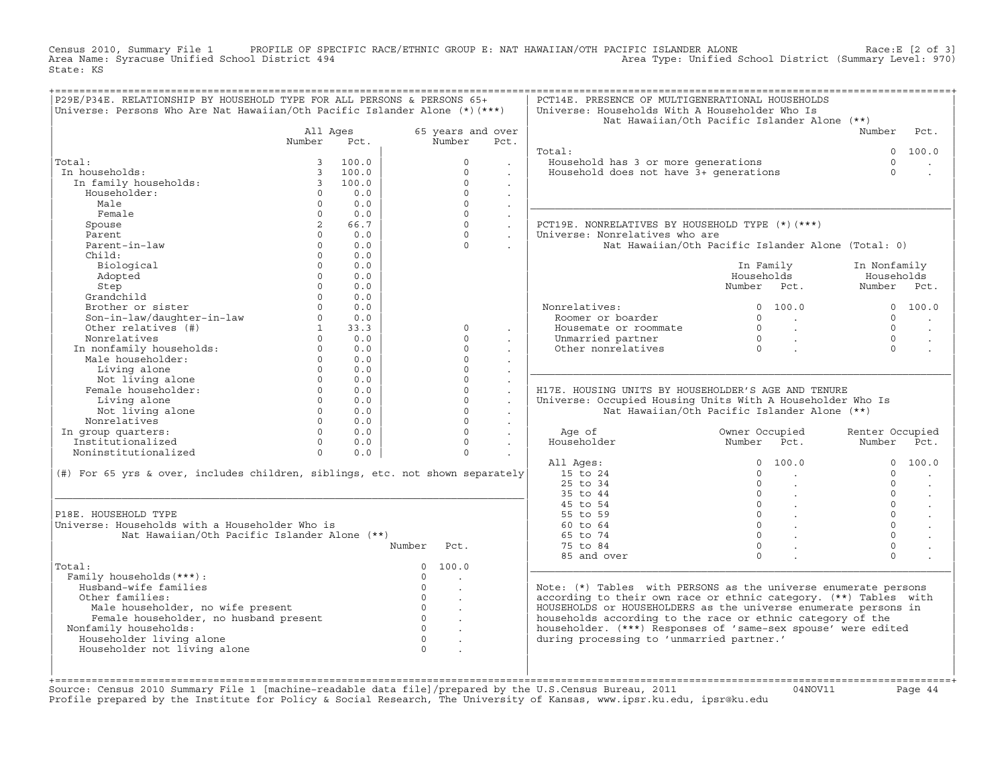Census 2010, Summary File 1 PROFILE OF SPECIFIC RACE/ETHNIC GROUP E: NAT HAWAIIAN/OTH PACIFIC ISLANDER ALONE Race:E [2 of 3]<br>Area Name: Syracuse Unified School District 494 State: KS

| P29E/P34E. RELATIONSHIP BY HOUSEHOLD TYPE FOR ALL PERSONS & PERSONS 65+<br>Universe: Persons Who Are Nat Hawaiian/Oth Pacific Islander Alone (*) (***) |                      |       |                |                      |                             | PCT14E. PRESENCE OF MULTIGENERATIONAL HOUSEHOLDS<br>Universe: Households With A Householder Who Is |                                          |                                                            |                 |                      |
|--------------------------------------------------------------------------------------------------------------------------------------------------------|----------------------|-------|----------------|----------------------|-----------------------------|----------------------------------------------------------------------------------------------------|------------------------------------------|------------------------------------------------------------|-----------------|----------------------|
|                                                                                                                                                        |                      |       |                |                      |                             | Nat Hawaiian/Oth Pacific Islander Alone (**)                                                       |                                          |                                                            |                 |                      |
|                                                                                                                                                        | All Ages             |       |                | 65 years and over    |                             |                                                                                                    |                                          |                                                            | Number          | Pct.                 |
|                                                                                                                                                        | Number               | Pct.  |                | Number               | Pct.                        |                                                                                                    |                                          |                                                            |                 |                      |
|                                                                                                                                                        |                      |       |                |                      |                             | Total:                                                                                             |                                          |                                                            | $\Omega$        | 100.0                |
| Total:                                                                                                                                                 | 3                    | 100.0 |                | $\Omega$             |                             | Household has 3 or more generations                                                                |                                          |                                                            | $\Omega$        |                      |
| In households:                                                                                                                                         | $\overline{3}$       | 100.0 |                | $\Omega$             |                             | Household does not have 3+ generations                                                             |                                          |                                                            | $\Omega$        |                      |
| In family households:                                                                                                                                  | $\overline{3}$       | 100.0 |                | $\Omega$             | $\mathbf{r}$                |                                                                                                    |                                          |                                                            |                 |                      |
| Householder:                                                                                                                                           | $\Omega$             | 0.0   |                | $\Omega$             | $\sim$                      |                                                                                                    |                                          |                                                            |                 |                      |
| Male                                                                                                                                                   | $\Omega$             | 0.0   |                | $\Omega$             |                             |                                                                                                    |                                          |                                                            |                 |                      |
| Female                                                                                                                                                 | $\Omega$             | 0.0   |                | $\Omega$             | $\sim$                      |                                                                                                    |                                          |                                                            |                 |                      |
| Spouse                                                                                                                                                 | $2^{\circ}$          | 66.7  |                | $\Omega$             | $\mathcal{L}^{\mathcal{A}}$ | PCT19E. NONRELATIVES BY HOUSEHOLD TYPE (*)(***)                                                    |                                          |                                                            |                 |                      |
| Parent                                                                                                                                                 | $\Omega$             | 0.0   |                | $\Omega$             | $\sim$                      | Universe: Nonrelatives who are                                                                     |                                          |                                                            |                 |                      |
| Parent-in-law                                                                                                                                          | $\Omega$             | 0.0   |                | $\Omega$             |                             | Nat Hawaiian/Oth Pacific Islander Alone (Total: 0)                                                 |                                          |                                                            |                 |                      |
| Child:                                                                                                                                                 | $\Omega$             | 0.0   |                |                      |                             |                                                                                                    |                                          |                                                            |                 |                      |
| Biological                                                                                                                                             | $\Omega$             | 0.0   |                |                      |                             |                                                                                                    |                                          | In Family                                                  | In Nonfamily    |                      |
| Adopted                                                                                                                                                | $\Omega$             | 0.0   |                |                      |                             |                                                                                                    | Households                               |                                                            | Households      |                      |
| Step                                                                                                                                                   | $\Omega$             | 0.0   |                |                      |                             |                                                                                                    | Number Pct.                              |                                                            | Number Pct.     |                      |
| Grandchild                                                                                                                                             | $\Omega$             | 0.0   |                |                      |                             |                                                                                                    |                                          |                                                            |                 |                      |
| Brother or sister                                                                                                                                      | $\Omega$             | 0.0   |                |                      |                             | Nonrelatives:                                                                                      |                                          | 0, 100, 0                                                  |                 | 0, 100, 0            |
| Son-in-law/daughter-in-law                                                                                                                             | $\Omega$             | 0.0   |                |                      |                             | Roomer or boarder                                                                                  | $\Omega$                                 | <b>Contract Contract Street</b>                            | $\Omega$        |                      |
| Other relatives (#)                                                                                                                                    | 1                    | 33.3  |                | $\Omega$             |                             | Housemate or roommate                                                                              | $\begin{array}{ccc} & & 0 & \end{array}$ |                                                            | $\Omega$        |                      |
| Nonrelatives                                                                                                                                           | $\Omega$             | 0.0   |                | $\Omega$             | $\sim$                      |                                                                                                    |                                          |                                                            | $\Omega$        | $\ddot{\phantom{a}}$ |
|                                                                                                                                                        |                      |       |                |                      |                             | Unmarried partner                                                                                  | $\begin{matrix}0\\0\end{matrix}$         | <b>Contract</b>                                            | $\Omega$        |                      |
| In nonfamily households:                                                                                                                               | $\Omega$             | 0.0   |                | $\Omega$<br>$\Omega$ | $\cdot$                     | Other nonrelatives                                                                                 |                                          |                                                            |                 |                      |
| Male householder:                                                                                                                                      | $\Omega$<br>$\Omega$ | 0.0   |                | $\Omega$             |                             |                                                                                                    |                                          |                                                            |                 |                      |
| Living alone                                                                                                                                           |                      | 0.0   |                |                      |                             |                                                                                                    |                                          |                                                            |                 |                      |
| Not living alone                                                                                                                                       | $\Omega$             | 0.0   |                | $\Omega$             | $\ddot{\phantom{a}}$        |                                                                                                    |                                          |                                                            |                 |                      |
| Female householder:                                                                                                                                    | $\Omega$             | 0.0   |                | $\Omega$             | $\mathbf{r}$                | H17E. HOUSING UNITS BY HOUSEHOLDER'S AGE AND TENURE                                                |                                          |                                                            |                 |                      |
| Living alone                                                                                                                                           | $\Omega$             | 0.0   |                | $\Omega$             | $\ddot{\phantom{a}}$        | Universe: Occupied Housing Units With A Householder Who Is                                         |                                          |                                                            |                 |                      |
| Not living alone                                                                                                                                       | $\Omega$             | 0.0   |                | $\Omega$             | $\sim$                      | Nat Hawaiian/Oth Pacific Islander Alone (**)                                                       |                                          |                                                            |                 |                      |
| Nonrelatives                                                                                                                                           | $\Omega$             | 0.0   |                | $\Omega$             | $\sim$                      |                                                                                                    |                                          |                                                            |                 |                      |
| In group quarters:                                                                                                                                     | $\Omega$             | 0.0   |                | $\Omega$             | $\ddot{\phantom{a}}$        | Age of                                                                                             | Owner Occupied                           |                                                            | Renter Occupied |                      |
| Institutionalized                                                                                                                                      | $\Omega$             | 0.0   |                | $\Omega$             | $\ddot{\phantom{a}}$        | Householder                                                                                        | Number Pct.                              |                                                            | Number          | Pct.                 |
| Noninstitutionalized                                                                                                                                   | $\Omega$             | 0.0   |                | $\Omega$             |                             |                                                                                                    |                                          |                                                            |                 |                      |
|                                                                                                                                                        |                      |       |                |                      |                             | All Ages:                                                                                          | $\Omega$                                 | 100.0                                                      | $\Omega$        | 100.0                |
| $(\#)$ For 65 yrs & over, includes children, siblings, etc. not shown separately                                                                       |                      |       |                |                      |                             | $15$ to $24$                                                                                       | $\Omega$                                 | $\sim$ $\sim$                                              | $\Omega$        |                      |
|                                                                                                                                                        |                      |       |                |                      |                             | $25$ to $34$                                                                                       | $\Omega$                                 |                                                            | $\Omega$        |                      |
|                                                                                                                                                        |                      |       |                |                      |                             | 35 to 44                                                                                           |                                          | $\begin{matrix} 0 & \cdots & \cdots & \cdots \end{matrix}$ | $\Omega$        | $\sim$               |
|                                                                                                                                                        |                      |       |                |                      |                             | 45 to 54                                                                                           |                                          | $\begin{matrix} 0 & \cdots & \cdots \end{matrix}$          | $\Omega$        | $\ddot{\phantom{a}}$ |
| P18E. HOUSEHOLD TYPE                                                                                                                                   |                      |       |                |                      |                             | 55 to 59                                                                                           |                                          | $\begin{matrix} 0 & \cdots & \cdots \end{matrix}$          | $\Omega$        |                      |
| Universe: Households with a Householder Who is                                                                                                         |                      |       |                |                      |                             | 60 to 64                                                                                           |                                          | $\overline{0}$<br>$\sim$                                   | $\Omega$        | $\cdot$              |
| Nat Hawaiian/Oth Pacific Islander Alone (**)                                                                                                           |                      |       |                |                      |                             | 65 to 74                                                                                           | $\Omega$                                 |                                                            | $\Omega$        |                      |
|                                                                                                                                                        |                      |       | Number         | Pct.                 |                             | 75 to 84                                                                                           | $\Omega$                                 |                                                            | $\Omega$        |                      |
|                                                                                                                                                        |                      |       |                |                      |                             | 85 and over                                                                                        | $\Omega$                                 |                                                            | $\Omega$        |                      |
| Total:                                                                                                                                                 |                      |       | $\Omega$       | 100.0                |                             |                                                                                                    |                                          |                                                            |                 |                      |
| Family households (***) :                                                                                                                              |                      |       | $\Omega$       | $\sim$               |                             |                                                                                                    |                                          |                                                            |                 |                      |
| Husband-wife families                                                                                                                                  |                      |       | $\Omega$       | $\sim$               |                             | Note: (*) Tables with PERSONS as the universe enumerate persons                                    |                                          |                                                            |                 |                      |
| Other families:                                                                                                                                        |                      |       | $\Omega$       |                      |                             | according to their own race or ethnic category. (**) Tables with                                   |                                          |                                                            |                 |                      |
| Male householder, no wife present                                                                                                                      |                      |       | $\Omega$       | $\ddot{\phantom{a}}$ |                             | HOUSEHOLDS or HOUSEHOLDERS as the universe enumerate persons in                                    |                                          |                                                            |                 |                      |
| Female householder, no husband present                                                                                                                 |                      |       | $\overline{0}$ | $\mathbf{r}$         |                             | households according to the race or ethnic category of the                                         |                                          |                                                            |                 |                      |
| Nonfamily households:                                                                                                                                  |                      |       | $\Omega$       | $\mathbf{r}$         |                             | householder. (***) Responses of 'same-sex spouse' were edited                                      |                                          |                                                            |                 |                      |
| Householder living alone                                                                                                                               |                      |       | $\Omega$       | $\ddot{\phantom{a}}$ |                             | during processing to 'unmarried partner.'                                                          |                                          |                                                            |                 |                      |
| Householder not living alone                                                                                                                           |                      |       | $\cap$         |                      |                             |                                                                                                    |                                          |                                                            |                 |                      |
|                                                                                                                                                        |                      |       |                |                      |                             |                                                                                                    |                                          |                                                            |                 |                      |
|                                                                                                                                                        |                      |       |                |                      |                             |                                                                                                    |                                          |                                                            |                 |                      |
|                                                                                                                                                        |                      |       |                |                      |                             |                                                                                                    |                                          |                                                            |                 |                      |

+===================================================================================================================================================+Source: Census 2010 Summary File 1 [machine−readable data file]/prepared by the U.S.Census Bureau, 2011 04NOV11 Page 44 Profile prepared by the Institute for Policy & Social Research, The University of Kansas, www.ipsr.ku.edu, ipsr@ku.edu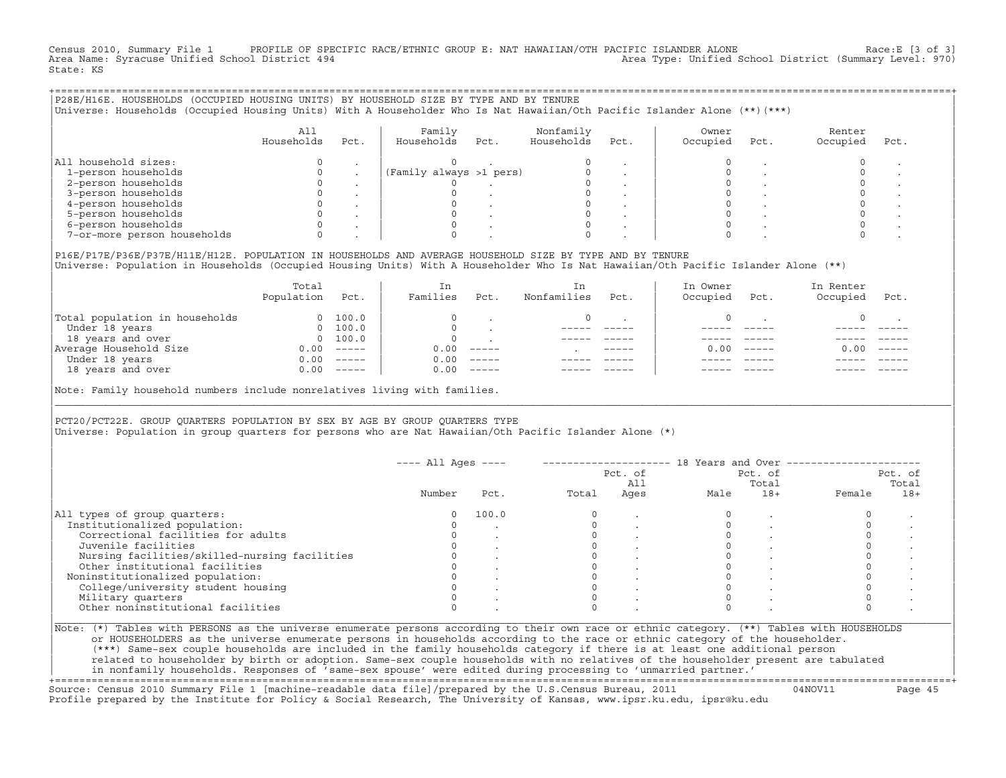Census 2010, Summary File 1 PROFILE OF SPECIFIC RACE/ETHNIC GROUP E: NAT HAWAIIAN/OTH PACIFIC ISLANDER ALONE Race:E [3 of 3]<br>Area Name: Syracuse Unified School District 494 Area Type: Unified School District (Summary Level: 970) State: KS

| P28E/H16E. HOUSEHOLDS (OCCUPIED HOUSING UNITS) BY HOUSEHOLD SIZE BY TYPE AND BY TENURE<br>Universe: Households (Occupied Housing Units) With A Householder Who Is Nat Hawaiian/Oth Pacific Islander Alone (**)(***) |                   |      |                         |      |                         |      |                   |      |                    |      |
|---------------------------------------------------------------------------------------------------------------------------------------------------------------------------------------------------------------------|-------------------|------|-------------------------|------|-------------------------|------|-------------------|------|--------------------|------|
|                                                                                                                                                                                                                     | All<br>Households | Pct. | Family<br>Households    | Pct. | Nonfamily<br>Households | Pct. | Owner<br>Occupied | Pct. | Renter<br>Occupied | Pct. |
| All household sizes:                                                                                                                                                                                                |                   |      |                         |      |                         |      |                   |      |                    |      |
| 1-person households                                                                                                                                                                                                 |                   |      | (Family always >1 pers) |      |                         |      |                   |      |                    |      |
| 2-person households                                                                                                                                                                                                 |                   |      |                         |      |                         |      |                   |      |                    |      |
| 3-person households                                                                                                                                                                                                 |                   |      |                         |      |                         |      |                   |      |                    |      |
| 4-person households                                                                                                                                                                                                 |                   |      |                         |      |                         |      |                   |      |                    |      |
| 5-person households                                                                                                                                                                                                 |                   |      |                         |      |                         |      |                   |      |                    |      |
| 6-person households                                                                                                                                                                                                 |                   |      |                         |      |                         |      |                   |      |                    |      |
| 7-or-more person households                                                                                                                                                                                         |                   |      |                         |      |                         |      |                   |      |                    |      |
|                                                                                                                                                                                                                     |                   |      |                         |      |                         |      |                   |      |                    |      |

|P16E/P17E/P36E/P37E/H11E/H12E. POPULATION IN HOUSEHOLDS AND AVERAGE HOUSEHOLD SIZE BY TYPE AND BY TENURE | |Universe: Population in Households (Occupied Housing Units) With A Householder Who Is Nat Hawaiian/Oth Pacific Islander Alone (\*\*) |

|                                | Total<br>Population | Pct.     | In<br>Families | Pct.     | In<br>Nonfamilies | Pct.        | In Owner<br>Occupied | Pct.          | In Renter<br>Occupied | Pct.     |  |
|--------------------------------|---------------------|----------|----------------|----------|-------------------|-------------|----------------------|---------------|-----------------------|----------|--|
| Total population in households |                     | 100.0    | $\Omega$       |          |                   |             |                      |               |                       |          |  |
| Under 18 years                 | $\Omega$            | 100.0    | $\Omega$       |          |                   |             |                      |               |                       |          |  |
| 18 years and over              | $\Omega$            | 100.0    | $\Omega$       |          |                   |             |                      |               |                       |          |  |
| Average Household Size         | 0.00                | $------$ | 0.00           | $------$ |                   | $- - - - -$ | 0.00                 | $\frac{1}{2}$ | 0.00                  | $------$ |  |
| Under 18 years                 | 0.00                | $------$ | 0.00           | $------$ |                   |             |                      |               |                       |          |  |
| 18 years and over              | 0.00                | $------$ | 0.00           | $------$ |                   |             |                      |               |                       |          |  |
|                                |                     |          |                |          |                   |             |                      |               |                       |          |  |

|Note: Family household numbers include nonrelatives living with families. |

| | PCT20/PCT22E. GROUP OUARTERS POPULATION BY SEX BY AGE BY GROUP OUARTERS TYPE |Universe: Population in group quarters for persons who are Nat Hawaiian/Oth Pacific Islander Alone (\*) |

|                                               |        |       |       | Pct. of<br>All | Pct. of<br>Total |       | Pct. of<br>Total |       |
|-----------------------------------------------|--------|-------|-------|----------------|------------------|-------|------------------|-------|
|                                               | Number | Pct.  | Total | Ages           | Male             | $18+$ | Female           | $18+$ |
| All types of group quarters:                  |        | 100.0 |       |                |                  |       |                  |       |
| Institutionalized population:                 |        |       |       |                |                  |       |                  |       |
| Correctional facilities for adults            |        |       |       |                |                  |       |                  |       |
| Juvenile facilities                           |        |       |       |                |                  |       |                  |       |
| Nursing facilities/skilled-nursing facilities |        |       |       |                |                  |       |                  |       |
| Other institutional facilities                |        |       |       |                |                  |       |                  |       |
| Noninstitutionalized population:              |        |       |       |                |                  |       |                  |       |
| College/university student housing            |        |       |       |                |                  |       |                  |       |
| Military quarters                             |        |       |       |                |                  |       |                  |       |
| Other noninstitutional facilities             |        |       |       |                |                  |       |                  |       |

|\_\_\_\_\_\_\_\_\_\_\_\_\_\_\_\_\_\_\_\_\_\_\_\_\_\_\_\_\_\_\_\_\_\_\_\_\_\_\_\_\_\_\_\_\_\_\_\_\_\_\_\_\_\_\_\_\_\_\_\_\_\_\_\_\_\_\_\_\_\_\_\_\_\_\_\_\_\_\_\_\_\_\_\_\_\_\_\_\_\_\_\_\_\_\_\_\_\_\_\_\_\_\_\_\_\_\_\_\_\_\_\_\_\_\_\_\_\_\_\_\_\_\_\_\_\_\_\_\_\_\_\_\_\_\_\_\_\_\_\_\_\_\_\_\_\_\_|

| |

| (\*\*\*) Same−sex couple households are included in the family households category if there is at least one additional person | | related to householder by birth or adoption. Same−sex couple households with no relatives of the householder present are tabulated | | in nonfamily households. Responses of 'same−sex spouse' were edited during processing to 'unmarried partner.' |

+===================================================================================================================================================+ Source: Census 2010 Summary File 1 [machine−readable data file]/prepared by the U.S.Census Bureau, 2011 04NOV11 Page 45 Profile prepared by the Institute for Policy & Social Research, The University of Kansas, www.ipsr.ku.edu, ipsr@ku.edu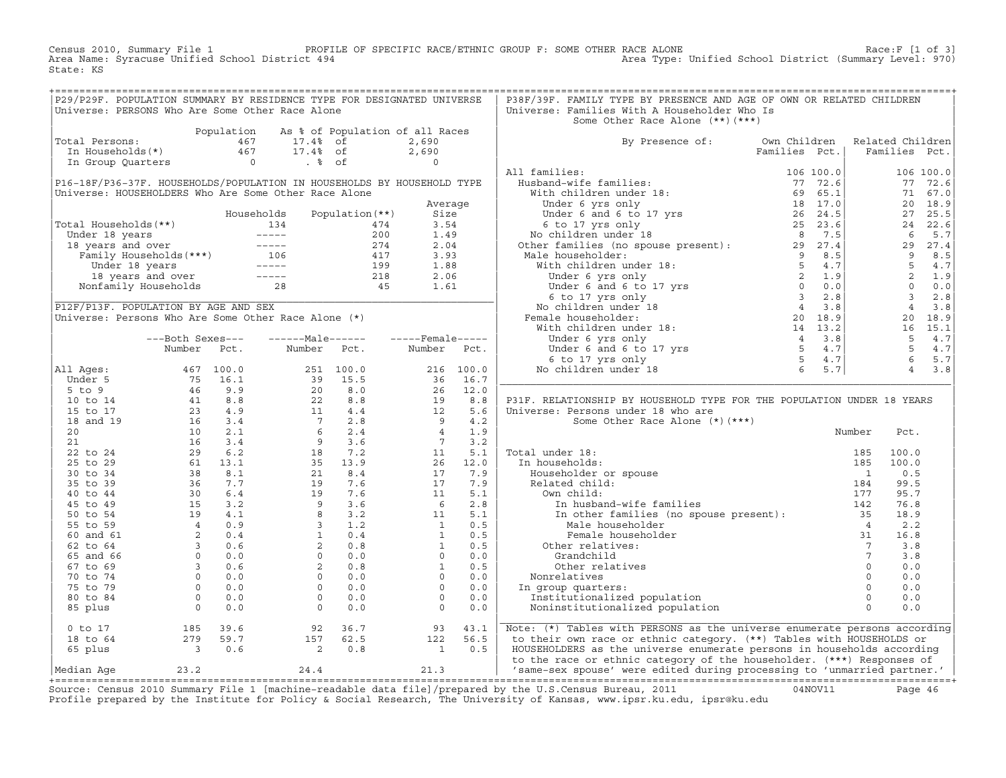Census 2010, Summary File 1 PROFILE OF SPECIFIC RACE/ETHNIC GROUP F: SOME OTHER RACE ALONE RACE OF SPECE:F [1 of 3]<br>Area Name: Syracuse Unified School District 494 Area Type: Unified School District (Summary Level: 970) Area Type: Unified School District (Summary Level: 970) State: KS

| Universe: PERSONS Who Are Some Other Race Alone<br>Universe: Families With A Householder Who Is<br>Some Other Race Alone (**) (***)<br>Total Persons:<br>Total Persons:<br>Total Persons:<br>Total Persons:<br>$\begin{array}{ccccccccc}\n & & & & & \text{Population} & \text{As} & \text{of} & \text{Population} & \text{of} & \text{all} & \text{Races} \\  & & & & & 467 & & 17.48 & \text{of} & & 2,690 \\ \text{In Households (*)} & & & & 467 & & 17.48 & \text{of} & & 2,690 \\  & & & & & & & & 0 & & 8 & 6\n\end{array}$<br>By Presence of: Own Children Related Children<br>Families Pct.   Families Pct.<br>$\begin{tabular}{ c  c  c } \hline \textbf{All} \textbf{Age}=1 & \textbf{Number:} & \textbf{Pic1.} & \textbf{Number:} & \textbf{Bul} & \textbf{Bul} & \textbf{Bul} & \textbf{Bul} & \textbf{Bul} & \textbf{Bul} & \textbf{Bul} & \textbf{Bul} & \textbf{Bul} & \textbf{Bul} & \textbf{Bul} & \textbf{Bul} & \textbf{Bul} & \textbf{Bul} & \textbf{Bul} & \textbf{Bul} & \textbf{Bul} & \textbf{Bul} & \textbf{Bul} & \textbf{Bul} & \textbf$<br>P31F. RELATIONSHIP BY HOUSEHOLD TYPE FOR THE POPULATION UNDER 18 YEARS<br>0 to 17 185 39.6 92 36.7 93 43.1 Note: (*) Tables with PERSONS as the universe enumerate persons according<br>18 to 64 279 59.7 157 62.5 122 56.5 to their own race or ethnic category. (**) Tables with HOUSEHOLDS or<br>65 plus 3 | P29/P29F. POPULATION SUMMARY BY RESIDENCE TYPE FOR DESIGNATED UNIVERSE |  |  |  | P38F/39F. FAMILY TYPE BY PRESENCE AND AGE OF OWN OR RELATED CHILDREN |  |  |  |
|---------------------------------------------------------------------------------------------------------------------------------------------------------------------------------------------------------------------------------------------------------------------------------------------------------------------------------------------------------------------------------------------------------------------------------------------------------------------------------------------------------------------------------------------------------------------------------------------------------------------------------------------------------------------------------------------------------------------------------------------------------------------------------------------------------------------------------------------------------------------------------------------------------------------------------------------------------------------------------------------------------------------------------------------------------------------------------------------------------------------------------------------------------------------------------------------------------------------------------------------------------------------------------------------------------------------------------------------------------------------------------------|------------------------------------------------------------------------|--|--|--|----------------------------------------------------------------------|--|--|--|
|                                                                                                                                                                                                                                                                                                                                                                                                                                                                                                                                                                                                                                                                                                                                                                                                                                                                                                                                                                                                                                                                                                                                                                                                                                                                                                                                                                                       |                                                                        |  |  |  |                                                                      |  |  |  |
|                                                                                                                                                                                                                                                                                                                                                                                                                                                                                                                                                                                                                                                                                                                                                                                                                                                                                                                                                                                                                                                                                                                                                                                                                                                                                                                                                                                       |                                                                        |  |  |  |                                                                      |  |  |  |
|                                                                                                                                                                                                                                                                                                                                                                                                                                                                                                                                                                                                                                                                                                                                                                                                                                                                                                                                                                                                                                                                                                                                                                                                                                                                                                                                                                                       |                                                                        |  |  |  |                                                                      |  |  |  |
|                                                                                                                                                                                                                                                                                                                                                                                                                                                                                                                                                                                                                                                                                                                                                                                                                                                                                                                                                                                                                                                                                                                                                                                                                                                                                                                                                                                       |                                                                        |  |  |  |                                                                      |  |  |  |
|                                                                                                                                                                                                                                                                                                                                                                                                                                                                                                                                                                                                                                                                                                                                                                                                                                                                                                                                                                                                                                                                                                                                                                                                                                                                                                                                                                                       |                                                                        |  |  |  |                                                                      |  |  |  |
|                                                                                                                                                                                                                                                                                                                                                                                                                                                                                                                                                                                                                                                                                                                                                                                                                                                                                                                                                                                                                                                                                                                                                                                                                                                                                                                                                                                       |                                                                        |  |  |  |                                                                      |  |  |  |
|                                                                                                                                                                                                                                                                                                                                                                                                                                                                                                                                                                                                                                                                                                                                                                                                                                                                                                                                                                                                                                                                                                                                                                                                                                                                                                                                                                                       |                                                                        |  |  |  |                                                                      |  |  |  |
|                                                                                                                                                                                                                                                                                                                                                                                                                                                                                                                                                                                                                                                                                                                                                                                                                                                                                                                                                                                                                                                                                                                                                                                                                                                                                                                                                                                       |                                                                        |  |  |  |                                                                      |  |  |  |
|                                                                                                                                                                                                                                                                                                                                                                                                                                                                                                                                                                                                                                                                                                                                                                                                                                                                                                                                                                                                                                                                                                                                                                                                                                                                                                                                                                                       |                                                                        |  |  |  |                                                                      |  |  |  |
|                                                                                                                                                                                                                                                                                                                                                                                                                                                                                                                                                                                                                                                                                                                                                                                                                                                                                                                                                                                                                                                                                                                                                                                                                                                                                                                                                                                       |                                                                        |  |  |  |                                                                      |  |  |  |
|                                                                                                                                                                                                                                                                                                                                                                                                                                                                                                                                                                                                                                                                                                                                                                                                                                                                                                                                                                                                                                                                                                                                                                                                                                                                                                                                                                                       |                                                                        |  |  |  |                                                                      |  |  |  |
|                                                                                                                                                                                                                                                                                                                                                                                                                                                                                                                                                                                                                                                                                                                                                                                                                                                                                                                                                                                                                                                                                                                                                                                                                                                                                                                                                                                       |                                                                        |  |  |  |                                                                      |  |  |  |
|                                                                                                                                                                                                                                                                                                                                                                                                                                                                                                                                                                                                                                                                                                                                                                                                                                                                                                                                                                                                                                                                                                                                                                                                                                                                                                                                                                                       |                                                                        |  |  |  |                                                                      |  |  |  |
|                                                                                                                                                                                                                                                                                                                                                                                                                                                                                                                                                                                                                                                                                                                                                                                                                                                                                                                                                                                                                                                                                                                                                                                                                                                                                                                                                                                       |                                                                        |  |  |  |                                                                      |  |  |  |
|                                                                                                                                                                                                                                                                                                                                                                                                                                                                                                                                                                                                                                                                                                                                                                                                                                                                                                                                                                                                                                                                                                                                                                                                                                                                                                                                                                                       |                                                                        |  |  |  |                                                                      |  |  |  |
|                                                                                                                                                                                                                                                                                                                                                                                                                                                                                                                                                                                                                                                                                                                                                                                                                                                                                                                                                                                                                                                                                                                                                                                                                                                                                                                                                                                       |                                                                        |  |  |  |                                                                      |  |  |  |
|                                                                                                                                                                                                                                                                                                                                                                                                                                                                                                                                                                                                                                                                                                                                                                                                                                                                                                                                                                                                                                                                                                                                                                                                                                                                                                                                                                                       |                                                                        |  |  |  |                                                                      |  |  |  |
|                                                                                                                                                                                                                                                                                                                                                                                                                                                                                                                                                                                                                                                                                                                                                                                                                                                                                                                                                                                                                                                                                                                                                                                                                                                                                                                                                                                       |                                                                        |  |  |  |                                                                      |  |  |  |
|                                                                                                                                                                                                                                                                                                                                                                                                                                                                                                                                                                                                                                                                                                                                                                                                                                                                                                                                                                                                                                                                                                                                                                                                                                                                                                                                                                                       |                                                                        |  |  |  |                                                                      |  |  |  |
|                                                                                                                                                                                                                                                                                                                                                                                                                                                                                                                                                                                                                                                                                                                                                                                                                                                                                                                                                                                                                                                                                                                                                                                                                                                                                                                                                                                       |                                                                        |  |  |  |                                                                      |  |  |  |
|                                                                                                                                                                                                                                                                                                                                                                                                                                                                                                                                                                                                                                                                                                                                                                                                                                                                                                                                                                                                                                                                                                                                                                                                                                                                                                                                                                                       |                                                                        |  |  |  |                                                                      |  |  |  |
|                                                                                                                                                                                                                                                                                                                                                                                                                                                                                                                                                                                                                                                                                                                                                                                                                                                                                                                                                                                                                                                                                                                                                                                                                                                                                                                                                                                       |                                                                        |  |  |  |                                                                      |  |  |  |
|                                                                                                                                                                                                                                                                                                                                                                                                                                                                                                                                                                                                                                                                                                                                                                                                                                                                                                                                                                                                                                                                                                                                                                                                                                                                                                                                                                                       |                                                                        |  |  |  |                                                                      |  |  |  |
|                                                                                                                                                                                                                                                                                                                                                                                                                                                                                                                                                                                                                                                                                                                                                                                                                                                                                                                                                                                                                                                                                                                                                                                                                                                                                                                                                                                       |                                                                        |  |  |  |                                                                      |  |  |  |
|                                                                                                                                                                                                                                                                                                                                                                                                                                                                                                                                                                                                                                                                                                                                                                                                                                                                                                                                                                                                                                                                                                                                                                                                                                                                                                                                                                                       |                                                                        |  |  |  |                                                                      |  |  |  |
|                                                                                                                                                                                                                                                                                                                                                                                                                                                                                                                                                                                                                                                                                                                                                                                                                                                                                                                                                                                                                                                                                                                                                                                                                                                                                                                                                                                       |                                                                        |  |  |  |                                                                      |  |  |  |
|                                                                                                                                                                                                                                                                                                                                                                                                                                                                                                                                                                                                                                                                                                                                                                                                                                                                                                                                                                                                                                                                                                                                                                                                                                                                                                                                                                                       |                                                                        |  |  |  |                                                                      |  |  |  |
|                                                                                                                                                                                                                                                                                                                                                                                                                                                                                                                                                                                                                                                                                                                                                                                                                                                                                                                                                                                                                                                                                                                                                                                                                                                                                                                                                                                       |                                                                        |  |  |  |                                                                      |  |  |  |
|                                                                                                                                                                                                                                                                                                                                                                                                                                                                                                                                                                                                                                                                                                                                                                                                                                                                                                                                                                                                                                                                                                                                                                                                                                                                                                                                                                                       |                                                                        |  |  |  |                                                                      |  |  |  |
|                                                                                                                                                                                                                                                                                                                                                                                                                                                                                                                                                                                                                                                                                                                                                                                                                                                                                                                                                                                                                                                                                                                                                                                                                                                                                                                                                                                       |                                                                        |  |  |  |                                                                      |  |  |  |
|                                                                                                                                                                                                                                                                                                                                                                                                                                                                                                                                                                                                                                                                                                                                                                                                                                                                                                                                                                                                                                                                                                                                                                                                                                                                                                                                                                                       |                                                                        |  |  |  |                                                                      |  |  |  |
|                                                                                                                                                                                                                                                                                                                                                                                                                                                                                                                                                                                                                                                                                                                                                                                                                                                                                                                                                                                                                                                                                                                                                                                                                                                                                                                                                                                       |                                                                        |  |  |  |                                                                      |  |  |  |
|                                                                                                                                                                                                                                                                                                                                                                                                                                                                                                                                                                                                                                                                                                                                                                                                                                                                                                                                                                                                                                                                                                                                                                                                                                                                                                                                                                                       |                                                                        |  |  |  |                                                                      |  |  |  |
|                                                                                                                                                                                                                                                                                                                                                                                                                                                                                                                                                                                                                                                                                                                                                                                                                                                                                                                                                                                                                                                                                                                                                                                                                                                                                                                                                                                       |                                                                        |  |  |  |                                                                      |  |  |  |
|                                                                                                                                                                                                                                                                                                                                                                                                                                                                                                                                                                                                                                                                                                                                                                                                                                                                                                                                                                                                                                                                                                                                                                                                                                                                                                                                                                                       |                                                                        |  |  |  |                                                                      |  |  |  |
|                                                                                                                                                                                                                                                                                                                                                                                                                                                                                                                                                                                                                                                                                                                                                                                                                                                                                                                                                                                                                                                                                                                                                                                                                                                                                                                                                                                       |                                                                        |  |  |  |                                                                      |  |  |  |
|                                                                                                                                                                                                                                                                                                                                                                                                                                                                                                                                                                                                                                                                                                                                                                                                                                                                                                                                                                                                                                                                                                                                                                                                                                                                                                                                                                                       |                                                                        |  |  |  |                                                                      |  |  |  |
|                                                                                                                                                                                                                                                                                                                                                                                                                                                                                                                                                                                                                                                                                                                                                                                                                                                                                                                                                                                                                                                                                                                                                                                                                                                                                                                                                                                       |                                                                        |  |  |  |                                                                      |  |  |  |
|                                                                                                                                                                                                                                                                                                                                                                                                                                                                                                                                                                                                                                                                                                                                                                                                                                                                                                                                                                                                                                                                                                                                                                                                                                                                                                                                                                                       |                                                                        |  |  |  |                                                                      |  |  |  |
|                                                                                                                                                                                                                                                                                                                                                                                                                                                                                                                                                                                                                                                                                                                                                                                                                                                                                                                                                                                                                                                                                                                                                                                                                                                                                                                                                                                       |                                                                        |  |  |  |                                                                      |  |  |  |
|                                                                                                                                                                                                                                                                                                                                                                                                                                                                                                                                                                                                                                                                                                                                                                                                                                                                                                                                                                                                                                                                                                                                                                                                                                                                                                                                                                                       |                                                                        |  |  |  |                                                                      |  |  |  |
|                                                                                                                                                                                                                                                                                                                                                                                                                                                                                                                                                                                                                                                                                                                                                                                                                                                                                                                                                                                                                                                                                                                                                                                                                                                                                                                                                                                       |                                                                        |  |  |  |                                                                      |  |  |  |
|                                                                                                                                                                                                                                                                                                                                                                                                                                                                                                                                                                                                                                                                                                                                                                                                                                                                                                                                                                                                                                                                                                                                                                                                                                                                                                                                                                                       |                                                                        |  |  |  |                                                                      |  |  |  |
|                                                                                                                                                                                                                                                                                                                                                                                                                                                                                                                                                                                                                                                                                                                                                                                                                                                                                                                                                                                                                                                                                                                                                                                                                                                                                                                                                                                       |                                                                        |  |  |  |                                                                      |  |  |  |
|                                                                                                                                                                                                                                                                                                                                                                                                                                                                                                                                                                                                                                                                                                                                                                                                                                                                                                                                                                                                                                                                                                                                                                                                                                                                                                                                                                                       |                                                                        |  |  |  |                                                                      |  |  |  |
|                                                                                                                                                                                                                                                                                                                                                                                                                                                                                                                                                                                                                                                                                                                                                                                                                                                                                                                                                                                                                                                                                                                                                                                                                                                                                                                                                                                       |                                                                        |  |  |  |                                                                      |  |  |  |
|                                                                                                                                                                                                                                                                                                                                                                                                                                                                                                                                                                                                                                                                                                                                                                                                                                                                                                                                                                                                                                                                                                                                                                                                                                                                                                                                                                                       |                                                                        |  |  |  |                                                                      |  |  |  |
|                                                                                                                                                                                                                                                                                                                                                                                                                                                                                                                                                                                                                                                                                                                                                                                                                                                                                                                                                                                                                                                                                                                                                                                                                                                                                                                                                                                       |                                                                        |  |  |  |                                                                      |  |  |  |
|                                                                                                                                                                                                                                                                                                                                                                                                                                                                                                                                                                                                                                                                                                                                                                                                                                                                                                                                                                                                                                                                                                                                                                                                                                                                                                                                                                                       |                                                                        |  |  |  |                                                                      |  |  |  |
|                                                                                                                                                                                                                                                                                                                                                                                                                                                                                                                                                                                                                                                                                                                                                                                                                                                                                                                                                                                                                                                                                                                                                                                                                                                                                                                                                                                       |                                                                        |  |  |  |                                                                      |  |  |  |
|                                                                                                                                                                                                                                                                                                                                                                                                                                                                                                                                                                                                                                                                                                                                                                                                                                                                                                                                                                                                                                                                                                                                                                                                                                                                                                                                                                                       |                                                                        |  |  |  |                                                                      |  |  |  |
|                                                                                                                                                                                                                                                                                                                                                                                                                                                                                                                                                                                                                                                                                                                                                                                                                                                                                                                                                                                                                                                                                                                                                                                                                                                                                                                                                                                       |                                                                        |  |  |  |                                                                      |  |  |  |

Source: Census 2010 Summary File 1 [machine-readable data file]/prepared by the U.S.Census Bureau, 2011 Page 46<br>Profile prepared by the Institute for Policy & Social Research, The University of Kansas, www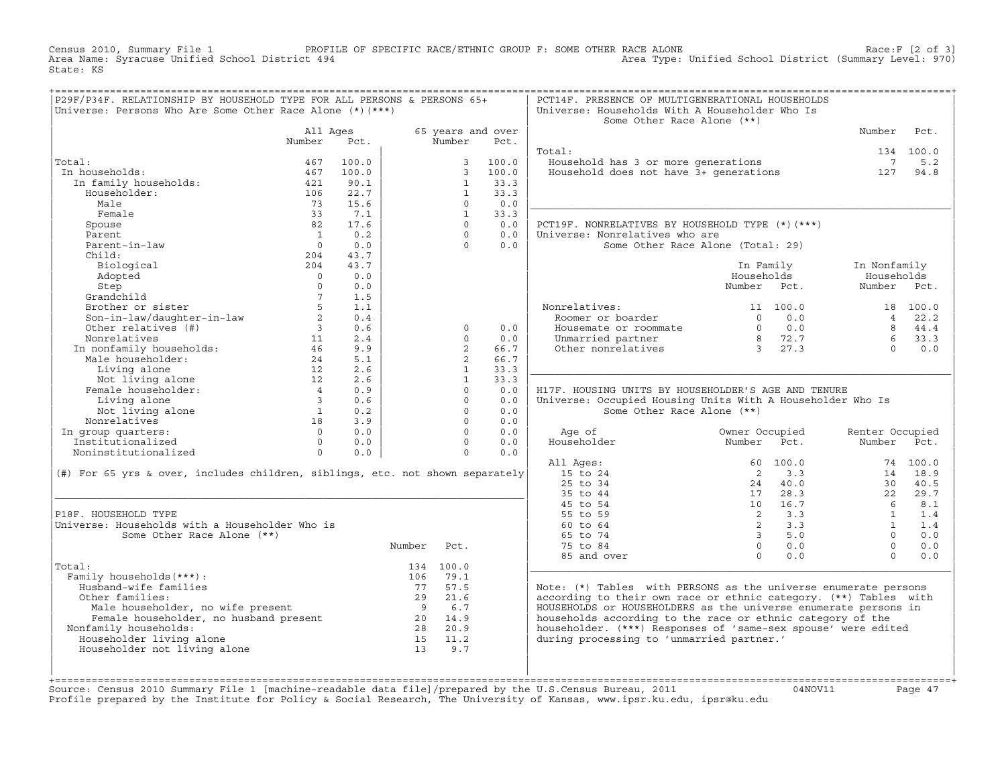Census 2010, Summary File 1 PROFILE OF SPECIFIC RACE/ETHNIC GROUP F: SOME OTHER RACE ALONE RACE OF SPECE:F [2 of 3]<br>Area Name: Syracuse Unified School District 494 Area Type: Unified School District (Summary Level: 970) Area Type: Unified School District (Summary Level: 970) State: KS

| P29F/P34F. RELATIONSHIP BY HOUSEHOLD TYPE FOR ALL PERSONS & PERSONS 65+<br>Universe: Persons Who Are Some Other Race Alone (*) (***)                                                                                          |                         |       |          |                |                           | PCT14F. PRESENCE OF MULTIGENERATIONAL HOUSEHOLDS<br>Universe: Households With A Householder Who Is<br>Some Other Race Alone (**)      |                                                                  |                 |           |
|-------------------------------------------------------------------------------------------------------------------------------------------------------------------------------------------------------------------------------|-------------------------|-------|----------|----------------|---------------------------|---------------------------------------------------------------------------------------------------------------------------------------|------------------------------------------------------------------|-----------------|-----------|
|                                                                                                                                                                                                                               | All Ages<br>Number      | Pct.  |          | Number         | 65 years and over<br>Pct. |                                                                                                                                       |                                                                  | Number          | Pct.      |
|                                                                                                                                                                                                                               |                         |       |          |                |                           | Total:                                                                                                                                |                                                                  |                 | 134 100.0 |
| Total:                                                                                                                                                                                                                        | 467                     | 100.0 |          | 3              | 100.0                     | Household has 3 or more generations<br>Household has 3 or more generations<br>Household does not have 3+ generations                  |                                                                  | $7\phantom{0}$  | 5.2       |
| In households:                                                                                                                                                                                                                | 467                     | 100.0 |          | $\mathcal{E}$  | 100.0                     |                                                                                                                                       |                                                                  | 127             | 94.8      |
| In family households:                                                                                                                                                                                                         | 421                     | 90.1  |          | $\mathbf{1}$   | 33.3                      |                                                                                                                                       |                                                                  |                 |           |
| Householder:                                                                                                                                                                                                                  | 106                     | 22.7  |          | $\mathbf{1}$   | 33.3                      |                                                                                                                                       |                                                                  |                 |           |
| Male                                                                                                                                                                                                                          | 73                      | 15.6  |          | $\Omega$       | 0.0                       |                                                                                                                                       |                                                                  |                 |           |
| Female                                                                                                                                                                                                                        | 33                      | 7.1   |          | $\mathbf{1}$   | 33.3                      |                                                                                                                                       |                                                                  |                 |           |
| Spouse                                                                                                                                                                                                                        | 82                      | 17.6  |          | $\Omega$       | 0.0                       | PCT19F. NONRELATIVES BY HOUSEHOLD TYPE (*)(***)                                                                                       |                                                                  |                 |           |
| Parent                                                                                                                                                                                                                        | $\overline{\mathbf{1}}$ | 0.2   |          | $\Omega$       | 0.0                       | Universe: Nonrelatives who are                                                                                                        |                                                                  |                 |           |
| Parent-in-law                                                                                                                                                                                                                 | $\overline{0}$          | 0.0   |          | $\Omega$       | 0.0                       |                                                                                                                                       | Some Other Race Alone (Total: 29)                                |                 |           |
| Child:                                                                                                                                                                                                                        | 204                     | 43.7  |          |                |                           |                                                                                                                                       |                                                                  |                 |           |
| Biological                                                                                                                                                                                                                    | 204                     | 43.7  |          |                |                           |                                                                                                                                       | In Family                                                        | In Nonfamily    |           |
| Adopted                                                                                                                                                                                                                       | $\overline{0}$          | 0.0   |          |                |                           |                                                                                                                                       | Households                                                       | Households      |           |
| Step                                                                                                                                                                                                                          | $\Omega$                | 0.0   |          |                |                           |                                                                                                                                       | Number Pct.                                                      | Number Pct.     |           |
| Grandchild                                                                                                                                                                                                                    | $7^{\circ}$             | 1.5   |          |                |                           |                                                                                                                                       |                                                                  |                 |           |
| Brother or sister                                                                                                                                                                                                             |                         | 1.1   |          |                |                           | Nonrelatives:                                                                                                                         | 11 100.0                                                         |                 | 18 100.0  |
| Son-in-law/daughter-in-law                                                                                                                                                                                                    | 2                       | 0.4   |          |                |                           | Roomer or boarder                                                                                                                     | 0.0<br>$\cap$                                                    | $\overline{4}$  | 22.2      |
| Other relatives (#)                                                                                                                                                                                                           | $\overline{\mathbf{3}}$ | 0.6   |          | $\Omega$       | 0.0                       | Housemate or roommate                                                                                                                 | $\begin{array}{ccc} 0 & 0.0 \\ 8 & 72.7 \\ 3 & 27.3 \end{array}$ |                 | 8 44.4    |
| Non-<br>Monrelatives<br>In nonfamily households:<br>12<br>12                                                                                                                                                                  |                         | 2.4   |          | $\Omega$       | 0.0                       | Unmarried partner                                                                                                                     |                                                                  | $6^{\circ}$     | 33.3      |
|                                                                                                                                                                                                                               |                         | 9.9   |          | $\overline{2}$ | 66.7                      | Other nonrelatives                                                                                                                    |                                                                  | $\Omega$        | 0.0       |
|                                                                                                                                                                                                                               |                         | 5.1   |          | $\overline{2}$ | 66.7                      |                                                                                                                                       |                                                                  |                 |           |
|                                                                                                                                                                                                                               |                         | 2.6   |          | $\mathbf{1}$   | 33.3                      |                                                                                                                                       |                                                                  |                 |           |
| Living alone<br>Not living alone 12<br>Female householder: 4                                                                                                                                                                  |                         | 2.6   |          | $\mathbf{1}$   | 33.3                      |                                                                                                                                       |                                                                  |                 |           |
|                                                                                                                                                                                                                               |                         | 0.9   |          | $\Omega$       | 0.0                       | H17F. HOUSING UNITS BY HOUSEHOLDER'S AGE AND TENURE                                                                                   |                                                                  |                 |           |
| Living alone                                                                                                                                                                                                                  | $\overline{\mathbf{3}}$ | 0.6   |          | $\Omega$       | 0.0                       | Universe: Occupied Housing Units With A Householder Who Is                                                                            |                                                                  |                 |           |
| Not living alone                                                                                                                                                                                                              | $\sim$ 1                | 0.2   |          | $\Omega$       | 0.0                       | Some Other Race Alone (**)                                                                                                            |                                                                  |                 |           |
| Nonrelatives                                                                                                                                                                                                                  | 18                      | 3.9   |          | $\Omega$       | 0.0                       |                                                                                                                                       |                                                                  |                 |           |
| In group quarters:                                                                                                                                                                                                            | $\overline{0}$          | 0.0   |          | $\Omega$       | 0.0                       | Age of                                                                                                                                | Owner Occupied                                                   | Renter Occupied |           |
| Institutionalized                                                                                                                                                                                                             | $\overline{0}$          | 0.0   |          | $\Omega$       | 0.0                       | Householder                                                                                                                           | Number<br>Pct.                                                   | Number Pct.     |           |
| Noninstitutionalized                                                                                                                                                                                                          | $\overline{0}$          | 0.0   |          | $\Omega$       | 0.0                       |                                                                                                                                       |                                                                  |                 |           |
|                                                                                                                                                                                                                               |                         |       |          |                |                           | All Ages:                                                                                                                             | 60 100.0                                                         |                 | 74 100.0  |
| (#) For 65 yrs & over, includes children, siblings, etc. not shown separately                                                                                                                                                 |                         |       |          |                |                           | 15 to 24                                                                                                                              | 2<br>3.3                                                         | 14              | 18.9      |
|                                                                                                                                                                                                                               |                         |       |          |                |                           | 25 to 34                                                                                                                              | 40.0<br>24                                                       | 30              | 40.5      |
|                                                                                                                                                                                                                               |                         |       |          |                |                           | 35 to 44                                                                                                                              | 17<br>28.3                                                       | 22              | 29.7      |
|                                                                                                                                                                                                                               |                         |       |          |                |                           | 45 to 54                                                                                                                              | 10 16.7                                                          | 6               | 8.1       |
| P18F. HOUSEHOLD TYPE                                                                                                                                                                                                          |                         |       |          |                |                           | 55 to 59                                                                                                                              | $\overline{2}$<br>3.3<br>$\overline{2}$<br>3.3                   | <sup>1</sup>    | 1.4       |
| Universe: Households with a Householder Who is                                                                                                                                                                                |                         |       |          |                |                           | 60 to 64                                                                                                                              |                                                                  | $\mathbf{1}$    | 1.4       |
| Some Other Race Alone (**)                                                                                                                                                                                                    |                         |       |          |                |                           | 65 to 74                                                                                                                              | $\overline{3}$<br>5.0                                            | $\Omega$        | 0.0       |
|                                                                                                                                                                                                                               |                         |       | Number   | Pct.           |                           | 75 to 84                                                                                                                              | $\overline{0}$<br>0.0                                            | $\Omega$        | 0.0       |
|                                                                                                                                                                                                                               |                         |       |          |                |                           | 85 and over                                                                                                                           | $\Omega$<br>0.0                                                  | $\Omega$        | 0.0       |
| Total:                                                                                                                                                                                                                        |                         |       |          | 134 100.0      |                           |                                                                                                                                       |                                                                  |                 |           |
| Family households (***) :                                                                                                                                                                                                     |                         |       | 106      | 79.1<br>57.5   |                           |                                                                                                                                       |                                                                  |                 |           |
| Husband-wife families                                                                                                                                                                                                         |                         |       | 77<br>29 | 21.6           |                           | Note: $(*)$ Tables with PERSONS as the universe enumerate persons<br>according to their own race or ethnic category. (**) Tables with |                                                                  |                 |           |
| Other families:                                                                                                                                                                                                               |                         |       |          |                |                           | HOUSEHOLDS or HOUSEHOLDERS as the universe enumerate persons in                                                                       |                                                                  |                 |           |
| Male householder, no wife present and the set of the set of the set of the set of the set of the set of the set of the set of the set of the set of the set of the set of the set of the set of the set of the set of the set |                         |       |          |                |                           |                                                                                                                                       |                                                                  |                 |           |
|                                                                                                                                                                                                                               |                         |       |          |                |                           | households according to the race or ethnic category of the                                                                            |                                                                  |                 |           |
| Nonfamily households:                                                                                                                                                                                                         |                         |       |          | 28 20.9        |                           | householder. (***) Responses of 'same-sex spouse' were edited                                                                         |                                                                  |                 |           |
| Householder living alone                                                                                                                                                                                                      |                         |       | 15<br>13 | 11.2<br>9.7    |                           | during processing to 'unmarried partner.'                                                                                             |                                                                  |                 |           |
| Householder not living alone                                                                                                                                                                                                  |                         |       |          |                |                           |                                                                                                                                       |                                                                  |                 |           |
|                                                                                                                                                                                                                               |                         |       |          |                |                           |                                                                                                                                       |                                                                  |                 |           |

+===================================================================================================================================================+Source: Census 2010 Summary File 1 [machine−readable data file]/prepared by the U.S.Census Bureau, 2011 04NOV11 Page 47 Profile prepared by the Institute for Policy & Social Research, The University of Kansas, www.ipsr.ku.edu, ipsr@ku.edu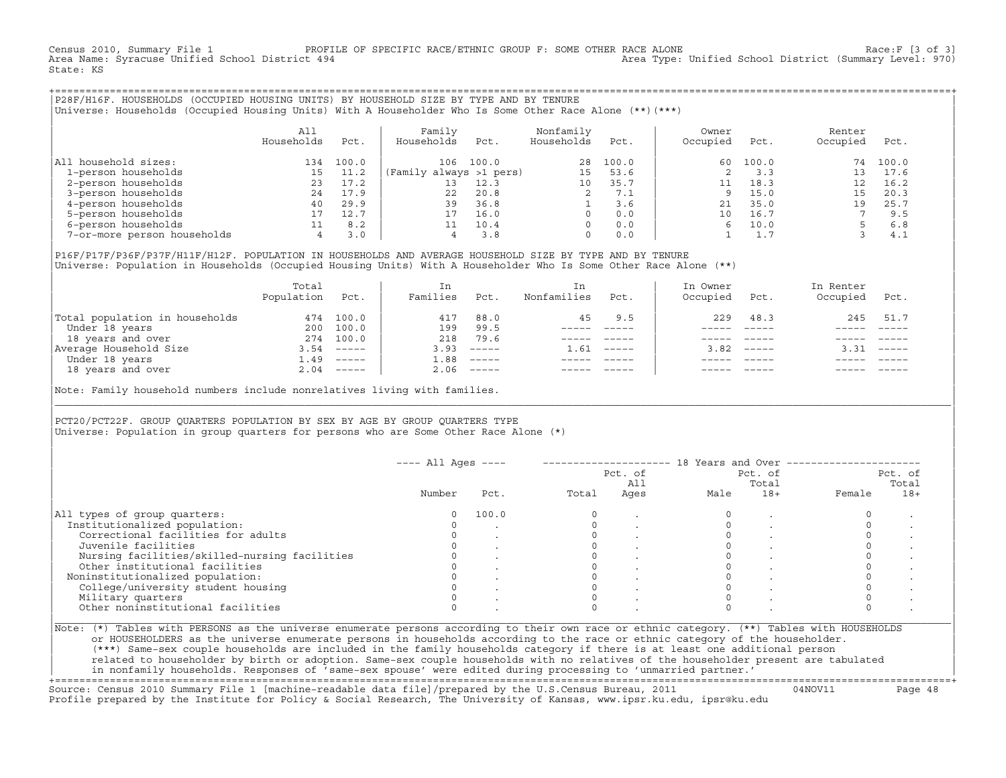Census 2010, Summary File 1 PROFILE OF SPECIFIC RACE/ETHNIC GROUP F: SOME OTHER RACE ALONE RACE OF Race:F [3 of 3]<br>Area Name: Syracuse Unified School District 494 area Type: Unified School District (Summary Level: 970) Area Type: Unified School District (Summary Level: 970) State: KS

+===================================================================================================================================================+|P28F/H16F. HOUSEHOLDS (OCCUPIED HOUSING UNITS) BY HOUSEHOLD SIZE BY TYPE AND BY TENURE | |Universe: Households (Occupied Housing Units) With A Householder Who Is Some Other Race Alone (\*\*)(\*\*\*) |

|                             | All<br>Households | Pct.  | Family<br>Households    | Pct.  | Nonfamily<br>Households | Pct.  | Owner<br>Occupied | Pct.  | Renter<br>Occupied | Pct.  |  |
|-----------------------------|-------------------|-------|-------------------------|-------|-------------------------|-------|-------------------|-------|--------------------|-------|--|
| household sizes:<br>All     | 134               | 100.0 | 106                     | 100.0 | 28                      | 100.0 | 60                | 100.0 | 74                 | 100.0 |  |
| 1-person households         |                   | 11.2  | (Family always >1 pers) |       | 15                      | 53.6  |                   | 3.3   |                    | 17.6  |  |
| 2-person households         | 23                | 17.2  | 13                      | 12.3  | 10                      | 35.7  |                   | 18.3  |                    | 16.2  |  |
| 3-person households         | 24                | 17.9  | 22                      | 20.8  |                         | 7.1   | $\mathsf{Q}$      | 15.0  | 15                 | 20.3  |  |
| 4-person households         | 40                | 29.9  | 39                      | 36.8  |                         | 3.6   | 21                | 35.0  | 19                 | 25.7  |  |
| 5-person households         |                   | 12.7  |                         | 16.0  | $\Omega$                | 0.0   | 10                | 16.7  |                    | 9.5   |  |
| 6-person households         |                   | 8.2   |                         | 10.4  | $\Omega$                | 0.0   |                   | 10.0  |                    | 6.8   |  |
| 7-or-more person households | 4                 | 3.0   |                         | 3.8   | $\mathbf 0$             | 0.0   |                   |       |                    | 4.1   |  |

|P16F/P17F/P36F/P37F/H11F/H12F. POPULATION IN HOUSEHOLDS AND AVERAGE HOUSEHOLD SIZE BY TYPE AND BY TENURE | Universe: Population in Households (Occupied Housing Units) With A Householder Who Is Some Other Race Alone (\*\*)

|                                | Total<br>Population | Pct.         | In<br>Families | Pct.     | In.<br>Nonfamilies | Pct.     | In Owner<br>Occupied | Pct.          | In Renter<br>Occupied | Pct.        |  |
|--------------------------------|---------------------|--------------|----------------|----------|--------------------|----------|----------------------|---------------|-----------------------|-------------|--|
| Total population in households | 474                 | 100.0        | 417            | 88.0     | 45                 | 9.5      | 229                  | 48.3          | 245                   | 51.7        |  |
| Under 18 years                 | 200                 | 100.0        | 199            | 99.5     |                    |          |                      |               |                       |             |  |
| 18 years and over              | 274                 | 100.0        | 218            | 79.6     |                    |          |                      |               |                       |             |  |
| Average Household Size         | 3.54                | $- - - - -$  | 3.93           | $------$ | 1.61               | $------$ | 3.82                 | $- - - - - -$ | 3.31                  | $------$    |  |
| Under 18 years                 | 1.49                | $------$     | 1.88           | $------$ |                    |          |                      |               |                       |             |  |
| 18 years and over              |                     | $2.04$ ----- | 2.06           |          |                    |          |                      | $- - - - -$   |                       | $- - - - -$ |  |
|                                |                     |              |                |          |                    |          |                      |               |                       |             |  |

Note: Family household numbers include nonrelatives living with families.

| | PCT20/PCT22F. GROUP OUARTERS POPULATION BY SEX BY AGE BY GROUP OUARTERS TYPE Universe: Population in group quarters for persons who are Some Other Race Alone (\*)

|                                               |        |       |       | Pct. of<br>All |      | Pct. of<br>Total |        | Pct. of<br>Total |
|-----------------------------------------------|--------|-------|-------|----------------|------|------------------|--------|------------------|
|                                               | Number | Pct.  | Total | Ages           | Male | $18+$            | Female | $18+$            |
| All types of group quarters:                  |        | 100.0 |       |                |      |                  |        |                  |
| Institutionalized population:                 |        |       |       |                |      |                  |        |                  |
| Correctional facilities for adults            |        |       |       |                |      |                  |        |                  |
| Juvenile facilities                           |        |       |       |                |      |                  |        |                  |
| Nursing facilities/skilled-nursing facilities |        |       |       |                |      |                  |        |                  |
| Other institutional facilities                |        |       |       |                |      |                  |        |                  |
| Noninstitutionalized population:              |        |       |       |                |      |                  |        |                  |
| College/university student housing            |        |       |       |                |      |                  |        |                  |
| Military quarters                             |        |       |       |                |      |                  |        |                  |
| Other noninstitutional facilities             |        |       |       |                |      |                  |        |                  |

|\_\_\_\_\_\_\_\_\_\_\_\_\_\_\_\_\_\_\_\_\_\_\_\_\_\_\_\_\_\_\_\_\_\_\_\_\_\_\_\_\_\_\_\_\_\_\_\_\_\_\_\_\_\_\_\_\_\_\_\_\_\_\_\_\_\_\_\_\_\_\_\_\_\_\_\_\_\_\_\_\_\_\_\_\_\_\_\_\_\_\_\_\_\_\_\_\_\_\_\_\_\_\_\_\_\_\_\_\_\_\_\_\_\_\_\_\_\_\_\_\_\_\_\_\_\_\_\_\_\_\_\_\_\_\_\_\_\_\_\_\_\_\_\_\_\_\_|

| |

| or HOUSEHOLDERS as the universe enumerate persons in households according to the race or ethnic category of the householder. | | (\*\*\*) Same−sex couple households are included in the family households category if there is at least one additional person | | related to householder by birth or adoption. Same−sex couple households with no relatives of the householder present are tabulated | | in nonfamily households. Responses of 'same−sex spouse' were edited during processing to 'unmarried partner.' |

+===================================================================================================================================================+ Source: Census 2010 Summary File 1 [machine−readable data file]/prepared by the U.S.Census Bureau, 2011 04NOV11 Page 48 Profile prepared by the Institute for Policy & Social Research, The University of Kansas, www.ipsr.ku.edu, ipsr@ku.edu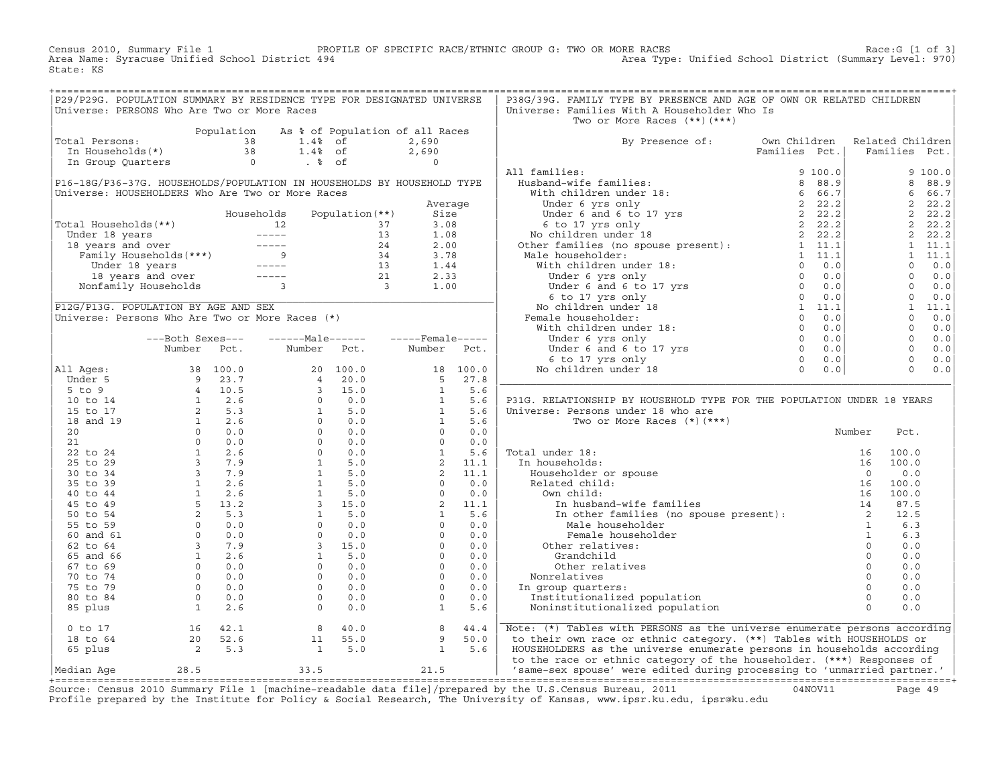Census 2010, Summary File 1 PROFILE OF SPECIFIC RACE/ETHNIC GROUP G: TWO OR MORE RACES Race:G [1 of 3] Area Name: Syracuse Unified School District 494 Area Type: Unified School District (Summary Level: 970) State: KS

+===================================================================================================================================================+

| P29/P29G. POPULATION SUMMARY BY RESIDENCE TYPE FOR DESIGNATED UNIVERSE                                                                                                                                                                                           |                                                                                                                                                                                                                                                                                           |                |                                                                                                                                                                                                                                                                                                                              |                   |                |                   | P38G/39G. FAMILY TYPE BY PRESENCE AND AGE OF OWN OR RELATED CHILDREN                                                                                                                                                                                                                                                                                                                                 |               |               |          |                  |                |
|------------------------------------------------------------------------------------------------------------------------------------------------------------------------------------------------------------------------------------------------------------------|-------------------------------------------------------------------------------------------------------------------------------------------------------------------------------------------------------------------------------------------------------------------------------------------|----------------|------------------------------------------------------------------------------------------------------------------------------------------------------------------------------------------------------------------------------------------------------------------------------------------------------------------------------|-------------------|----------------|-------------------|------------------------------------------------------------------------------------------------------------------------------------------------------------------------------------------------------------------------------------------------------------------------------------------------------------------------------------------------------------------------------------------------------|---------------|---------------|----------|------------------|----------------|
| Universe: PERSONS Who Are Two or More Races                                                                                                                                                                                                                      |                                                                                                                                                                                                                                                                                           |                |                                                                                                                                                                                                                                                                                                                              |                   |                |                   | Universe: Families With A Householder Who Is                                                                                                                                                                                                                                                                                                                                                         |               |               |          |                  |                |
|                                                                                                                                                                                                                                                                  |                                                                                                                                                                                                                                                                                           |                |                                                                                                                                                                                                                                                                                                                              |                   |                |                   | Two or More Races (**) (***)                                                                                                                                                                                                                                                                                                                                                                         |               |               |          |                  |                |
|                                                                                                                                                                                                                                                                  |                                                                                                                                                                                                                                                                                           |                | Population As % of Population of all Races                                                                                                                                                                                                                                                                                   |                   |                |                   |                                                                                                                                                                                                                                                                                                                                                                                                      |               |               |          |                  |                |
| Total Persons:                                                                                                                                                                                                                                                   |                                                                                                                                                                                                                                                                                           |                | 38<br>1.4% of                                                                                                                                                                                                                                                                                                                |                   | 2,690          |                   | By Presence of:                                                                                                                                                                                                                                                                                                                                                                                      | Own Children  |               |          | Related Children |                |
| In Households(*)                                                                                                                                                                                                                                                 |                                                                                                                                                                                                                                                                                           |                | 38<br>$1.4%$ of                                                                                                                                                                                                                                                                                                              |                   | 2,690          |                   |                                                                                                                                                                                                                                                                                                                                                                                                      | Families Pct. |               |          | Families Pct.    |                |
| In Group Quarters                                                                                                                                                                                                                                                |                                                                                                                                                                                                                                                                                           | $\overline{0}$ | $. \circ$ of                                                                                                                                                                                                                                                                                                                 |                   | $\overline{0}$ |                   |                                                                                                                                                                                                                                                                                                                                                                                                      |               |               |          |                  |                |
|                                                                                                                                                                                                                                                                  |                                                                                                                                                                                                                                                                                           |                |                                                                                                                                                                                                                                                                                                                              |                   |                |                   | All families:                                                                                                                                                                                                                                                                                                                                                                                        |               | 9100.0        |          |                  | 9 100.0        |
| P16-18G/P36-37G. HOUSEHOLDS/POPULATION IN HOUSEHOLDS BY HOUSEHOLD TYPE                                                                                                                                                                                           |                                                                                                                                                                                                                                                                                           |                |                                                                                                                                                                                                                                                                                                                              |                   |                |                   |                                                                                                                                                                                                                                                                                                                                                                                                      |               |               |          | 8                | 88.9           |
| Universe: HOUSEHOLDERS Who Are Two or More Races                                                                                                                                                                                                                 |                                                                                                                                                                                                                                                                                           |                |                                                                                                                                                                                                                                                                                                                              |                   |                |                   |                                                                                                                                                                                                                                                                                                                                                                                                      |               |               |          | 6                | 66.7           |
|                                                                                                                                                                                                                                                                  |                                                                                                                                                                                                                                                                                           |                |                                                                                                                                                                                                                                                                                                                              |                   | Average        |                   |                                                                                                                                                                                                                                                                                                                                                                                                      |               |               |          |                  | 2, 22.2        |
|                                                                                                                                                                                                                                                                  |                                                                                                                                                                                                                                                                                           |                | Households                                                                                                                                                                                                                                                                                                                   | Population $(**)$ | Size           |                   |                                                                                                                                                                                                                                                                                                                                                                                                      |               |               |          |                  | 2, 22.2        |
|                                                                                                                                                                                                                                                                  |                                                                                                                                                                                                                                                                                           |                |                                                                                                                                                                                                                                                                                                                              |                   | 3.08           |                   |                                                                                                                                                                                                                                                                                                                                                                                                      |               |               |          |                  | 2, 22.2        |
|                                                                                                                                                                                                                                                                  |                                                                                                                                                                                                                                                                                           |                |                                                                                                                                                                                                                                                                                                                              |                   | 1.08           |                   |                                                                                                                                                                                                                                                                                                                                                                                                      |               |               |          |                  | 2, 22.2        |
|                                                                                                                                                                                                                                                                  |                                                                                                                                                                                                                                                                                           |                |                                                                                                                                                                                                                                                                                                                              |                   | 2.00           |                   |                                                                                                                                                                                                                                                                                                                                                                                                      |               |               |          |                  | 1 11.1         |
|                                                                                                                                                                                                                                                                  |                                                                                                                                                                                                                                                                                           |                |                                                                                                                                                                                                                                                                                                                              |                   | 3.78           |                   |                                                                                                                                                                                                                                                                                                                                                                                                      |               |               |          |                  | $1 \quad 11.1$ |
|                                                                                                                                                                                                                                                                  |                                                                                                                                                                                                                                                                                           |                |                                                                                                                                                                                                                                                                                                                              |                   | 1.44           |                   |                                                                                                                                                                                                                                                                                                                                                                                                      |               |               |          | $\Omega$         | 0.0            |
| Total Households (**)<br>Under 18 years<br>12 13<br>18 years and over<br>Family Households (***)<br>Under 18 years<br>18 years and over<br>13<br>Under 18 years<br>18 years and over<br>13<br>18 years and over<br>13<br>18 years and over<br>13<br>13<br>13<br> |                                                                                                                                                                                                                                                                                           |                |                                                                                                                                                                                                                                                                                                                              |                   | 2.33           |                   | $\begin{tabular}{ll} \bf 111 families: & \tt 9 100.0 \\ \bf 1011 finite final lies: & \tt 9 100.0 \\ \bf 1111 unit cell of the number 18: & \tt 6 66.7 \\ \bf 1014crit of 6 years only & \tt 2 22.2 \\ \bf 1014ref and 6 to 17 yrs & \tt 2 22.2 \\ \bf 1014ref and 6 to 17 yrs & \tt 2 22.2 \\ \bf 1014ref an inlier 18 & \tt 2 22.2 \\ \bf 1014ref an inlier 18 & \tt 2 22.2 \\ \bf 111.1 & \tt 11$ |               |               |          | $\Omega$         | 0.0            |
|                                                                                                                                                                                                                                                                  |                                                                                                                                                                                                                                                                                           |                |                                                                                                                                                                                                                                                                                                                              |                   | 1.00           |                   |                                                                                                                                                                                                                                                                                                                                                                                                      |               |               |          | $\circ$          | 0.0            |
|                                                                                                                                                                                                                                                                  |                                                                                                                                                                                                                                                                                           |                |                                                                                                                                                                                                                                                                                                                              |                   |                |                   |                                                                                                                                                                                                                                                                                                                                                                                                      |               |               |          | $\Omega$         | 0.0            |
| P12G/P13G. POPULATION BY AGE AND SEX                                                                                                                                                                                                                             |                                                                                                                                                                                                                                                                                           |                |                                                                                                                                                                                                                                                                                                                              |                   |                |                   |                                                                                                                                                                                                                                                                                                                                                                                                      |               |               |          |                  | 1 11.1         |
| Universe: Persons Who Are Two or More Races (*)                                                                                                                                                                                                                  |                                                                                                                                                                                                                                                                                           |                |                                                                                                                                                                                                                                                                                                                              |                   |                |                   |                                                                                                                                                                                                                                                                                                                                                                                                      |               |               |          | $\Omega$         | 0.0            |
|                                                                                                                                                                                                                                                                  |                                                                                                                                                                                                                                                                                           |                |                                                                                                                                                                                                                                                                                                                              |                   |                |                   |                                                                                                                                                                                                                                                                                                                                                                                                      |               |               |          | $\circ$          | 0.0            |
|                                                                                                                                                                                                                                                                  | ---Both Sexes---                                                                                                                                                                                                                                                                          |                | -------Male------                                                                                                                                                                                                                                                                                                            |                   |                | $---$ Female----- |                                                                                                                                                                                                                                                                                                                                                                                                      |               |               |          | $\overline{0}$   | 0.0            |
|                                                                                                                                                                                                                                                                  | Number                                                                                                                                                                                                                                                                                    | Pct.           | Number                                                                                                                                                                                                                                                                                                                       | Pct.              | Number         | Pct.              |                                                                                                                                                                                                                                                                                                                                                                                                      |               |               |          | $\bigcap$        | 0.0            |
|                                                                                                                                                                                                                                                                  |                                                                                                                                                                                                                                                                                           |                |                                                                                                                                                                                                                                                                                                                              |                   |                |                   |                                                                                                                                                                                                                                                                                                                                                                                                      |               |               |          | $\overline{0}$   | 0.0            |
| All Ages:                                                                                                                                                                                                                                                        |                                                                                                                                                                                                                                                                                           |                |                                                                                                                                                                                                                                                                                                                              |                   |                | 18 100.0          |                                                                                                                                                                                                                                                                                                                                                                                                      |               |               |          | $\Omega$         | 0.0            |
| Under 5                                                                                                                                                                                                                                                          |                                                                                                                                                                                                                                                                                           |                |                                                                                                                                                                                                                                                                                                                              |                   |                | 5 27.8            |                                                                                                                                                                                                                                                                                                                                                                                                      |               |               |          |                  |                |
| $5$ to $9$                                                                                                                                                                                                                                                       |                                                                                                                                                                                                                                                                                           |                |                                                                                                                                                                                                                                                                                                                              |                   | $\overline{1}$ | 5.6               |                                                                                                                                                                                                                                                                                                                                                                                                      |               |               |          |                  |                |
| 10 to 14                                                                                                                                                                                                                                                         |                                                                                                                                                                                                                                                                                           |                |                                                                                                                                                                                                                                                                                                                              |                   |                | 5.6<br>5.6        | P31G. RELATIONSHIP BY HOUSEHOLD TYPE FOR THE POPULATION UNDER 18 YEARS                                                                                                                                                                                                                                                                                                                               |               |               |          |                  |                |
| 15 to 17                                                                                                                                                                                                                                                         |                                                                                                                                                                                                                                                                                           |                |                                                                                                                                                                                                                                                                                                                              |                   |                |                   | Universe: Persons under 18 who are                                                                                                                                                                                                                                                                                                                                                                   |               |               |          |                  |                |
| 18 and 19                                                                                                                                                                                                                                                        |                                                                                                                                                                                                                                                                                           |                |                                                                                                                                                                                                                                                                                                                              |                   |                | 5.6               | Two or More Races $(*)$ $(***)$                                                                                                                                                                                                                                                                                                                                                                      |               |               |          |                  |                |
| 20<br>21                                                                                                                                                                                                                                                         |                                                                                                                                                                                                                                                                                           |                |                                                                                                                                                                                                                                                                                                                              |                   |                | 0.0<br>0.0        |                                                                                                                                                                                                                                                                                                                                                                                                      |               |               | Number   | Pct.             |                |
| 22 to 24                                                                                                                                                                                                                                                         |                                                                                                                                                                                                                                                                                           |                |                                                                                                                                                                                                                                                                                                                              |                   |                | 5.6               | Total under 18:                                                                                                                                                                                                                                                                                                                                                                                      |               |               |          | 100.0            |                |
| 25 to 29                                                                                                                                                                                                                                                         |                                                                                                                                                                                                                                                                                           |                |                                                                                                                                                                                                                                                                                                                              |                   |                | 11.1              | In households:                                                                                                                                                                                                                                                                                                                                                                                       |               |               |          | 100.0            |                |
| 30 to 34                                                                                                                                                                                                                                                         |                                                                                                                                                                                                                                                                                           |                |                                                                                                                                                                                                                                                                                                                              |                   |                | 11.1              |                                                                                                                                                                                                                                                                                                                                                                                                      |               |               |          | 0.0              |                |
| 35 to 39                                                                                                                                                                                                                                                         |                                                                                                                                                                                                                                                                                           |                |                                                                                                                                                                                                                                                                                                                              |                   |                | 0.0               | Householder or spouse<br>Related child:                                                                                                                                                                                                                                                                                                                                                              |               |               |          | 100.0            |                |
| 40 to 44                                                                                                                                                                                                                                                         |                                                                                                                                                                                                                                                                                           |                |                                                                                                                                                                                                                                                                                                                              |                   |                | 0.0               | Own child:                                                                                                                                                                                                                                                                                                                                                                                           |               |               |          | 100.0            |                |
| 45 to 49                                                                                                                                                                                                                                                         |                                                                                                                                                                                                                                                                                           |                |                                                                                                                                                                                                                                                                                                                              |                   |                | 11.1              | nder 18:<br>16<br>iseholder or spouse 16<br>ited child:<br>3 and child:<br>16<br>16<br>16<br>In husband-wife families 14<br>In other families (no spouse present):<br>2<br>14<br>14<br>14<br>12<br>12<br>13<br>14<br>13<br>14<br>13<br>14<br>13<br>14<br>13<br>14<br>13<br>14<br>13<br>1                                                                                                             |               |               |          | 87.5             |                |
| 50 to 54                                                                                                                                                                                                                                                         |                                                                                                                                                                                                                                                                                           |                |                                                                                                                                                                                                                                                                                                                              |                   |                | 5.6               |                                                                                                                                                                                                                                                                                                                                                                                                      |               |               |          | 12.5             |                |
| 55 to 59                                                                                                                                                                                                                                                         |                                                                                                                                                                                                                                                                                           |                |                                                                                                                                                                                                                                                                                                                              |                   |                | 0.0               |                                                                                                                                                                                                                                                                                                                                                                                                      |               |               |          | 6.3              |                |
| 60 and 61                                                                                                                                                                                                                                                        |                                                                                                                                                                                                                                                                                           |                |                                                                                                                                                                                                                                                                                                                              |                   |                | 0.0               | Female householder                                                                                                                                                                                                                                                                                                                                                                                   |               |               |          | 6.3              |                |
| 62 to 64                                                                                                                                                                                                                                                         |                                                                                                                                                                                                                                                                                           |                |                                                                                                                                                                                                                                                                                                                              |                   |                | 0.0               | Other relatives:                                                                                                                                                                                                                                                                                                                                                                                     |               | $\frac{1}{2}$ | $\Omega$ | 0.0              |                |
| 65 and 66                                                                                                                                                                                                                                                        |                                                                                                                                                                                                                                                                                           |                |                                                                                                                                                                                                                                                                                                                              |                   |                | 0.0               | Grandchild                                                                                                                                                                                                                                                                                                                                                                                           |               |               | $\circ$  | 0.0              |                |
| $67$ to $69$                                                                                                                                                                                                                                                     |                                                                                                                                                                                                                                                                                           |                |                                                                                                                                                                                                                                                                                                                              |                   |                | 0.0               | Other relatives                                                                                                                                                                                                                                                                                                                                                                                      |               |               | $\Omega$ | 0.0              |                |
| 70 to 74                                                                                                                                                                                                                                                         |                                                                                                                                                                                                                                                                                           |                |                                                                                                                                                                                                                                                                                                                              |                   |                | 0.0               | Nonrelatives                                                                                                                                                                                                                                                                                                                                                                                         |               |               |          | 0.0              |                |
| 75 to 79                                                                                                                                                                                                                                                         |                                                                                                                                                                                                                                                                                           |                |                                                                                                                                                                                                                                                                                                                              |                   |                | 0.0               | In group quarters:                                                                                                                                                                                                                                                                                                                                                                                   |               |               |          | 0.0              |                |
| 80 to 84                                                                                                                                                                                                                                                         |                                                                                                                                                                                                                                                                                           |                |                                                                                                                                                                                                                                                                                                                              |                   |                | 0.0               | Institutionalized population                                                                                                                                                                                                                                                                                                                                                                         |               |               |          | 0.0              |                |
| 85 plus                                                                                                                                                                                                                                                          |                                                                                                                                                                                                                                                                                           |                | $\begin{array}{cccc} 20& 100\, . \, 0 \\ 4& 20\, . \, 0 \\ 3& 15\, . \, 0 \\ 0& 0\, . \, 0 \\ 1& 5\, . \, 0 \\ 0& 0\, . \, 0 \\ 0& 0\, . \, 0 \\ 0& 0\, . \, 0 \\ 0& 0\, . \, 0 \\ 1& 5\, . \, 0 \\ 1& 5\, . \, 0 \\ 1& 5\, . \, 0 \\ 1& 5\, . \, 0 \\ 1& 5\, . \, 0 \\ 0& 0\, . \, 0 \\ 0& 0\, . \, 0 \\$<br>$\overline{0}$ | 0.0               |                | 5.6               | Noninstitutionalized population                                                                                                                                                                                                                                                                                                                                                                      |               |               |          | 0.0              |                |
|                                                                                                                                                                                                                                                                  | 38 100.0<br>9 23.7<br>4 10.5<br>1 2.6<br>2 5.3<br>1 2.6<br>0 0.0<br>0 0.0<br>1 2.6<br>5 13.2<br>2 5.3<br>0 0.0<br>1 2.6<br>5 13.2<br>2 5.3<br>0 0.0<br>1 2.6<br>5 13.2<br>2 5.3<br>2 5.3<br>2 5.3<br>2 5.9<br>1 2.6<br>5 13.2<br>2 5.3<br>0 0.0<br>0 0.0<br>1 2.6<br>5 13.2<br>2 5.3<br>0 |                |                                                                                                                                                                                                                                                                                                                              |                   |                |                   |                                                                                                                                                                                                                                                                                                                                                                                                      |               |               |          |                  |                |
| $0$ to $17$                                                                                                                                                                                                                                                      |                                                                                                                                                                                                                                                                                           | 16 42.1        | 8                                                                                                                                                                                                                                                                                                                            | 40.0              | 8              | 44.4              | Note: (*) Tables with PERSONS as the universe enumerate persons according                                                                                                                                                                                                                                                                                                                            |               |               |          |                  |                |
| 18 to 64                                                                                                                                                                                                                                                         |                                                                                                                                                                                                                                                                                           |                | 11                                                                                                                                                                                                                                                                                                                           | 55.0              | 9              | 50.0              | to their own race or ethnic category. (**) Tables with HOUSEHOLDS or                                                                                                                                                                                                                                                                                                                                 |               |               |          |                  |                |
| 65 plus                                                                                                                                                                                                                                                          |                                                                                                                                                                                                                                                                                           |                | $\overline{1}$                                                                                                                                                                                                                                                                                                               | 5.0               | $\mathbf{1}$   | 5.6               | HOUSEHOLDERS as the universe enumerate persons in households according                                                                                                                                                                                                                                                                                                                               |               |               |          |                  |                |
| Median Aqe                                                                                                                                                                                                                                                       | 28.5                                                                                                                                                                                                                                                                                      |                | 33.5                                                                                                                                                                                                                                                                                                                         |                   | 21.5           |                   | to the race or ethnic category of the householder. (***) Responses of<br>/ same-sex spouse' were edited during processing to 'unmarried partner.'                                                                                                                                                                                                                                                    |               |               |          |                  |                |
|                                                                                                                                                                                                                                                                  |                                                                                                                                                                                                                                                                                           |                |                                                                                                                                                                                                                                                                                                                              |                   |                |                   |                                                                                                                                                                                                                                                                                                                                                                                                      |               |               |          |                  |                |

+===================================================================================================================================================+Source: Census 2010 Summary File 1 [machine−readable data file]/prepared by the U.S.Census Bureau, 2011 04NOV11 Page 49 Profile prepared by the Institute for Policy & Social Research, The University of Kansas, www.ipsr.ku.edu, ipsr@ku.edu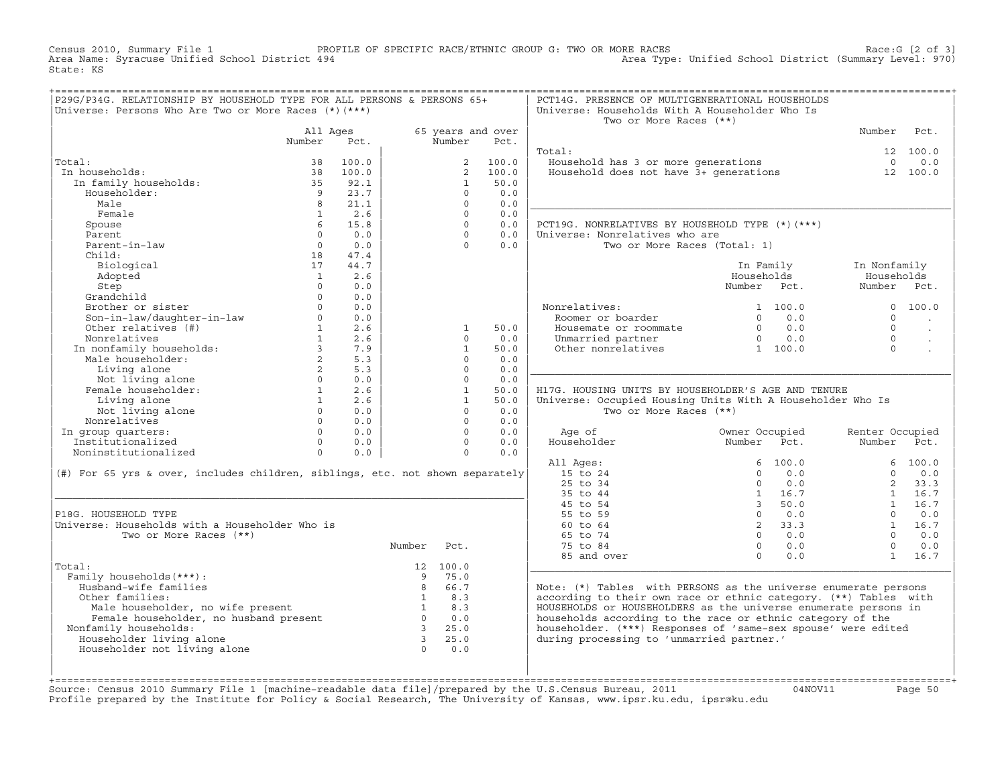Census 2010, Summary File 1 PROFILE OF SPECIFIC RACE/ETHNIC GROUP G: TWO OR MORE RACES Race:G [2 of 3] Area Name: Syracuse Unified School District 494 Area Type: Unified School District (Summary Level: 970) State: KS

| P29G/P34G. RELATIONSHIP BY HOUSEHOLD TYPE FOR ALL PERSONS & PERSONS 65+<br>Universe: Persons Who Are Two or More Races (*) (***)                                                                                  |                |             |                                                            |                                            |                   | PCT14G. PRESENCE OF MULTIGENERATIONAL HOUSEHOLDS<br>Universe: Households With A Householder Who Is                                                                                                  |                                                                                                                                                                                           |                                                     |                      |
|-------------------------------------------------------------------------------------------------------------------------------------------------------------------------------------------------------------------|----------------|-------------|------------------------------------------------------------|--------------------------------------------|-------------------|-----------------------------------------------------------------------------------------------------------------------------------------------------------------------------------------------------|-------------------------------------------------------------------------------------------------------------------------------------------------------------------------------------------|-----------------------------------------------------|----------------------|
|                                                                                                                                                                                                                   |                |             |                                                            |                                            |                   | Two or More Races (**)                                                                                                                                                                              |                                                                                                                                                                                           |                                                     |                      |
|                                                                                                                                                                                                                   | All Ages       |             |                                                            |                                            | 65 years and over |                                                                                                                                                                                                     |                                                                                                                                                                                           | Number Pct.                                         |                      |
|                                                                                                                                                                                                                   | Number Pct.    |             |                                                            | Number                                     | Pct.              |                                                                                                                                                                                                     |                                                                                                                                                                                           |                                                     |                      |
|                                                                                                                                                                                                                   |                |             |                                                            |                                            |                   | Total:                                                                                                                                                                                              |                                                                                                                                                                                           |                                                     | 12 100.0             |
| Total:                                                                                                                                                                                                            |                | 38 100.0    |                                                            |                                            | 2 100.0           | Value hold has 3 or more generations<br>Household does not have 3+ generations 12 100.0                                                                                                             |                                                                                                                                                                                           |                                                     |                      |
| In households:                                                                                                                                                                                                    |                |             |                                                            |                                            | 2, 100.0          |                                                                                                                                                                                                     |                                                                                                                                                                                           |                                                     |                      |
| and<br>1 households: 38 november 38 november 35<br>10 november 35 92.1<br>10 9 23.7                                                                                                                               |                |             |                                                            | $\mathbf{1}$                               | 50.0              |                                                                                                                                                                                                     |                                                                                                                                                                                           |                                                     |                      |
| Householder:                                                                                                                                                                                                      |                | 9 23.7      |                                                            | $\Omega$                                   | 0.0               |                                                                                                                                                                                                     |                                                                                                                                                                                           |                                                     |                      |
| Male                                                                                                                                                                                                              |                | 8 21.1      |                                                            | $\Omega$                                   | 0.0               |                                                                                                                                                                                                     |                                                                                                                                                                                           |                                                     |                      |
| Female                                                                                                                                                                                                            | $\sim$ 1       | 2.6         |                                                            | $\Omega$                                   | 0.0               |                                                                                                                                                                                                     |                                                                                                                                                                                           |                                                     |                      |
| Spouse                                                                                                                                                                                                            |                | $6 \t 15.8$ |                                                            | $\Omega$                                   | 0.0               | PCT19G. NONRELATIVES BY HOUSEHOLD TYPE (*) (***)                                                                                                                                                    |                                                                                                                                                                                           |                                                     |                      |
| Parent                                                                                                                                                                                                            | $\Omega$       | 0.0         |                                                            | $\Omega$                                   | 0.0               | Universe: Nonrelatives who are                                                                                                                                                                      |                                                                                                                                                                                           |                                                     |                      |
| Parent-in-law                                                                                                                                                                                                     | $\overline{0}$ | 0.0         |                                                            | $\Omega$                                   | 0.0               | Two or More Races (Total: 1)                                                                                                                                                                        |                                                                                                                                                                                           |                                                     |                      |
| Child:                                                                                                                                                                                                            | $18 \t 47.4$   |             |                                                            |                                            |                   |                                                                                                                                                                                                     |                                                                                                                                                                                           |                                                     |                      |
| Biological                                                                                                                                                                                                        | 17             | 44.7        |                                                            |                                            |                   |                                                                                                                                                                                                     | In Family                                                                                                                                                                                 | In Nonfamily                                        |                      |
| Adopted                                                                                                                                                                                                           | $\overline{1}$ | 2.6         |                                                            |                                            |                   |                                                                                                                                                                                                     | Households                                                                                                                                                                                | Households                                          |                      |
|                                                                                                                                                                                                                   |                |             |                                                            |                                            |                   |                                                                                                                                                                                                     | Number Pct.                                                                                                                                                                               | Number Pct.                                         |                      |
| Adopted<br>Step<br>Grandchild<br>Brother or sister<br>Bon-in-law/daughter-in-law<br>O 0.0<br>Other relatives (#)<br>$\begin{array}{ccc}\n0 & 0.0 \\ 0 & 0.0 \\ 0.0 \\ \text{Other relatives (#)}\n\end{array}$    |                |             |                                                            |                                            |                   |                                                                                                                                                                                                     |                                                                                                                                                                                           |                                                     |                      |
|                                                                                                                                                                                                                   |                |             |                                                            |                                            |                   | Nonrelatives:<br>Roomer or boarder                                                                                                                                                                  | 1 100.0                                                                                                                                                                                   |                                                     | 0 100.0              |
|                                                                                                                                                                                                                   |                |             |                                                            |                                            |                   | Promer or boarder<br>Hoomer or boarder<br>Housemate or roommate $\begin{array}{cccc} 0 & 0.0 \\ 0 & 0.0 \\ \text{Unmarried partner} & 0 & 0.0 \\ \text{Other nonrelatives} & 1 & 100.0 \end{array}$ |                                                                                                                                                                                           | $\Omega$                                            |                      |
|                                                                                                                                                                                                                   |                |             |                                                            | $\mathbf{1}$                               | 50.0              |                                                                                                                                                                                                     |                                                                                                                                                                                           | $\Omega$                                            | $\blacksquare$       |
|                                                                                                                                                                                                                   |                |             |                                                            | $\Omega$                                   | 0.0               |                                                                                                                                                                                                     |                                                                                                                                                                                           | $\Omega$                                            | $\ddot{\phantom{a}}$ |
|                                                                                                                                                                                                                   |                |             |                                                            | $\mathbf{1}$                               | 50.0<br>0.0       |                                                                                                                                                                                                     |                                                                                                                                                                                           | $\Omega$                                            |                      |
|                                                                                                                                                                                                                   |                |             |                                                            | $\Omega$<br>$\Omega$                       | 0.0               |                                                                                                                                                                                                     |                                                                                                                                                                                           |                                                     |                      |
|                                                                                                                                                                                                                   |                |             |                                                            |                                            | 0.0               |                                                                                                                                                                                                     |                                                                                                                                                                                           |                                                     |                      |
|                                                                                                                                                                                                                   |                |             |                                                            | $\begin{array}{c} 0 \\ 1 \\ 1 \end{array}$ | 50.0              | H17G. HOUSING UNITS BY HOUSEHOLDER'S AGE AND TENURE                                                                                                                                                 |                                                                                                                                                                                           |                                                     |                      |
|                                                                                                                                                                                                                   |                |             |                                                            |                                            | 50.0              |                                                                                                                                                                                                     |                                                                                                                                                                                           |                                                     |                      |
|                                                                                                                                                                                                                   |                |             |                                                            | $\overline{0}$                             | 0.0               | Universe: Occupied Housing Units With A Householder Who Is<br>Two or More Races (**)                                                                                                                |                                                                                                                                                                                           |                                                     |                      |
|                                                                                                                                                                                                                   |                |             |                                                            | $\overline{0}$                             | 0.0               |                                                                                                                                                                                                     |                                                                                                                                                                                           |                                                     |                      |
|                                                                                                                                                                                                                   |                |             |                                                            | $\Omega$                                   | 0.0               | Age of                                                                                                                                                                                              | Owner Occupied                                                                                                                                                                            | Renter Occupied                                     |                      |
|                                                                                                                                                                                                                   |                |             |                                                            | $\overline{0}$                             | 0.0               |                                                                                                                                                                                                     |                                                                                                                                                                                           | Number Pct.                                         |                      |
|                                                                                                                                                                                                                   |                |             |                                                            | $0 \qquad \qquad$                          | 0.0               |                                                                                                                                                                                                     |                                                                                                                                                                                           |                                                     |                      |
|                                                                                                                                                                                                                   |                |             |                                                            |                                            |                   | All Ages:                                                                                                                                                                                           | $\begin{array}{cccccc} 6 & 100.0 & & & & & 6 & 100.0 \\ 0 & 0.0 & & & & & 0 & 0.0 \\ 0 & 0.0 & & & & & 2 & 33.3 \\ 1 & 16.7 & & & & 1 & 16.7 \\ 3 & 50.0 & & & & 1 & 16.7 \\ \end{array}$ |                                                     |                      |
| (#) For 65 yrs & over, includes children, siblings, etc. not shown separately                                                                                                                                     |                |             |                                                            |                                            |                   | 15 to 24                                                                                                                                                                                            |                                                                                                                                                                                           |                                                     |                      |
|                                                                                                                                                                                                                   |                |             |                                                            |                                            |                   | 25 to 34                                                                                                                                                                                            |                                                                                                                                                                                           |                                                     |                      |
|                                                                                                                                                                                                                   |                |             |                                                            |                                            |                   | 35 to 44                                                                                                                                                                                            |                                                                                                                                                                                           |                                                     |                      |
|                                                                                                                                                                                                                   |                |             |                                                            |                                            |                   | 45 to 54                                                                                                                                                                                            | $\begin{array}{cc} 3 & 50 \cdot \upsilon \\ 0 & 0 \cdot 0 \\ 2 & 33 \cdot 3 \\ 0 & 0 \end{array}$                                                                                         |                                                     |                      |
| P18G. HOUSEHOLD TYPE                                                                                                                                                                                              |                |             |                                                            |                                            |                   | 55 to 59                                                                                                                                                                                            |                                                                                                                                                                                           |                                                     |                      |
| Universe: Households with a Householder Who is                                                                                                                                                                    |                |             |                                                            |                                            |                   | 60 to 64                                                                                                                                                                                            |                                                                                                                                                                                           | $\begin{bmatrix} 1 & 16.7 \\ 0 & 0.0 \end{bmatrix}$ |                      |
| Two or More Races (**)                                                                                                                                                                                            |                |             |                                                            |                                            |                   | 65 to 74                                                                                                                                                                                            |                                                                                                                                                                                           |                                                     |                      |
|                                                                                                                                                                                                                   |                |             | Number Pct.                                                |                                            |                   | 75 to 84                                                                                                                                                                                            |                                                                                                                                                                                           | $\Omega$                                            | 0.0                  |
|                                                                                                                                                                                                                   |                |             |                                                            |                                            |                   | 85 and over                                                                                                                                                                                         | $\begin{array}{ccc}\n0 & 0.0 \\ 0 & 0.0\n\end{array}$<br>$0 \qquad 0.0$                                                                                                                   |                                                     | 1 16.7               |
| Total:                                                                                                                                                                                                            |                |             |                                                            | 12 100.0                                   |                   |                                                                                                                                                                                                     |                                                                                                                                                                                           |                                                     |                      |
| Family households (***) :                                                                                                                                                                                         |                |             |                                                            | 9 75.0                                     |                   |                                                                                                                                                                                                     |                                                                                                                                                                                           |                                                     |                      |
| Husband-wife families                                                                                                                                                                                             |                |             |                                                            | 8 66.7                                     |                   | Note: $(*)$ Tables with PERSONS as the universe enumerate persons                                                                                                                                   |                                                                                                                                                                                           |                                                     |                      |
| Other families:                                                                                                                                                                                                   |                |             | $\begin{array}{ccc} 0 & 3 \\ 1 & 8.3 \\ 0 & 3 \end{array}$ |                                            |                   | according to their own race or ethnic category. (**) Tables with                                                                                                                                    |                                                                                                                                                                                           |                                                     |                      |
|                                                                                                                                                                                                                   |                |             |                                                            |                                            |                   | HOUSEHOLDS or HOUSEHOLDERS as the universe enumerate persons in                                                                                                                                     |                                                                                                                                                                                           |                                                     |                      |
|                                                                                                                                                                                                                   |                |             |                                                            |                                            |                   | households according to the race or ethnic category of the                                                                                                                                          |                                                                                                                                                                                           |                                                     |                      |
| Nonfamily households:                                                                                                                                                                                             |                |             |                                                            |                                            |                   | householder. (***) Responses of 'same-sex spouse' were edited                                                                                                                                       |                                                                                                                                                                                           |                                                     |                      |
| Male householder, no wife present<br>1 8.3<br>Female householder, no husband present<br>1 8.3<br>Female households:<br>1 8.3<br>25.0<br>1 8.3<br>25.0<br>25.0<br>25.0<br>25.0<br>25.0<br>Householder living alone |                |             |                                                            |                                            |                   | during processing to 'unmarried partner.'                                                                                                                                                           |                                                                                                                                                                                           |                                                     |                      |
| Householder not living alone                                                                                                                                                                                      |                |             |                                                            | $0 \t 0.0$                                 |                   |                                                                                                                                                                                                     |                                                                                                                                                                                           |                                                     |                      |
|                                                                                                                                                                                                                   |                |             |                                                            |                                            |                   |                                                                                                                                                                                                     |                                                                                                                                                                                           |                                                     |                      |
|                                                                                                                                                                                                                   |                |             |                                                            |                                            |                   |                                                                                                                                                                                                     |                                                                                                                                                                                           |                                                     |                      |

+===================================================================================================================================================+Source: Census 2010 Summary File 1 [machine−readable data file]/prepared by the U.S.Census Bureau, 2011 04NOV11 Page 50 Profile prepared by the Institute for Policy & Social Research, The University of Kansas, www.ipsr.ku.edu, ipsr@ku.edu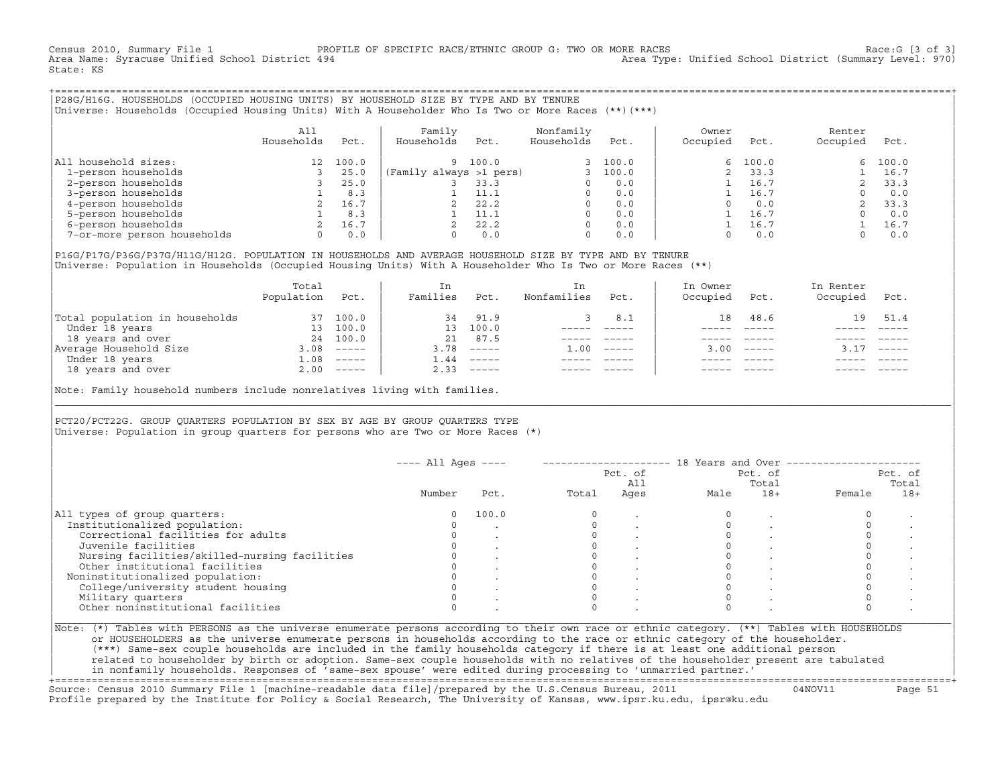Census 2010, Summary File 1 PROFILE OF SPECIFIC RACE/ETHNIC GROUP G: TWO OR MORE RACES Race:G [3 of 3] Area Type: Unified School District (Summary Level: 970) State: KS

+===================================================================================================================================================+|P28G/H16G. HOUSEHOLDS (OCCUPIED HOUSING UNITS) BY HOUSEHOLD SIZE BY TYPE AND BY TENURE | |Universe: Households (Occupied Housing Units) With A Householder Who Is Two or More Races (\*\*)(\*\*\*) |

|                             | A11<br>Households | Pct.  | Family<br>Households<br>Pct. | Nonfamily<br>Households | Pct.  | Owner<br>Occupied | Pct.  | Renter<br>Occupied | Pct.  |
|-----------------------------|-------------------|-------|------------------------------|-------------------------|-------|-------------------|-------|--------------------|-------|
| All household sizes:        | 12 <sup>12</sup>  | 100.0 | 100.0<br>9                   |                         | 100.0 | 6.                | 100.0 | 6                  | 100.0 |
| 1-person households         |                   | 25.0  | (Family always >1 pers)      |                         | 100.0 |                   | 33.3  |                    | 16.7  |
| 2-person households         |                   | 25.0  | 33.3                         |                         | 0.0   |                   | 16.7  |                    | 33.3  |
| 3-person households         |                   | 8.3   | 11.1                         |                         | 0.0   |                   | 16.7  |                    | 0.0   |
| 4-person households         |                   | 16.7  | 22.2                         | $\Omega$                | 0.0   |                   | 0.0   |                    | 33.3  |
| 5-person households         |                   | 8.3   | 11.1                         |                         | 0.0   |                   | 16.7  |                    | 0.0   |
| 6-person households         |                   | 16.7  | 22.2                         | $\Omega$                | 0.0   |                   | 16.7  |                    | 16.7  |
| 7-or-more person households | 0                 | 0.0   | 0.0                          | $\Omega$                | 0.0   |                   | 0.0   |                    | 0.0   |

|P16G/P17G/P36G/P37G/H11G/H12G. POPULATION IN HOUSEHOLDS AND AVERAGE HOUSEHOLD SIZE BY TYPE AND BY TENURE | Universe: Population in Households (Occupied Housing Units) With A Householder Who Is Two or More Races (\*\*)

| Population | Pct.     | In<br>Families                       | Pct.                      | In<br>Nonfamilies | Pct.     | In Owner<br>Occupied | Pct. | In Renter<br>Occupied | Pct.        |
|------------|----------|--------------------------------------|---------------------------|-------------------|----------|----------------------|------|-----------------------|-------------|
|            | 100.0    | 34                                   | 91.9                      |                   | 8.1      | 18                   | 48.6 | 19                    | 51.4        |
|            | 100.0    |                                      | 100.0                     |                   |          |                      |      |                       |             |
|            |          | 21                                   | 87.5                      |                   |          |                      |      |                       |             |
| 3.08       | $------$ | 3.78                                 | $------$                  | 1.00              | $------$ |                      |      |                       | $------$    |
| $\pm 0.08$ | $------$ | 1.44                                 | $------$                  |                   |          |                      |      |                       |             |
|            |          | 2.33                                 | $\qquad \qquad - - - - -$ |                   |          |                      |      |                       | $- - - - -$ |
|            |          | 37<br>13<br>24 100.0<br>$2.00$ ----- |                           | 13 <sup>7</sup>   |          |                      |      | $3.00 - - - - -$      |             |

Note: Family household numbers include nonrelatives living with families.

| | PCT20/PCT22G. GROUP OUARTERS POPULATION BY SEX BY AGE BY GROUP OUARTERS TYPE Universe: Population in group quarters for persons who are Two or More Races  $(*)$ 

|                                               |        |       |       | Pct. of<br>All |      | Pct. of<br>Total |        | Pct. of<br>Total |
|-----------------------------------------------|--------|-------|-------|----------------|------|------------------|--------|------------------|
|                                               | Number | Pct.  | Total | Ages           | Male | $18+$            | Female | $18+$            |
| All types of group quarters:                  |        | 100.0 |       |                |      |                  |        |                  |
| Institutionalized population:                 |        |       |       |                |      |                  |        |                  |
| Correctional facilities for adults            |        |       |       |                |      |                  |        |                  |
| Juvenile facilities                           |        |       |       |                |      |                  |        |                  |
| Nursing facilities/skilled-nursing facilities |        |       |       |                |      |                  |        |                  |
| Other institutional facilities                |        |       |       |                |      |                  |        |                  |
| Noninstitutionalized population:              |        |       |       |                |      |                  |        |                  |
| College/university student housing            |        |       |       |                |      |                  |        |                  |
| Military quarters                             |        |       |       |                |      |                  |        |                  |
| Other noninstitutional facilities             |        |       |       |                |      |                  |        |                  |

|\_\_\_\_\_\_\_\_\_\_\_\_\_\_\_\_\_\_\_\_\_\_\_\_\_\_\_\_\_\_\_\_\_\_\_\_\_\_\_\_\_\_\_\_\_\_\_\_\_\_\_\_\_\_\_\_\_\_\_\_\_\_\_\_\_\_\_\_\_\_\_\_\_\_\_\_\_\_\_\_\_\_\_\_\_\_\_\_\_\_\_\_\_\_\_\_\_\_\_\_\_\_\_\_\_\_\_\_\_\_\_\_\_\_\_\_\_\_\_\_\_\_\_\_\_\_\_\_\_\_\_\_\_\_\_\_\_\_\_\_\_\_\_\_\_\_\_|

| |

or HOUSEHOLDERS as the universe enumerate persons in households according to the race or ethnic category of the householder. | (\*\*\*) Same−sex couple households are included in the family households category if there is at least one additional person | | related to householder by birth or adoption. Same−sex couple households with no relatives of the householder present are tabulated | | in nonfamily households. Responses of 'same−sex spouse' were edited during processing to 'unmarried partner.' |

+===================================================================================================================================================+ Source: Census 2010 Summary File 1 [machine−readable data file]/prepared by the U.S.Census Bureau, 2011 04NOV11 Page 51 Profile prepared by the Institute for Policy & Social Research, The University of Kansas, www.ipsr.ku.edu, ipsr@ku.edu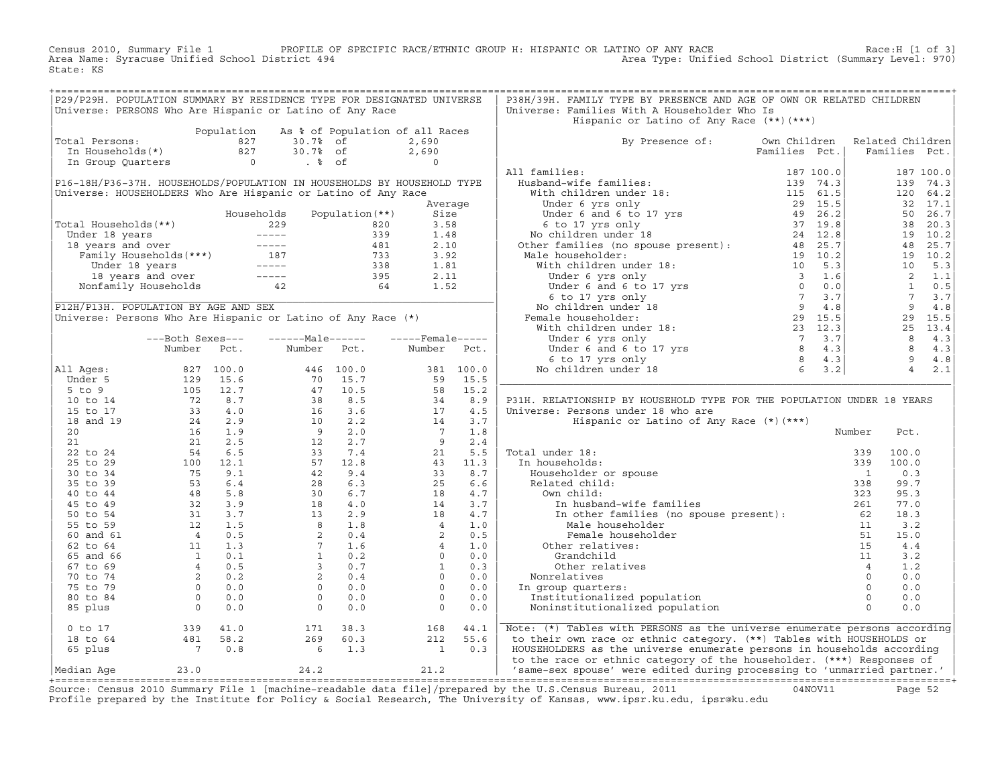Census 2010, Summary File 1 PROFILE OF SPECIFIC RACE/ETHNIC GROUP H: HISPANIC OR LATINO OF ANY RACE Race:H [1 of 3]<br>Area Name: Syracuse Unified School District 494 Area Type: Unified School District (Summary Level: 970) Area Type: Unified School District (Summary Level: 970) State: KS

| P29/P29H. POPULATION SUMMARY BY RESIDENCE TYPE FOR DESIGNATED UNIVERSE<br>Universe: PERSONS Who Are Hispanic or Latino of Any Race                                                           |                                                                               |             |                                                                                |                                                            |                                                   |             | P38H/39H. FAMILY TYPE BY PRESENCE AND AGE OF OWN OR RELATED CHILDREN<br>Universe: Families With A Householder Who Is<br>Hispanic or Latino of Any Race (**) (***) |               |                                   |                                   |
|----------------------------------------------------------------------------------------------------------------------------------------------------------------------------------------------|-------------------------------------------------------------------------------|-------------|--------------------------------------------------------------------------------|------------------------------------------------------------|---------------------------------------------------|-------------|-------------------------------------------------------------------------------------------------------------------------------------------------------------------|---------------|-----------------------------------|-----------------------------------|
|                                                                                                                                                                                              |                                                                               | Population  |                                                                                |                                                            | As % of Population of all Races                   |             |                                                                                                                                                                   |               |                                   |                                   |
| Total Persons:<br>In Households(*)                                                                                                                                                           |                                                                               | 827<br>827  | 30.7%<br>30.7% of                                                              | of                                                         | 2,690<br>2,690                                    |             | By Presence of: Own Children                                                                                                                                      | Families Pct. | Related Children<br>Families Pct. |                                   |
| In Group Quarters                                                                                                                                                                            |                                                                               | $\sim$ 0    | $. \circ$ of                                                                   |                                                            | $\Omega$                                          |             |                                                                                                                                                                   |               |                                   |                                   |
|                                                                                                                                                                                              |                                                                               |             |                                                                                |                                                            |                                                   |             | All families:                                                                                                                                                     |               |                                   | 187 100.0                         |
| P16-18H/P36-37H. HOUSEHOLDS/POPULATION IN HOUSEHOLDS BY HOUSEHOLD TYPE                                                                                                                       |                                                                               |             |                                                                                |                                                            |                                                   |             |                                                                                                                                                                   |               |                                   | 139<br>74.3                       |
| Universe: HOUSEHOLDERS Who Are Hispanic or Latino of Any Race                                                                                                                                |                                                                               |             |                                                                                |                                                            |                                                   |             |                                                                                                                                                                   |               |                                   | 120 64.2                          |
|                                                                                                                                                                                              |                                                                               |             |                                                                                |                                                            |                                                   | Average     |                                                                                                                                                                   |               |                                   | 32 17.1                           |
|                                                                                                                                                                                              |                                                                               |             | Households                                                                     | Population $(**)$                                          | Size                                              |             |                                                                                                                                                                   |               |                                   | 26.7<br>50                        |
| Total Households (**)                                                                                                                                                                        |                                                                               |             | 229                                                                            |                                                            | 3.58<br>820                                       |             |                                                                                                                                                                   |               |                                   | 38 20.3                           |
|                                                                                                                                                                                              |                                                                               |             |                                                                                |                                                            | 1.48                                              |             |                                                                                                                                                                   |               |                                   | 19 10.2                           |
| Under 18 years<br>18 years and over<br>Tamily Households (***)<br>Tamily Households (***)<br>Under 18 years<br>18 years<br>18 years<br>18 years and over<br>Nonfamily Households<br>12<br>12 |                                                                               |             |                                                                                | $339$<br>$339$<br>$481$<br>$733$<br>$338$<br>$395$<br>$64$ | 2.10                                              |             |                                                                                                                                                                   |               |                                   | 25.7<br>48                        |
|                                                                                                                                                                                              |                                                                               |             |                                                                                |                                                            | 3.92                                              |             |                                                                                                                                                                   |               |                                   | 19 10.2                           |
|                                                                                                                                                                                              |                                                                               |             |                                                                                |                                                            | 1.81                                              |             |                                                                                                                                                                   |               |                                   | 10<br>5.3                         |
|                                                                                                                                                                                              |                                                                               |             |                                                                                |                                                            | 2.11                                              |             |                                                                                                                                                                   |               |                                   | $\overline{\phantom{0}}^2$<br>1.1 |
|                                                                                                                                                                                              |                                                                               |             |                                                                                |                                                            | 1.52                                              |             |                                                                                                                                                                   |               |                                   | $\mathbf{1}$<br>0.5               |
|                                                                                                                                                                                              |                                                                               |             |                                                                                |                                                            |                                                   |             |                                                                                                                                                                   |               |                                   | $7\overline{ }$<br>3.7            |
| P12H/P13H. POPULATION BY AGE AND SEX                                                                                                                                                         |                                                                               |             |                                                                                |                                                            |                                                   |             |                                                                                                                                                                   |               |                                   | $\overline{q}$<br>4.8             |
| Universe: Persons Who Are Hispanic or Latino of Any Race (*)                                                                                                                                 |                                                                               |             |                                                                                |                                                            |                                                   |             |                                                                                                                                                                   |               |                                   | 29<br>15.5                        |
|                                                                                                                                                                                              |                                                                               |             |                                                                                |                                                            |                                                   |             |                                                                                                                                                                   |               |                                   | 25 13.4                           |
|                                                                                                                                                                                              | ---Both Sexes---                                                              |             | $---Male----$                                                                  |                                                            | $---$ Female -----                                |             |                                                                                                                                                                   |               |                                   | 8<br>4.3                          |
|                                                                                                                                                                                              | Number                                                                        | Pct.        | Number                                                                         | Pct.                                                       | Number                                            | Pct.        |                                                                                                                                                                   |               |                                   | 8<br>4.3                          |
|                                                                                                                                                                                              |                                                                               |             |                                                                                |                                                            |                                                   |             |                                                                                                                                                                   |               |                                   | 9<br>4.8<br>$\overline{4}$        |
| All Ages:                                                                                                                                                                                    |                                                                               | 827 100.0   |                                                                                | 446 100.0                                                  |                                                   | 381 100.0   | Under 6 yrs only<br>Under 6 and 6 to 17 yrs<br>6 to 17 yrs 01y<br>0 children under 18<br>5 3.2<br>No children under 18                                            |               |                                   | 2.1                               |
| Under 5                                                                                                                                                                                      | 129                                                                           | 15.6        | 70                                                                             | 15.7                                                       | 59                                                | 15.5        |                                                                                                                                                                   |               |                                   |                                   |
| $5$ to $9$                                                                                                                                                                                   | 105                                                                           | 12.7<br>8.7 | 47<br>$\begin{array}{c} 4\,7 \\ 3\,8 \\ 16 \\ 10 \\ 9 \\ 12 \\ 33 \end{array}$ | 10.5<br>8.5                                                | 58<br>$\frac{58}{34}$<br>17                       | 15.2<br>8.9 | P31H. RELATIONSHIP BY HOUSEHOLD TYPE FOR THE POPULATION UNDER 18 YEARS                                                                                            |               |                                   |                                   |
| 10 to 14<br>15 to 17                                                                                                                                                                         |                                                                               | 4.0         |                                                                                | 3.6                                                        |                                                   | 4.5         | Universe: Persons under 18 who are                                                                                                                                |               |                                   |                                   |
| 18 and 19                                                                                                                                                                                    | $\frac{1}{2}$<br>3<br>3<br>2<br>4<br>1<br>1<br>1                              | 2.9         |                                                                                | 2.2                                                        | 14                                                | 3.7         | Hispanic or Latino of Any Race (*) (***)                                                                                                                          |               |                                   |                                   |
| 20                                                                                                                                                                                           |                                                                               | 1.9         |                                                                                | 2.0                                                        |                                                   | 1.8         |                                                                                                                                                                   |               | Number                            | Pct.                              |
| 21                                                                                                                                                                                           | 21                                                                            | 2.5         |                                                                                | 2.7                                                        |                                                   | 2.4         |                                                                                                                                                                   |               |                                   |                                   |
| 22 to 24                                                                                                                                                                                     | 54                                                                            | 6.5         |                                                                                | 7.4                                                        | $\begin{array}{c} 14 \\ 7 \\ 9 \\ 21 \end{array}$ | 5.5         | Total under 18:                                                                                                                                                   |               | 100.0<br>339                      |                                   |
| 25 to 29                                                                                                                                                                                     |                                                                               | 12.1        | 57                                                                             | 12.8                                                       | 43                                                | 11.3        | In households:                                                                                                                                                    |               | 100.0<br>339                      |                                   |
| 30 to 34                                                                                                                                                                                     | $\begin{array}{c} 100 \\ 75 \\ 53 \end{array}$                                | 9.1         | 42                                                                             | 9.4                                                        | 33                                                | 8.7         | Householder or spouse                                                                                                                                             |               | $\overline{1}$                    | 0.3                               |
| 35 to 39                                                                                                                                                                                     |                                                                               | 6.4         | 28                                                                             | 6.3                                                        | 25                                                | 6.6         | Related child:                                                                                                                                                    |               | 338                               | 99.7                              |
| 40 to 44                                                                                                                                                                                     |                                                                               | 5.8         | 30                                                                             | 6.7                                                        | 18                                                | 4.7         | Own child:                                                                                                                                                        |               | 323                               | 95.3                              |
| 45 to 49                                                                                                                                                                                     |                                                                               | 3.9         |                                                                                | 4.0                                                        | 14                                                | 3.7         | In husband-wife families                                                                                                                                          |               | 261                               | 77.0                              |
| 50 to 54                                                                                                                                                                                     |                                                                               | 3.7         |                                                                                | 2.9                                                        | 18                                                | 4.7         | In other families (no spouse present): 62                                                                                                                         |               |                                   | 18.3                              |
| 55 to 59                                                                                                                                                                                     | $\frac{48}{32}$<br>32<br>31<br>12                                             | 1.5         | $\begin{array}{c} 30 \\ 18 \\ 13 \\ 8 \\ 2 \\ 7 \\ 1 \\ \end{array}$           | 1.8                                                        |                                                   | 1.0         | Male householder                                                                                                                                                  |               | 11                                | 3.2                               |
| 60 and 61                                                                                                                                                                                    |                                                                               | 0.5         |                                                                                | 0.4                                                        | $\begin{array}{c} 4 \\ 2 \\ 4 \end{array}$        | 0.5         | Female householder                                                                                                                                                |               | 51                                | 15.0                              |
| 62 to 64                                                                                                                                                                                     |                                                                               | 1.3         |                                                                                | 1.6                                                        |                                                   | 1.0         | Other relatives:                                                                                                                                                  |               | 15                                | 4.4                               |
| 65 and 66                                                                                                                                                                                    |                                                                               | 0.1         |                                                                                | 0.2                                                        | $\Omega$                                          | 0.0         | Grandchild                                                                                                                                                        |               | 11                                | 3.2                               |
| 67 to 69                                                                                                                                                                                     |                                                                               | 0.5         | $\overline{3}$                                                                 | 0.7                                                        | $\mathbf{1}$                                      | 0.3         | Other relatives                                                                                                                                                   |               | $\overline{4}$                    | 1.2                               |
| 70 to 74                                                                                                                                                                                     |                                                                               | 0.2         | 2                                                                              | 0.4                                                        | $\circ$                                           | 0.0         | Nonrelatives                                                                                                                                                      |               | $\circ$                           | 0.0                               |
| 75 to 79                                                                                                                                                                                     |                                                                               | 0.0         | $\Omega$                                                                       | 0.0                                                        | $\Omega$                                          | 0.0         | In group quarters:                                                                                                                                                |               | $\Omega$                          | 0.0                               |
| 80 to 84                                                                                                                                                                                     |                                                                               | 0.0         | $\circ$                                                                        | 0.0                                                        | $\circ$                                           | 0.0         | Institutionalized population                                                                                                                                      |               | $\circ$                           | 0.0                               |
| 85 plus                                                                                                                                                                                      | $\begin{array}{c} 12 \\ 4 \\ 11 \\ 1 \\ 4 \\ 2 \\ 0 \\ 0 \\ 0 \\ \end{array}$ | 0.0         | $\Omega$                                                                       | 0.0                                                        | $\Omega$                                          | 0.0         | Noninstitutionalized population                                                                                                                                   |               | $\Omega$                          | 0.0                               |
| $0$ to $17$                                                                                                                                                                                  | 339                                                                           | 41.0        | 171                                                                            | 38.3                                                       | 168                                               | 44.1        | Note: (*) Tables with PERSONS as the universe enumerate persons according                                                                                         |               |                                   |                                   |
| 18 to 64                                                                                                                                                                                     | 481                                                                           | 58.2        | 269                                                                            | 60.3                                                       | 212                                               | 55.6        | to their own race or ethnic category. (**) Tables with HOUSEHOLDS or                                                                                              |               |                                   |                                   |
| 65 plus                                                                                                                                                                                      | $\overline{7}$                                                                | 0.8         | 6                                                                              | 1.3                                                        | $\mathbf{1}$                                      | 0.3         | HOUSEHOLDERS as the universe enumerate persons in households according<br>to the race or ethnic category of the householder. (***) Responses of                   |               |                                   |                                   |
| Median Aqe                                                                                                                                                                                   | 23.0                                                                          |             | 24.2                                                                           |                                                            | 21.2                                              |             | 'same-sex spouse' were edited during processing to 'unmarried partner.'                                                                                           |               |                                   |                                   |

+===================================================================================================================================================+Source: Census 2010 Summary File 1 [machine−readable data file]/prepared by the U.S.Census Bureau, 2011 04NOV11 Page 52 Profile prepared by the Institute for Policy & Social Research, The University of Kansas, www.ipsr.ku.edu, ipsr@ku.edu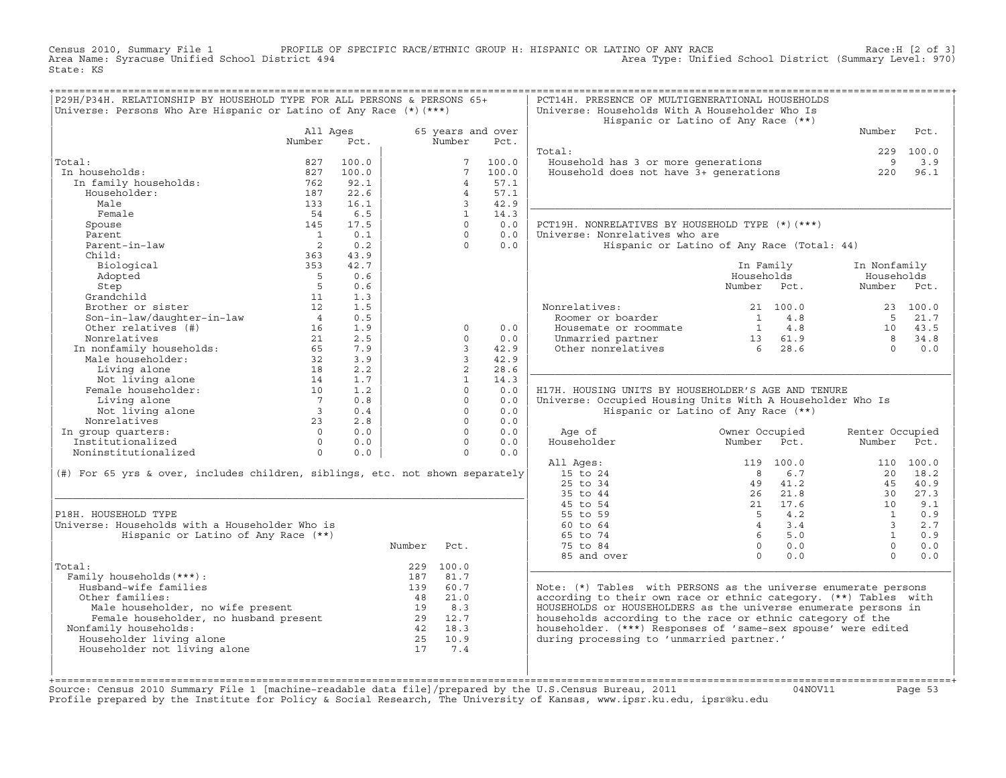Census 2010, Summary File 1 PROFILE OF SPECIFIC RACE/ETHNIC GROUP H: HISPANIC OR LATINO OF ANY RACE Race:H [2 of 3]<br>Area Name: Syracuse Unified School District 494 Area Type: Unified School District (Summary Level: 970) Area Type: Unified School District (Summary Level: 970) State: KS

| P29H/P34H. RELATIONSHIP BY HOUSEHOLD TYPE FOR ALL PERSONS & PERSONS 65+       |                         |       |        |                 |                           | PCT14H. PRESENCE OF MULTIGENERATIONAL HOUSEHOLDS                 |                                   |                                       |             |
|-------------------------------------------------------------------------------|-------------------------|-------|--------|-----------------|---------------------------|------------------------------------------------------------------|-----------------------------------|---------------------------------------|-------------|
| Universe: Persons Who Are Hispanic or Latino of Any Race $(*)$ (***)          |                         |       |        |                 |                           | Universe: Households With A Householder Who Is                   |                                   |                                       |             |
|                                                                               |                         |       |        |                 |                           | Hispanic or Latino of Any Race (**)                              |                                   | Number                                | Pct.        |
|                                                                               | All Ages<br>Number      | Pct.  |        | Number          | 65 years and over<br>Pct. |                                                                  |                                   |                                       |             |
|                                                                               |                         |       |        |                 |                           | Total:                                                           |                                   | 229                                   | 100.0       |
| Total:                                                                        | 827                     | 100.0 |        | $7\overline{ }$ | 100.0                     | Household has 3 or more generations                              |                                   | 9                                     | 3.9         |
| In households:                                                                | 827                     | 100.0 |        | 7               | 100.0                     | Household does not have 3+ generations                           |                                   | 220                                   | 96.1        |
| In family households:                                                         | 762                     | 92.1  |        | $\overline{4}$  | 57.1                      |                                                                  |                                   |                                       |             |
| Householder:                                                                  | 187                     | 22.6  |        | $\overline{4}$  | 57.1                      |                                                                  |                                   |                                       |             |
| Male                                                                          | 133                     | 16.1  |        | 3               | 42.9                      |                                                                  |                                   |                                       |             |
| Female                                                                        | 54                      | 6.5   |        | $\overline{1}$  | 14.3                      |                                                                  |                                   |                                       |             |
| Spouse                                                                        | 145                     | 17.5  |        | $\Omega$        | 0.0                       | PCT19H. NONRELATIVES BY HOUSEHOLD TYPE (*) (***)                 |                                   |                                       |             |
| Parent                                                                        | $\overline{1}$          | 0.1   |        | $\Omega$        | 0.0                       | Universe: Nonrelatives who are                                   |                                   |                                       |             |
| Parent-in-law                                                                 | $\overline{2}$          | 0.2   |        | $\Omega$        | 0.0                       | Hispanic or Latino of Any Race (Total: 44)                       |                                   |                                       |             |
| Child:                                                                        | 363                     | 43.9  |        |                 |                           |                                                                  |                                   |                                       |             |
| Biological                                                                    | 353                     | 42.7  |        |                 |                           |                                                                  | In Family                         | In Nonfamily                          |             |
| Adopted                                                                       | $5^{\circ}$             | 0.6   |        |                 |                           |                                                                  | Households                        |                                       | Households  |
| Step                                                                          | 5                       | 0.6   |        |                 |                           |                                                                  | Number Pct.                       |                                       | Number Pct. |
| Grandchild                                                                    | 11                      | 1.3   |        |                 |                           |                                                                  |                                   |                                       |             |
| Brother or sister                                                             | 12                      | 1.5   |        |                 |                           | Nonrelatives:                                                    | 21 100.0                          |                                       | 23 100.0    |
| Son-in-law/daughter-in-law                                                    | $\overline{4}$          | 0.5   |        |                 |                           | Roomer or boarder                                                | 4.8<br>$\mathbf{1}$               | 5                                     | 21.7        |
| Other relatives (#)                                                           | 16                      | 1.9   |        | $\mathbf 0$     | 0.0                       | Housemate or roommate                                            | $1 \qquad 4.8$                    | 10                                    | 43.5        |
| Nonrelatives                                                                  | 21                      | 2.5   |        | $\Omega$        | 0.0                       | Unmarried partner                                                | 13 61.9                           | 8                                     | 34.8        |
| In nonfamily households:                                                      | 65                      | 7.9   |        | $\overline{3}$  | 42.9                      | Other nonrelatives                                               | 6 <sup>6</sup><br>28.6            | $\Omega$                              | 0.0         |
| Male householder:                                                             | 32                      | 3.9   |        | 3               | 42.9                      |                                                                  |                                   |                                       |             |
| Living alone                                                                  | 18                      | 2.2   |        | $\overline{2}$  | 28.6                      |                                                                  |                                   |                                       |             |
| Not living alone                                                              | 14                      | 1.7   |        | $\mathbf{1}$    | 14.3                      |                                                                  |                                   |                                       |             |
| Female householder:                                                           | 10                      | 1.2   |        | $\Omega$        | 0.0                       | H17H. HOUSING UNITS BY HOUSEHOLDER'S AGE AND TENURE              |                                   |                                       |             |
| Living alone                                                                  | $7\overline{ }$         | 0.8   |        | $\Omega$        | 0.0                       | Universe: Occupied Housing Units With A Householder Who Is       |                                   |                                       |             |
| Not living alone                                                              | $\overline{\mathbf{3}}$ | 0.4   |        | $\Omega$        | 0.0                       | Hispanic or Latino of Any Race (**)                              |                                   |                                       |             |
| Nonrelatives                                                                  | 23                      | 2.8   |        | $\Omega$        | 0.0                       |                                                                  |                                   |                                       |             |
| In group quarters:                                                            | $\Omega$                | 0.0   |        | $\Omega$        | 0.0                       | Age of                                                           | Owner Occupied                    | Renter Occupied                       |             |
| Institutionalized                                                             | $\Omega$                | 0.0   |        | $\Omega$        | 0.0                       | Householder                                                      | Number<br>Pct.                    | Number                                | Pct.        |
| Noninstitutionalized                                                          | $\Omega$                | 0.0   |        | $\Omega$        | 0.0                       |                                                                  |                                   |                                       |             |
|                                                                               |                         |       |        |                 |                           | All Ages:                                                        | 119 100.0                         |                                       | 110 100.0   |
| (#) For 65 yrs & over, includes children, siblings, etc. not shown separately |                         |       |        |                 |                           | 15 to 24                                                         | 8                                 | 6.7<br>20                             | 18.2        |
|                                                                               |                         |       |        |                 |                           | 25 to 34                                                         | 41.2<br>49                        | 45                                    | 40.9        |
|                                                                               |                         |       |        |                 |                           | 35 to 44                                                         | 21.8<br>26                        | 30                                    | 27.3        |
|                                                                               |                         |       |        |                 |                           | 45 to 54                                                         | 21 17.6                           | 10                                    | 9.1         |
| P18H. HOUSEHOLD TYPE                                                          |                         |       |        |                 |                           | 55 to 59                                                         | 5<br>4.2<br>$\overline{4}$<br>3.4 | $\mathbf{1}$                          | 0.9         |
| Universe: Households with a Householder Who is                                |                         |       |        |                 |                           | 60 to 64<br>65 to 74                                             | 6                                 | $\overline{3}$<br>5.0<br>$\mathbf{1}$ | 2.7<br>0.9  |
| Hispanic or Latino of Any Race (**)                                           |                         |       | Number | Pct.            |                           | 75 to 84                                                         | $\overline{0}$<br>0.0             | $\Omega$                              | 0.0         |
|                                                                               |                         |       |        |                 |                           |                                                                  | $\Omega$                          | $\Omega$                              |             |
| Total:                                                                        |                         |       |        | 229 100.0       |                           | 85 and over                                                      |                                   | 0.0                                   | 0.0         |
| Family households (***) :                                                     |                         |       | 187    | 81.7            |                           |                                                                  |                                   |                                       |             |
| Husband-wife families                                                         |                         |       | 139    | 60.7            |                           | Note: (*) Tables with PERSONS as the universe enumerate persons  |                                   |                                       |             |
| Other families:                                                               |                         |       | 48     | 21.0            |                           | according to their own race or ethnic category. (**) Tables with |                                   |                                       |             |
|                                                                               |                         |       | 19     | 8.3             |                           | HOUSEHOLDS or HOUSEHOLDERS as the universe enumerate persons in  |                                   |                                       |             |
| Male householder, no wife present<br>Female householder, no husband present   |                         |       |        | 29 12.7         |                           | households according to the race or ethnic category of the       |                                   |                                       |             |
| Nonfamily households:                                                         |                         |       |        | 42 18.3         |                           | householder. (***) Responses of 'same-sex spouse' were edited    |                                   |                                       |             |
| Householder living alone                                                      |                         |       |        | 25 10.9         |                           | during processing to 'unmarried partner.'                        |                                   |                                       |             |
| Householder not living alone                                                  |                         |       | 17     | 7.4             |                           |                                                                  |                                   |                                       |             |
|                                                                               |                         |       |        |                 |                           |                                                                  |                                   |                                       |             |
|                                                                               |                         |       |        |                 |                           |                                                                  |                                   |                                       |             |
|                                                                               |                         |       |        |                 |                           |                                                                  |                                   |                                       |             |

+===================================================================================================================================================+Source: Census 2010 Summary File 1 [machine−readable data file]/prepared by the U.S.Census Bureau, 2011 04NOV11 Page 53 Profile prepared by the Institute for Policy & Social Research, The University of Kansas, www.ipsr.ku.edu, ipsr@ku.edu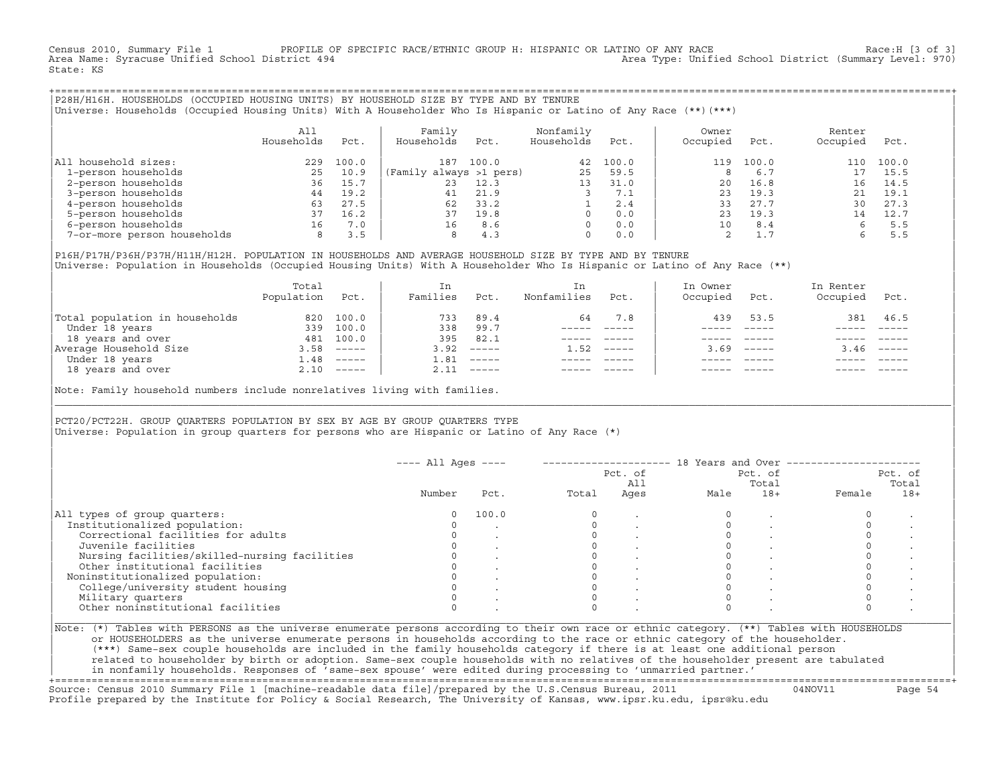Census 2010, Summary File 1 PROFILE OF SPECIFIC RACE/ETHNIC GROUP H: HISPANIC OR LATINO OF ANY RACE RACE Race:H [3 of 3]<br>Area Name: Syracuse Unified School District 494 Area Type: Unified School District (Summary Level: 970) State: KS

+===================================================================================================================================================+|P28H/H16H. HOUSEHOLDS (OCCUPIED HOUSING UNITS) BY HOUSEHOLD SIZE BY TYPE AND BY TENURE | |Universe: Households (Occupied Housing Units) With A Householder Who Is Hispanic or Latino of Any Race (\*\*)(\*\*\*) |

|                             | All<br>Households | Pct.  | Family<br>Households    | Pct.  | Nonfamily<br>Households | Pct.  | Owner<br>Occupied | Pct.  | Renter<br>Occupied | Pct.  |
|-----------------------------|-------------------|-------|-------------------------|-------|-------------------------|-------|-------------------|-------|--------------------|-------|
| All household sizes:        | 229               | 100.0 | 187                     | 100.0 | 42                      | 100.0 | 119               | 100.0 | 110                | 100.0 |
| 1-person households         | 25                | 10.9  | (Family always >1 pers) |       | 25                      | 59.5  |                   | 6.7   |                    | 15.5  |
| 2-person households         | 36                | 15.7  | 23                      | 12.3  | 13                      | 31.0  | 20                | 16.8  | 16                 | 14.5  |
| 3-person households         | 44                | 19.2  | 41                      | 21.9  |                         | 7.1   | 23                | 19.3  |                    | 19.1  |
| 4-person households         | 63                | 27.5  | 62                      | 33.2  |                         | 2.4   | 33                | 27.7  | 30                 | 27.3  |
| 5-person households         | 37                | 16.2  | 37                      | 19.8  |                         | 0.0   | 23                | 19.3  | 14                 | 12.7  |
| 6-person households         | 16                | 7.0   | 16                      | 8.6   |                         | 0.0   | 10                | 8.4   |                    | 5.5   |
| 7-or-more person households | 8                 | 3.5   | 8                       | 4.3   | 0                       | 0.0   |                   | 1.7   |                    | 5.5   |

|P16H/P17H/P36H/P37H/H11H/H12H. POPULATION IN HOUSEHOLDS AND AVERAGE HOUSEHOLD SIZE BY TYPE AND BY TENURE | Universe: Population in Households (Occupied Housing Units) With A Householder Who Is Hispanic or Latino of Any Race (\*\*)

|                                | Total<br>Population | Pct.         | In<br>Families | Pct.                      | In.<br>Nonfamilies | Pct.     | In Owner<br>Occupied | Pct.                      | In Renter<br>Occupied | Pct.                      |  |
|--------------------------------|---------------------|--------------|----------------|---------------------------|--------------------|----------|----------------------|---------------------------|-----------------------|---------------------------|--|
| Total population in households | 820                 | 100.0        | 733            | 89.4                      | 64                 | 7.8      | 439                  | 53.5                      | 381                   | 46.5                      |  |
| Under 18 years                 | 339                 | 100.0        | 338            | 99.7                      |                    |          |                      |                           |                       |                           |  |
| 18 years and over              | 481                 | 100.0        | 395            | 82.1                      |                    |          |                      |                           |                       |                           |  |
| Average Household Size         | 3.58                | $------$     | 3.92           | $------$                  | 1.52               | $------$ | 3.69                 | $\qquad \qquad - - - - -$ | 3.46                  | $\qquad \qquad - - - - -$ |  |
| Under 18 years                 | 1.48                | $------$     | 1.81           | $------$                  |                    |          |                      |                           |                       |                           |  |
| 18 years and over              |                     | $2.10$ ----- | 2.11           | $\qquad \qquad - - - - -$ |                    |          |                      | $- - - - -$               |                       | $- - - - -$               |  |
|                                |                     |              |                |                           |                    |          |                      |                           |                       |                           |  |

Note: Family household numbers include nonrelatives living with families.

| | PCT20/PCT22H. GROUP OUARTERS POPULATION BY SEX BY AGE BY GROUP OUARTERS TYPE Universe: Population in group quarters for persons who are Hispanic or Latino of Any Race (\*)

|                                               |        |       |       | Pct. of<br>All | Pct. of<br>Total |       | Pct. of<br>Total |       |
|-----------------------------------------------|--------|-------|-------|----------------|------------------|-------|------------------|-------|
|                                               | Number | Pct.  | Total | Ages           | Male             | $18+$ | Female           | $18+$ |
| All types of group quarters:                  | 0      | 100.0 |       |                |                  |       |                  |       |
| Institutionalized population:                 |        |       |       |                |                  |       |                  |       |
| Correctional facilities for adults            |        |       |       |                |                  |       |                  |       |
| Juvenile facilities                           |        |       |       |                |                  |       |                  |       |
| Nursing facilities/skilled-nursing facilities |        |       |       |                |                  |       |                  |       |
| Other institutional facilities                |        |       |       |                |                  |       |                  |       |
| Noninstitutionalized population:              |        |       |       |                |                  |       |                  |       |
| College/university student housing            |        |       |       |                |                  |       |                  |       |
| Military quarters                             |        |       |       |                |                  |       |                  |       |
| Other noninstitutional facilities             |        |       |       |                |                  |       |                  |       |

|\_\_\_\_\_\_\_\_\_\_\_\_\_\_\_\_\_\_\_\_\_\_\_\_\_\_\_\_\_\_\_\_\_\_\_\_\_\_\_\_\_\_\_\_\_\_\_\_\_\_\_\_\_\_\_\_\_\_\_\_\_\_\_\_\_\_\_\_\_\_\_\_\_\_\_\_\_\_\_\_\_\_\_\_\_\_\_\_\_\_\_\_\_\_\_\_\_\_\_\_\_\_\_\_\_\_\_\_\_\_\_\_\_\_\_\_\_\_\_\_\_\_\_\_\_\_\_\_\_\_\_\_\_\_\_\_\_\_\_\_\_\_\_\_\_\_\_|

| |

or HOUSEHOLDERS as the universe enumerate persons in households according to the race or ethnic category of the householder. | (\*\*\*) Same−sex couple households are included in the family households category if there is at least one additional person | | related to householder by birth or adoption. Same−sex couple households with no relatives of the householder present are tabulated | | in nonfamily households. Responses of 'same−sex spouse' were edited during processing to 'unmarried partner.' |

+===================================================================================================================================================+ Source: Census 2010 Summary File 1 [machine−readable data file]/prepared by the U.S.Census Bureau, 2011 04NOV11 Page 54 Profile prepared by the Institute for Policy & Social Research, The University of Kansas, www.ipsr.ku.edu, ipsr@ku.edu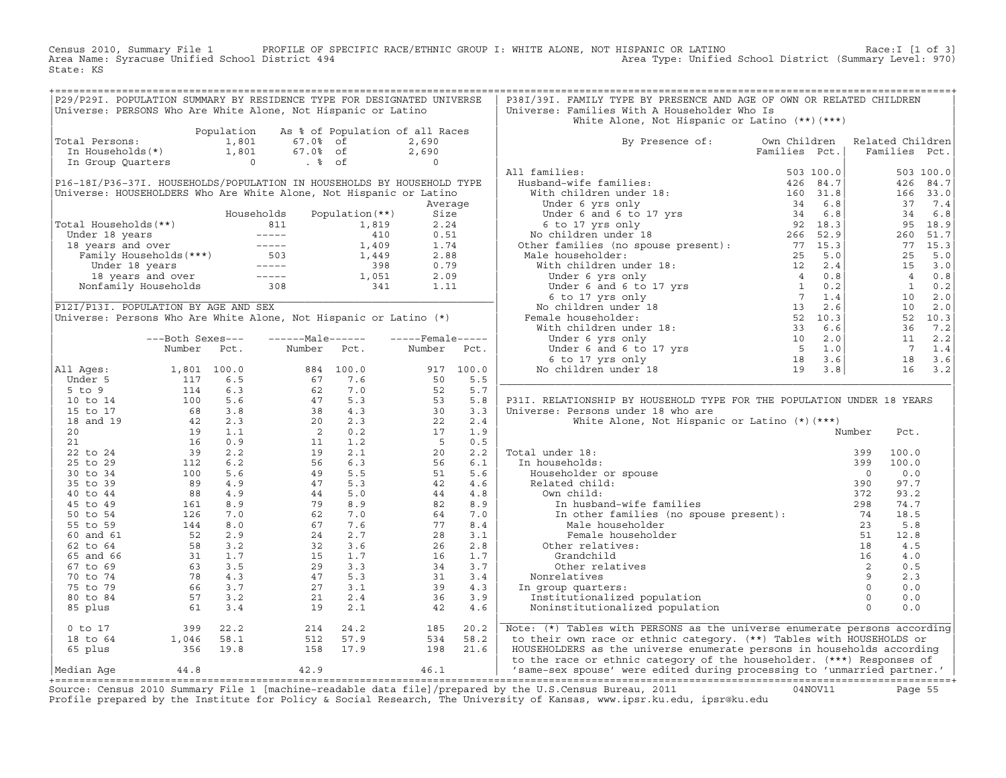Census 2010, Summary File 1 PROFILE OF SPECIFIC RACE/ETHNIC GROUP I: WHITE ALONE, NOT HISPANIC OR LATINO Race:I [1 of 3] Area Name: Syracuse Unified School District 494 Area Type: Unified School District (Summary Level: 970) State: KS

| Universe: PERSONS Who Are White Alone, Not Hispanic or Latino<br>Total Persons:<br>P16-18I/P36-37I. HOUSEHOLDS/POPULATION IN HOUSEHOLDS BY HOUSEHOLD TYPE<br>Universe: HOUSEHOLDERS Who Are White Alone, Not Hispanic or Latino                        | 1,801 | Population As % of Population of all Races<br>67.0% of<br>67.0% of                                                                                                                                                                                                                        |           |                                                                                      |            | White Alone, Not Hispanic or Latino (**) (***)                                                                                                                                                                                                                         |               |                  |       |                |
|--------------------------------------------------------------------------------------------------------------------------------------------------------------------------------------------------------------------------------------------------------|-------|-------------------------------------------------------------------------------------------------------------------------------------------------------------------------------------------------------------------------------------------------------------------------------------------|-----------|--------------------------------------------------------------------------------------|------------|------------------------------------------------------------------------------------------------------------------------------------------------------------------------------------------------------------------------------------------------------------------------|---------------|------------------|-------|----------------|
|                                                                                                                                                                                                                                                        |       |                                                                                                                                                                                                                                                                                           |           |                                                                                      |            |                                                                                                                                                                                                                                                                        |               |                  |       |                |
|                                                                                                                                                                                                                                                        |       |                                                                                                                                                                                                                                                                                           |           |                                                                                      |            |                                                                                                                                                                                                                                                                        |               |                  |       |                |
|                                                                                                                                                                                                                                                        |       |                                                                                                                                                                                                                                                                                           |           | 2,690                                                                                |            | By Presence of: Own Children                                                                                                                                                                                                                                           |               | Related Children |       |                |
|                                                                                                                                                                                                                                                        |       |                                                                                                                                                                                                                                                                                           |           | 2,690<br>$\Omega$                                                                    |            | xamilies :<br>Hamilies :<br>Which children under 18 :<br>Under 6 yrs only<br>Under 6 and 6 to 17 yrs<br>Under 6 and 6 to 17 yrs<br>Under 6 and 6 to 17 yrs<br>No children under 18 :<br>According to the section of the section of the section                         | Families Pct. | Families Pct.    |       |                |
|                                                                                                                                                                                                                                                        |       |                                                                                                                                                                                                                                                                                           |           |                                                                                      |            | All families:                                                                                                                                                                                                                                                          |               |                  |       | 503 100.0      |
|                                                                                                                                                                                                                                                        |       |                                                                                                                                                                                                                                                                                           |           |                                                                                      |            |                                                                                                                                                                                                                                                                        |               |                  |       | 426 84.7       |
|                                                                                                                                                                                                                                                        |       |                                                                                                                                                                                                                                                                                           |           |                                                                                      |            |                                                                                                                                                                                                                                                                        |               |                  |       | 166 33.0       |
|                                                                                                                                                                                                                                                        |       |                                                                                                                                                                                                                                                                                           |           | Average                                                                              |            |                                                                                                                                                                                                                                                                        |               |                  |       | 37 7.4         |
|                                                                                                                                                                                                                                                        |       |                                                                                                                                                                                                                                                                                           |           |                                                                                      |            |                                                                                                                                                                                                                                                                        |               |                  |       | 34 6.8         |
| Total Households (**)                                                                                                                                                                                                                                  |       |                                                                                                                                                                                                                                                                                           |           |                                                                                      |            |                                                                                                                                                                                                                                                                        |               |                  |       | 95 18.9        |
|                                                                                                                                                                                                                                                        |       |                                                                                                                                                                                                                                                                                           |           |                                                                                      |            |                                                                                                                                                                                                                                                                        |               |                  |       | 260 51.7       |
| 0tal Households (**)<br>Under 18 years<br>18 years and over<br>Family Households (***)<br>18 years and over<br>Family Households (***)<br>19 1.74<br>19 1.74<br>1.449 2.88<br>Under 18 years and over<br>1.449 2.88<br>Under 18 years and over<br>1.44 |       |                                                                                                                                                                                                                                                                                           |           |                                                                                      |            |                                                                                                                                                                                                                                                                        |               |                  |       | 77 15.3        |
|                                                                                                                                                                                                                                                        |       |                                                                                                                                                                                                                                                                                           |           |                                                                                      |            |                                                                                                                                                                                                                                                                        |               |                  | 25    | 5.0            |
|                                                                                                                                                                                                                                                        |       |                                                                                                                                                                                                                                                                                           |           |                                                                                      |            |                                                                                                                                                                                                                                                                        |               |                  |       | 15 3.0         |
|                                                                                                                                                                                                                                                        |       |                                                                                                                                                                                                                                                                                           |           |                                                                                      |            |                                                                                                                                                                                                                                                                        |               |                  |       | 40.8           |
|                                                                                                                                                                                                                                                        |       |                                                                                                                                                                                                                                                                                           |           |                                                                                      |            |                                                                                                                                                                                                                                                                        |               |                  |       | $1 \qquad 0.2$ |
|                                                                                                                                                                                                                                                        |       |                                                                                                                                                                                                                                                                                           |           |                                                                                      |            |                                                                                                                                                                                                                                                                        |               |                  |       | 10 2.0         |
| P12I/P13I. POPULATION BY AGE AND SEX                                                                                                                                                                                                                   |       |                                                                                                                                                                                                                                                                                           |           |                                                                                      |            |                                                                                                                                                                                                                                                                        |               |                  |       | 10 2.0         |
| Universe: Persons Who Are White Alone, Not Hispanic or Latino (*)                                                                                                                                                                                      |       |                                                                                                                                                                                                                                                                                           |           |                                                                                      |            |                                                                                                                                                                                                                                                                        |               |                  |       | 52 10.3        |
|                                                                                                                                                                                                                                                        |       |                                                                                                                                                                                                                                                                                           |           |                                                                                      |            |                                                                                                                                                                                                                                                                        |               |                  |       | 36 7.2         |
| ---Both Sexes---                                                                                                                                                                                                                                       |       | ------Male------                                                                                                                                                                                                                                                                          |           | $---$ Female-----                                                                    |            |                                                                                                                                                                                                                                                                        |               |                  |       | 11 2.2         |
| Number                                                                                                                                                                                                                                                 | Pct.  | Number                                                                                                                                                                                                                                                                                    | Pct.      | Number                                                                               | Pct.       |                                                                                                                                                                                                                                                                        |               |                  |       | 7 1.4          |
|                                                                                                                                                                                                                                                        |       |                                                                                                                                                                                                                                                                                           |           |                                                                                      |            |                                                                                                                                                                                                                                                                        |               |                  |       | 18 3.6         |
| All Ages:                                                                                                                                                                                                                                              |       |                                                                                                                                                                                                                                                                                           | 884 100.0 |                                                                                      | 917 100.0  |                                                                                                                                                                                                                                                                        |               |                  |       | $16$ 3.2       |
| Under 5                                                                                                                                                                                                                                                |       |                                                                                                                                                                                                                                                                                           |           | $\frac{50}{52}$                                                                      | 5.5        |                                                                                                                                                                                                                                                                        |               |                  |       |                |
| $5$ to $9$                                                                                                                                                                                                                                             |       |                                                                                                                                                                                                                                                                                           |           |                                                                                      | 5.7        |                                                                                                                                                                                                                                                                        |               |                  |       |                |
| $\begin{array}{cccc} 1,801 & 100.0 \\ & 117 & 6.5 \\ & 114 & 6.3 \\ & 100 & 5.6 \\ & 68 & 3.8 \\ & 42 & 2.3 \\ & 19 & 1.1 \\ & 16 & 0.9 \\ & 39 & 2.2 \\ & 112 & 6.2 \\ & 100 & 5.6 \\ & 89 & 4.9 \\ & 88 & 4.9 \\ \end{array}$<br>10 to 14            |       |                                                                                                                                                                                                                                                                                           |           | $\begin{array}{r} 22 \\ 30 \\ 22 \\ 17 \\ 50 \\ 26 \\ 42 \\ 42 \\ 44 \\ \end{array}$ | 5.8        | P31I. RELATIONSHIP BY HOUSEHOLD TYPE FOR THE POPULATION UNDER 18 YEARS                                                                                                                                                                                                 |               |                  |       |                |
| 15 to 17                                                                                                                                                                                                                                               |       |                                                                                                                                                                                                                                                                                           |           |                                                                                      | 3.3        | Universe: Persons under 18 who are                                                                                                                                                                                                                                     |               |                  |       |                |
| 18 and 19                                                                                                                                                                                                                                              |       |                                                                                                                                                                                                                                                                                           |           |                                                                                      | 2.4        | White Alone, Not Hispanic or Latino (*) (***)                                                                                                                                                                                                                          |               |                  |       |                |
| 20                                                                                                                                                                                                                                                     |       |                                                                                                                                                                                                                                                                                           |           |                                                                                      | 1.9        |                                                                                                                                                                                                                                                                        |               | Number           | Pct.  |                |
| 21                                                                                                                                                                                                                                                     |       |                                                                                                                                                                                                                                                                                           |           |                                                                                      | 0.5<br>2.2 | al under 18:<br>n households:<br>Householder or spouse<br>Related child:<br>Total under 18:                                                                                                                                                                            |               | 399              | 100.0 |                |
| 22 to 24<br>25 to 29                                                                                                                                                                                                                                   |       |                                                                                                                                                                                                                                                                                           |           |                                                                                      | 6.1        | In households:                                                                                                                                                                                                                                                         |               | 399              | 100.0 |                |
| 30 to 34                                                                                                                                                                                                                                               |       |                                                                                                                                                                                                                                                                                           |           | 51                                                                                   | 5.6        |                                                                                                                                                                                                                                                                        |               | $\Omega$         | 0.0   |                |
| 35 to 39                                                                                                                                                                                                                                               |       |                                                                                                                                                                                                                                                                                           |           | 42                                                                                   | 4.6        |                                                                                                                                                                                                                                                                        |               | 390              | 97.7  |                |
| 88<br>40 to 44                                                                                                                                                                                                                                         | 4.9   |                                                                                                                                                                                                                                                                                           |           | 44                                                                                   | 4.8        | Own child:                                                                                                                                                                                                                                                             |               | 372              | 93.2  |                |
| 45 to 49                                                                                                                                                                                                                                               | 8.9   |                                                                                                                                                                                                                                                                                           |           | 82                                                                                   | 8.9        |                                                                                                                                                                                                                                                                        |               |                  | 74.7  |                |
| $\begin{array}{c} 161 \\ 126 \\ 144 \\ 52 \end{array}$<br>50 to 54                                                                                                                                                                                     | 7.0   |                                                                                                                                                                                                                                                                                           |           | 64                                                                                   | 7.0        | The other families (no spouse present):<br>The Male householder<br>The householder<br>The Theory of The Contract of The Contract of The Contract of The Contract of The Contract of The Contract of The Contract of The Contract of                                    |               |                  | 18.5  |                |
| 55 to 59                                                                                                                                                                                                                                               | 8.0   |                                                                                                                                                                                                                                                                                           |           | 77                                                                                   | 8.4        |                                                                                                                                                                                                                                                                        |               |                  | 5.8   |                |
| 60 and 61                                                                                                                                                                                                                                              | 2.9   |                                                                                                                                                                                                                                                                                           |           | 28                                                                                   | 3.1        |                                                                                                                                                                                                                                                                        |               |                  | 12.8  |                |
| 62 to 64                                                                                                                                                                                                                                               |       |                                                                                                                                                                                                                                                                                           |           | 26                                                                                   | 2.8        | Other relatives:                                                                                                                                                                                                                                                       |               |                  | 4.5   |                |
| 65 and 66                                                                                                                                                                                                                                              |       |                                                                                                                                                                                                                                                                                           |           | 16                                                                                   | 1.7        |                                                                                                                                                                                                                                                                        |               |                  | 4.0   |                |
| 67 to 69                                                                                                                                                                                                                                               |       |                                                                                                                                                                                                                                                                                           |           | 34                                                                                   | 3.7        |                                                                                                                                                                                                                                                                        |               |                  | 0.5   |                |
| 70 to 74                                                                                                                                                                                                                                               |       |                                                                                                                                                                                                                                                                                           |           |                                                                                      | 3.4        | Nonrelatives                                                                                                                                                                                                                                                           |               |                  | 2.3   |                |
| 75 to 79                                                                                                                                                                                                                                               |       |                                                                                                                                                                                                                                                                                           |           | $\frac{31}{39}$<br>39                                                                | 4.3        | In group quarters:                                                                                                                                                                                                                                                     |               |                  | 0.0   |                |
| 80 to 84                                                                                                                                                                                                                                               |       |                                                                                                                                                                                                                                                                                           |           | 36                                                                                   | 3.9        | Institutionalized population                                                                                                                                                                                                                                           |               |                  | 0.0   |                |
| 85 plus                                                                                                                                                                                                                                                |       | 884 100.0<br>67 7.6<br>62 7.0<br>47 5.3<br>20 2.3<br>20 2.3<br>20 2.2<br>11 1.2<br>20 5.5<br>49 5.5<br>49 5.5<br>49 5.5<br>49 5.5<br>49 6.0<br>62 7.0<br>62 7.0<br>62 7.0<br>62 7.0<br>62 7.0<br>62 7.0<br>62 7.0<br>64 2.7<br>56 6.3<br>44 5.0<br>62 7.0<br>62 7.0<br>62 7.0<br>64<br>19 | 2.1       | 42                                                                                   | 4.6        | Male householder<br>Male householder<br>Female householder<br>ther relatives:<br>Grandchild<br>16<br>other relatives<br>2<br>relatives<br>oup quarters:<br>titutionalized population<br>institutionalized population<br>0<br>0<br>0<br>Noninstitutionalized population |               |                  | 0.0   |                |
| $0$ to $17$<br>$399$<br>1,046                                                                                                                                                                                                                          | 22.2  |                                                                                                                                                                                                                                                                                           | 214 24.2  | 185                                                                                  | 20.2       | Note: (*) Tables with PERSONS as the universe enumerate persons according                                                                                                                                                                                              |               |                  |       |                |
| 18 to 64                                                                                                                                                                                                                                               | 58.1  |                                                                                                                                                                                                                                                                                           | 512 57.9  | 534                                                                                  | 58.2       | to their own race or ethnic category. (**) Tables with HOUSEHOLDS or                                                                                                                                                                                                   |               |                  |       |                |
| $356$ $19.8$<br>65 plus                                                                                                                                                                                                                                |       | 158 17.9                                                                                                                                                                                                                                                                                  |           | 198 21.6                                                                             |            | HOUSEHOLDERS as the universe enumerate persons in households according<br>to the race or ethnic category of the householder. (***) Responses of                                                                                                                        |               |                  |       |                |
| 44.8<br>Median Age                                                                                                                                                                                                                                     |       | 42.9                                                                                                                                                                                                                                                                                      |           | 46.1                                                                                 |            | 'same-sex spouse' were edited during processing to 'unmarried partner.'                                                                                                                                                                                                |               |                  |       |                |

Source: Census 2010 Summary File 1 [machine-readable data file]/prepared by the U.S.Census Bureau, 2011 Page 55<br>Profile prepared by the Institute for Policy & Social Research, The University of Kansas, www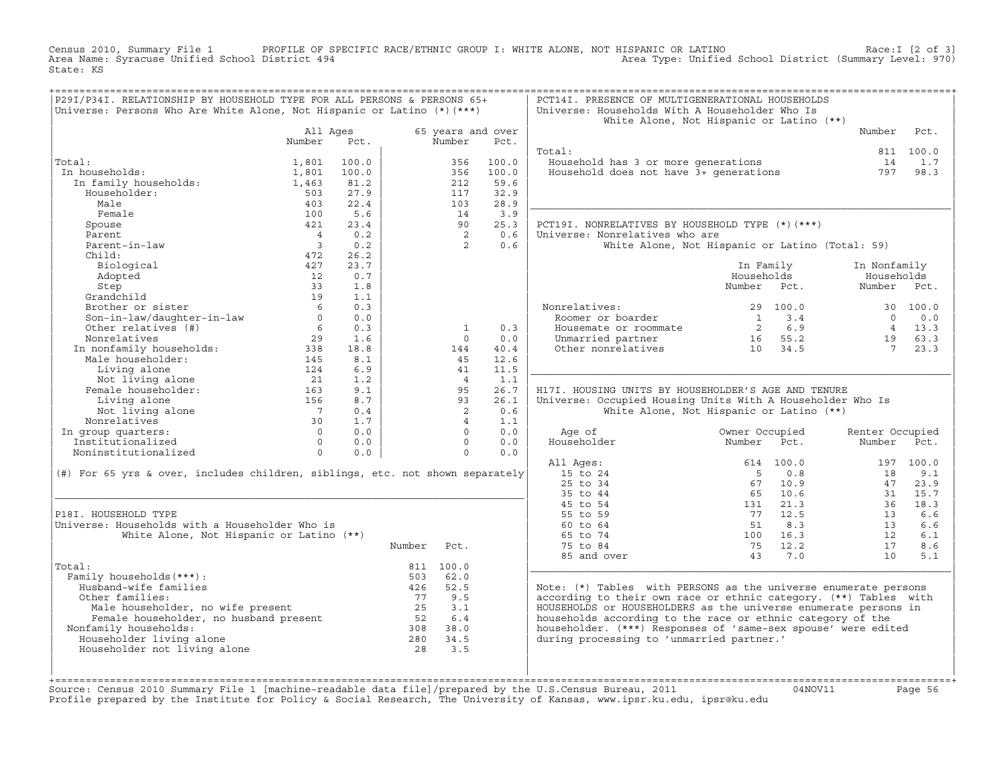Census 2010, Summary File 1 PROFILE OF SPECIFIC RACE/ETHNIC GROUP I: WHITE ALONE, NOT HISPANIC OR LATINO Race:I [2 of 3] Area Name: Syracuse Unified School District 494 Area Type: Unified School District (Summary Level: 970) State: KS

| P29I/P34I. RELATIONSHIP BY HOUSEHOLD TYPE FOR ALL PERSONS & PERSONS 65+<br>Universe: Persons Who Are White Alone, Not Hispanic or Latino (*) (***)     |                         |            |        |                             |       | PCT14I. PRESENCE OF MULTIGENERATIONAL HOUSEHOLDS<br>Universe: Households With A Householder Who Is | White Alone, Not Hispanic or Latino (**)                        |                 |               |
|--------------------------------------------------------------------------------------------------------------------------------------------------------|-------------------------|------------|--------|-----------------------------|-------|----------------------------------------------------------------------------------------------------|-----------------------------------------------------------------|-----------------|---------------|
|                                                                                                                                                        | All Ages<br>Number      | Pct.       |        | 65 years and over<br>Number | Pct.  |                                                                                                    |                                                                 | Number          | Pct.          |
|                                                                                                                                                        |                         |            |        |                             |       | Total:                                                                                             |                                                                 |                 | 811 100.0     |
| Total:                                                                                                                                                 | 1,801                   | 100.0      |        | 356                         | 100.0 | Household has 3 or more generations                                                                |                                                                 | 14              | 1.7           |
| In households:                                                                                                                                         | 1,801                   | 100.0      |        | 356                         | 100.0 | Household does not have 3+ generations<br>Household does not have 3+ generations                   |                                                                 | 797             | 98.3          |
| In family households:                                                                                                                                  | 1,463                   | 81.2       |        | 212                         | 59.6  |                                                                                                    |                                                                 |                 |               |
| Householder:                                                                                                                                           | 503                     | 27.9       |        | 117                         | 32.9  |                                                                                                    |                                                                 |                 |               |
| Male                                                                                                                                                   | 403                     | 22.4       |        | 103                         | 28.9  |                                                                                                    |                                                                 |                 |               |
| Female                                                                                                                                                 | 100                     | 5.6        |        | 14                          | 3.9   |                                                                                                    |                                                                 |                 |               |
| Spouse                                                                                                                                                 | 421                     | 23.4       |        | 90                          | 25.3  | PCT19I. NONRELATIVES BY HOUSEHOLD TYPE (*) (***)                                                   |                                                                 |                 |               |
| Parent                                                                                                                                                 | $\overline{4}$          | 0.2        |        | $\overline{2}$              | 0.6   | Universe: Nonrelatives who are                                                                     |                                                                 |                 |               |
| Parent-in-law                                                                                                                                          | $\overline{\mathbf{3}}$ | 0.2        |        | 2                           | 0.6   |                                                                                                    | White Alone, Not Hispanic or Latino (Total: 59)                 |                 |               |
| Child:                                                                                                                                                 | 472                     | 26.2       |        |                             |       |                                                                                                    |                                                                 |                 |               |
| Biological                                                                                                                                             | 427                     | 23.7       |        |                             |       |                                                                                                    | In Family                                                       | In Nonfamily    |               |
| Adopted                                                                                                                                                | 12                      | 0.7        |        |                             |       |                                                                                                    | Households                                                      | Households      |               |
| Step                                                                                                                                                   | 33                      | 1.8        |        |                             |       |                                                                                                    | Number Pct.                                                     | Number Pct.     |               |
| Grandchild                                                                                                                                             | 19                      | 1.1        |        |                             |       |                                                                                                    |                                                                 |                 |               |
| Brother or sister                                                                                                                                      | 6<br>$\Omega$           | 0.3<br>0.0 |        |                             |       | Nonrelatives:                                                                                      | 29 100.0<br>$1 \t3.4$                                           | $\Omega$        | 30 100.0      |
| Son-in-law/daughter-in-law                                                                                                                             | $6\overline{6}$         | 0.3        |        |                             | 0.3   | Roomer or boarder<br>Housemate or roommate                                                         |                                                                 |                 | 0.0<br>4 13.3 |
| Other relatives (#)<br>Noncelatives<br>In nonfamily households:<br>In nonfamily households:<br>145<br>124                                              |                         | 1.6        |        | $\mathbf{1}$<br>$\Omega$    | 0.0   |                                                                                                    | $\begin{array}{cc} 2 & 6.9 \\ 16 & 55.2 \end{array}$<br>16 55.2 | 19              | 63.3          |
|                                                                                                                                                        |                         | 18.8       |        | 144                         | 40.4  | Unmarried partner<br>Other nonrelatives                                                            | 10 34.5                                                         | $7\overline{ }$ | 23.3          |
|                                                                                                                                                        |                         | 8.1        |        | 45                          | 12.6  |                                                                                                    |                                                                 |                 |               |
|                                                                                                                                                        |                         | 6.9        |        | 41                          | 11.5  |                                                                                                    |                                                                 |                 |               |
| Not living alone                                                                                                                                       | 21                      | 1.2        |        | $\overline{4}$              | 1.1   |                                                                                                    |                                                                 |                 |               |
| Female householder:                                                                                                                                    | 163                     | 9.1        |        | 95                          | 26.7  | H17I. HOUSING UNITS BY HOUSEHOLDER'S AGE AND TENURE                                                |                                                                 |                 |               |
| Living alone                                                                                                                                           | 156                     | 8.7        |        | 93                          | 26.1  | Universe: Occupied Housing Units With A Householder Who Is                                         |                                                                 |                 |               |
| Not living alone                                                                                                                                       | $\overline{7}$          | 0.4        |        | $\overline{2}$              | 0.6   |                                                                                                    | White Alone, Not Hispanic or Latino (**)                        |                 |               |
| Nonrelatives                                                                                                                                           | 30                      | 1.7        |        | $\overline{4}$              | 1.1   |                                                                                                    |                                                                 |                 |               |
| In group quarters:                                                                                                                                     | $\overline{0}$          | 0.0        |        | $\Omega$                    | 0.0   | Age of                                                                                             | Owner Occupied                                                  | Renter Occupied |               |
| Institutionalized                                                                                                                                      | $\Omega$                | 0.0        |        | $\Omega$                    | 0.0   | Householder                                                                                        | Number<br>Pct.                                                  | Number          | Pct.          |
| Noninstitutionalized                                                                                                                                   | $\circ$                 | 0.0        |        | $\circ$                     | 0.0   |                                                                                                    |                                                                 |                 |               |
|                                                                                                                                                        |                         |            |        |                             |       | All Ages:                                                                                          | 614 100.0                                                       |                 | 197 100.0     |
| (#) For 65 yrs & over, includes children, siblings, etc. not shown separately                                                                          |                         |            |        |                             |       | 15 to 24                                                                                           | $5^{\circ}$<br>0.8                                              | 18              | 9.1           |
|                                                                                                                                                        |                         |            |        |                             |       | 25 to 34                                                                                           | 67 10.9                                                         | 47              | 23.9          |
|                                                                                                                                                        |                         |            |        |                             |       | 35 to 44                                                                                           | 65 10.6                                                         | 31              | 15.7          |
|                                                                                                                                                        |                         |            |        |                             |       | 45 to 54                                                                                           | 131 21.3                                                        | 36              | 18.3          |
| P18I. HOUSEHOLD TYPE                                                                                                                                   |                         |            |        |                             |       | 55 to 59                                                                                           | 12.5<br>77                                                      | 13              | 6.6           |
| Universe: Households with a Householder Who is                                                                                                         |                         |            |        |                             |       | 60 to 64                                                                                           | 51<br>8.3                                                       | 13              | 6.6           |
| White Alone, Not Hispanic or Latino (**)                                                                                                               |                         |            |        |                             |       | 65 to 74                                                                                           | 100 16.3                                                        | 12              | 6.1           |
|                                                                                                                                                        |                         |            | Number | Pct.                        |       | 75 to 84                                                                                           | 75<br>12.2                                                      | 17              | 8.6           |
|                                                                                                                                                        |                         |            |        |                             |       | 85 and over                                                                                        | 7.0<br>43                                                       | 10              | 5.1           |
| Total:                                                                                                                                                 |                         |            |        | 811 100.0                   |       |                                                                                                    |                                                                 |                 |               |
| Family households (***) :                                                                                                                              |                         |            | 503    | 62.0                        |       |                                                                                                    |                                                                 |                 |               |
| Husband-wife families                                                                                                                                  |                         |            |        | 426 52.5                    |       | Note: (*) Tables with PERSONS as the universe enumerate persons                                    |                                                                 |                 |               |
| Other families:                                                                                                                                        |                         |            |        | 77 9.5                      |       | according to their own race or ethnic category. (**) Tables with                                   |                                                                 |                 |               |
| ncr rummaroo.<br>Male householder, no wife present<br>Female householder, no husband present<br>amily households:<br>Male householder, no wife present |                         |            | 25     | 3.1                         |       | HOUSEHOLDS or HOUSEHOLDERS as the universe enumerate persons in                                    |                                                                 |                 |               |
|                                                                                                                                                        |                         |            |        | 52 6.4                      |       | households according to the race or ethnic category of the                                         |                                                                 |                 |               |
| Nonfamily households:                                                                                                                                  |                         |            |        | 308 38.0                    |       | householder. (***) Responses of 'same-sex spouse' were edited                                      |                                                                 |                 |               |
| Householder living alone                                                                                                                               |                         |            | 280    | 34.5                        |       | during processing to 'unmarried partner.'                                                          |                                                                 |                 |               |
| Householder not living alone                                                                                                                           |                         |            | 28     | 3.5                         |       |                                                                                                    |                                                                 |                 |               |
|                                                                                                                                                        |                         |            |        |                             |       |                                                                                                    |                                                                 |                 |               |
|                                                                                                                                                        |                         |            |        |                             |       |                                                                                                    |                                                                 |                 |               |

+===================================================================================================================================================+Source: Census 2010 Summary File 1 [machine−readable data file]/prepared by the U.S.Census Bureau, 2011 04NOV11 Page 56 Profile prepared by the Institute for Policy & Social Research, The University of Kansas, www.ipsr.ku.edu, ipsr@ku.edu